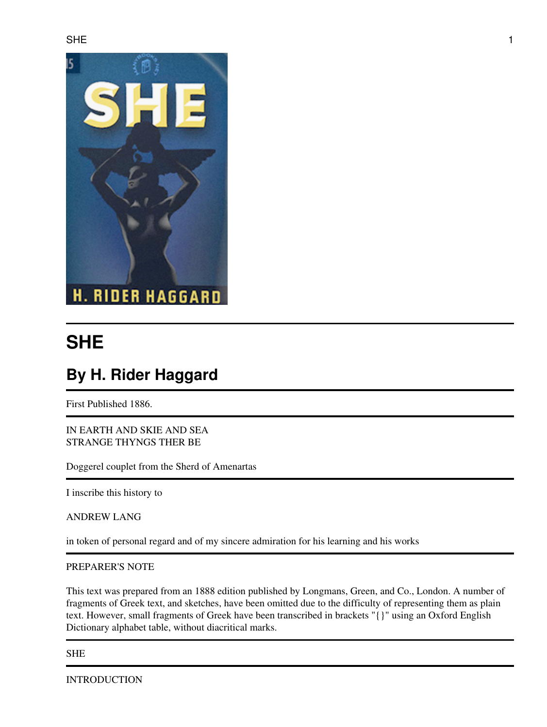

# **SHE**

## **By H. Rider Haggard**

First Published 1886.

IN EARTH AND SKIE AND SEA STRANGE THYNGS THER BE

Doggerel couplet from the Sherd of Amenartas

I inscribe this history to

ANDREW LANG

in token of personal regard and of my sincere admiration for his learning and his works

#### PREPARER'S NOTE

This text was prepared from an 1888 edition published by Longmans, Green, and Co., London. A number of fragments of Greek text, and sketches, have been omitted due to the difficulty of representing them as plain text. However, small fragments of Greek have been transcribed in brackets "{}" using an Oxford English Dictionary alphabet table, without diacritical marks.

SHE

INTRODUCTION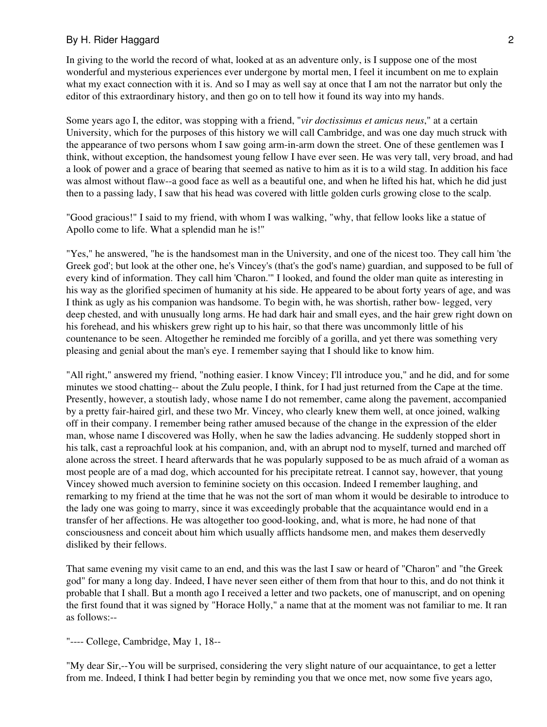In giving to the world the record of what, looked at as an adventure only, is I suppose one of the most wonderful and mysterious experiences ever undergone by mortal men, I feel it incumbent on me to explain what my exact connection with it is. And so I may as well say at once that I am not the narrator but only the editor of this extraordinary history, and then go on to tell how it found its way into my hands.

Some years ago I, the editor, was stopping with a friend, "*vir doctissimus et amicus neus*," at a certain University, which for the purposes of this history we will call Cambridge, and was one day much struck with the appearance of two persons whom I saw going arm-in-arm down the street. One of these gentlemen was I think, without exception, the handsomest young fellow I have ever seen. He was very tall, very broad, and had a look of power and a grace of bearing that seemed as native to him as it is to a wild stag. In addition his face was almost without flaw--a good face as well as a beautiful one, and when he lifted his hat, which he did just then to a passing lady, I saw that his head was covered with little golden curls growing close to the scalp.

"Good gracious!" I said to my friend, with whom I was walking, "why, that fellow looks like a statue of Apollo come to life. What a splendid man he is!"

"Yes," he answered, "he is the handsomest man in the University, and one of the nicest too. They call him 'the Greek god'; but look at the other one, he's Vincey's (that's the god's name) guardian, and supposed to be full of every kind of information. They call him 'Charon.'" I looked, and found the older man quite as interesting in his way as the glorified specimen of humanity at his side. He appeared to be about forty years of age, and was I think as ugly as his companion was handsome. To begin with, he was shortish, rather bow- legged, very deep chested, and with unusually long arms. He had dark hair and small eyes, and the hair grew right down on his forehead, and his whiskers grew right up to his hair, so that there was uncommonly little of his countenance to be seen. Altogether he reminded me forcibly of a gorilla, and yet there was something very pleasing and genial about the man's eye. I remember saying that I should like to know him.

"All right," answered my friend, "nothing easier. I know Vincey; I'll introduce you," and he did, and for some minutes we stood chatting-- about the Zulu people, I think, for I had just returned from the Cape at the time. Presently, however, a stoutish lady, whose name I do not remember, came along the pavement, accompanied by a pretty fair-haired girl, and these two Mr. Vincey, who clearly knew them well, at once joined, walking off in their company. I remember being rather amused because of the change in the expression of the elder man, whose name I discovered was Holly, when he saw the ladies advancing. He suddenly stopped short in his talk, cast a reproachful look at his companion, and, with an abrupt nod to myself, turned and marched off alone across the street. I heard afterwards that he was popularly supposed to be as much afraid of a woman as most people are of a mad dog, which accounted for his precipitate retreat. I cannot say, however, that young Vincey showed much aversion to feminine society on this occasion. Indeed I remember laughing, and remarking to my friend at the time that he was not the sort of man whom it would be desirable to introduce to the lady one was going to marry, since it was exceedingly probable that the acquaintance would end in a transfer of her affections. He was altogether too good-looking, and, what is more, he had none of that consciousness and conceit about him which usually afflicts handsome men, and makes them deservedly disliked by their fellows.

That same evening my visit came to an end, and this was the last I saw or heard of "Charon" and "the Greek god" for many a long day. Indeed, I have never seen either of them from that hour to this, and do not think it probable that I shall. But a month ago I received a letter and two packets, one of manuscript, and on opening the first found that it was signed by "Horace Holly," a name that at the moment was not familiar to me. It ran as follows:--

"---- College, Cambridge, May 1, 18--

"My dear Sir,--You will be surprised, considering the very slight nature of our acquaintance, to get a letter from me. Indeed, I think I had better begin by reminding you that we once met, now some five years ago,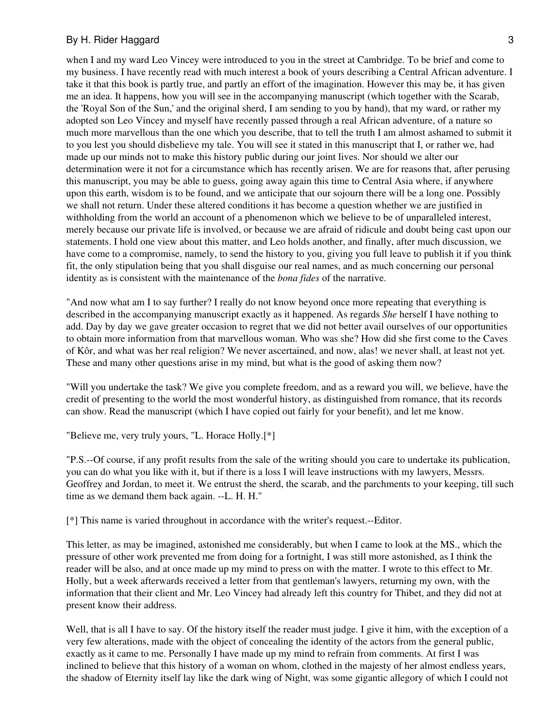when I and my ward Leo Vincey were introduced to you in the street at Cambridge. To be brief and come to my business. I have recently read with much interest a book of yours describing a Central African adventure. I take it that this book is partly true, and partly an effort of the imagination. However this may be, it has given me an idea. It happens, how you will see in the accompanying manuscript (which together with the Scarab, the 'Royal Son of the Sun,' and the original sherd, I am sending to you by hand), that my ward, or rather my adopted son Leo Vincey and myself have recently passed through a real African adventure, of a nature so much more marvellous than the one which you describe, that to tell the truth I am almost ashamed to submit it to you lest you should disbelieve my tale. You will see it stated in this manuscript that I, or rather we, had made up our minds not to make this history public during our joint lives. Nor should we alter our determination were it not for a circumstance which has recently arisen. We are for reasons that, after perusing this manuscript, you may be able to guess, going away again this time to Central Asia where, if anywhere upon this earth, wisdom is to be found, and we anticipate that our sojourn there will be a long one. Possibly we shall not return. Under these altered conditions it has become a question whether we are justified in withholding from the world an account of a phenomenon which we believe to be of unparalleled interest, merely because our private life is involved, or because we are afraid of ridicule and doubt being cast upon our statements. I hold one view about this matter, and Leo holds another, and finally, after much discussion, we have come to a compromise, namely, to send the history to you, giving you full leave to publish it if you think fit, the only stipulation being that you shall disguise our real names, and as much concerning our personal identity as is consistent with the maintenance of the *bona fides* of the narrative.

"And now what am I to say further? I really do not know beyond once more repeating that everything is described in the accompanying manuscript exactly as it happened. As regards *She* herself I have nothing to add. Day by day we gave greater occasion to regret that we did not better avail ourselves of our opportunities to obtain more information from that marvellous woman. Who was she? How did she first come to the Caves of Kôr, and what was her real religion? We never ascertained, and now, alas! we never shall, at least not yet. These and many other questions arise in my mind, but what is the good of asking them now?

"Will you undertake the task? We give you complete freedom, and as a reward you will, we believe, have the credit of presenting to the world the most wonderful history, as distinguished from romance, that its records can show. Read the manuscript (which I have copied out fairly for your benefit), and let me know.

"Believe me, very truly yours, "L. Horace Holly.[\*]

"P.S.--Of course, if any profit results from the sale of the writing should you care to undertake its publication, you can do what you like with it, but if there is a loss I will leave instructions with my lawyers, Messrs. Geoffrey and Jordan, to meet it. We entrust the sherd, the scarab, and the parchments to your keeping, till such time as we demand them back again. --L. H. H."

[\*] This name is varied throughout in accordance with the writer's request.--Editor.

This letter, as may be imagined, astonished me considerably, but when I came to look at the MS., which the pressure of other work prevented me from doing for a fortnight, I was still more astonished, as I think the reader will be also, and at once made up my mind to press on with the matter. I wrote to this effect to Mr. Holly, but a week afterwards received a letter from that gentleman's lawyers, returning my own, with the information that their client and Mr. Leo Vincey had already left this country for Thibet, and they did not at present know their address.

Well, that is all I have to say. Of the history itself the reader must judge. I give it him, with the exception of a very few alterations, made with the object of concealing the identity of the actors from the general public, exactly as it came to me. Personally I have made up my mind to refrain from comments. At first I was inclined to believe that this history of a woman on whom, clothed in the majesty of her almost endless years, the shadow of Eternity itself lay like the dark wing of Night, was some gigantic allegory of which I could not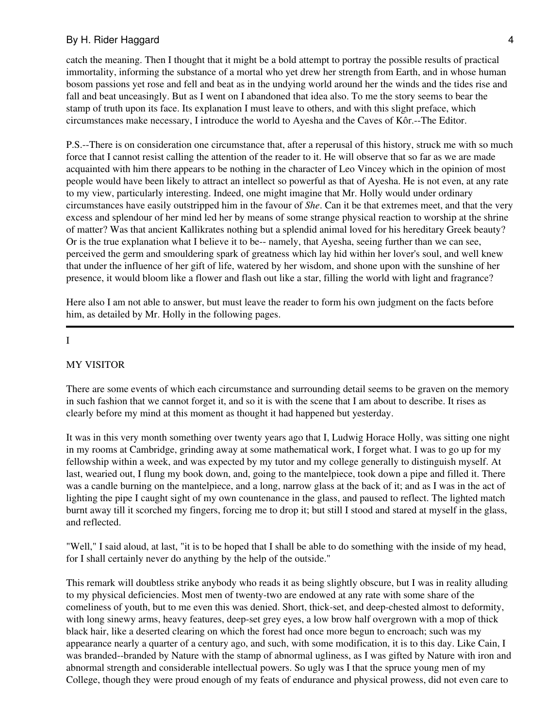catch the meaning. Then I thought that it might be a bold attempt to portray the possible results of practical immortality, informing the substance of a mortal who yet drew her strength from Earth, and in whose human bosom passions yet rose and fell and beat as in the undying world around her the winds and the tides rise and fall and beat unceasingly. But as I went on I abandoned that idea also. To me the story seems to bear the stamp of truth upon its face. Its explanation I must leave to others, and with this slight preface, which circumstances make necessary, I introduce the world to Ayesha and the Caves of Kôr.--The Editor.

P.S.--There is on consideration one circumstance that, after a reperusal of this history, struck me with so much force that I cannot resist calling the attention of the reader to it. He will observe that so far as we are made acquainted with him there appears to be nothing in the character of Leo Vincey which in the opinion of most people would have been likely to attract an intellect so powerful as that of Ayesha. He is not even, at any rate to my view, particularly interesting. Indeed, one might imagine that Mr. Holly would under ordinary circumstances have easily outstripped him in the favour of *She*. Can it be that extremes meet, and that the very excess and splendour of her mind led her by means of some strange physical reaction to worship at the shrine of matter? Was that ancient Kallikrates nothing but a splendid animal loved for his hereditary Greek beauty? Or is the true explanation what I believe it to be-- namely, that Ayesha, seeing further than we can see, perceived the germ and smouldering spark of greatness which lay hid within her lover's soul, and well knew that under the influence of her gift of life, watered by her wisdom, and shone upon with the sunshine of her presence, it would bloom like a flower and flash out like a star, filling the world with light and fragrance?

Here also I am not able to answer, but must leave the reader to form his own judgment on the facts before him, as detailed by Mr. Holly in the following pages.

#### I

#### MY VISITOR

There are some events of which each circumstance and surrounding detail seems to be graven on the memory in such fashion that we cannot forget it, and so it is with the scene that I am about to describe. It rises as clearly before my mind at this moment as thought it had happened but yesterday.

It was in this very month something over twenty years ago that I, Ludwig Horace Holly, was sitting one night in my rooms at Cambridge, grinding away at some mathematical work, I forget what. I was to go up for my fellowship within a week, and was expected by my tutor and my college generally to distinguish myself. At last, wearied out, I flung my book down, and, going to the mantelpiece, took down a pipe and filled it. There was a candle burning on the mantelpiece, and a long, narrow glass at the back of it; and as I was in the act of lighting the pipe I caught sight of my own countenance in the glass, and paused to reflect. The lighted match burnt away till it scorched my fingers, forcing me to drop it; but still I stood and stared at myself in the glass, and reflected.

"Well," I said aloud, at last, "it is to be hoped that I shall be able to do something with the inside of my head, for I shall certainly never do anything by the help of the outside."

This remark will doubtless strike anybody who reads it as being slightly obscure, but I was in reality alluding to my physical deficiencies. Most men of twenty-two are endowed at any rate with some share of the comeliness of youth, but to me even this was denied. Short, thick-set, and deep-chested almost to deformity, with long sinewy arms, heavy features, deep-set grey eyes, a low brow half overgrown with a mop of thick black hair, like a deserted clearing on which the forest had once more begun to encroach; such was my appearance nearly a quarter of a century ago, and such, with some modification, it is to this day. Like Cain, I was branded--branded by Nature with the stamp of abnormal ugliness, as I was gifted by Nature with iron and abnormal strength and considerable intellectual powers. So ugly was I that the spruce young men of my College, though they were proud enough of my feats of endurance and physical prowess, did not even care to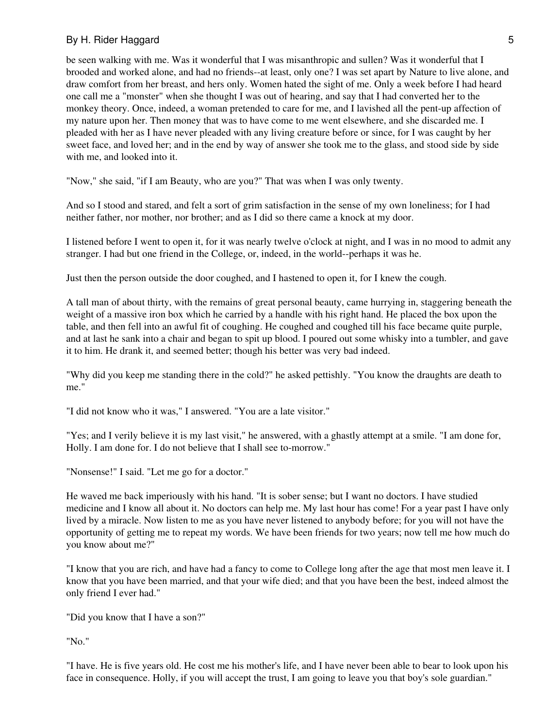be seen walking with me. Was it wonderful that I was misanthropic and sullen? Was it wonderful that I brooded and worked alone, and had no friends--at least, only one? I was set apart by Nature to live alone, and draw comfort from her breast, and hers only. Women hated the sight of me. Only a week before I had heard one call me a "monster" when she thought I was out of hearing, and say that I had converted her to the monkey theory. Once, indeed, a woman pretended to care for me, and I lavished all the pent-up affection of my nature upon her. Then money that was to have come to me went elsewhere, and she discarded me. I pleaded with her as I have never pleaded with any living creature before or since, for I was caught by her sweet face, and loved her; and in the end by way of answer she took me to the glass, and stood side by side with me, and looked into it.

"Now," she said, "if I am Beauty, who are you?" That was when I was only twenty.

And so I stood and stared, and felt a sort of grim satisfaction in the sense of my own loneliness; for I had neither father, nor mother, nor brother; and as I did so there came a knock at my door.

I listened before I went to open it, for it was nearly twelve o'clock at night, and I was in no mood to admit any stranger. I had but one friend in the College, or, indeed, in the world--perhaps it was he.

Just then the person outside the door coughed, and I hastened to open it, for I knew the cough.

A tall man of about thirty, with the remains of great personal beauty, came hurrying in, staggering beneath the weight of a massive iron box which he carried by a handle with his right hand. He placed the box upon the table, and then fell into an awful fit of coughing. He coughed and coughed till his face became quite purple, and at last he sank into a chair and began to spit up blood. I poured out some whisky into a tumbler, and gave it to him. He drank it, and seemed better; though his better was very bad indeed.

"Why did you keep me standing there in the cold?" he asked pettishly. "You know the draughts are death to me."

"I did not know who it was," I answered. "You are a late visitor."

"Yes; and I verily believe it is my last visit," he answered, with a ghastly attempt at a smile. "I am done for, Holly. I am done for. I do not believe that I shall see to-morrow."

"Nonsense!" I said. "Let me go for a doctor."

He waved me back imperiously with his hand. "It is sober sense; but I want no doctors. I have studied medicine and I know all about it. No doctors can help me. My last hour has come! For a year past I have only lived by a miracle. Now listen to me as you have never listened to anybody before; for you will not have the opportunity of getting me to repeat my words. We have been friends for two years; now tell me how much do you know about me?"

"I know that you are rich, and have had a fancy to come to College long after the age that most men leave it. I know that you have been married, and that your wife died; and that you have been the best, indeed almost the only friend I ever had."

"Did you know that I have a son?"

"No."

"I have. He is five years old. He cost me his mother's life, and I have never been able to bear to look upon his face in consequence. Holly, if you will accept the trust, I am going to leave you that boy's sole guardian."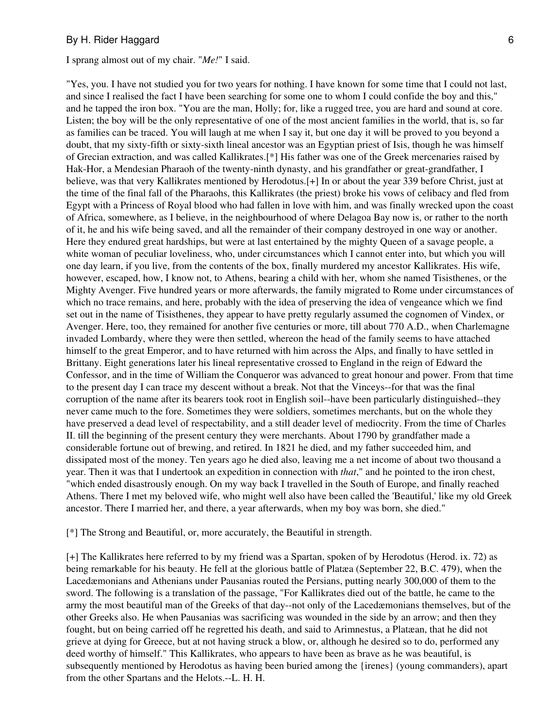#### I sprang almost out of my chair. "*Me!*" I said.

"Yes, you. I have not studied you for two years for nothing. I have known for some time that I could not last, and since I realised the fact I have been searching for some one to whom I could confide the boy and this," and he tapped the iron box. "You are the man, Holly; for, like a rugged tree, you are hard and sound at core. Listen; the boy will be the only representative of one of the most ancient families in the world, that is, so far as families can be traced. You will laugh at me when I say it, but one day it will be proved to you beyond a doubt, that my sixty-fifth or sixty-sixth lineal ancestor was an Egyptian priest of Isis, though he was himself of Grecian extraction, and was called Kallikrates.[\*] His father was one of the Greek mercenaries raised by Hak-Hor, a Mendesian Pharaoh of the twenty-ninth dynasty, and his grandfather or great-grandfather, I believe, was that very Kallikrates mentioned by Herodotus.[+] In or about the year 339 before Christ, just at the time of the final fall of the Pharaohs, this Kallikrates (the priest) broke his vows of celibacy and fled from Egypt with a Princess of Royal blood who had fallen in love with him, and was finally wrecked upon the coast of Africa, somewhere, as I believe, in the neighbourhood of where Delagoa Bay now is, or rather to the north of it, he and his wife being saved, and all the remainder of their company destroyed in one way or another. Here they endured great hardships, but were at last entertained by the mighty Queen of a savage people, a white woman of peculiar loveliness, who, under circumstances which I cannot enter into, but which you will one day learn, if you live, from the contents of the box, finally murdered my ancestor Kallikrates. His wife, however, escaped, how, I know not, to Athens, bearing a child with her, whom she named Tisisthenes, or the Mighty Avenger. Five hundred years or more afterwards, the family migrated to Rome under circumstances of which no trace remains, and here, probably with the idea of preserving the idea of vengeance which we find set out in the name of Tisisthenes, they appear to have pretty regularly assumed the cognomen of Vindex, or Avenger. Here, too, they remained for another five centuries or more, till about 770 A.D., when Charlemagne invaded Lombardy, where they were then settled, whereon the head of the family seems to have attached himself to the great Emperor, and to have returned with him across the Alps, and finally to have settled in Brittany. Eight generations later his lineal representative crossed to England in the reign of Edward the Confessor, and in the time of William the Conqueror was advanced to great honour and power. From that time to the present day I can trace my descent without a break. Not that the Vinceys--for that was the final corruption of the name after its bearers took root in English soil--have been particularly distinguished--they never came much to the fore. Sometimes they were soldiers, sometimes merchants, but on the whole they have preserved a dead level of respectability, and a still deader level of mediocrity. From the time of Charles II. till the beginning of the present century they were merchants. About 1790 by grandfather made a considerable fortune out of brewing, and retired. In 1821 he died, and my father succeeded him, and dissipated most of the money. Ten years ago he died also, leaving me a net income of about two thousand a year. Then it was that I undertook an expedition in connection with *that*," and he pointed to the iron chest, "which ended disastrously enough. On my way back I travelled in the South of Europe, and finally reached Athens. There I met my beloved wife, who might well also have been called the 'Beautiful,' like my old Greek ancestor. There I married her, and there, a year afterwards, when my boy was born, she died."

[\*] The Strong and Beautiful, or, more accurately, the Beautiful in strength.

[+] The Kallikrates here referred to by my friend was a Spartan, spoken of by Herodotus (Herod. ix. 72) as being remarkable for his beauty. He fell at the glorious battle of Platæa (September 22, B.C. 479), when the Lacedæmonians and Athenians under Pausanias routed the Persians, putting nearly 300,000 of them to the sword. The following is a translation of the passage, "For Kallikrates died out of the battle, he came to the army the most beautiful man of the Greeks of that day--not only of the Lacedæmonians themselves, but of the other Greeks also. He when Pausanias was sacrificing was wounded in the side by an arrow; and then they fought, but on being carried off he regretted his death, and said to Arimnestus, a Platæan, that he did not grieve at dying for Greece, but at not having struck a blow, or, although he desired so to do, performed any deed worthy of himself." This Kallikrates, who appears to have been as brave as he was beautiful, is subsequently mentioned by Herodotus as having been buried among the {irenes} (young commanders), apart from the other Spartans and the Helots.--L. H. H.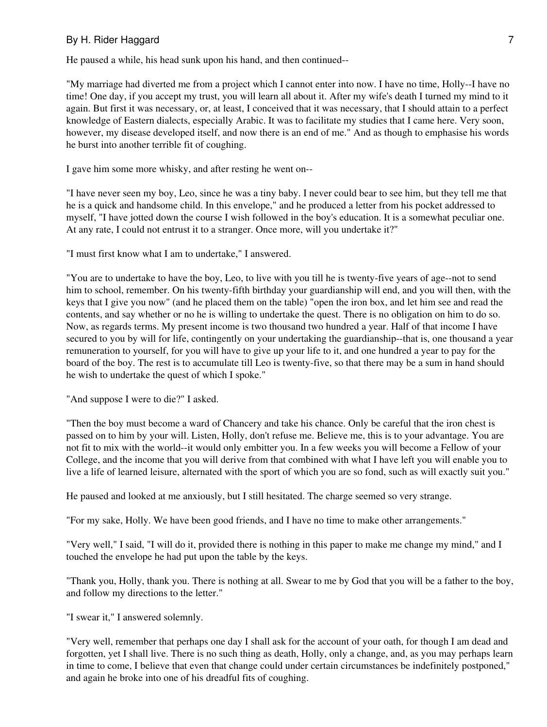He paused a while, his head sunk upon his hand, and then continued--

"My marriage had diverted me from a project which I cannot enter into now. I have no time, Holly--I have no time! One day, if you accept my trust, you will learn all about it. After my wife's death I turned my mind to it again. But first it was necessary, or, at least, I conceived that it was necessary, that I should attain to a perfect knowledge of Eastern dialects, especially Arabic. It was to facilitate my studies that I came here. Very soon, however, my disease developed itself, and now there is an end of me." And as though to emphasise his words he burst into another terrible fit of coughing.

I gave him some more whisky, and after resting he went on--

"I have never seen my boy, Leo, since he was a tiny baby. I never could bear to see him, but they tell me that he is a quick and handsome child. In this envelope," and he produced a letter from his pocket addressed to myself, "I have jotted down the course I wish followed in the boy's education. It is a somewhat peculiar one. At any rate, I could not entrust it to a stranger. Once more, will you undertake it?"

"I must first know what I am to undertake," I answered.

"You are to undertake to have the boy, Leo, to live with you till he is twenty-five years of age--not to send him to school, remember. On his twenty-fifth birthday your guardianship will end, and you will then, with the keys that I give you now" (and he placed them on the table) "open the iron box, and let him see and read the contents, and say whether or no he is willing to undertake the quest. There is no obligation on him to do so. Now, as regards terms. My present income is two thousand two hundred a year. Half of that income I have secured to you by will for life, contingently on your undertaking the guardianship--that is, one thousand a year remuneration to yourself, for you will have to give up your life to it, and one hundred a year to pay for the board of the boy. The rest is to accumulate till Leo is twenty-five, so that there may be a sum in hand should he wish to undertake the quest of which I spoke."

"And suppose I were to die?" I asked.

"Then the boy must become a ward of Chancery and take his chance. Only be careful that the iron chest is passed on to him by your will. Listen, Holly, don't refuse me. Believe me, this is to your advantage. You are not fit to mix with the world--it would only embitter you. In a few weeks you will become a Fellow of your College, and the income that you will derive from that combined with what I have left you will enable you to live a life of learned leisure, alternated with the sport of which you are so fond, such as will exactly suit you."

He paused and looked at me anxiously, but I still hesitated. The charge seemed so very strange.

"For my sake, Holly. We have been good friends, and I have no time to make other arrangements."

"Very well," I said, "I will do it, provided there is nothing in this paper to make me change my mind," and I touched the envelope he had put upon the table by the keys.

"Thank you, Holly, thank you. There is nothing at all. Swear to me by God that you will be a father to the boy, and follow my directions to the letter."

"I swear it," I answered solemnly.

"Very well, remember that perhaps one day I shall ask for the account of your oath, for though I am dead and forgotten, yet I shall live. There is no such thing as death, Holly, only a change, and, as you may perhaps learn in time to come, I believe that even that change could under certain circumstances be indefinitely postponed," and again he broke into one of his dreadful fits of coughing.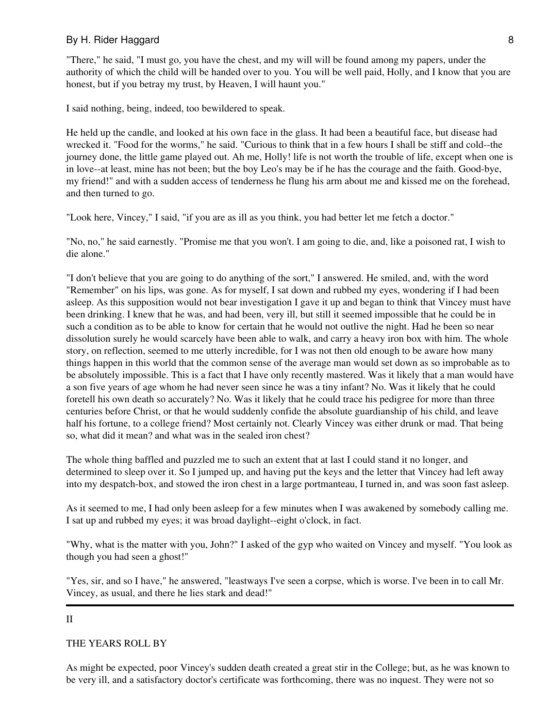"There," he said, "I must go, you have the chest, and my will will be found among my papers, under the authority of which the child will be handed over to you. You will be well paid, Holly, and I know that you are honest, but if you betray my trust, by Heaven, I will haunt you."

I said nothing, being, indeed, too bewildered to speak.

He held up the candle, and looked at his own face in the glass. It had been a beautiful face, but disease had wrecked it. "Food for the worms," he said. "Curious to think that in a few hours I shall be stiff and cold--the journey done, the little game played out. Ah me, Holly! life is not worth the trouble of life, except when one is in love--at least, mine has not been; but the boy Leo's may be if he has the courage and the faith. Good-bye, my friend!" and with a sudden access of tenderness he flung his arm about me and kissed me on the forehead, and then turned to go.

"Look here, Vincey," I said, "if you are as ill as you think, you had better let me fetch a doctor."

"No, no," he said earnestly. "Promise me that you won't. I am going to die, and, like a poisoned rat, I wish to die alone."

"I don't believe that you are going to do anything of the sort," I answered. He smiled, and, with the word "Remember" on his lips, was gone. As for myself, I sat down and rubbed my eyes, wondering if I had been asleep. As this supposition would not bear investigation I gave it up and began to think that Vincey must have been drinking. I knew that he was, and had been, very ill, but still it seemed impossible that he could be in such a condition as to be able to know for certain that he would not outlive the night. Had he been so near dissolution surely he would scarcely have been able to walk, and carry a heavy iron box with him. The whole story, on reflection, seemed to me utterly incredible, for I was not then old enough to be aware how many things happen in this world that the common sense of the average man would set down as so improbable as to be absolutely impossible. This is a fact that I have only recently mastered. Was it likely that a man would have a son five years of age whom he had never seen since he was a tiny infant? No. Was it likely that he could foretell his own death so accurately? No. Was it likely that he could trace his pedigree for more than three centuries before Christ, or that he would suddenly confide the absolute guardianship of his child, and leave half his fortune, to a college friend? Most certainly not. Clearly Vincey was either drunk or mad. That being so, what did it mean? and what was in the sealed iron chest?

The whole thing baffled and puzzled me to such an extent that at last I could stand it no longer, and determined to sleep over it. So I jumped up, and having put the keys and the letter that Vincey had left away into my despatch-box, and stowed the iron chest in a large portmanteau, I turned in, and was soon fast asleep.

As it seemed to me, I had only been asleep for a few minutes when I was awakened by somebody calling me. I sat up and rubbed my eyes; it was broad daylight--eight o'clock, in fact.

"Why, what is the matter with you, John?" I asked of the gyp who waited on Vincey and myself. "You look as though you had seen a ghost!"

"Yes, sir, and so I have," he answered, "leastways I've seen a corpse, which is worse. I've been in to call Mr. Vincey, as usual, and there he lies stark and dead!"

#### II

## THE YEARS ROLL BY

As might be expected, poor Vincey's sudden death created a great stir in the College; but, as he was known to be very ill, and a satisfactory doctor's certificate was forthcoming, there was no inquest. They were not so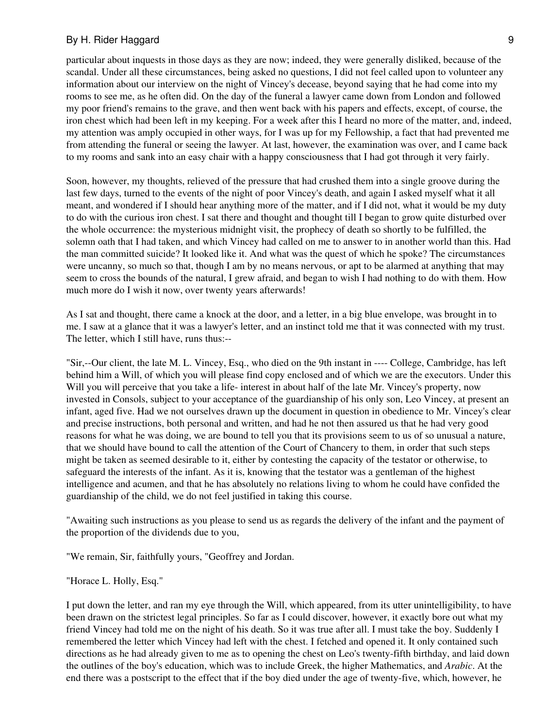particular about inquests in those days as they are now; indeed, they were generally disliked, because of the scandal. Under all these circumstances, being asked no questions, I did not feel called upon to volunteer any information about our interview on the night of Vincey's decease, beyond saying that he had come into my rooms to see me, as he often did. On the day of the funeral a lawyer came down from London and followed my poor friend's remains to the grave, and then went back with his papers and effects, except, of course, the iron chest which had been left in my keeping. For a week after this I heard no more of the matter, and, indeed, my attention was amply occupied in other ways, for I was up for my Fellowship, a fact that had prevented me from attending the funeral or seeing the lawyer. At last, however, the examination was over, and I came back to my rooms and sank into an easy chair with a happy consciousness that I had got through it very fairly.

Soon, however, my thoughts, relieved of the pressure that had crushed them into a single groove during the last few days, turned to the events of the night of poor Vincey's death, and again I asked myself what it all meant, and wondered if I should hear anything more of the matter, and if I did not, what it would be my duty to do with the curious iron chest. I sat there and thought and thought till I began to grow quite disturbed over the whole occurrence: the mysterious midnight visit, the prophecy of death so shortly to be fulfilled, the solemn oath that I had taken, and which Vincey had called on me to answer to in another world than this. Had the man committed suicide? It looked like it. And what was the quest of which he spoke? The circumstances were uncanny, so much so that, though I am by no means nervous, or apt to be alarmed at anything that may seem to cross the bounds of the natural, I grew afraid, and began to wish I had nothing to do with them. How much more do I wish it now, over twenty years afterwards!

As I sat and thought, there came a knock at the door, and a letter, in a big blue envelope, was brought in to me. I saw at a glance that it was a lawyer's letter, and an instinct told me that it was connected with my trust. The letter, which I still have, runs thus:--

"Sir,--Our client, the late M. L. Vincey, Esq., who died on the 9th instant in ---- College, Cambridge, has left behind him a Will, of which you will please find copy enclosed and of which we are the executors. Under this Will you will perceive that you take a life- interest in about half of the late Mr. Vincey's property, now invested in Consols, subject to your acceptance of the guardianship of his only son, Leo Vincey, at present an infant, aged five. Had we not ourselves drawn up the document in question in obedience to Mr. Vincey's clear and precise instructions, both personal and written, and had he not then assured us that he had very good reasons for what he was doing, we are bound to tell you that its provisions seem to us of so unusual a nature, that we should have bound to call the attention of the Court of Chancery to them, in order that such steps might be taken as seemed desirable to it, either by contesting the capacity of the testator or otherwise, to safeguard the interests of the infant. As it is, knowing that the testator was a gentleman of the highest intelligence and acumen, and that he has absolutely no relations living to whom he could have confided the guardianship of the child, we do not feel justified in taking this course.

"Awaiting such instructions as you please to send us as regards the delivery of the infant and the payment of the proportion of the dividends due to you,

"We remain, Sir, faithfully yours, "Geoffrey and Jordan.

"Horace L. Holly, Esq."

I put down the letter, and ran my eye through the Will, which appeared, from its utter unintelligibility, to have been drawn on the strictest legal principles. So far as I could discover, however, it exactly bore out what my friend Vincey had told me on the night of his death. So it was true after all. I must take the boy. Suddenly I remembered the letter which Vincey had left with the chest. I fetched and opened it. It only contained such directions as he had already given to me as to opening the chest on Leo's twenty-fifth birthday, and laid down the outlines of the boy's education, which was to include Greek, the higher Mathematics, and *Arabic*. At the end there was a postscript to the effect that if the boy died under the age of twenty-five, which, however, he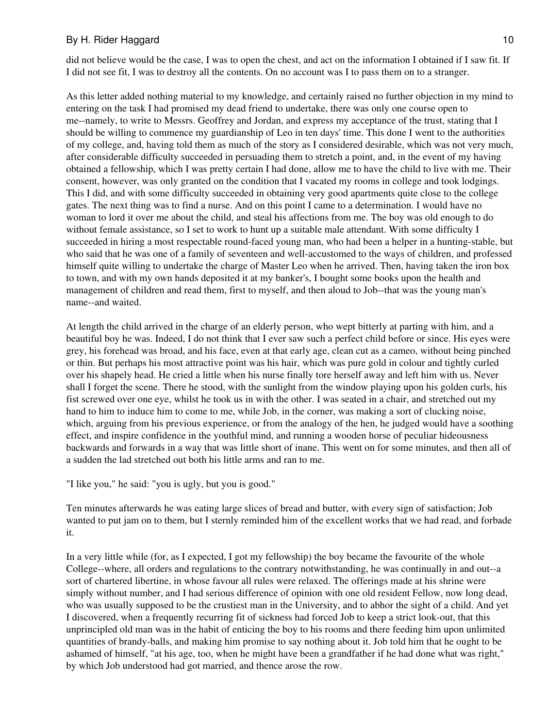did not believe would be the case, I was to open the chest, and act on the information I obtained if I saw fit. If I did not see fit, I was to destroy all the contents. On no account was I to pass them on to a stranger.

As this letter added nothing material to my knowledge, and certainly raised no further objection in my mind to entering on the task I had promised my dead friend to undertake, there was only one course open to me--namely, to write to Messrs. Geoffrey and Jordan, and express my acceptance of the trust, stating that I should be willing to commence my guardianship of Leo in ten days' time. This done I went to the authorities of my college, and, having told them as much of the story as I considered desirable, which was not very much, after considerable difficulty succeeded in persuading them to stretch a point, and, in the event of my having obtained a fellowship, which I was pretty certain I had done, allow me to have the child to live with me. Their consent, however, was only granted on the condition that I vacated my rooms in college and took lodgings. This I did, and with some difficulty succeeded in obtaining very good apartments quite close to the college gates. The next thing was to find a nurse. And on this point I came to a determination. I would have no woman to lord it over me about the child, and steal his affections from me. The boy was old enough to do without female assistance, so I set to work to hunt up a suitable male attendant. With some difficulty I succeeded in hiring a most respectable round-faced young man, who had been a helper in a hunting-stable, but who said that he was one of a family of seventeen and well-accustomed to the ways of children, and professed himself quite willing to undertake the charge of Master Leo when he arrived. Then, having taken the iron box to town, and with my own hands deposited it at my banker's, I bought some books upon the health and management of children and read them, first to myself, and then aloud to Job--that was the young man's name--and waited.

At length the child arrived in the charge of an elderly person, who wept bitterly at parting with him, and a beautiful boy he was. Indeed, I do not think that I ever saw such a perfect child before or since. His eyes were grey, his forehead was broad, and his face, even at that early age, clean cut as a cameo, without being pinched or thin. But perhaps his most attractive point was his hair, which was pure gold in colour and tightly curled over his shapely head. He cried a little when his nurse finally tore herself away and left him with us. Never shall I forget the scene. There he stood, with the sunlight from the window playing upon his golden curls, his fist screwed over one eye, whilst he took us in with the other. I was seated in a chair, and stretched out my hand to him to induce him to come to me, while Job, in the corner, was making a sort of clucking noise, which, arguing from his previous experience, or from the analogy of the hen, he judged would have a soothing effect, and inspire confidence in the youthful mind, and running a wooden horse of peculiar hideousness backwards and forwards in a way that was little short of inane. This went on for some minutes, and then all of a sudden the lad stretched out both his little arms and ran to me.

"I like you," he said: "you is ugly, but you is good."

Ten minutes afterwards he was eating large slices of bread and butter, with every sign of satisfaction; Job wanted to put jam on to them, but I sternly reminded him of the excellent works that we had read, and forbade it.

In a very little while (for, as I expected, I got my fellowship) the boy became the favourite of the whole College--where, all orders and regulations to the contrary notwithstanding, he was continually in and out--a sort of chartered libertine, in whose favour all rules were relaxed. The offerings made at his shrine were simply without number, and I had serious difference of opinion with one old resident Fellow, now long dead, who was usually supposed to be the crustiest man in the University, and to abhor the sight of a child. And yet I discovered, when a frequently recurring fit of sickness had forced Job to keep a strict look-out, that this unprincipled old man was in the habit of enticing the boy to his rooms and there feeding him upon unlimited quantities of brandy-balls, and making him promise to say nothing about it. Job told him that he ought to be ashamed of himself, "at his age, too, when he might have been a grandfather if he had done what was right," by which Job understood had got married, and thence arose the row.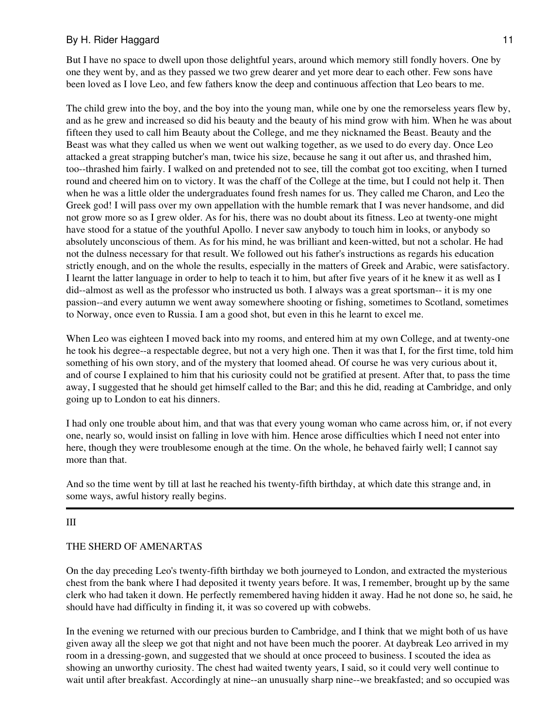But I have no space to dwell upon those delightful years, around which memory still fondly hovers. One by one they went by, and as they passed we two grew dearer and yet more dear to each other. Few sons have been loved as I love Leo, and few fathers know the deep and continuous affection that Leo bears to me.

The child grew into the boy, and the boy into the young man, while one by one the remorseless years flew by, and as he grew and increased so did his beauty and the beauty of his mind grow with him. When he was about fifteen they used to call him Beauty about the College, and me they nicknamed the Beast. Beauty and the Beast was what they called us when we went out walking together, as we used to do every day. Once Leo attacked a great strapping butcher's man, twice his size, because he sang it out after us, and thrashed him, too--thrashed him fairly. I walked on and pretended not to see, till the combat got too exciting, when I turned round and cheered him on to victory. It was the chaff of the College at the time, but I could not help it. Then when he was a little older the undergraduates found fresh names for us. They called me Charon, and Leo the Greek god! I will pass over my own appellation with the humble remark that I was never handsome, and did not grow more so as I grew older. As for his, there was no doubt about its fitness. Leo at twenty-one might have stood for a statue of the youthful Apollo. I never saw anybody to touch him in looks, or anybody so absolutely unconscious of them. As for his mind, he was brilliant and keen-witted, but not a scholar. He had not the dulness necessary for that result. We followed out his father's instructions as regards his education strictly enough, and on the whole the results, especially in the matters of Greek and Arabic, were satisfactory. I learnt the latter language in order to help to teach it to him, but after five years of it he knew it as well as I did--almost as well as the professor who instructed us both. I always was a great sportsman-- it is my one passion--and every autumn we went away somewhere shooting or fishing, sometimes to Scotland, sometimes to Norway, once even to Russia. I am a good shot, but even in this he learnt to excel me.

When Leo was eighteen I moved back into my rooms, and entered him at my own College, and at twenty-one he took his degree--a respectable degree, but not a very high one. Then it was that I, for the first time, told him something of his own story, and of the mystery that loomed ahead. Of course he was very curious about it, and of course I explained to him that his curiosity could not be gratified at present. After that, to pass the time away, I suggested that he should get himself called to the Bar; and this he did, reading at Cambridge, and only going up to London to eat his dinners.

I had only one trouble about him, and that was that every young woman who came across him, or, if not every one, nearly so, would insist on falling in love with him. Hence arose difficulties which I need not enter into here, though they were troublesome enough at the time. On the whole, he behaved fairly well; I cannot say more than that.

And so the time went by till at last he reached his twenty-fifth birthday, at which date this strange and, in some ways, awful history really begins.

#### III

#### THE SHERD OF AMENARTAS

On the day preceding Leo's twenty-fifth birthday we both journeyed to London, and extracted the mysterious chest from the bank where I had deposited it twenty years before. It was, I remember, brought up by the same clerk who had taken it down. He perfectly remembered having hidden it away. Had he not done so, he said, he should have had difficulty in finding it, it was so covered up with cobwebs.

In the evening we returned with our precious burden to Cambridge, and I think that we might both of us have given away all the sleep we got that night and not have been much the poorer. At daybreak Leo arrived in my room in a dressing-gown, and suggested that we should at once proceed to business. I scouted the idea as showing an unworthy curiosity. The chest had waited twenty years, I said, so it could very well continue to wait until after breakfast. Accordingly at nine--an unusually sharp nine--we breakfasted; and so occupied was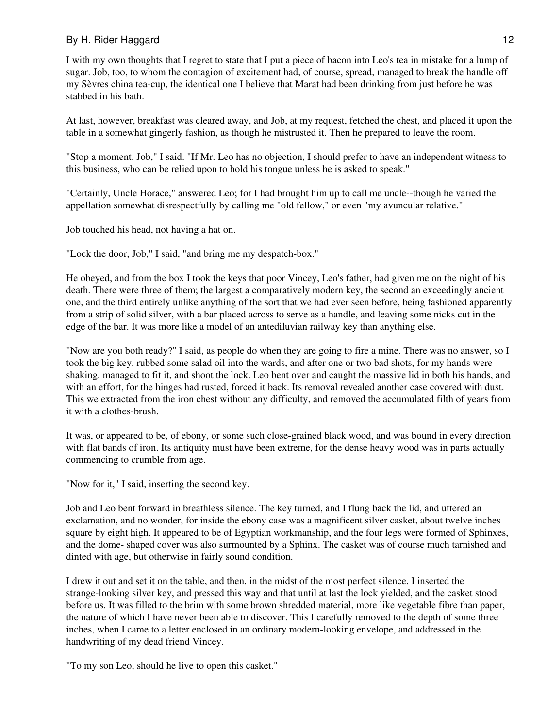I with my own thoughts that I regret to state that I put a piece of bacon into Leo's tea in mistake for a lump of sugar. Job, too, to whom the contagion of excitement had, of course, spread, managed to break the handle off my Sèvres china tea-cup, the identical one I believe that Marat had been drinking from just before he was stabbed in his bath.

At last, however, breakfast was cleared away, and Job, at my request, fetched the chest, and placed it upon the table in a somewhat gingerly fashion, as though he mistrusted it. Then he prepared to leave the room.

"Stop a moment, Job," I said. "If Mr. Leo has no objection, I should prefer to have an independent witness to this business, who can be relied upon to hold his tongue unless he is asked to speak."

"Certainly, Uncle Horace," answered Leo; for I had brought him up to call me uncle--though he varied the appellation somewhat disrespectfully by calling me "old fellow," or even "my avuncular relative."

Job touched his head, not having a hat on.

"Lock the door, Job," I said, "and bring me my despatch-box."

He obeyed, and from the box I took the keys that poor Vincey, Leo's father, had given me on the night of his death. There were three of them; the largest a comparatively modern key, the second an exceedingly ancient one, and the third entirely unlike anything of the sort that we had ever seen before, being fashioned apparently from a strip of solid silver, with a bar placed across to serve as a handle, and leaving some nicks cut in the edge of the bar. It was more like a model of an antediluvian railway key than anything else.

"Now are you both ready?" I said, as people do when they are going to fire a mine. There was no answer, so I took the big key, rubbed some salad oil into the wards, and after one or two bad shots, for my hands were shaking, managed to fit it, and shoot the lock. Leo bent over and caught the massive lid in both his hands, and with an effort, for the hinges had rusted, forced it back. Its removal revealed another case covered with dust. This we extracted from the iron chest without any difficulty, and removed the accumulated filth of years from it with a clothes-brush.

It was, or appeared to be, of ebony, or some such close-grained black wood, and was bound in every direction with flat bands of iron. Its antiquity must have been extreme, for the dense heavy wood was in parts actually commencing to crumble from age.

"Now for it," I said, inserting the second key.

Job and Leo bent forward in breathless silence. The key turned, and I flung back the lid, and uttered an exclamation, and no wonder, for inside the ebony case was a magnificent silver casket, about twelve inches square by eight high. It appeared to be of Egyptian workmanship, and the four legs were formed of Sphinxes, and the dome- shaped cover was also surmounted by a Sphinx. The casket was of course much tarnished and dinted with age, but otherwise in fairly sound condition.

I drew it out and set it on the table, and then, in the midst of the most perfect silence, I inserted the strange-looking silver key, and pressed this way and that until at last the lock yielded, and the casket stood before us. It was filled to the brim with some brown shredded material, more like vegetable fibre than paper, the nature of which I have never been able to discover. This I carefully removed to the depth of some three inches, when I came to a letter enclosed in an ordinary modern-looking envelope, and addressed in the handwriting of my dead friend Vincey.

"To my son Leo, should he live to open this casket."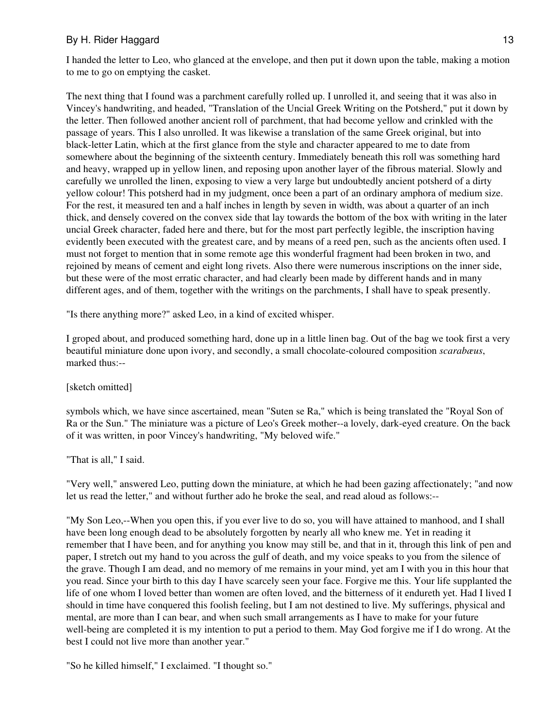I handed the letter to Leo, who glanced at the envelope, and then put it down upon the table, making a motion to me to go on emptying the casket.

The next thing that I found was a parchment carefully rolled up. I unrolled it, and seeing that it was also in Vincey's handwriting, and headed, "Translation of the Uncial Greek Writing on the Potsherd," put it down by the letter. Then followed another ancient roll of parchment, that had become yellow and crinkled with the passage of years. This I also unrolled. It was likewise a translation of the same Greek original, but into black-letter Latin, which at the first glance from the style and character appeared to me to date from somewhere about the beginning of the sixteenth century. Immediately beneath this roll was something hard and heavy, wrapped up in yellow linen, and reposing upon another layer of the fibrous material. Slowly and carefully we unrolled the linen, exposing to view a very large but undoubtedly ancient potsherd of a dirty yellow colour! This potsherd had in my judgment, once been a part of an ordinary amphora of medium size. For the rest, it measured ten and a half inches in length by seven in width, was about a quarter of an inch thick, and densely covered on the convex side that lay towards the bottom of the box with writing in the later uncial Greek character, faded here and there, but for the most part perfectly legible, the inscription having evidently been executed with the greatest care, and by means of a reed pen, such as the ancients often used. I must not forget to mention that in some remote age this wonderful fragment had been broken in two, and rejoined by means of cement and eight long rivets. Also there were numerous inscriptions on the inner side, but these were of the most erratic character, and had clearly been made by different hands and in many different ages, and of them, together with the writings on the parchments, I shall have to speak presently.

"Is there anything more?" asked Leo, in a kind of excited whisper.

I groped about, and produced something hard, done up in a little linen bag. Out of the bag we took first a very beautiful miniature done upon ivory, and secondly, a small chocolate-coloured composition *scarabæus*, marked thus:--

#### [sketch omitted]

symbols which, we have since ascertained, mean "Suten se Ra," which is being translated the "Royal Son of Ra or the Sun." The miniature was a picture of Leo's Greek mother--a lovely, dark-eyed creature. On the back of it was written, in poor Vincey's handwriting, "My beloved wife."

"That is all," I said.

"Very well," answered Leo, putting down the miniature, at which he had been gazing affectionately; "and now let us read the letter," and without further ado he broke the seal, and read aloud as follows:--

"My Son Leo,--When you open this, if you ever live to do so, you will have attained to manhood, and I shall have been long enough dead to be absolutely forgotten by nearly all who knew me. Yet in reading it remember that I have been, and for anything you know may still be, and that in it, through this link of pen and paper, I stretch out my hand to you across the gulf of death, and my voice speaks to you from the silence of the grave. Though I am dead, and no memory of me remains in your mind, yet am I with you in this hour that you read. Since your birth to this day I have scarcely seen your face. Forgive me this. Your life supplanted the life of one whom I loved better than women are often loved, and the bitterness of it endureth yet. Had I lived I should in time have conquered this foolish feeling, but I am not destined to live. My sufferings, physical and mental, are more than I can bear, and when such small arrangements as I have to make for your future well-being are completed it is my intention to put a period to them. May God forgive me if I do wrong. At the best I could not live more than another year."

"So he killed himself," I exclaimed. "I thought so."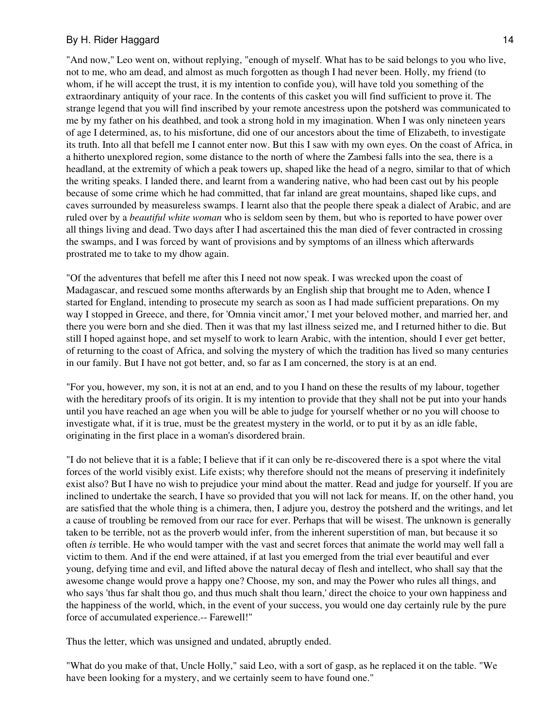"And now," Leo went on, without replying, "enough of myself. What has to be said belongs to you who live, not to me, who am dead, and almost as much forgotten as though I had never been. Holly, my friend (to whom, if he will accept the trust, it is my intention to confide you), will have told you something of the extraordinary antiquity of your race. In the contents of this casket you will find sufficient to prove it. The strange legend that you will find inscribed by your remote ancestress upon the potsherd was communicated to me by my father on his deathbed, and took a strong hold in my imagination. When I was only nineteen years of age I determined, as, to his misfortune, did one of our ancestors about the time of Elizabeth, to investigate its truth. Into all that befell me I cannot enter now. But this I saw with my own eyes. On the coast of Africa, in a hitherto unexplored region, some distance to the north of where the Zambesi falls into the sea, there is a headland, at the extremity of which a peak towers up, shaped like the head of a negro, similar to that of which the writing speaks. I landed there, and learnt from a wandering native, who had been cast out by his people because of some crime which he had committed, that far inland are great mountains, shaped like cups, and caves surrounded by measureless swamps. I learnt also that the people there speak a dialect of Arabic, and are ruled over by a *beautiful white woman* who is seldom seen by them, but who is reported to have power over all things living and dead. Two days after I had ascertained this the man died of fever contracted in crossing the swamps, and I was forced by want of provisions and by symptoms of an illness which afterwards prostrated me to take to my dhow again.

"Of the adventures that befell me after this I need not now speak. I was wrecked upon the coast of Madagascar, and rescued some months afterwards by an English ship that brought me to Aden, whence I started for England, intending to prosecute my search as soon as I had made sufficient preparations. On my way I stopped in Greece, and there, for 'Omnia vincit amor,' I met your beloved mother, and married her, and there you were born and she died. Then it was that my last illness seized me, and I returned hither to die. But still I hoped against hope, and set myself to work to learn Arabic, with the intention, should I ever get better, of returning to the coast of Africa, and solving the mystery of which the tradition has lived so many centuries in our family. But I have not got better, and, so far as I am concerned, the story is at an end.

"For you, however, my son, it is not at an end, and to you I hand on these the results of my labour, together with the hereditary proofs of its origin. It is my intention to provide that they shall not be put into your hands until you have reached an age when you will be able to judge for yourself whether or no you will choose to investigate what, if it is true, must be the greatest mystery in the world, or to put it by as an idle fable, originating in the first place in a woman's disordered brain.

"I do not believe that it is a fable; I believe that if it can only be re-discovered there is a spot where the vital forces of the world visibly exist. Life exists; why therefore should not the means of preserving it indefinitely exist also? But I have no wish to prejudice your mind about the matter. Read and judge for yourself. If you are inclined to undertake the search, I have so provided that you will not lack for means. If, on the other hand, you are satisfied that the whole thing is a chimera, then, I adjure you, destroy the potsherd and the writings, and let a cause of troubling be removed from our race for ever. Perhaps that will be wisest. The unknown is generally taken to be terrible, not as the proverb would infer, from the inherent superstition of man, but because it so often *is* terrible. He who would tamper with the vast and secret forces that animate the world may well fall a victim to them. And if the end were attained, if at last you emerged from the trial ever beautiful and ever young, defying time and evil, and lifted above the natural decay of flesh and intellect, who shall say that the awesome change would prove a happy one? Choose, my son, and may the Power who rules all things, and who says 'thus far shalt thou go, and thus much shalt thou learn,' direct the choice to your own happiness and the happiness of the world, which, in the event of your success, you would one day certainly rule by the pure force of accumulated experience.-- Farewell!"

Thus the letter, which was unsigned and undated, abruptly ended.

"What do you make of that, Uncle Holly," said Leo, with a sort of gasp, as he replaced it on the table. "We have been looking for a mystery, and we certainly seem to have found one."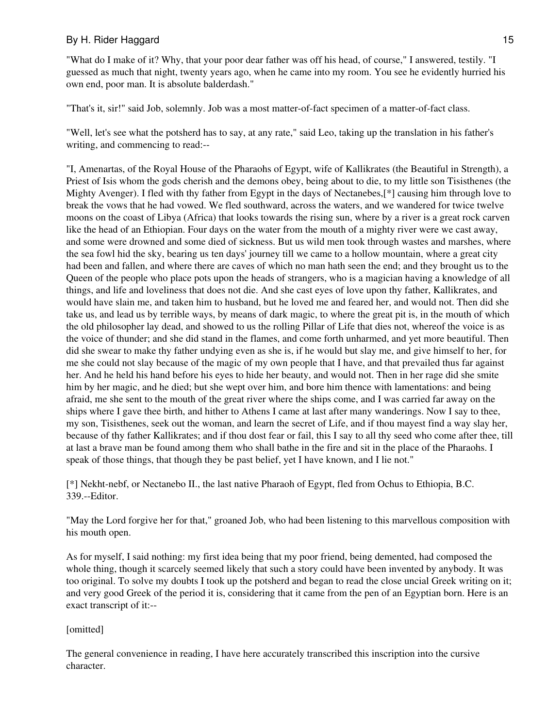"What do I make of it? Why, that your poor dear father was off his head, of course," I answered, testily. "I guessed as much that night, twenty years ago, when he came into my room. You see he evidently hurried his own end, poor man. It is absolute balderdash."

"That's it, sir!" said Job, solemnly. Job was a most matter-of-fact specimen of a matter-of-fact class.

"Well, let's see what the potsherd has to say, at any rate," said Leo, taking up the translation in his father's writing, and commencing to read:--

"I, Amenartas, of the Royal House of the Pharaohs of Egypt, wife of Kallikrates (the Beautiful in Strength), a Priest of Isis whom the gods cherish and the demons obey, being about to die, to my little son Tisisthenes (the Mighty Avenger). I fled with thy father from Egypt in the days of Nectanebes,[\*] causing him through love to break the vows that he had vowed. We fled southward, across the waters, and we wandered for twice twelve moons on the coast of Libya (Africa) that looks towards the rising sun, where by a river is a great rock carven like the head of an Ethiopian. Four days on the water from the mouth of a mighty river were we cast away, and some were drowned and some died of sickness. But us wild men took through wastes and marshes, where the sea fowl hid the sky, bearing us ten days' journey till we came to a hollow mountain, where a great city had been and fallen, and where there are caves of which no man hath seen the end; and they brought us to the Queen of the people who place pots upon the heads of strangers, who is a magician having a knowledge of all things, and life and loveliness that does not die. And she cast eyes of love upon thy father, Kallikrates, and would have slain me, and taken him to husband, but he loved me and feared her, and would not. Then did she take us, and lead us by terrible ways, by means of dark magic, to where the great pit is, in the mouth of which the old philosopher lay dead, and showed to us the rolling Pillar of Life that dies not, whereof the voice is as the voice of thunder; and she did stand in the flames, and come forth unharmed, and yet more beautiful. Then did she swear to make thy father undying even as she is, if he would but slay me, and give himself to her, for me she could not slay because of the magic of my own people that I have, and that prevailed thus far against her. And he held his hand before his eyes to hide her beauty, and would not. Then in her rage did she smite him by her magic, and he died; but she wept over him, and bore him thence with lamentations: and being afraid, me she sent to the mouth of the great river where the ships come, and I was carried far away on the ships where I gave thee birth, and hither to Athens I came at last after many wanderings. Now I say to thee, my son, Tisisthenes, seek out the woman, and learn the secret of Life, and if thou mayest find a way slay her, because of thy father Kallikrates; and if thou dost fear or fail, this I say to all thy seed who come after thee, till at last a brave man be found among them who shall bathe in the fire and sit in the place of the Pharaohs. I speak of those things, that though they be past belief, yet I have known, and I lie not."

[\*] Nekht-nebf, or Nectanebo II., the last native Pharaoh of Egypt, fled from Ochus to Ethiopia, B.C. 339.--Editor.

"May the Lord forgive her for that," groaned Job, who had been listening to this marvellous composition with his mouth open.

As for myself, I said nothing: my first idea being that my poor friend, being demented, had composed the whole thing, though it scarcely seemed likely that such a story could have been invented by anybody. It was too original. To solve my doubts I took up the potsherd and began to read the close uncial Greek writing on it; and very good Greek of the period it is, considering that it came from the pen of an Egyptian born. Here is an exact transcript of it:--

#### [omitted]

The general convenience in reading, I have here accurately transcribed this inscription into the cursive character.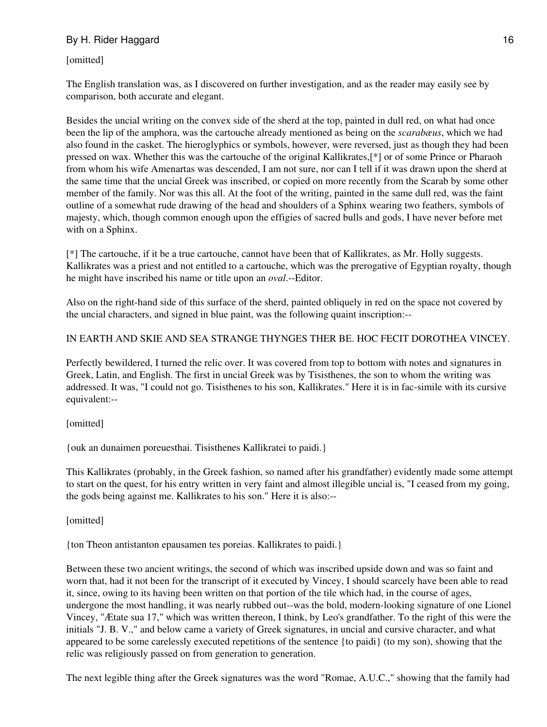[omitted]

The English translation was, as I discovered on further investigation, and as the reader may easily see by comparison, both accurate and elegant.

Besides the uncial writing on the convex side of the sherd at the top, painted in dull red, on what had once been the lip of the amphora, was the cartouche already mentioned as being on the *scarabæus*, which we had also found in the casket. The hieroglyphics or symbols, however, were reversed, just as though they had been pressed on wax. Whether this was the cartouche of the original Kallikrates,[\*] or of some Prince or Pharaoh from whom his wife Amenartas was descended, I am not sure, nor can I tell if it was drawn upon the sherd at the same time that the uncial Greek was inscribed, or copied on more recently from the Scarab by some other member of the family. Nor was this all. At the foot of the writing, painted in the same dull red, was the faint outline of a somewhat rude drawing of the head and shoulders of a Sphinx wearing two feathers, symbols of majesty, which, though common enough upon the effigies of sacred bulls and gods, I have never before met with on a Sphinx.

[\*] The cartouche, if it be a true cartouche, cannot have been that of Kallikrates, as Mr. Holly suggests. Kallikrates was a priest and not entitled to a cartouche, which was the prerogative of Egyptian royalty, though he might have inscribed his name or title upon an *oval*.--Editor.

Also on the right-hand side of this surface of the sherd, painted obliquely in red on the space not covered by the uncial characters, and signed in blue paint, was the following quaint inscription:--

IN EARTH AND SKIE AND SEA STRANGE THYNGES THER BE. HOC FECIT DOROTHEA VINCEY.

Perfectly bewildered, I turned the relic over. It was covered from top to bottom with notes and signatures in Greek, Latin, and English. The first in uncial Greek was by Tisisthenes, the son to whom the writing was addressed. It was, "I could not go. Tisisthenes to his son, Kallikrates." Here it is in fac-simile with its cursive equivalent:--

[omitted]

{ouk an dunaimen poreuesthai. Tisisthenes Kallikratei to paidi.}

This Kallikrates (probably, in the Greek fashion, so named after his grandfather) evidently made some attempt to start on the quest, for his entry written in very faint and almost illegible uncial is, "I ceased from my going, the gods being against me. Kallikrates to his son." Here it is also:--

[omitted]

{ton Theon antistanton epausamen tes poreias. Kallikrates to paidi.}

Between these two ancient writings, the second of which was inscribed upside down and was so faint and worn that, had it not been for the transcript of it executed by Vincey, I should scarcely have been able to read it, since, owing to its having been written on that portion of the tile which had, in the course of ages, undergone the most handling, it was nearly rubbed out--was the bold, modern-looking signature of one Lionel Vincey, "Ætate sua 17," which was written thereon, I think, by Leo's grandfather. To the right of this were the initials "J. B. V.," and below came a variety of Greek signatures, in uncial and cursive character, and what appeared to be some carelessly executed repetitions of the sentence {to paidi} (to my son), showing that the relic was religiously passed on from generation to generation.

The next legible thing after the Greek signatures was the word "Romae, A.U.C.," showing that the family had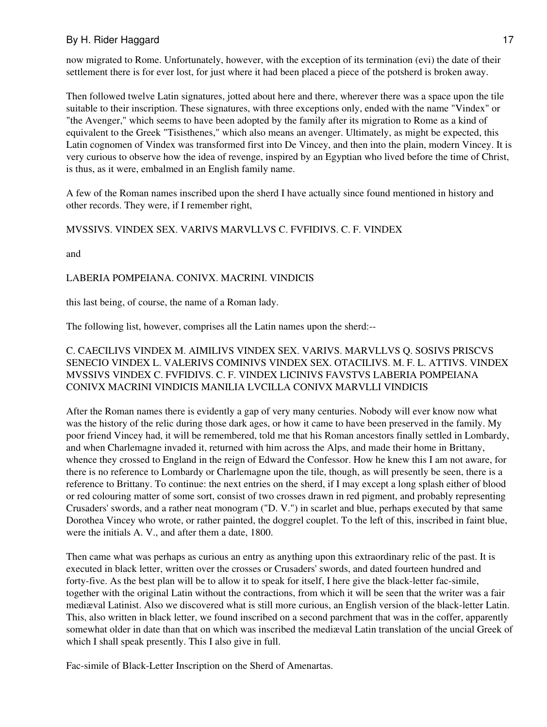now migrated to Rome. Unfortunately, however, with the exception of its termination (evi) the date of their settlement there is for ever lost, for just where it had been placed a piece of the potsherd is broken away.

Then followed twelve Latin signatures, jotted about here and there, wherever there was a space upon the tile suitable to their inscription. These signatures, with three exceptions only, ended with the name "Vindex" or "the Avenger," which seems to have been adopted by the family after its migration to Rome as a kind of equivalent to the Greek "Tisisthenes," which also means an avenger. Ultimately, as might be expected, this Latin cognomen of Vindex was transformed first into De Vincey, and then into the plain, modern Vincey. It is very curious to observe how the idea of revenge, inspired by an Egyptian who lived before the time of Christ, is thus, as it were, embalmed in an English family name.

A few of the Roman names inscribed upon the sherd I have actually since found mentioned in history and other records. They were, if I remember right,

#### MVSSIVS. VINDEX SEX. VARIVS MARVLLVS C. FVFIDIVS. C. F. VINDEX

and

#### LABERIA POMPEIANA. CONIVX. MACRINI. VINDICIS

this last being, of course, the name of a Roman lady.

The following list, however, comprises all the Latin names upon the sherd:--

## C. CAECILIVS VINDEX M. AIMILIVS VINDEX SEX. VARIVS. MARVLLVS Q. SOSIVS PRISCVS SENECIO VINDEX L. VALERIVS COMINIVS VINDEX SEX. OTACILIVS. M. F. L. ATTIVS. VINDEX MVSSIVS VINDEX C. FVFIDIVS. C. F. VINDEX LICINIVS FAVSTVS LABERIA POMPEIANA CONIVX MACRINI VINDICIS MANILIA LVCILLA CONIVX MARVLLI VINDICIS

After the Roman names there is evidently a gap of very many centuries. Nobody will ever know now what was the history of the relic during those dark ages, or how it came to have been preserved in the family. My poor friend Vincey had, it will be remembered, told me that his Roman ancestors finally settled in Lombardy, and when Charlemagne invaded it, returned with him across the Alps, and made their home in Brittany, whence they crossed to England in the reign of Edward the Confessor. How he knew this I am not aware, for there is no reference to Lombardy or Charlemagne upon the tile, though, as will presently be seen, there is a reference to Brittany. To continue: the next entries on the sherd, if I may except a long splash either of blood or red colouring matter of some sort, consist of two crosses drawn in red pigment, and probably representing Crusaders' swords, and a rather neat monogram ("D. V.") in scarlet and blue, perhaps executed by that same Dorothea Vincey who wrote, or rather painted, the doggrel couplet. To the left of this, inscribed in faint blue, were the initials A. V., and after them a date, 1800.

Then came what was perhaps as curious an entry as anything upon this extraordinary relic of the past. It is executed in black letter, written over the crosses or Crusaders' swords, and dated fourteen hundred and forty-five. As the best plan will be to allow it to speak for itself, I here give the black-letter fac-simile, together with the original Latin without the contractions, from which it will be seen that the writer was a fair mediæval Latinist. Also we discovered what is still more curious, an English version of the black-letter Latin. This, also written in black letter, we found inscribed on a second parchment that was in the coffer, apparently somewhat older in date than that on which was inscribed the mediæval Latin translation of the uncial Greek of which I shall speak presently. This I also give in full.

Fac-simile of Black-Letter Inscription on the Sherd of Amenartas.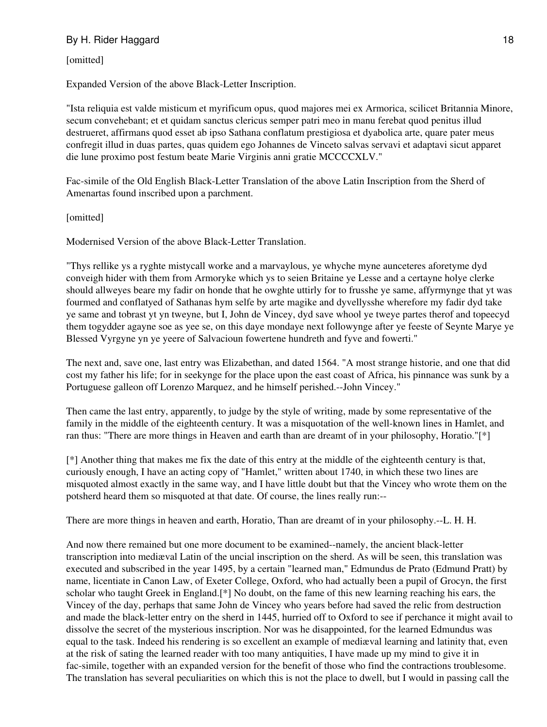[omitted]

Expanded Version of the above Black-Letter Inscription.

"Ista reliquia est valde misticum et myrificum opus, quod majores mei ex Armorica, scilicet Britannia Minore, secum convehebant; et et quidam sanctus clericus semper patri meo in manu ferebat quod penitus illud destrueret, affirmans quod esset ab ipso Sathana conflatum prestigiosa et dyabolica arte, quare pater meus confregit illud in duas partes, quas quidem ego Johannes de Vinceto salvas servavi et adaptavi sicut apparet die lune proximo post festum beate Marie Virginis anni gratie MCCCCXLV."

Fac-simile of the Old English Black-Letter Translation of the above Latin Inscription from the Sherd of Amenartas found inscribed upon a parchment.

[omitted]

Modernised Version of the above Black-Letter Translation.

"Thys rellike ys a ryghte mistycall worke and a marvaylous, ye whyche myne aunceteres aforetyme dyd conveigh hider with them from Armoryke which ys to seien Britaine ye Lesse and a certayne holye clerke should allweyes beare my fadir on honde that he owghte uttirly for to frusshe ye same, affyrmynge that yt was fourmed and conflatyed of Sathanas hym selfe by arte magike and dyvellysshe wherefore my fadir dyd take ye same and tobrast yt yn tweyne, but I, John de Vincey, dyd save whool ye tweye partes therof and topeecyd them togydder agayne soe as yee se, on this daye mondaye next followynge after ye feeste of Seynte Marye ye Blessed Vyrgyne yn ye yeere of Salvacioun fowertene hundreth and fyve and fowerti."

The next and, save one, last entry was Elizabethan, and dated 1564. "A most strange historie, and one that did cost my father his life; for in seekynge for the place upon the east coast of Africa, his pinnance was sunk by a Portuguese galleon off Lorenzo Marquez, and he himself perished.--John Vincey."

Then came the last entry, apparently, to judge by the style of writing, made by some representative of the family in the middle of the eighteenth century. It was a misquotation of the well-known lines in Hamlet, and ran thus: "There are more things in Heaven and earth than are dreamt of in your philosophy, Horatio."[\*]

[\*] Another thing that makes me fix the date of this entry at the middle of the eighteenth century is that, curiously enough, I have an acting copy of "Hamlet," written about 1740, in which these two lines are misquoted almost exactly in the same way, and I have little doubt but that the Vincey who wrote them on the potsherd heard them so misquoted at that date. Of course, the lines really run:--

There are more things in heaven and earth, Horatio, Than are dreamt of in your philosophy.--L. H. H.

And now there remained but one more document to be examined--namely, the ancient black-letter transcription into mediæval Latin of the uncial inscription on the sherd. As will be seen, this translation was executed and subscribed in the year 1495, by a certain "learned man," Edmundus de Prato (Edmund Pratt) by name, licentiate in Canon Law, of Exeter College, Oxford, who had actually been a pupil of Grocyn, the first scholar who taught Greek in England.[\*] No doubt, on the fame of this new learning reaching his ears, the Vincey of the day, perhaps that same John de Vincey who years before had saved the relic from destruction and made the black-letter entry on the sherd in 1445, hurried off to Oxford to see if perchance it might avail to dissolve the secret of the mysterious inscription. Nor was he disappointed, for the learned Edmundus was equal to the task. Indeed his rendering is so excellent an example of mediæval learning and latinity that, even at the risk of sating the learned reader with too many antiquities, I have made up my mind to give it in fac-simile, together with an expanded version for the benefit of those who find the contractions troublesome. The translation has several peculiarities on which this is not the place to dwell, but I would in passing call the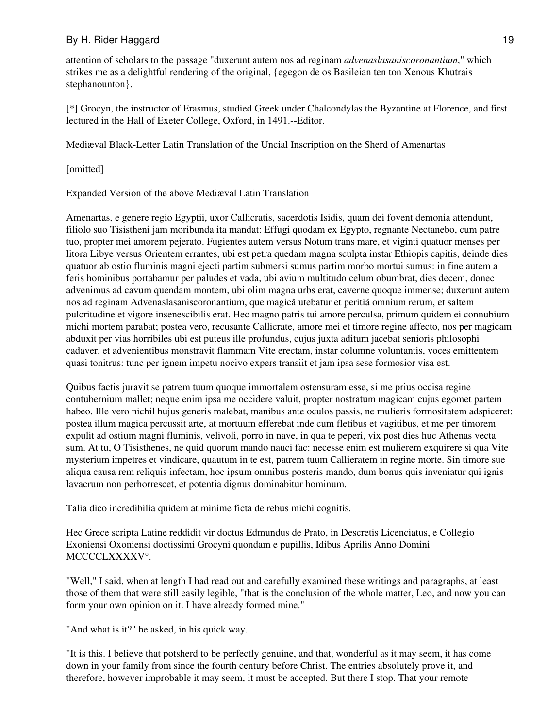attention of scholars to the passage "duxerunt autem nos ad reginam *advenaslasaniscoronantium*," which strikes me as a delightful rendering of the original, {egegon de os Basileian ten ton Xenous Khutrais stephanounton}.

[\*] Grocyn, the instructor of Erasmus, studied Greek under Chalcondylas the Byzantine at Florence, and first lectured in the Hall of Exeter College, Oxford, in 1491.--Editor.

Mediæval Black-Letter Latin Translation of the Uncial Inscription on the Sherd of Amenartas

[omitted]

Expanded Version of the above Mediæval Latin Translation

Amenartas, e genere regio Egyptii, uxor Callicratis, sacerdotis Isidis, quam dei fovent demonia attendunt, filiolo suo Tisistheni jam moribunda ita mandat: Effugi quodam ex Egypto, regnante Nectanebo, cum patre tuo, propter mei amorem pejerato. Fugientes autem versus Notum trans mare, et viginti quatuor menses per litora Libye versus Orientem errantes, ubi est petra quedam magna sculpta instar Ethiopis capitis, deinde dies quatuor ab ostio fluminis magni ejecti partim submersi sumus partim morbo mortui sumus: in fine autem a feris hominibus portabamur per paludes et vada, ubi avium multitudo celum obumbrat, dies decem, donec advenimus ad cavum quendam montem, ubi olim magna urbs erat, caverne quoque immense; duxerunt autem nos ad reginam Advenaslasaniscoronantium, que magicâ utebatur et peritiá omnium rerum, et saltem pulcritudine et vigore insenescibilis erat. Hec magno patris tui amore perculsa, primum quidem ei connubium michi mortem parabat; postea vero, recusante Callicrate, amore mei et timore regine affecto, nos per magicam abduxit per vias horribiles ubi est puteus ille profundus, cujus juxta aditum jacebat senioris philosophi cadaver, et advenientibus monstravit flammam Vite erectam, instar columne voluntantis, voces emittentem quasi tonitrus: tunc per ignem impetu nocivo expers transiit et jam ipsa sese formosior visa est.

Quibus factis juravit se patrem tuum quoque immortalem ostensuram esse, si me prius occisa regine contubernium mallet; neque enim ipsa me occidere valuit, propter nostratum magicam cujus egomet partem habeo. Ille vero nichil hujus generis malebat, manibus ante oculos passis, ne mulieris formositatem adspiceret: postea illum magica percussit arte, at mortuum efferebat inde cum fletibus et vagitibus, et me per timorem expulit ad ostium magni fluminis, velivoli, porro in nave, in qua te peperi, vix post dies huc Athenas vecta sum. At tu, O Tisisthenes, ne quid quorum mando nauci fac: necesse enim est mulierem exquirere si qua Vite mysterium impetres et vindicare, quautum in te est, patrem tuum Callieratem in regine morte. Sin timore sue aliqua causa rem reliquis infectam, hoc ipsum omnibus posteris mando, dum bonus quis inveniatur qui ignis lavacrum non perhorrescet, et potentia dignus dominabitur hominum.

Talia dico incredibilia quidem at minime ficta de rebus michi cognitis.

Hec Grece scripta Latine reddidit vir doctus Edmundus de Prato, in Descretis Licenciatus, e Collegio Exoniensi Oxoniensi doctissimi Grocyni quondam e pupillis, Idibus Aprilis Anno Domini MCCCCLXXXXV°.

"Well," I said, when at length I had read out and carefully examined these writings and paragraphs, at least those of them that were still easily legible, "that is the conclusion of the whole matter, Leo, and now you can form your own opinion on it. I have already formed mine."

"And what is it?" he asked, in his quick way.

"It is this. I believe that potsherd to be perfectly genuine, and that, wonderful as it may seem, it has come down in your family from since the fourth century before Christ. The entries absolutely prove it, and therefore, however improbable it may seem, it must be accepted. But there I stop. That your remote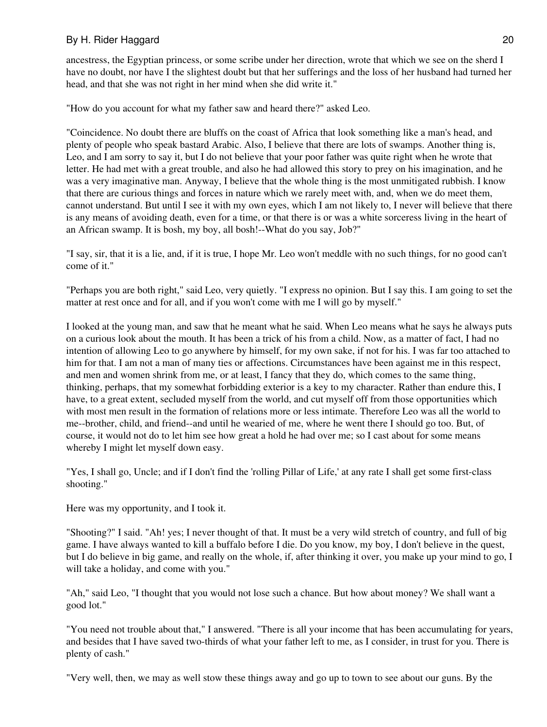ancestress, the Egyptian princess, or some scribe under her direction, wrote that which we see on the sherd I have no doubt, nor have I the slightest doubt but that her sufferings and the loss of her husband had turned her head, and that she was not right in her mind when she did write it."

"How do you account for what my father saw and heard there?" asked Leo.

"Coincidence. No doubt there are bluffs on the coast of Africa that look something like a man's head, and plenty of people who speak bastard Arabic. Also, I believe that there are lots of swamps. Another thing is, Leo, and I am sorry to say it, but I do not believe that your poor father was quite right when he wrote that letter. He had met with a great trouble, and also he had allowed this story to prey on his imagination, and he was a very imaginative man. Anyway, I believe that the whole thing is the most unmitigated rubbish. I know that there are curious things and forces in nature which we rarely meet with, and, when we do meet them, cannot understand. But until I see it with my own eyes, which I am not likely to, I never will believe that there is any means of avoiding death, even for a time, or that there is or was a white sorceress living in the heart of an African swamp. It is bosh, my boy, all bosh!--What do you say, Job?"

"I say, sir, that it is a lie, and, if it is true, I hope Mr. Leo won't meddle with no such things, for no good can't come of it."

"Perhaps you are both right," said Leo, very quietly. "I express no opinion. But I say this. I am going to set the matter at rest once and for all, and if you won't come with me I will go by myself."

I looked at the young man, and saw that he meant what he said. When Leo means what he says he always puts on a curious look about the mouth. It has been a trick of his from a child. Now, as a matter of fact, I had no intention of allowing Leo to go anywhere by himself, for my own sake, if not for his. I was far too attached to him for that. I am not a man of many ties or affections. Circumstances have been against me in this respect, and men and women shrink from me, or at least, I fancy that they do, which comes to the same thing, thinking, perhaps, that my somewhat forbidding exterior is a key to my character. Rather than endure this, I have, to a great extent, secluded myself from the world, and cut myself off from those opportunities which with most men result in the formation of relations more or less intimate. Therefore Leo was all the world to me--brother, child, and friend--and until he wearied of me, where he went there I should go too. But, of course, it would not do to let him see how great a hold he had over me; so I cast about for some means whereby I might let myself down easy.

"Yes, I shall go, Uncle; and if I don't find the 'rolling Pillar of Life,' at any rate I shall get some first-class shooting."

Here was my opportunity, and I took it.

"Shooting?" I said. "Ah! yes; I never thought of that. It must be a very wild stretch of country, and full of big game. I have always wanted to kill a buffalo before I die. Do you know, my boy, I don't believe in the quest, but I do believe in big game, and really on the whole, if, after thinking it over, you make up your mind to go, I will take a holiday, and come with you."

"Ah," said Leo, "I thought that you would not lose such a chance. But how about money? We shall want a good lot."

"You need not trouble about that," I answered. "There is all your income that has been accumulating for years, and besides that I have saved two-thirds of what your father left to me, as I consider, in trust for you. There is plenty of cash."

"Very well, then, we may as well stow these things away and go up to town to see about our guns. By the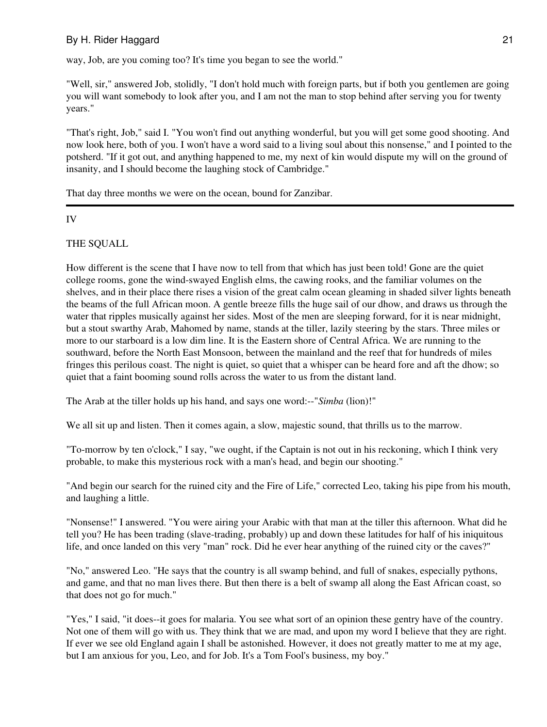way, Job, are you coming too? It's time you began to see the world."

"Well, sir," answered Job, stolidly, "I don't hold much with foreign parts, but if both you gentlemen are going you will want somebody to look after you, and I am not the man to stop behind after serving you for twenty years."

"That's right, Job," said I. "You won't find out anything wonderful, but you will get some good shooting. And now look here, both of you. I won't have a word said to a living soul about this nonsense," and I pointed to the potsherd. "If it got out, and anything happened to me, my next of kin would dispute my will on the ground of insanity, and I should become the laughing stock of Cambridge."

That day three months we were on the ocean, bound for Zanzibar.

## IV

## THE SQUALL

How different is the scene that I have now to tell from that which has just been told! Gone are the quiet college rooms, gone the wind-swayed English elms, the cawing rooks, and the familiar volumes on the shelves, and in their place there rises a vision of the great calm ocean gleaming in shaded silver lights beneath the beams of the full African moon. A gentle breeze fills the huge sail of our dhow, and draws us through the water that ripples musically against her sides. Most of the men are sleeping forward, for it is near midnight, but a stout swarthy Arab, Mahomed by name, stands at the tiller, lazily steering by the stars. Three miles or more to our starboard is a low dim line. It is the Eastern shore of Central Africa. We are running to the southward, before the North East Monsoon, between the mainland and the reef that for hundreds of miles fringes this perilous coast. The night is quiet, so quiet that a whisper can be heard fore and aft the dhow; so quiet that a faint booming sound rolls across the water to us from the distant land.

The Arab at the tiller holds up his hand, and says one word:--"*Simba* (lion)!"

We all sit up and listen. Then it comes again, a slow, majestic sound, that thrills us to the marrow.

"To-morrow by ten o'clock," I say, "we ought, if the Captain is not out in his reckoning, which I think very probable, to make this mysterious rock with a man's head, and begin our shooting."

"And begin our search for the ruined city and the Fire of Life," corrected Leo, taking his pipe from his mouth, and laughing a little.

"Nonsense!" I answered. "You were airing your Arabic with that man at the tiller this afternoon. What did he tell you? He has been trading (slave-trading, probably) up and down these latitudes for half of his iniquitous life, and once landed on this very "man" rock. Did he ever hear anything of the ruined city or the caves?"

"No," answered Leo. "He says that the country is all swamp behind, and full of snakes, especially pythons, and game, and that no man lives there. But then there is a belt of swamp all along the East African coast, so that does not go for much."

"Yes," I said, "it does--it goes for malaria. You see what sort of an opinion these gentry have of the country. Not one of them will go with us. They think that we are mad, and upon my word I believe that they are right. If ever we see old England again I shall be astonished. However, it does not greatly matter to me at my age, but I am anxious for you, Leo, and for Job. It's a Tom Fool's business, my boy."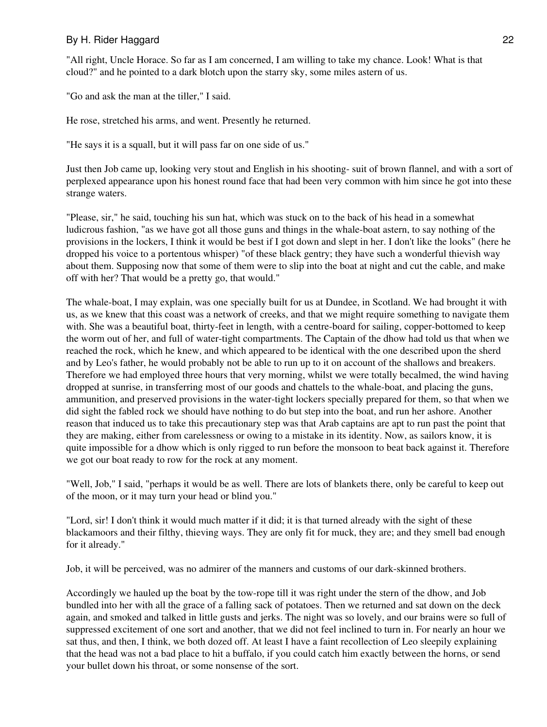"All right, Uncle Horace. So far as I am concerned, I am willing to take my chance. Look! What is that cloud?" and he pointed to a dark blotch upon the starry sky, some miles astern of us.

"Go and ask the man at the tiller," I said.

He rose, stretched his arms, and went. Presently he returned.

"He says it is a squall, but it will pass far on one side of us."

Just then Job came up, looking very stout and English in his shooting- suit of brown flannel, and with a sort of perplexed appearance upon his honest round face that had been very common with him since he got into these strange waters.

"Please, sir," he said, touching his sun hat, which was stuck on to the back of his head in a somewhat ludicrous fashion, "as we have got all those guns and things in the whale-boat astern, to say nothing of the provisions in the lockers, I think it would be best if I got down and slept in her. I don't like the looks" (here he dropped his voice to a portentous whisper) "of these black gentry; they have such a wonderful thievish way about them. Supposing now that some of them were to slip into the boat at night and cut the cable, and make off with her? That would be a pretty go, that would."

The whale-boat, I may explain, was one specially built for us at Dundee, in Scotland. We had brought it with us, as we knew that this coast was a network of creeks, and that we might require something to navigate them with. She was a beautiful boat, thirty-feet in length, with a centre-board for sailing, copper-bottomed to keep the worm out of her, and full of water-tight compartments. The Captain of the dhow had told us that when we reached the rock, which he knew, and which appeared to be identical with the one described upon the sherd and by Leo's father, he would probably not be able to run up to it on account of the shallows and breakers. Therefore we had employed three hours that very morning, whilst we were totally becalmed, the wind having dropped at sunrise, in transferring most of our goods and chattels to the whale-boat, and placing the guns, ammunition, and preserved provisions in the water-tight lockers specially prepared for them, so that when we did sight the fabled rock we should have nothing to do but step into the boat, and run her ashore. Another reason that induced us to take this precautionary step was that Arab captains are apt to run past the point that they are making, either from carelessness or owing to a mistake in its identity. Now, as sailors know, it is quite impossible for a dhow which is only rigged to run before the monsoon to beat back against it. Therefore we got our boat ready to row for the rock at any moment.

"Well, Job," I said, "perhaps it would be as well. There are lots of blankets there, only be careful to keep out of the moon, or it may turn your head or blind you."

"Lord, sir! I don't think it would much matter if it did; it is that turned already with the sight of these blackamoors and their filthy, thieving ways. They are only fit for muck, they are; and they smell bad enough for it already."

Job, it will be perceived, was no admirer of the manners and customs of our dark-skinned brothers.

Accordingly we hauled up the boat by the tow-rope till it was right under the stern of the dhow, and Job bundled into her with all the grace of a falling sack of potatoes. Then we returned and sat down on the deck again, and smoked and talked in little gusts and jerks. The night was so lovely, and our brains were so full of suppressed excitement of one sort and another, that we did not feel inclined to turn in. For nearly an hour we sat thus, and then, I think, we both dozed off. At least I have a faint recollection of Leo sleepily explaining that the head was not a bad place to hit a buffalo, if you could catch him exactly between the horns, or send your bullet down his throat, or some nonsense of the sort.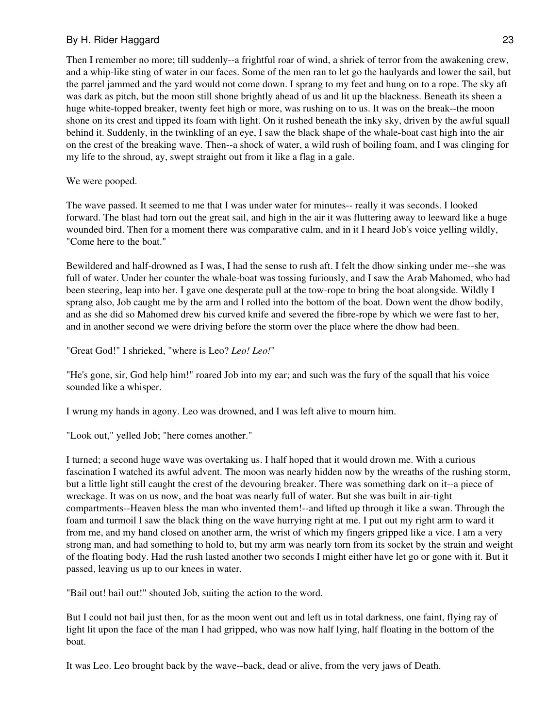Then I remember no more; till suddenly--a frightful roar of wind, a shriek of terror from the awakening crew, and a whip-like sting of water in our faces. Some of the men ran to let go the haulyards and lower the sail, but the parrel jammed and the yard would not come down. I sprang to my feet and hung on to a rope. The sky aft was dark as pitch, but the moon still shone brightly ahead of us and lit up the blackness. Beneath its sheen a huge white-topped breaker, twenty feet high or more, was rushing on to us. It was on the break--the moon shone on its crest and tipped its foam with light. On it rushed beneath the inky sky, driven by the awful squall behind it. Suddenly, in the twinkling of an eye, I saw the black shape of the whale-boat cast high into the air on the crest of the breaking wave. Then--a shock of water, a wild rush of boiling foam, and I was clinging for my life to the shroud, ay, swept straight out from it like a flag in a gale.

#### We were pooped.

The wave passed. It seemed to me that I was under water for minutes-- really it was seconds. I looked forward. The blast had torn out the great sail, and high in the air it was fluttering away to leeward like a huge wounded bird. Then for a moment there was comparative calm, and in it I heard Job's voice yelling wildly, "Come here to the boat."

Bewildered and half-drowned as I was, I had the sense to rush aft. I felt the dhow sinking under me--she was full of water. Under her counter the whale-boat was tossing furiously, and I saw the Arab Mahomed, who had been steering, leap into her. I gave one desperate pull at the tow-rope to bring the boat alongside. Wildly I sprang also, Job caught me by the arm and I rolled into the bottom of the boat. Down went the dhow bodily, and as she did so Mahomed drew his curved knife and severed the fibre-rope by which we were fast to her, and in another second we were driving before the storm over the place where the dhow had been.

"Great God!" I shrieked, "where is Leo? *Leo! Leo!*"

"He's gone, sir, God help him!" roared Job into my ear; and such was the fury of the squall that his voice sounded like a whisper.

I wrung my hands in agony. Leo was drowned, and I was left alive to mourn him.

"Look out," yelled Job; "here comes another."

I turned; a second huge wave was overtaking us. I half hoped that it would drown me. With a curious fascination I watched its awful advent. The moon was nearly hidden now by the wreaths of the rushing storm, but a little light still caught the crest of the devouring breaker. There was something dark on it--a piece of wreckage. It was on us now, and the boat was nearly full of water. But she was built in air-tight compartments--Heaven bless the man who invented them!--and lifted up through it like a swan. Through the foam and turmoil I saw the black thing on the wave hurrying right at me. I put out my right arm to ward it from me, and my hand closed on another arm, the wrist of which my fingers gripped like a vice. I am a very strong man, and had something to hold to, but my arm was nearly torn from its socket by the strain and weight of the floating body. Had the rush lasted another two seconds I might either have let go or gone with it. But it passed, leaving us up to our knees in water.

"Bail out! bail out!" shouted Job, suiting the action to the word.

But I could not bail just then, for as the moon went out and left us in total darkness, one faint, flying ray of light lit upon the face of the man I had gripped, who was now half lying, half floating in the bottom of the boat.

It was Leo. Leo brought back by the wave--back, dead or alive, from the very jaws of Death.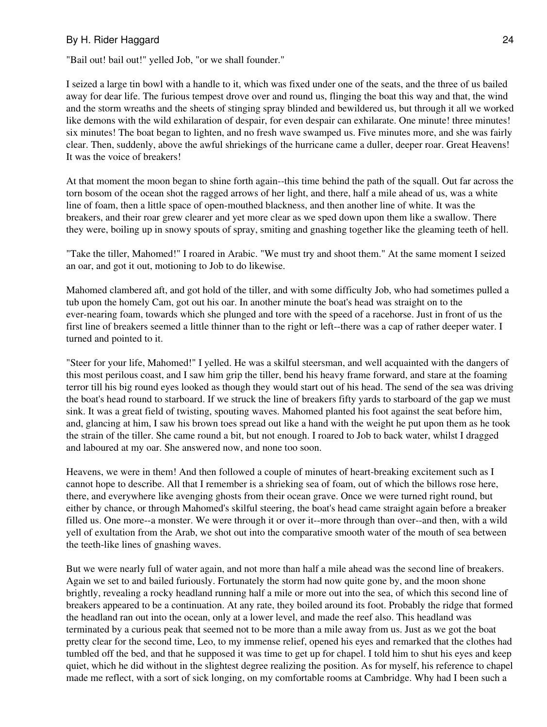"Bail out! bail out!" yelled Job, "or we shall founder."

I seized a large tin bowl with a handle to it, which was fixed under one of the seats, and the three of us bailed away for dear life. The furious tempest drove over and round us, flinging the boat this way and that, the wind and the storm wreaths and the sheets of stinging spray blinded and bewildered us, but through it all we worked like demons with the wild exhilaration of despair, for even despair can exhilarate. One minute! three minutes! six minutes! The boat began to lighten, and no fresh wave swamped us. Five minutes more, and she was fairly clear. Then, suddenly, above the awful shriekings of the hurricane came a duller, deeper roar. Great Heavens! It was the voice of breakers!

At that moment the moon began to shine forth again--this time behind the path of the squall. Out far across the torn bosom of the ocean shot the ragged arrows of her light, and there, half a mile ahead of us, was a white line of foam, then a little space of open-mouthed blackness, and then another line of white. It was the breakers, and their roar grew clearer and yet more clear as we sped down upon them like a swallow. There they were, boiling up in snowy spouts of spray, smiting and gnashing together like the gleaming teeth of hell.

"Take the tiller, Mahomed!" I roared in Arabic. "We must try and shoot them." At the same moment I seized an oar, and got it out, motioning to Job to do likewise.

Mahomed clambered aft, and got hold of the tiller, and with some difficulty Job, who had sometimes pulled a tub upon the homely Cam, got out his oar. In another minute the boat's head was straight on to the ever-nearing foam, towards which she plunged and tore with the speed of a racehorse. Just in front of us the first line of breakers seemed a little thinner than to the right or left--there was a cap of rather deeper water. I turned and pointed to it.

"Steer for your life, Mahomed!" I yelled. He was a skilful steersman, and well acquainted with the dangers of this most perilous coast, and I saw him grip the tiller, bend his heavy frame forward, and stare at the foaming terror till his big round eyes looked as though they would start out of his head. The send of the sea was driving the boat's head round to starboard. If we struck the line of breakers fifty yards to starboard of the gap we must sink. It was a great field of twisting, spouting waves. Mahomed planted his foot against the seat before him, and, glancing at him, I saw his brown toes spread out like a hand with the weight he put upon them as he took the strain of the tiller. She came round a bit, but not enough. I roared to Job to back water, whilst I dragged and laboured at my oar. She answered now, and none too soon.

Heavens, we were in them! And then followed a couple of minutes of heart-breaking excitement such as I cannot hope to describe. All that I remember is a shrieking sea of foam, out of which the billows rose here, there, and everywhere like avenging ghosts from their ocean grave. Once we were turned right round, but either by chance, or through Mahomed's skilful steering, the boat's head came straight again before a breaker filled us. One more--a monster. We were through it or over it--more through than over--and then, with a wild yell of exultation from the Arab, we shot out into the comparative smooth water of the mouth of sea between the teeth-like lines of gnashing waves.

But we were nearly full of water again, and not more than half a mile ahead was the second line of breakers. Again we set to and bailed furiously. Fortunately the storm had now quite gone by, and the moon shone brightly, revealing a rocky headland running half a mile or more out into the sea, of which this second line of breakers appeared to be a continuation. At any rate, they boiled around its foot. Probably the ridge that formed the headland ran out into the ocean, only at a lower level, and made the reef also. This headland was terminated by a curious peak that seemed not to be more than a mile away from us. Just as we got the boat pretty clear for the second time, Leo, to my immense relief, opened his eyes and remarked that the clothes had tumbled off the bed, and that he supposed it was time to get up for chapel. I told him to shut his eyes and keep quiet, which he did without in the slightest degree realizing the position. As for myself, his reference to chapel made me reflect, with a sort of sick longing, on my comfortable rooms at Cambridge. Why had I been such a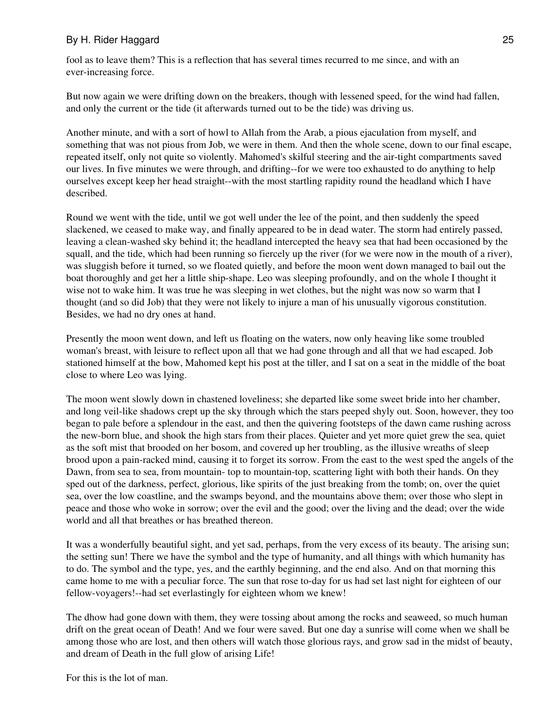fool as to leave them? This is a reflection that has several times recurred to me since, and with an ever-increasing force.

But now again we were drifting down on the breakers, though with lessened speed, for the wind had fallen, and only the current or the tide (it afterwards turned out to be the tide) was driving us.

Another minute, and with a sort of howl to Allah from the Arab, a pious ejaculation from myself, and something that was not pious from Job, we were in them. And then the whole scene, down to our final escape, repeated itself, only not quite so violently. Mahomed's skilful steering and the air-tight compartments saved our lives. In five minutes we were through, and drifting--for we were too exhausted to do anything to help ourselves except keep her head straight--with the most startling rapidity round the headland which I have described.

Round we went with the tide, until we got well under the lee of the point, and then suddenly the speed slackened, we ceased to make way, and finally appeared to be in dead water. The storm had entirely passed, leaving a clean-washed sky behind it; the headland intercepted the heavy sea that had been occasioned by the squall, and the tide, which had been running so fiercely up the river (for we were now in the mouth of a river), was sluggish before it turned, so we floated quietly, and before the moon went down managed to bail out the boat thoroughly and get her a little ship-shape. Leo was sleeping profoundly, and on the whole I thought it wise not to wake him. It was true he was sleeping in wet clothes, but the night was now so warm that I thought (and so did Job) that they were not likely to injure a man of his unusually vigorous constitution. Besides, we had no dry ones at hand.

Presently the moon went down, and left us floating on the waters, now only heaving like some troubled woman's breast, with leisure to reflect upon all that we had gone through and all that we had escaped. Job stationed himself at the bow, Mahomed kept his post at the tiller, and I sat on a seat in the middle of the boat close to where Leo was lying.

The moon went slowly down in chastened loveliness; she departed like some sweet bride into her chamber, and long veil-like shadows crept up the sky through which the stars peeped shyly out. Soon, however, they too began to pale before a splendour in the east, and then the quivering footsteps of the dawn came rushing across the new-born blue, and shook the high stars from their places. Quieter and yet more quiet grew the sea, quiet as the soft mist that brooded on her bosom, and covered up her troubling, as the illusive wreaths of sleep brood upon a pain-racked mind, causing it to forget its sorrow. From the east to the west sped the angels of the Dawn, from sea to sea, from mountain- top to mountain-top, scattering light with both their hands. On they sped out of the darkness, perfect, glorious, like spirits of the just breaking from the tomb; on, over the quiet sea, over the low coastline, and the swamps beyond, and the mountains above them; over those who slept in peace and those who woke in sorrow; over the evil and the good; over the living and the dead; over the wide world and all that breathes or has breathed thereon.

It was a wonderfully beautiful sight, and yet sad, perhaps, from the very excess of its beauty. The arising sun; the setting sun! There we have the symbol and the type of humanity, and all things with which humanity has to do. The symbol and the type, yes, and the earthly beginning, and the end also. And on that morning this came home to me with a peculiar force. The sun that rose to-day for us had set last night for eighteen of our fellow-voyagers!--had set everlastingly for eighteen whom we knew!

The dhow had gone down with them, they were tossing about among the rocks and seaweed, so much human drift on the great ocean of Death! And we four were saved. But one day a sunrise will come when we shall be among those who are lost, and then others will watch those glorious rays, and grow sad in the midst of beauty, and dream of Death in the full glow of arising Life!

For this is the lot of man.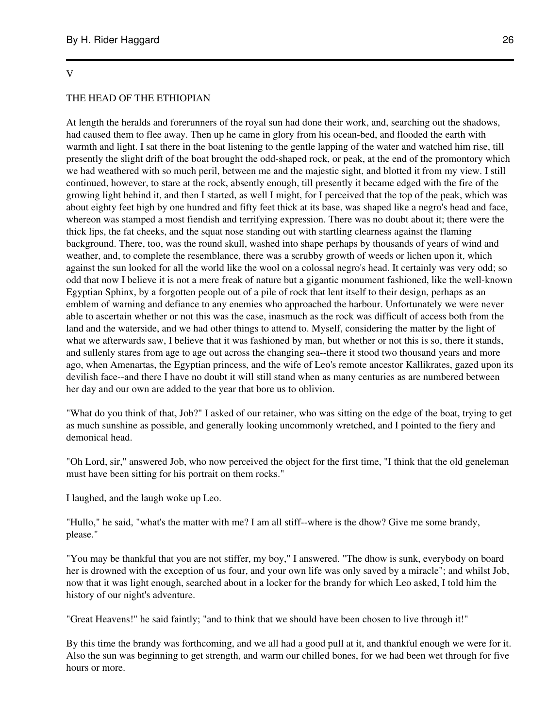#### V

#### THE HEAD OF THE ETHIOPIAN

At length the heralds and forerunners of the royal sun had done their work, and, searching out the shadows, had caused them to flee away. Then up he came in glory from his ocean-bed, and flooded the earth with warmth and light. I sat there in the boat listening to the gentle lapping of the water and watched him rise, till presently the slight drift of the boat brought the odd-shaped rock, or peak, at the end of the promontory which we had weathered with so much peril, between me and the majestic sight, and blotted it from my view. I still continued, however, to stare at the rock, absently enough, till presently it became edged with the fire of the growing light behind it, and then I started, as well I might, for I perceived that the top of the peak, which was about eighty feet high by one hundred and fifty feet thick at its base, was shaped like a negro's head and face, whereon was stamped a most fiendish and terrifying expression. There was no doubt about it; there were the thick lips, the fat cheeks, and the squat nose standing out with startling clearness against the flaming background. There, too, was the round skull, washed into shape perhaps by thousands of years of wind and weather, and, to complete the resemblance, there was a scrubby growth of weeds or lichen upon it, which against the sun looked for all the world like the wool on a colossal negro's head. It certainly was very odd; so odd that now I believe it is not a mere freak of nature but a gigantic monument fashioned, like the well-known Egyptian Sphinx, by a forgotten people out of a pile of rock that lent itself to their design, perhaps as an emblem of warning and defiance to any enemies who approached the harbour. Unfortunately we were never able to ascertain whether or not this was the case, inasmuch as the rock was difficult of access both from the land and the waterside, and we had other things to attend to. Myself, considering the matter by the light of what we afterwards saw, I believe that it was fashioned by man, but whether or not this is so, there it stands, and sullenly stares from age to age out across the changing sea--there it stood two thousand years and more ago, when Amenartas, the Egyptian princess, and the wife of Leo's remote ancestor Kallikrates, gazed upon its devilish face--and there I have no doubt it will still stand when as many centuries as are numbered between her day and our own are added to the year that bore us to oblivion.

"What do you think of that, Job?" I asked of our retainer, who was sitting on the edge of the boat, trying to get as much sunshine as possible, and generally looking uncommonly wretched, and I pointed to the fiery and demonical head.

"Oh Lord, sir," answered Job, who now perceived the object for the first time, "I think that the old geneleman must have been sitting for his portrait on them rocks."

I laughed, and the laugh woke up Leo.

"Hullo," he said, "what's the matter with me? I am all stiff--where is the dhow? Give me some brandy, please."

"You may be thankful that you are not stiffer, my boy," I answered. "The dhow is sunk, everybody on board her is drowned with the exception of us four, and your own life was only saved by a miracle"; and whilst Job, now that it was light enough, searched about in a locker for the brandy for which Leo asked, I told him the history of our night's adventure.

"Great Heavens!" he said faintly; "and to think that we should have been chosen to live through it!"

By this time the brandy was forthcoming, and we all had a good pull at it, and thankful enough we were for it. Also the sun was beginning to get strength, and warm our chilled bones, for we had been wet through for five hours or more.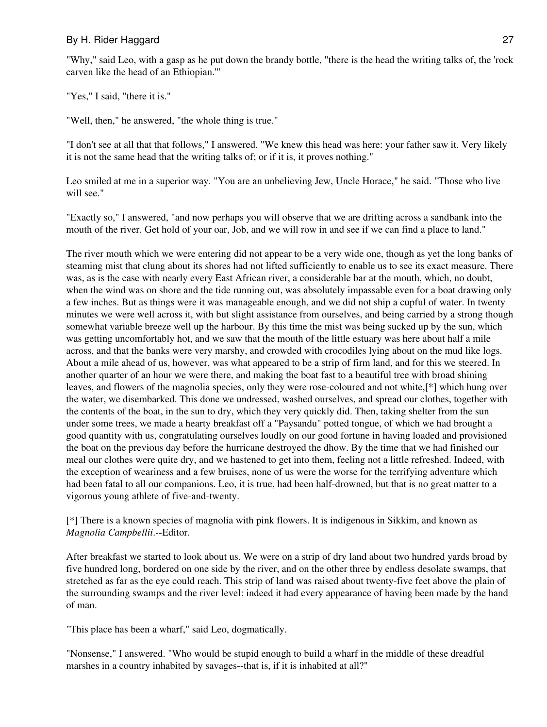"Why," said Leo, with a gasp as he put down the brandy bottle, "there is the head the writing talks of, the 'rock carven like the head of an Ethiopian.'"

"Yes," I said, "there it is."

"Well, then," he answered, "the whole thing is true."

"I don't see at all that that follows," I answered. "We knew this head was here: your father saw it. Very likely it is not the same head that the writing talks of; or if it is, it proves nothing."

Leo smiled at me in a superior way. "You are an unbelieving Jew, Uncle Horace," he said. "Those who live will see."

"Exactly so," I answered, "and now perhaps you will observe that we are drifting across a sandbank into the mouth of the river. Get hold of your oar, Job, and we will row in and see if we can find a place to land."

The river mouth which we were entering did not appear to be a very wide one, though as yet the long banks of steaming mist that clung about its shores had not lifted sufficiently to enable us to see its exact measure. There was, as is the case with nearly every East African river, a considerable bar at the mouth, which, no doubt, when the wind was on shore and the tide running out, was absolutely impassable even for a boat drawing only a few inches. But as things were it was manageable enough, and we did not ship a cupful of water. In twenty minutes we were well across it, with but slight assistance from ourselves, and being carried by a strong though somewhat variable breeze well up the harbour. By this time the mist was being sucked up by the sun, which was getting uncomfortably hot, and we saw that the mouth of the little estuary was here about half a mile across, and that the banks were very marshy, and crowded with crocodiles lying about on the mud like logs. About a mile ahead of us, however, was what appeared to be a strip of firm land, and for this we steered. In another quarter of an hour we were there, and making the boat fast to a beautiful tree with broad shining leaves, and flowers of the magnolia species, only they were rose-coloured and not white,[\*] which hung over the water, we disembarked. This done we undressed, washed ourselves, and spread our clothes, together with the contents of the boat, in the sun to dry, which they very quickly did. Then, taking shelter from the sun under some trees, we made a hearty breakfast off a "Paysandu" potted tongue, of which we had brought a good quantity with us, congratulating ourselves loudly on our good fortune in having loaded and provisioned the boat on the previous day before the hurricane destroyed the dhow. By the time that we had finished our meal our clothes were quite dry, and we hastened to get into them, feeling not a little refreshed. Indeed, with the exception of weariness and a few bruises, none of us were the worse for the terrifying adventure which had been fatal to all our companions. Leo, it is true, had been half-drowned, but that is no great matter to a vigorous young athlete of five-and-twenty.

[\*] There is a known species of magnolia with pink flowers. It is indigenous in Sikkim, and known as *Magnolia Campbellii*.--Editor.

After breakfast we started to look about us. We were on a strip of dry land about two hundred yards broad by five hundred long, bordered on one side by the river, and on the other three by endless desolate swamps, that stretched as far as the eye could reach. This strip of land was raised about twenty-five feet above the plain of the surrounding swamps and the river level: indeed it had every appearance of having been made by the hand of man.

"This place has been a wharf," said Leo, dogmatically.

"Nonsense," I answered. "Who would be stupid enough to build a wharf in the middle of these dreadful marshes in a country inhabited by savages--that is, if it is inhabited at all?"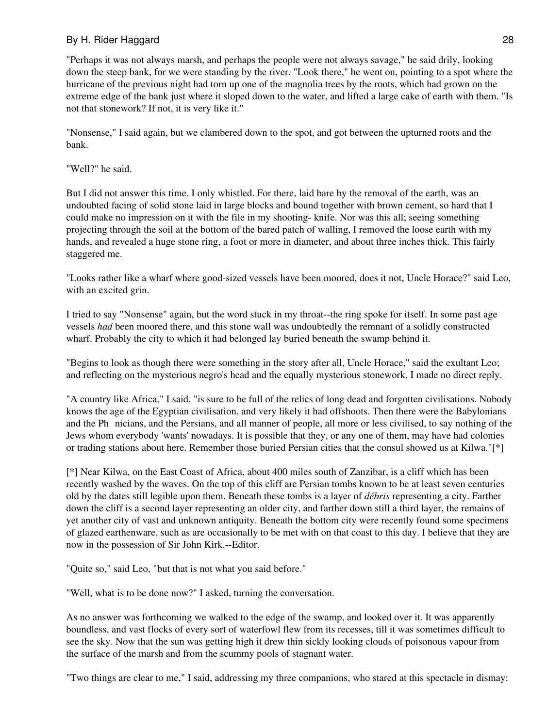"Perhaps it was not always marsh, and perhaps the people were not always savage," he said drily, looking down the steep bank, for we were standing by the river. "Look there," he went on, pointing to a spot where the hurricane of the previous night had torn up one of the magnolia trees by the roots, which had grown on the extreme edge of the bank just where it sloped down to the water, and lifted a large cake of earth with them. "Is not that stonework? If not, it is very like it."

"Nonsense," I said again, but we clambered down to the spot, and got between the upturned roots and the bank.

## "Well?" he said.

But I did not answer this time. I only whistled. For there, laid bare by the removal of the earth, was an undoubted facing of solid stone laid in large blocks and bound together with brown cement, so hard that I could make no impression on it with the file in my shooting- knife. Nor was this all; seeing something projecting through the soil at the bottom of the bared patch of walling, I removed the loose earth with my hands, and revealed a huge stone ring, a foot or more in diameter, and about three inches thick. This fairly staggered me.

"Looks rather like a wharf where good-sized vessels have been moored, does it not, Uncle Horace?" said Leo, with an excited grin.

I tried to say "Nonsense" again, but the word stuck in my throat--the ring spoke for itself. In some past age vessels *had* been moored there, and this stone wall was undoubtedly the remnant of a solidly constructed wharf. Probably the city to which it had belonged lay buried beneath the swamp behind it.

"Begins to look as though there were something in the story after all, Uncle Horace," said the exultant Leo; and reflecting on the mysterious negro's head and the equally mysterious stonework, I made no direct reply.

"A country like Africa," I said, "is sure to be full of the relics of long dead and forgotten civilisations. Nobody knows the age of the Egyptian civilisation, and very likely it had offshoots. Then there were the Babylonians and the Phnicians, and the Persians, and all manner of people, all more or less civilised, to say nothing of the Jews whom everybody 'wants' nowadays. It is possible that they, or any one of them, may have had colonies or trading stations about here. Remember those buried Persian cities that the consul showed us at Kilwa."[\*]

[\*] Near Kilwa, on the East Coast of Africa, about 400 miles south of Zanzibar, is a cliff which has been recently washed by the waves. On the top of this cliff are Persian tombs known to be at least seven centuries old by the dates still legible upon them. Beneath these tombs is a layer of *débris* representing a city. Farther down the cliff is a second layer representing an older city, and farther down still a third layer, the remains of yet another city of vast and unknown antiquity. Beneath the bottom city were recently found some specimens of glazed earthenware, such as are occasionally to be met with on that coast to this day. I believe that they are now in the possession of Sir John Kirk.--Editor.

"Quite so," said Leo, "but that is not what you said before."

"Well, what is to be done now?" I asked, turning the conversation.

As no answer was forthcoming we walked to the edge of the swamp, and looked over it. It was apparently boundless, and vast flocks of every sort of waterfowl flew from its recesses, till it was sometimes difficult to see the sky. Now that the sun was getting high it drew thin sickly looking clouds of poisonous vapour from the surface of the marsh and from the scummy pools of stagnant water.

"Two things are clear to me," I said, addressing my three companions, who stared at this spectacle in dismay: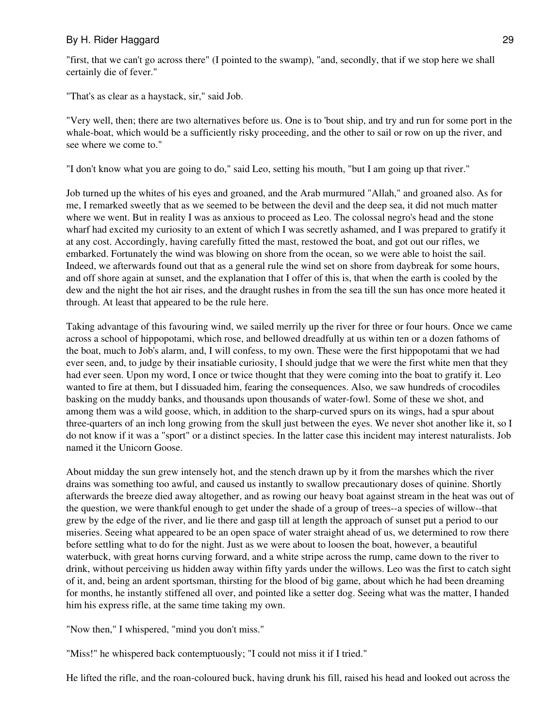"first, that we can't go across there" (I pointed to the swamp), "and, secondly, that if we stop here we shall certainly die of fever."

"That's as clear as a haystack, sir," said Job.

"Very well, then; there are two alternatives before us. One is to 'bout ship, and try and run for some port in the whale-boat, which would be a sufficiently risky proceeding, and the other to sail or row on up the river, and see where we come to."

"I don't know what you are going to do," said Leo, setting his mouth, "but I am going up that river."

Job turned up the whites of his eyes and groaned, and the Arab murmured "Allah," and groaned also. As for me, I remarked sweetly that as we seemed to be between the devil and the deep sea, it did not much matter where we went. But in reality I was as anxious to proceed as Leo. The colossal negro's head and the stone wharf had excited my curiosity to an extent of which I was secretly ashamed, and I was prepared to gratify it at any cost. Accordingly, having carefully fitted the mast, restowed the boat, and got out our rifles, we embarked. Fortunately the wind was blowing on shore from the ocean, so we were able to hoist the sail. Indeed, we afterwards found out that as a general rule the wind set on shore from daybreak for some hours, and off shore again at sunset, and the explanation that I offer of this is, that when the earth is cooled by the dew and the night the hot air rises, and the draught rushes in from the sea till the sun has once more heated it through. At least that appeared to be the rule here.

Taking advantage of this favouring wind, we sailed merrily up the river for three or four hours. Once we came across a school of hippopotami, which rose, and bellowed dreadfully at us within ten or a dozen fathoms of the boat, much to Job's alarm, and, I will confess, to my own. These were the first hippopotami that we had ever seen, and, to judge by their insatiable curiosity, I should judge that we were the first white men that they had ever seen. Upon my word, I once or twice thought that they were coming into the boat to gratify it. Leo wanted to fire at them, but I dissuaded him, fearing the consequences. Also, we saw hundreds of crocodiles basking on the muddy banks, and thousands upon thousands of water-fowl. Some of these we shot, and among them was a wild goose, which, in addition to the sharp-curved spurs on its wings, had a spur about three-quarters of an inch long growing from the skull just between the eyes. We never shot another like it, so I do not know if it was a "sport" or a distinct species. In the latter case this incident may interest naturalists. Job named it the Unicorn Goose.

About midday the sun grew intensely hot, and the stench drawn up by it from the marshes which the river drains was something too awful, and caused us instantly to swallow precautionary doses of quinine. Shortly afterwards the breeze died away altogether, and as rowing our heavy boat against stream in the heat was out of the question, we were thankful enough to get under the shade of a group of trees--a species of willow--that grew by the edge of the river, and lie there and gasp till at length the approach of sunset put a period to our miseries. Seeing what appeared to be an open space of water straight ahead of us, we determined to row there before settling what to do for the night. Just as we were about to loosen the boat, however, a beautiful waterbuck, with great horns curving forward, and a white stripe across the rump, came down to the river to drink, without perceiving us hidden away within fifty yards under the willows. Leo was the first to catch sight of it, and, being an ardent sportsman, thirsting for the blood of big game, about which he had been dreaming for months, he instantly stiffened all over, and pointed like a setter dog. Seeing what was the matter, I handed him his express rifle, at the same time taking my own.

"Now then," I whispered, "mind you don't miss."

"Miss!" he whispered back contemptuously; "I could not miss it if I tried."

He lifted the rifle, and the roan-coloured buck, having drunk his fill, raised his head and looked out across the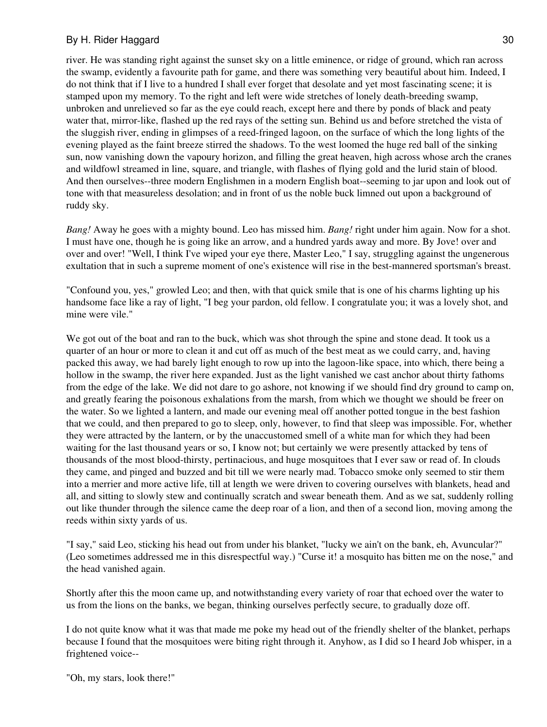river. He was standing right against the sunset sky on a little eminence, or ridge of ground, which ran across the swamp, evidently a favourite path for game, and there was something very beautiful about him. Indeed, I do not think that if I live to a hundred I shall ever forget that desolate and yet most fascinating scene; it is stamped upon my memory. To the right and left were wide stretches of lonely death-breeding swamp, unbroken and unrelieved so far as the eye could reach, except here and there by ponds of black and peaty water that, mirror-like, flashed up the red rays of the setting sun. Behind us and before stretched the vista of the sluggish river, ending in glimpses of a reed-fringed lagoon, on the surface of which the long lights of the evening played as the faint breeze stirred the shadows. To the west loomed the huge red ball of the sinking sun, now vanishing down the vapoury horizon, and filling the great heaven, high across whose arch the cranes and wildfowl streamed in line, square, and triangle, with flashes of flying gold and the lurid stain of blood. And then ourselves--three modern Englishmen in a modern English boat--seeming to jar upon and look out of tone with that measureless desolation; and in front of us the noble buck limned out upon a background of ruddy sky.

*Bang!* Away he goes with a mighty bound. Leo has missed him. *Bang!* right under him again. Now for a shot. I must have one, though he is going like an arrow, and a hundred yards away and more. By Jove! over and over and over! "Well, I think I've wiped your eye there, Master Leo," I say, struggling against the ungenerous exultation that in such a supreme moment of one's existence will rise in the best-mannered sportsman's breast.

"Confound you, yes," growled Leo; and then, with that quick smile that is one of his charms lighting up his handsome face like a ray of light, "I beg your pardon, old fellow. I congratulate you; it was a lovely shot, and mine were vile."

We got out of the boat and ran to the buck, which was shot through the spine and stone dead. It took us a quarter of an hour or more to clean it and cut off as much of the best meat as we could carry, and, having packed this away, we had barely light enough to row up into the lagoon-like space, into which, there being a hollow in the swamp, the river here expanded. Just as the light vanished we cast anchor about thirty fathoms from the edge of the lake. We did not dare to go ashore, not knowing if we should find dry ground to camp on, and greatly fearing the poisonous exhalations from the marsh, from which we thought we should be freer on the water. So we lighted a lantern, and made our evening meal off another potted tongue in the best fashion that we could, and then prepared to go to sleep, only, however, to find that sleep was impossible. For, whether they were attracted by the lantern, or by the unaccustomed smell of a white man for which they had been waiting for the last thousand years or so, I know not; but certainly we were presently attacked by tens of thousands of the most blood-thirsty, pertinacious, and huge mosquitoes that I ever saw or read of. In clouds they came, and pinged and buzzed and bit till we were nearly mad. Tobacco smoke only seemed to stir them into a merrier and more active life, till at length we were driven to covering ourselves with blankets, head and all, and sitting to slowly stew and continually scratch and swear beneath them. And as we sat, suddenly rolling out like thunder through the silence came the deep roar of a lion, and then of a second lion, moving among the reeds within sixty yards of us.

"I say," said Leo, sticking his head out from under his blanket, "lucky we ain't on the bank, eh, Avuncular?" (Leo sometimes addressed me in this disrespectful way.) "Curse it! a mosquito has bitten me on the nose," and the head vanished again.

Shortly after this the moon came up, and notwithstanding every variety of roar that echoed over the water to us from the lions on the banks, we began, thinking ourselves perfectly secure, to gradually doze off.

I do not quite know what it was that made me poke my head out of the friendly shelter of the blanket, perhaps because I found that the mosquitoes were biting right through it. Anyhow, as I did so I heard Job whisper, in a frightened voice--

"Oh, my stars, look there!"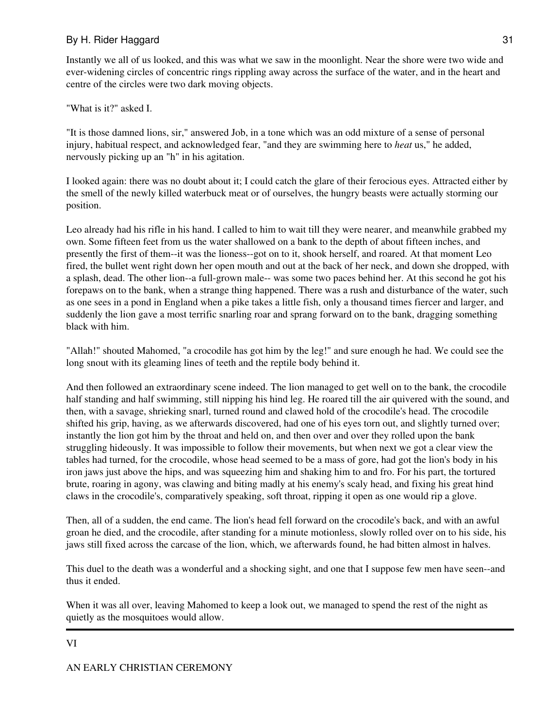Instantly we all of us looked, and this was what we saw in the moonlight. Near the shore were two wide and ever-widening circles of concentric rings rippling away across the surface of the water, and in the heart and centre of the circles were two dark moving objects.

"What is it?" asked I.

"It is those damned lions, sir," answered Job, in a tone which was an odd mixture of a sense of personal injury, habitual respect, and acknowledged fear, "and they are swimming here to *heat* us," he added, nervously picking up an "h" in his agitation.

I looked again: there was no doubt about it; I could catch the glare of their ferocious eyes. Attracted either by the smell of the newly killed waterbuck meat or of ourselves, the hungry beasts were actually storming our position.

Leo already had his rifle in his hand. I called to him to wait till they were nearer, and meanwhile grabbed my own. Some fifteen feet from us the water shallowed on a bank to the depth of about fifteen inches, and presently the first of them--it was the lioness--got on to it, shook herself, and roared. At that moment Leo fired, the bullet went right down her open mouth and out at the back of her neck, and down she dropped, with a splash, dead. The other lion--a full-grown male-- was some two paces behind her. At this second he got his forepaws on to the bank, when a strange thing happened. There was a rush and disturbance of the water, such as one sees in a pond in England when a pike takes a little fish, only a thousand times fiercer and larger, and suddenly the lion gave a most terrific snarling roar and sprang forward on to the bank, dragging something black with him.

"Allah!" shouted Mahomed, "a crocodile has got him by the leg!" and sure enough he had. We could see the long snout with its gleaming lines of teeth and the reptile body behind it.

And then followed an extraordinary scene indeed. The lion managed to get well on to the bank, the crocodile half standing and half swimming, still nipping his hind leg. He roared till the air quivered with the sound, and then, with a savage, shrieking snarl, turned round and clawed hold of the crocodile's head. The crocodile shifted his grip, having, as we afterwards discovered, had one of his eyes torn out, and slightly turned over; instantly the lion got him by the throat and held on, and then over and over they rolled upon the bank struggling hideously. It was impossible to follow their movements, but when next we got a clear view the tables had turned, for the crocodile, whose head seemed to be a mass of gore, had got the lion's body in his iron jaws just above the hips, and was squeezing him and shaking him to and fro. For his part, the tortured brute, roaring in agony, was clawing and biting madly at his enemy's scaly head, and fixing his great hind claws in the crocodile's, comparatively speaking, soft throat, ripping it open as one would rip a glove.

Then, all of a sudden, the end came. The lion's head fell forward on the crocodile's back, and with an awful groan he died, and the crocodile, after standing for a minute motionless, slowly rolled over on to his side, his jaws still fixed across the carcase of the lion, which, we afterwards found, he had bitten almost in halves.

This duel to the death was a wonderful and a shocking sight, and one that I suppose few men have seen--and thus it ended.

When it was all over, leaving Mahomed to keep a look out, we managed to spend the rest of the night as quietly as the mosquitoes would allow.

VI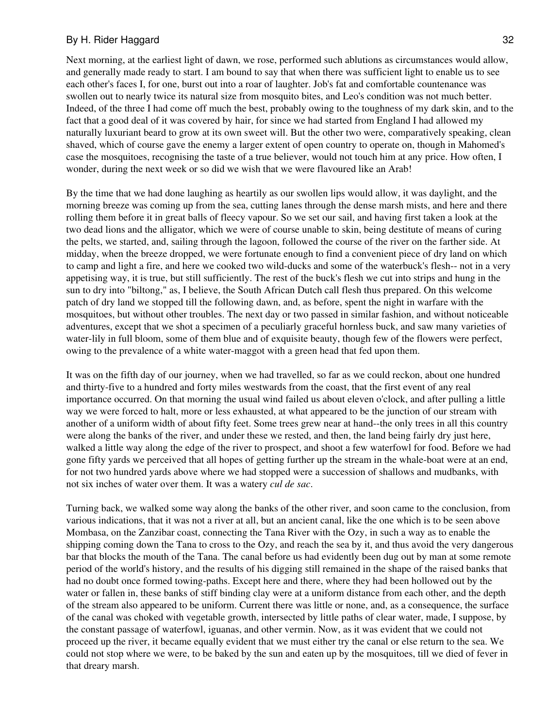Next morning, at the earliest light of dawn, we rose, performed such ablutions as circumstances would allow, and generally made ready to start. I am bound to say that when there was sufficient light to enable us to see each other's faces I, for one, burst out into a roar of laughter. Job's fat and comfortable countenance was swollen out to nearly twice its natural size from mosquito bites, and Leo's condition was not much better. Indeed, of the three I had come off much the best, probably owing to the toughness of my dark skin, and to the fact that a good deal of it was covered by hair, for since we had started from England I had allowed my naturally luxuriant beard to grow at its own sweet will. But the other two were, comparatively speaking, clean shaved, which of course gave the enemy a larger extent of open country to operate on, though in Mahomed's case the mosquitoes, recognising the taste of a true believer, would not touch him at any price. How often, I wonder, during the next week or so did we wish that we were flavoured like an Arab!

By the time that we had done laughing as heartily as our swollen lips would allow, it was daylight, and the morning breeze was coming up from the sea, cutting lanes through the dense marsh mists, and here and there rolling them before it in great balls of fleecy vapour. So we set our sail, and having first taken a look at the two dead lions and the alligator, which we were of course unable to skin, being destitute of means of curing the pelts, we started, and, sailing through the lagoon, followed the course of the river on the farther side. At midday, when the breeze dropped, we were fortunate enough to find a convenient piece of dry land on which to camp and light a fire, and here we cooked two wild-ducks and some of the waterbuck's flesh-- not in a very appetising way, it is true, but still sufficiently. The rest of the buck's flesh we cut into strips and hung in the sun to dry into "biltong," as, I believe, the South African Dutch call flesh thus prepared. On this welcome patch of dry land we stopped till the following dawn, and, as before, spent the night in warfare with the mosquitoes, but without other troubles. The next day or two passed in similar fashion, and without noticeable adventures, except that we shot a specimen of a peculiarly graceful hornless buck, and saw many varieties of water-lily in full bloom, some of them blue and of exquisite beauty, though few of the flowers were perfect, owing to the prevalence of a white water-maggot with a green head that fed upon them.

It was on the fifth day of our journey, when we had travelled, so far as we could reckon, about one hundred and thirty-five to a hundred and forty miles westwards from the coast, that the first event of any real importance occurred. On that morning the usual wind failed us about eleven o'clock, and after pulling a little way we were forced to halt, more or less exhausted, at what appeared to be the junction of our stream with another of a uniform width of about fifty feet. Some trees grew near at hand--the only trees in all this country were along the banks of the river, and under these we rested, and then, the land being fairly dry just here, walked a little way along the edge of the river to prospect, and shoot a few waterfowl for food. Before we had gone fifty yards we perceived that all hopes of getting further up the stream in the whale-boat were at an end, for not two hundred yards above where we had stopped were a succession of shallows and mudbanks, with not six inches of water over them. It was a watery *cul de sac*.

Turning back, we walked some way along the banks of the other river, and soon came to the conclusion, from various indications, that it was not a river at all, but an ancient canal, like the one which is to be seen above Mombasa, on the Zanzibar coast, connecting the Tana River with the Ozy, in such a way as to enable the shipping coming down the Tana to cross to the Ozy, and reach the sea by it, and thus avoid the very dangerous bar that blocks the mouth of the Tana. The canal before us had evidently been dug out by man at some remote period of the world's history, and the results of his digging still remained in the shape of the raised banks that had no doubt once formed towing-paths. Except here and there, where they had been hollowed out by the water or fallen in, these banks of stiff binding clay were at a uniform distance from each other, and the depth of the stream also appeared to be uniform. Current there was little or none, and, as a consequence, the surface of the canal was choked with vegetable growth, intersected by little paths of clear water, made, I suppose, by the constant passage of waterfowl, iguanas, and other vermin. Now, as it was evident that we could not proceed up the river, it became equally evident that we must either try the canal or else return to the sea. We could not stop where we were, to be baked by the sun and eaten up by the mosquitoes, till we died of fever in that dreary marsh.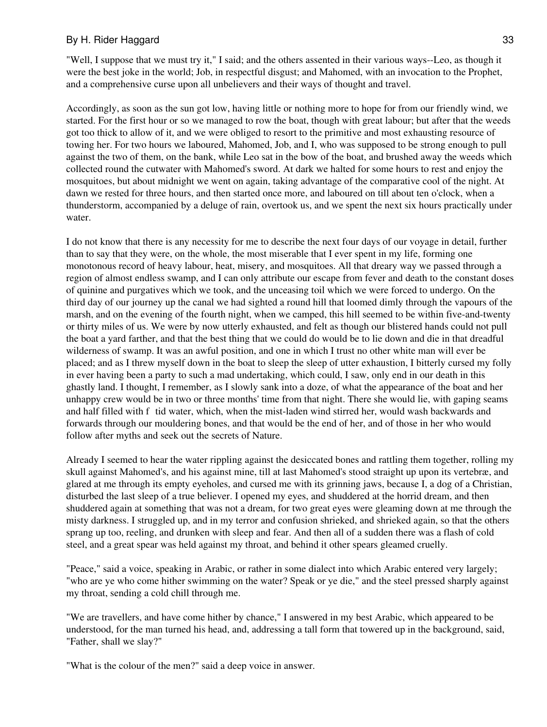"Well, I suppose that we must try it," I said; and the others assented in their various ways--Leo, as though it were the best joke in the world; Job, in respectful disgust; and Mahomed, with an invocation to the Prophet, and a comprehensive curse upon all unbelievers and their ways of thought and travel.

Accordingly, as soon as the sun got low, having little or nothing more to hope for from our friendly wind, we started. For the first hour or so we managed to row the boat, though with great labour; but after that the weeds got too thick to allow of it, and we were obliged to resort to the primitive and most exhausting resource of towing her. For two hours we laboured, Mahomed, Job, and I, who was supposed to be strong enough to pull against the two of them, on the bank, while Leo sat in the bow of the boat, and brushed away the weeds which collected round the cutwater with Mahomed's sword. At dark we halted for some hours to rest and enjoy the mosquitoes, but about midnight we went on again, taking advantage of the comparative cool of the night. At dawn we rested for three hours, and then started once more, and laboured on till about ten o'clock, when a thunderstorm, accompanied by a deluge of rain, overtook us, and we spent the next six hours practically under water.

I do not know that there is any necessity for me to describe the next four days of our voyage in detail, further than to say that they were, on the whole, the most miserable that I ever spent in my life, forming one monotonous record of heavy labour, heat, misery, and mosquitoes. All that dreary way we passed through a region of almost endless swamp, and I can only attribute our escape from fever and death to the constant doses of quinine and purgatives which we took, and the unceasing toil which we were forced to undergo. On the third day of our journey up the canal we had sighted a round hill that loomed dimly through the vapours of the marsh, and on the evening of the fourth night, when we camped, this hill seemed to be within five-and-twenty or thirty miles of us. We were by now utterly exhausted, and felt as though our blistered hands could not pull the boat a yard farther, and that the best thing that we could do would be to lie down and die in that dreadful wilderness of swamp. It was an awful position, and one in which I trust no other white man will ever be placed; and as I threw myself down in the boat to sleep the sleep of utter exhaustion, I bitterly cursed my folly in ever having been a party to such a mad undertaking, which could, I saw, only end in our death in this ghastly land. I thought, I remember, as I slowly sank into a doze, of what the appearance of the boat and her unhappy crew would be in two or three months' time from that night. There she would lie, with gaping seams and half filled with f tid water, which, when the mist-laden wind stirred her, would wash backwards and forwards through our mouldering bones, and that would be the end of her, and of those in her who would follow after myths and seek out the secrets of Nature.

Already I seemed to hear the water rippling against the desiccated bones and rattling them together, rolling my skull against Mahomed's, and his against mine, till at last Mahomed's stood straight up upon its vertebræ, and glared at me through its empty eyeholes, and cursed me with its grinning jaws, because I, a dog of a Christian, disturbed the last sleep of a true believer. I opened my eyes, and shuddered at the horrid dream, and then shuddered again at something that was not a dream, for two great eyes were gleaming down at me through the misty darkness. I struggled up, and in my terror and confusion shrieked, and shrieked again, so that the others sprang up too, reeling, and drunken with sleep and fear. And then all of a sudden there was a flash of cold steel, and a great spear was held against my throat, and behind it other spears gleamed cruelly.

"Peace," said a voice, speaking in Arabic, or rather in some dialect into which Arabic entered very largely; "who are ye who come hither swimming on the water? Speak or ye die," and the steel pressed sharply against my throat, sending a cold chill through me.

"We are travellers, and have come hither by chance," I answered in my best Arabic, which appeared to be understood, for the man turned his head, and, addressing a tall form that towered up in the background, said, "Father, shall we slay?"

"What is the colour of the men?" said a deep voice in answer.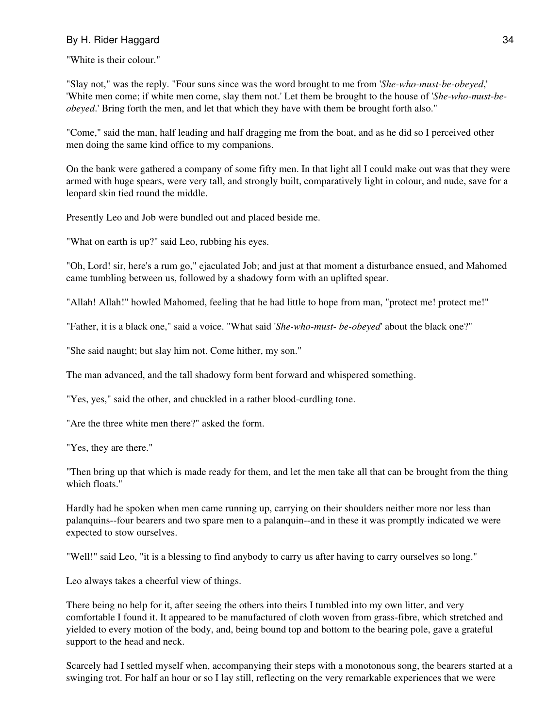"White is their colour."

"Slay not," was the reply. "Four suns since was the word brought to me from '*She-who-must-be-obeyed*,' 'White men come; if white men come, slay them not.' Let them be brought to the house of '*She-who-must-beobeyed*.' Bring forth the men, and let that which they have with them be brought forth also."

"Come," said the man, half leading and half dragging me from the boat, and as he did so I perceived other men doing the same kind office to my companions.

On the bank were gathered a company of some fifty men. In that light all I could make out was that they were armed with huge spears, were very tall, and strongly built, comparatively light in colour, and nude, save for a leopard skin tied round the middle.

Presently Leo and Job were bundled out and placed beside me.

"What on earth is up?" said Leo, rubbing his eyes.

"Oh, Lord! sir, here's a rum go," ejaculated Job; and just at that moment a disturbance ensued, and Mahomed came tumbling between us, followed by a shadowy form with an uplifted spear.

"Allah! Allah!" howled Mahomed, feeling that he had little to hope from man, "protect me! protect me!"

"Father, it is a black one," said a voice. "What said '*She-who-must- be-obeyed*' about the black one?"

"She said naught; but slay him not. Come hither, my son."

The man advanced, and the tall shadowy form bent forward and whispered something.

"Yes, yes," said the other, and chuckled in a rather blood-curdling tone.

"Are the three white men there?" asked the form.

"Yes, they are there."

"Then bring up that which is made ready for them, and let the men take all that can be brought from the thing which floats."

Hardly had he spoken when men came running up, carrying on their shoulders neither more nor less than palanquins--four bearers and two spare men to a palanquin--and in these it was promptly indicated we were expected to stow ourselves.

"Well!" said Leo, "it is a blessing to find anybody to carry us after having to carry ourselves so long."

Leo always takes a cheerful view of things.

There being no help for it, after seeing the others into theirs I tumbled into my own litter, and very comfortable I found it. It appeared to be manufactured of cloth woven from grass-fibre, which stretched and yielded to every motion of the body, and, being bound top and bottom to the bearing pole, gave a grateful support to the head and neck.

Scarcely had I settled myself when, accompanying their steps with a monotonous song, the bearers started at a swinging trot. For half an hour or so I lay still, reflecting on the very remarkable experiences that we were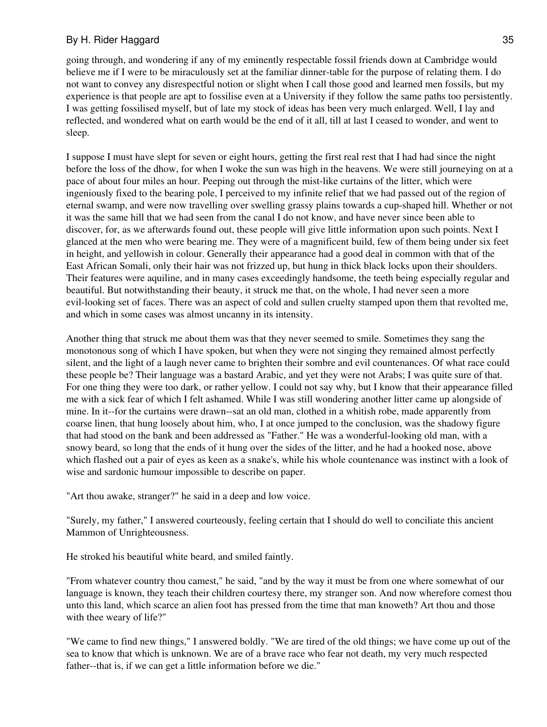going through, and wondering if any of my eminently respectable fossil friends down at Cambridge would believe me if I were to be miraculously set at the familiar dinner-table for the purpose of relating them. I do not want to convey any disrespectful notion or slight when I call those good and learned men fossils, but my experience is that people are apt to fossilise even at a University if they follow the same paths too persistently. I was getting fossilised myself, but of late my stock of ideas has been very much enlarged. Well, I lay and reflected, and wondered what on earth would be the end of it all, till at last I ceased to wonder, and went to sleep.

I suppose I must have slept for seven or eight hours, getting the first real rest that I had had since the night before the loss of the dhow, for when I woke the sun was high in the heavens. We were still journeying on at a pace of about four miles an hour. Peeping out through the mist-like curtains of the litter, which were ingeniously fixed to the bearing pole, I perceived to my infinite relief that we had passed out of the region of eternal swamp, and were now travelling over swelling grassy plains towards a cup-shaped hill. Whether or not it was the same hill that we had seen from the canal I do not know, and have never since been able to discover, for, as we afterwards found out, these people will give little information upon such points. Next I glanced at the men who were bearing me. They were of a magnificent build, few of them being under six feet in height, and yellowish in colour. Generally their appearance had a good deal in common with that of the East African Somali, only their hair was not frizzed up, but hung in thick black locks upon their shoulders. Their features were aquiline, and in many cases exceedingly handsome, the teeth being especially regular and beautiful. But notwithstanding their beauty, it struck me that, on the whole, I had never seen a more evil-looking set of faces. There was an aspect of cold and sullen cruelty stamped upon them that revolted me, and which in some cases was almost uncanny in its intensity.

Another thing that struck me about them was that they never seemed to smile. Sometimes they sang the monotonous song of which I have spoken, but when they were not singing they remained almost perfectly silent, and the light of a laugh never came to brighten their sombre and evil countenances. Of what race could these people be? Their language was a bastard Arabic, and yet they were not Arabs; I was quite sure of that. For one thing they were too dark, or rather yellow. I could not say why, but I know that their appearance filled me with a sick fear of which I felt ashamed. While I was still wondering another litter came up alongside of mine. In it--for the curtains were drawn--sat an old man, clothed in a whitish robe, made apparently from coarse linen, that hung loosely about him, who, I at once jumped to the conclusion, was the shadowy figure that had stood on the bank and been addressed as "Father." He was a wonderful-looking old man, with a snowy beard, so long that the ends of it hung over the sides of the litter, and he had a hooked nose, above which flashed out a pair of eyes as keen as a snake's, while his whole countenance was instinct with a look of wise and sardonic humour impossible to describe on paper.

"Art thou awake, stranger?" he said in a deep and low voice.

"Surely, my father," I answered courteously, feeling certain that I should do well to conciliate this ancient Mammon of Unrighteousness.

He stroked his beautiful white beard, and smiled faintly.

"From whatever country thou camest," he said, "and by the way it must be from one where somewhat of our language is known, they teach their children courtesy there, my stranger son. And now wherefore comest thou unto this land, which scarce an alien foot has pressed from the time that man knoweth? Art thou and those with thee weary of life?"

"We came to find new things," I answered boldly. "We are tired of the old things; we have come up out of the sea to know that which is unknown. We are of a brave race who fear not death, my very much respected father--that is, if we can get a little information before we die."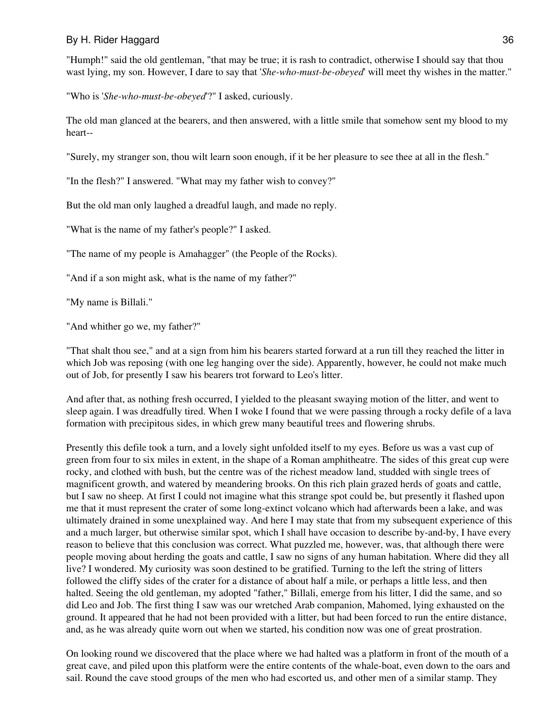"Humph!" said the old gentleman, "that may be true; it is rash to contradict, otherwise I should say that thou wast lying, my son. However, I dare to say that '*She-who-must-be-obeyed*' will meet thy wishes in the matter."

"Who is '*She-who-must-be-obeyed*'?" I asked, curiously.

The old man glanced at the bearers, and then answered, with a little smile that somehow sent my blood to my heart--

"Surely, my stranger son, thou wilt learn soon enough, if it be her pleasure to see thee at all in the flesh."

"In the flesh?" I answered. "What may my father wish to convey?"

But the old man only laughed a dreadful laugh, and made no reply.

"What is the name of my father's people?" I asked.

"The name of my people is Amahagger" (the People of the Rocks).

"And if a son might ask, what is the name of my father?"

"My name is Billali."

"And whither go we, my father?"

"That shalt thou see," and at a sign from him his bearers started forward at a run till they reached the litter in which Job was reposing (with one leg hanging over the side). Apparently, however, he could not make much out of Job, for presently I saw his bearers trot forward to Leo's litter.

And after that, as nothing fresh occurred, I yielded to the pleasant swaying motion of the litter, and went to sleep again. I was dreadfully tired. When I woke I found that we were passing through a rocky defile of a lava formation with precipitous sides, in which grew many beautiful trees and flowering shrubs.

Presently this defile took a turn, and a lovely sight unfolded itself to my eyes. Before us was a vast cup of green from four to six miles in extent, in the shape of a Roman amphitheatre. The sides of this great cup were rocky, and clothed with bush, but the centre was of the richest meadow land, studded with single trees of magnificent growth, and watered by meandering brooks. On this rich plain grazed herds of goats and cattle, but I saw no sheep. At first I could not imagine what this strange spot could be, but presently it flashed upon me that it must represent the crater of some long-extinct volcano which had afterwards been a lake, and was ultimately drained in some unexplained way. And here I may state that from my subsequent experience of this and a much larger, but otherwise similar spot, which I shall have occasion to describe by-and-by, I have every reason to believe that this conclusion was correct. What puzzled me, however, was, that although there were people moving about herding the goats and cattle, I saw no signs of any human habitation. Where did they all live? I wondered. My curiosity was soon destined to be gratified. Turning to the left the string of litters followed the cliffy sides of the crater for a distance of about half a mile, or perhaps a little less, and then halted. Seeing the old gentleman, my adopted "father," Billali, emerge from his litter, I did the same, and so did Leo and Job. The first thing I saw was our wretched Arab companion, Mahomed, lying exhausted on the ground. It appeared that he had not been provided with a litter, but had been forced to run the entire distance, and, as he was already quite worn out when we started, his condition now was one of great prostration.

On looking round we discovered that the place where we had halted was a platform in front of the mouth of a great cave, and piled upon this platform were the entire contents of the whale-boat, even down to the oars and sail. Round the cave stood groups of the men who had escorted us, and other men of a similar stamp. They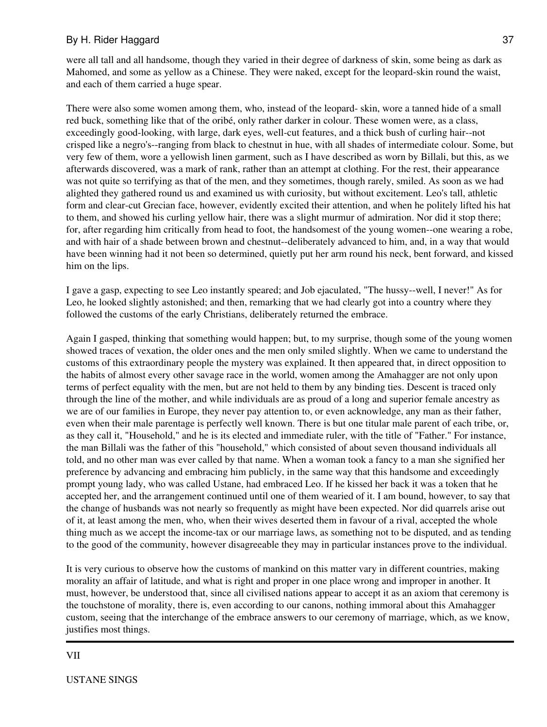were all tall and all handsome, though they varied in their degree of darkness of skin, some being as dark as Mahomed, and some as yellow as a Chinese. They were naked, except for the leopard-skin round the waist, and each of them carried a huge spear.

There were also some women among them, who, instead of the leopard- skin, wore a tanned hide of a small red buck, something like that of the oribé, only rather darker in colour. These women were, as a class, exceedingly good-looking, with large, dark eyes, well-cut features, and a thick bush of curling hair--not crisped like a negro's--ranging from black to chestnut in hue, with all shades of intermediate colour. Some, but very few of them, wore a yellowish linen garment, such as I have described as worn by Billali, but this, as we afterwards discovered, was a mark of rank, rather than an attempt at clothing. For the rest, their appearance was not quite so terrifying as that of the men, and they sometimes, though rarely, smiled. As soon as we had alighted they gathered round us and examined us with curiosity, but without excitement. Leo's tall, athletic form and clear-cut Grecian face, however, evidently excited their attention, and when he politely lifted his hat to them, and showed his curling yellow hair, there was a slight murmur of admiration. Nor did it stop there; for, after regarding him critically from head to foot, the handsomest of the young women--one wearing a robe, and with hair of a shade between brown and chestnut--deliberately advanced to him, and, in a way that would have been winning had it not been so determined, quietly put her arm round his neck, bent forward, and kissed him on the lips.

I gave a gasp, expecting to see Leo instantly speared; and Job ejaculated, "The hussy--well, I never!" As for Leo, he looked slightly astonished; and then, remarking that we had clearly got into a country where they followed the customs of the early Christians, deliberately returned the embrace.

Again I gasped, thinking that something would happen; but, to my surprise, though some of the young women showed traces of vexation, the older ones and the men only smiled slightly. When we came to understand the customs of this extraordinary people the mystery was explained. It then appeared that, in direct opposition to the habits of almost every other savage race in the world, women among the Amahagger are not only upon terms of perfect equality with the men, but are not held to them by any binding ties. Descent is traced only through the line of the mother, and while individuals are as proud of a long and superior female ancestry as we are of our families in Europe, they never pay attention to, or even acknowledge, any man as their father, even when their male parentage is perfectly well known. There is but one titular male parent of each tribe, or, as they call it, "Household," and he is its elected and immediate ruler, with the title of "Father." For instance, the man Billali was the father of this "household," which consisted of about seven thousand individuals all told, and no other man was ever called by that name. When a woman took a fancy to a man she signified her preference by advancing and embracing him publicly, in the same way that this handsome and exceedingly prompt young lady, who was called Ustane, had embraced Leo. If he kissed her back it was a token that he accepted her, and the arrangement continued until one of them wearied of it. I am bound, however, to say that the change of husbands was not nearly so frequently as might have been expected. Nor did quarrels arise out of it, at least among the men, who, when their wives deserted them in favour of a rival, accepted the whole thing much as we accept the income-tax or our marriage laws, as something not to be disputed, and as tending to the good of the community, however disagreeable they may in particular instances prove to the individual.

It is very curious to observe how the customs of mankind on this matter vary in different countries, making morality an affair of latitude, and what is right and proper in one place wrong and improper in another. It must, however, be understood that, since all civilised nations appear to accept it as an axiom that ceremony is the touchstone of morality, there is, even according to our canons, nothing immoral about this Amahagger custom, seeing that the interchange of the embrace answers to our ceremony of marriage, which, as we know, justifies most things.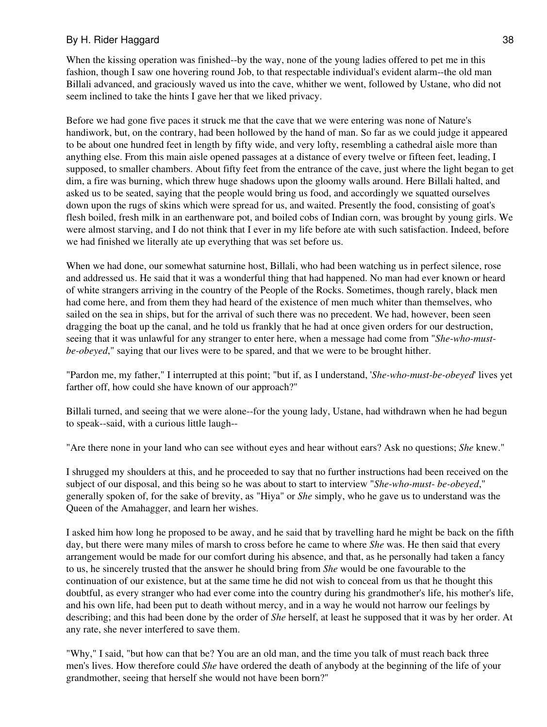When the kissing operation was finished--by the way, none of the young ladies offered to pet me in this fashion, though I saw one hovering round Job, to that respectable individual's evident alarm--the old man Billali advanced, and graciously waved us into the cave, whither we went, followed by Ustane, who did not seem inclined to take the hints I gave her that we liked privacy.

Before we had gone five paces it struck me that the cave that we were entering was none of Nature's handiwork, but, on the contrary, had been hollowed by the hand of man. So far as we could judge it appeared to be about one hundred feet in length by fifty wide, and very lofty, resembling a cathedral aisle more than anything else. From this main aisle opened passages at a distance of every twelve or fifteen feet, leading, I supposed, to smaller chambers. About fifty feet from the entrance of the cave, just where the light began to get dim, a fire was burning, which threw huge shadows upon the gloomy walls around. Here Billali halted, and asked us to be seated, saying that the people would bring us food, and accordingly we squatted ourselves down upon the rugs of skins which were spread for us, and waited. Presently the food, consisting of goat's flesh boiled, fresh milk in an earthenware pot, and boiled cobs of Indian corn, was brought by young girls. We were almost starving, and I do not think that I ever in my life before ate with such satisfaction. Indeed, before we had finished we literally ate up everything that was set before us.

When we had done, our somewhat saturnine host, Billali, who had been watching us in perfect silence, rose and addressed us. He said that it was a wonderful thing that had happened. No man had ever known or heard of white strangers arriving in the country of the People of the Rocks. Sometimes, though rarely, black men had come here, and from them they had heard of the existence of men much whiter than themselves, who sailed on the sea in ships, but for the arrival of such there was no precedent. We had, however, been seen dragging the boat up the canal, and he told us frankly that he had at once given orders for our destruction, seeing that it was unlawful for any stranger to enter here, when a message had come from "*She-who-mustbe-obeyed*," saying that our lives were to be spared, and that we were to be brought hither.

"Pardon me, my father," I interrupted at this point; "but if, as I understand, '*She-who-must-be-obeyed*' lives yet farther off, how could she have known of our approach?"

Billali turned, and seeing that we were alone--for the young lady, Ustane, had withdrawn when he had begun to speak--said, with a curious little laugh--

"Are there none in your land who can see without eyes and hear without ears? Ask no questions; *She* knew."

I shrugged my shoulders at this, and he proceeded to say that no further instructions had been received on the subject of our disposal, and this being so he was about to start to interview "*She-who-must- be-obeyed*," generally spoken of, for the sake of brevity, as "Hiya" or *She* simply, who he gave us to understand was the Queen of the Amahagger, and learn her wishes.

I asked him how long he proposed to be away, and he said that by travelling hard he might be back on the fifth day, but there were many miles of marsh to cross before he came to where *She* was. He then said that every arrangement would be made for our comfort during his absence, and that, as he personally had taken a fancy to us, he sincerely trusted that the answer he should bring from *She* would be one favourable to the continuation of our existence, but at the same time he did not wish to conceal from us that he thought this doubtful, as every stranger who had ever come into the country during his grandmother's life, his mother's life, and his own life, had been put to death without mercy, and in a way he would not harrow our feelings by describing; and this had been done by the order of *She* herself, at least he supposed that it was by her order. At any rate, she never interfered to save them.

"Why," I said, "but how can that be? You are an old man, and the time you talk of must reach back three men's lives. How therefore could *She* have ordered the death of anybody at the beginning of the life of your grandmother, seeing that herself she would not have been born?"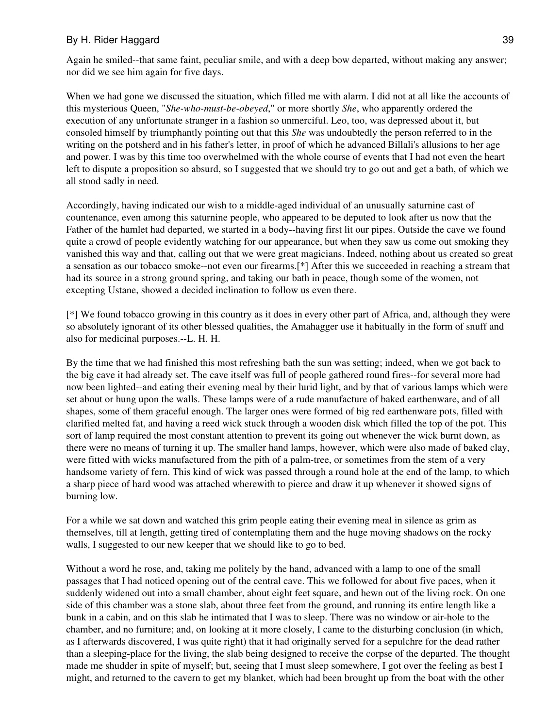Again he smiled--that same faint, peculiar smile, and with a deep bow departed, without making any answer; nor did we see him again for five days.

When we had gone we discussed the situation, which filled me with alarm. I did not at all like the accounts of this mysterious Queen, "*She-who-must-be-obeyed*," or more shortly *She*, who apparently ordered the execution of any unfortunate stranger in a fashion so unmerciful. Leo, too, was depressed about it, but consoled himself by triumphantly pointing out that this *She* was undoubtedly the person referred to in the writing on the potsherd and in his father's letter, in proof of which he advanced Billali's allusions to her age and power. I was by this time too overwhelmed with the whole course of events that I had not even the heart left to dispute a proposition so absurd, so I suggested that we should try to go out and get a bath, of which we all stood sadly in need.

Accordingly, having indicated our wish to a middle-aged individual of an unusually saturnine cast of countenance, even among this saturnine people, who appeared to be deputed to look after us now that the Father of the hamlet had departed, we started in a body--having first lit our pipes. Outside the cave we found quite a crowd of people evidently watching for our appearance, but when they saw us come out smoking they vanished this way and that, calling out that we were great magicians. Indeed, nothing about us created so great a sensation as our tobacco smoke--not even our firearms.[\*] After this we succeeded in reaching a stream that had its source in a strong ground spring, and taking our bath in peace, though some of the women, not excepting Ustane, showed a decided inclination to follow us even there.

[\*] We found tobacco growing in this country as it does in every other part of Africa, and, although they were so absolutely ignorant of its other blessed qualities, the Amahagger use it habitually in the form of snuff and also for medicinal purposes.--L. H. H.

By the time that we had finished this most refreshing bath the sun was setting; indeed, when we got back to the big cave it had already set. The cave itself was full of people gathered round fires--for several more had now been lighted--and eating their evening meal by their lurid light, and by that of various lamps which were set about or hung upon the walls. These lamps were of a rude manufacture of baked earthenware, and of all shapes, some of them graceful enough. The larger ones were formed of big red earthenware pots, filled with clarified melted fat, and having a reed wick stuck through a wooden disk which filled the top of the pot. This sort of lamp required the most constant attention to prevent its going out whenever the wick burnt down, as there were no means of turning it up. The smaller hand lamps, however, which were also made of baked clay, were fitted with wicks manufactured from the pith of a palm-tree, or sometimes from the stem of a very handsome variety of fern. This kind of wick was passed through a round hole at the end of the lamp, to which a sharp piece of hard wood was attached wherewith to pierce and draw it up whenever it showed signs of burning low.

For a while we sat down and watched this grim people eating their evening meal in silence as grim as themselves, till at length, getting tired of contemplating them and the huge moving shadows on the rocky walls, I suggested to our new keeper that we should like to go to bed.

Without a word he rose, and, taking me politely by the hand, advanced with a lamp to one of the small passages that I had noticed opening out of the central cave. This we followed for about five paces, when it suddenly widened out into a small chamber, about eight feet square, and hewn out of the living rock. On one side of this chamber was a stone slab, about three feet from the ground, and running its entire length like a bunk in a cabin, and on this slab he intimated that I was to sleep. There was no window or air-hole to the chamber, and no furniture; and, on looking at it more closely, I came to the disturbing conclusion (in which, as I afterwards discovered, I was quite right) that it had originally served for a sepulchre for the dead rather than a sleeping-place for the living, the slab being designed to receive the corpse of the departed. The thought made me shudder in spite of myself; but, seeing that I must sleep somewhere, I got over the feeling as best I might, and returned to the cavern to get my blanket, which had been brought up from the boat with the other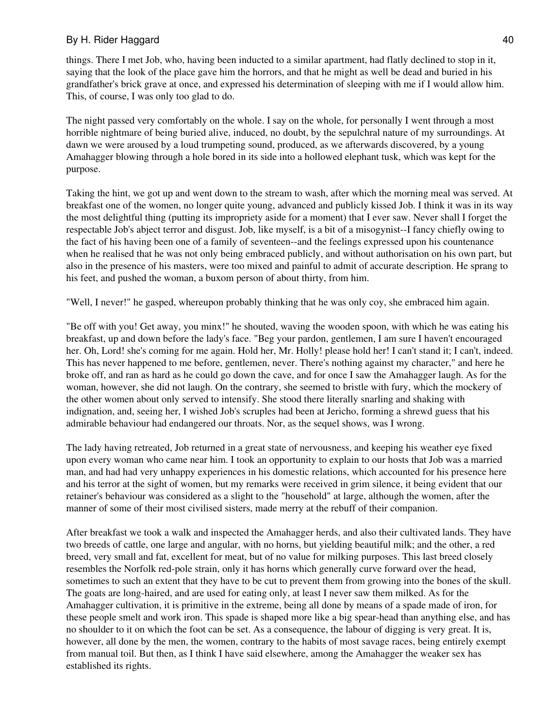things. There I met Job, who, having been inducted to a similar apartment, had flatly declined to stop in it, saying that the look of the place gave him the horrors, and that he might as well be dead and buried in his grandfather's brick grave at once, and expressed his determination of sleeping with me if I would allow him. This, of course, I was only too glad to do.

The night passed very comfortably on the whole. I say on the whole, for personally I went through a most horrible nightmare of being buried alive, induced, no doubt, by the sepulchral nature of my surroundings. At dawn we were aroused by a loud trumpeting sound, produced, as we afterwards discovered, by a young Amahagger blowing through a hole bored in its side into a hollowed elephant tusk, which was kept for the purpose.

Taking the hint, we got up and went down to the stream to wash, after which the morning meal was served. At breakfast one of the women, no longer quite young, advanced and publicly kissed Job. I think it was in its way the most delightful thing (putting its impropriety aside for a moment) that I ever saw. Never shall I forget the respectable Job's abject terror and disgust. Job, like myself, is a bit of a misogynist--I fancy chiefly owing to the fact of his having been one of a family of seventeen--and the feelings expressed upon his countenance when he realised that he was not only being embraced publicly, and without authorisation on his own part, but also in the presence of his masters, were too mixed and painful to admit of accurate description. He sprang to his feet, and pushed the woman, a buxom person of about thirty, from him.

"Well, I never!" he gasped, whereupon probably thinking that he was only coy, she embraced him again.

"Be off with you! Get away, you minx!" he shouted, waving the wooden spoon, with which he was eating his breakfast, up and down before the lady's face. "Beg your pardon, gentlemen, I am sure I haven't encouraged her. Oh, Lord! she's coming for me again. Hold her, Mr. Holly! please hold her! I can't stand it; I can't, indeed. This has never happened to me before, gentlemen, never. There's nothing against my character," and here he broke off, and ran as hard as he could go down the cave, and for once I saw the Amahagger laugh. As for the woman, however, she did not laugh. On the contrary, she seemed to bristle with fury, which the mockery of the other women about only served to intensify. She stood there literally snarling and shaking with indignation, and, seeing her, I wished Job's scruples had been at Jericho, forming a shrewd guess that his admirable behaviour had endangered our throats. Nor, as the sequel shows, was I wrong.

The lady having retreated, Job returned in a great state of nervousness, and keeping his weather eye fixed upon every woman who came near him. I took an opportunity to explain to our hosts that Job was a married man, and had had very unhappy experiences in his domestic relations, which accounted for his presence here and his terror at the sight of women, but my remarks were received in grim silence, it being evident that our retainer's behaviour was considered as a slight to the "household" at large, although the women, after the manner of some of their most civilised sisters, made merry at the rebuff of their companion.

After breakfast we took a walk and inspected the Amahagger herds, and also their cultivated lands. They have two breeds of cattle, one large and angular, with no horns, but yielding beautiful milk; and the other, a red breed, very small and fat, excellent for meat, but of no value for milking purposes. This last breed closely resembles the Norfolk red-pole strain, only it has horns which generally curve forward over the head, sometimes to such an extent that they have to be cut to prevent them from growing into the bones of the skull. The goats are long-haired, and are used for eating only, at least I never saw them milked. As for the Amahagger cultivation, it is primitive in the extreme, being all done by means of a spade made of iron, for these people smelt and work iron. This spade is shaped more like a big spear-head than anything else, and has no shoulder to it on which the foot can be set. As a consequence, the labour of digging is very great. It is, however, all done by the men, the women, contrary to the habits of most savage races, being entirely exempt from manual toil. But then, as I think I have said elsewhere, among the Amahagger the weaker sex has established its rights.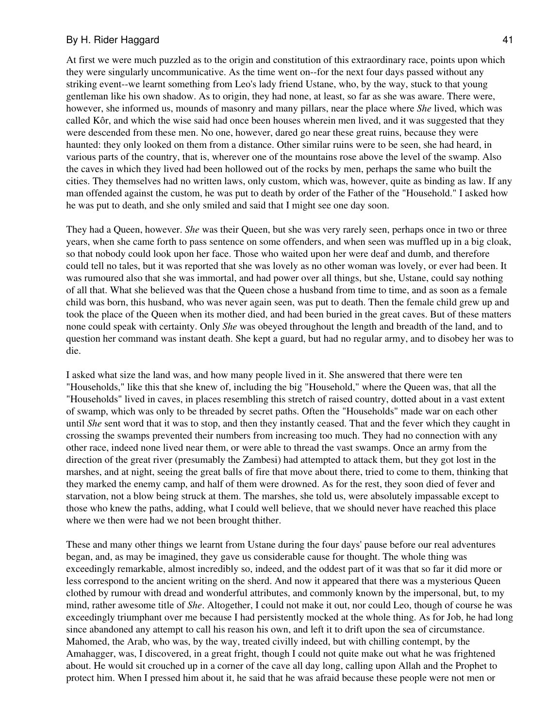At first we were much puzzled as to the origin and constitution of this extraordinary race, points upon which they were singularly uncommunicative. As the time went on--for the next four days passed without any striking event--we learnt something from Leo's lady friend Ustane, who, by the way, stuck to that young gentleman like his own shadow. As to origin, they had none, at least, so far as she was aware. There were, however, she informed us, mounds of masonry and many pillars, near the place where *She* lived, which was called Kôr, and which the wise said had once been houses wherein men lived, and it was suggested that they were descended from these men. No one, however, dared go near these great ruins, because they were haunted: they only looked on them from a distance. Other similar ruins were to be seen, she had heard, in various parts of the country, that is, wherever one of the mountains rose above the level of the swamp. Also the caves in which they lived had been hollowed out of the rocks by men, perhaps the same who built the cities. They themselves had no written laws, only custom, which was, however, quite as binding as law. If any man offended against the custom, he was put to death by order of the Father of the "Household." I asked how he was put to death, and she only smiled and said that I might see one day soon.

They had a Queen, however. *She* was their Queen, but she was very rarely seen, perhaps once in two or three years, when she came forth to pass sentence on some offenders, and when seen was muffled up in a big cloak, so that nobody could look upon her face. Those who waited upon her were deaf and dumb, and therefore could tell no tales, but it was reported that she was lovely as no other woman was lovely, or ever had been. It was rumoured also that she was immortal, and had power over all things, but she, Ustane, could say nothing of all that. What she believed was that the Queen chose a husband from time to time, and as soon as a female child was born, this husband, who was never again seen, was put to death. Then the female child grew up and took the place of the Queen when its mother died, and had been buried in the great caves. But of these matters none could speak with certainty. Only *She* was obeyed throughout the length and breadth of the land, and to question her command was instant death. She kept a guard, but had no regular army, and to disobey her was to die.

I asked what size the land was, and how many people lived in it. She answered that there were ten "Households," like this that she knew of, including the big "Household," where the Queen was, that all the "Households" lived in caves, in places resembling this stretch of raised country, dotted about in a vast extent of swamp, which was only to be threaded by secret paths. Often the "Households" made war on each other until *She* sent word that it was to stop, and then they instantly ceased. That and the fever which they caught in crossing the swamps prevented their numbers from increasing too much. They had no connection with any other race, indeed none lived near them, or were able to thread the vast swamps. Once an army from the direction of the great river (presumably the Zambesi) had attempted to attack them, but they got lost in the marshes, and at night, seeing the great balls of fire that move about there, tried to come to them, thinking that they marked the enemy camp, and half of them were drowned. As for the rest, they soon died of fever and starvation, not a blow being struck at them. The marshes, she told us, were absolutely impassable except to those who knew the paths, adding, what I could well believe, that we should never have reached this place where we then were had we not been brought thither.

These and many other things we learnt from Ustane during the four days' pause before our real adventures began, and, as may be imagined, they gave us considerable cause for thought. The whole thing was exceedingly remarkable, almost incredibly so, indeed, and the oddest part of it was that so far it did more or less correspond to the ancient writing on the sherd. And now it appeared that there was a mysterious Queen clothed by rumour with dread and wonderful attributes, and commonly known by the impersonal, but, to my mind, rather awesome title of *She*. Altogether, I could not make it out, nor could Leo, though of course he was exceedingly triumphant over me because I had persistently mocked at the whole thing. As for Job, he had long since abandoned any attempt to call his reason his own, and left it to drift upon the sea of circumstance. Mahomed, the Arab, who was, by the way, treated civilly indeed, but with chilling contempt, by the Amahagger, was, I discovered, in a great fright, though I could not quite make out what he was frightened about. He would sit crouched up in a corner of the cave all day long, calling upon Allah and the Prophet to protect him. When I pressed him about it, he said that he was afraid because these people were not men or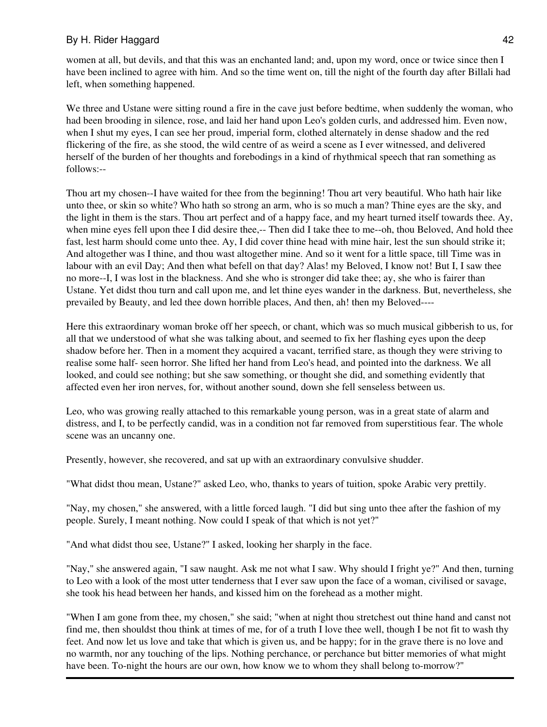women at all, but devils, and that this was an enchanted land; and, upon my word, once or twice since then I have been inclined to agree with him. And so the time went on, till the night of the fourth day after Billali had left, when something happened.

We three and Ustane were sitting round a fire in the cave just before bedtime, when suddenly the woman, who had been brooding in silence, rose, and laid her hand upon Leo's golden curls, and addressed him. Even now, when I shut my eyes, I can see her proud, imperial form, clothed alternately in dense shadow and the red flickering of the fire, as she stood, the wild centre of as weird a scene as I ever witnessed, and delivered herself of the burden of her thoughts and forebodings in a kind of rhythmical speech that ran something as follows:--

Thou art my chosen--I have waited for thee from the beginning! Thou art very beautiful. Who hath hair like unto thee, or skin so white? Who hath so strong an arm, who is so much a man? Thine eyes are the sky, and the light in them is the stars. Thou art perfect and of a happy face, and my heart turned itself towards thee. Ay, when mine eyes fell upon thee I did desire thee,-- Then did I take thee to me--oh, thou Beloved, And hold thee fast, lest harm should come unto thee. Ay, I did cover thine head with mine hair, lest the sun should strike it; And altogether was I thine, and thou wast altogether mine. And so it went for a little space, till Time was in labour with an evil Day; And then what befell on that day? Alas! my Beloved, I know not! But I, I saw thee no more--I, I was lost in the blackness. And she who is stronger did take thee; ay, she who is fairer than Ustane. Yet didst thou turn and call upon me, and let thine eyes wander in the darkness. But, nevertheless, she prevailed by Beauty, and led thee down horrible places, And then, ah! then my Beloved----

Here this extraordinary woman broke off her speech, or chant, which was so much musical gibberish to us, for all that we understood of what she was talking about, and seemed to fix her flashing eyes upon the deep shadow before her. Then in a moment they acquired a vacant, terrified stare, as though they were striving to realise some half- seen horror. She lifted her hand from Leo's head, and pointed into the darkness. We all looked, and could see nothing; but she saw something, or thought she did, and something evidently that affected even her iron nerves, for, without another sound, down she fell senseless between us.

Leo, who was growing really attached to this remarkable young person, was in a great state of alarm and distress, and I, to be perfectly candid, was in a condition not far removed from superstitious fear. The whole scene was an uncanny one.

Presently, however, she recovered, and sat up with an extraordinary convulsive shudder.

"What didst thou mean, Ustane?" asked Leo, who, thanks to years of tuition, spoke Arabic very prettily.

"Nay, my chosen," she answered, with a little forced laugh. "I did but sing unto thee after the fashion of my people. Surely, I meant nothing. Now could I speak of that which is not yet?"

"And what didst thou see, Ustane?" I asked, looking her sharply in the face.

"Nay," she answered again, "I saw naught. Ask me not what I saw. Why should I fright ye?" And then, turning to Leo with a look of the most utter tenderness that I ever saw upon the face of a woman, civilised or savage, she took his head between her hands, and kissed him on the forehead as a mother might.

"When I am gone from thee, my chosen," she said; "when at night thou stretchest out thine hand and canst not find me, then shouldst thou think at times of me, for of a truth I love thee well, though I be not fit to wash thy feet. And now let us love and take that which is given us, and be happy; for in the grave there is no love and no warmth, nor any touching of the lips. Nothing perchance, or perchance but bitter memories of what might have been. To-night the hours are our own, how know we to whom they shall belong to-morrow?"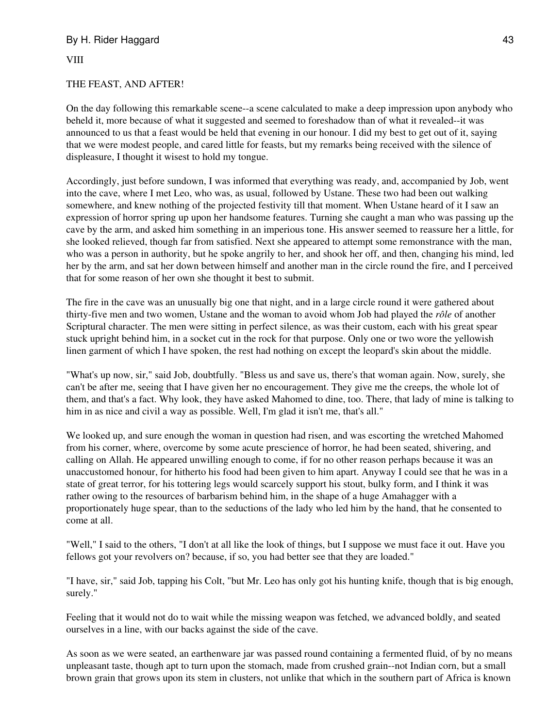VIII

#### THE FEAST, AND AFTER!

On the day following this remarkable scene--a scene calculated to make a deep impression upon anybody who beheld it, more because of what it suggested and seemed to foreshadow than of what it revealed--it was announced to us that a feast would be held that evening in our honour. I did my best to get out of it, saying that we were modest people, and cared little for feasts, but my remarks being received with the silence of displeasure, I thought it wisest to hold my tongue.

Accordingly, just before sundown, I was informed that everything was ready, and, accompanied by Job, went into the cave, where I met Leo, who was, as usual, followed by Ustane. These two had been out walking somewhere, and knew nothing of the projected festivity till that moment. When Ustane heard of it I saw an expression of horror spring up upon her handsome features. Turning she caught a man who was passing up the cave by the arm, and asked him something in an imperious tone. His answer seemed to reassure her a little, for she looked relieved, though far from satisfied. Next she appeared to attempt some remonstrance with the man, who was a person in authority, but he spoke angrily to her, and shook her off, and then, changing his mind, led her by the arm, and sat her down between himself and another man in the circle round the fire, and I perceived that for some reason of her own she thought it best to submit.

The fire in the cave was an unusually big one that night, and in a large circle round it were gathered about thirty-five men and two women, Ustane and the woman to avoid whom Job had played the *rôle* of another Scriptural character. The men were sitting in perfect silence, as was their custom, each with his great spear stuck upright behind him, in a socket cut in the rock for that purpose. Only one or two wore the yellowish linen garment of which I have spoken, the rest had nothing on except the leopard's skin about the middle.

"What's up now, sir," said Job, doubtfully. "Bless us and save us, there's that woman again. Now, surely, she can't be after me, seeing that I have given her no encouragement. They give me the creeps, the whole lot of them, and that's a fact. Why look, they have asked Mahomed to dine, too. There, that lady of mine is talking to him in as nice and civil a way as possible. Well, I'm glad it isn't me, that's all."

We looked up, and sure enough the woman in question had risen, and was escorting the wretched Mahomed from his corner, where, overcome by some acute prescience of horror, he had been seated, shivering, and calling on Allah. He appeared unwilling enough to come, if for no other reason perhaps because it was an unaccustomed honour, for hitherto his food had been given to him apart. Anyway I could see that he was in a state of great terror, for his tottering legs would scarcely support his stout, bulky form, and I think it was rather owing to the resources of barbarism behind him, in the shape of a huge Amahagger with a proportionately huge spear, than to the seductions of the lady who led him by the hand, that he consented to come at all.

"Well," I said to the others, "I don't at all like the look of things, but I suppose we must face it out. Have you fellows got your revolvers on? because, if so, you had better see that they are loaded."

"I have, sir," said Job, tapping his Colt, "but Mr. Leo has only got his hunting knife, though that is big enough, surely."

Feeling that it would not do to wait while the missing weapon was fetched, we advanced boldly, and seated ourselves in a line, with our backs against the side of the cave.

As soon as we were seated, an earthenware jar was passed round containing a fermented fluid, of by no means unpleasant taste, though apt to turn upon the stomach, made from crushed grain--not Indian corn, but a small brown grain that grows upon its stem in clusters, not unlike that which in the southern part of Africa is known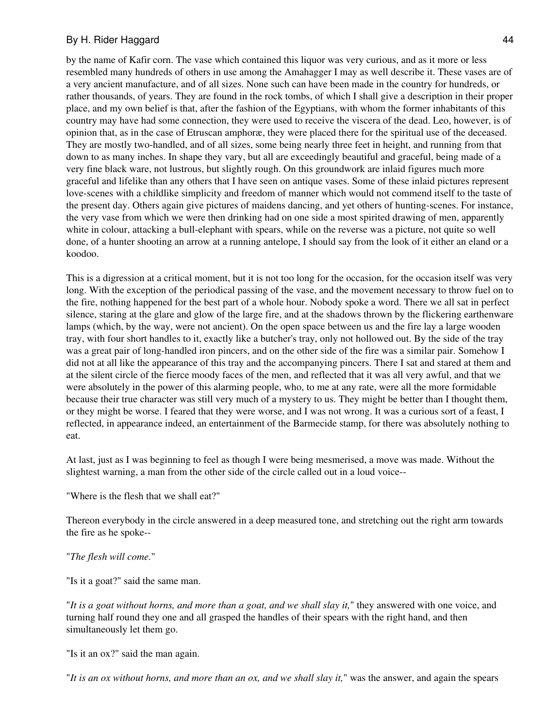by the name of Kafir corn. The vase which contained this liquor was very curious, and as it more or less resembled many hundreds of others in use among the Amahagger I may as well describe it. These vases are of a very ancient manufacture, and of all sizes. None such can have been made in the country for hundreds, or rather thousands, of years. They are found in the rock tombs, of which I shall give a description in their proper place, and my own belief is that, after the fashion of the Egyptians, with whom the former inhabitants of this country may have had some connection, they were used to receive the viscera of the dead. Leo, however, is of opinion that, as in the case of Etruscan amphoræ, they were placed there for the spiritual use of the deceased. They are mostly two-handled, and of all sizes, some being nearly three feet in height, and running from that down to as many inches. In shape they vary, but all are exceedingly beautiful and graceful, being made of a very fine black ware, not lustrous, but slightly rough. On this groundwork are inlaid figures much more graceful and lifelike than any others that I have seen on antique vases. Some of these inlaid pictures represent love-scenes with a childlike simplicity and freedom of manner which would not commend itself to the taste of the present day. Others again give pictures of maidens dancing, and yet others of hunting-scenes. For instance, the very vase from which we were then drinking had on one side a most spirited drawing of men, apparently white in colour, attacking a bull-elephant with spears, while on the reverse was a picture, not quite so well done, of a hunter shooting an arrow at a running antelope, I should say from the look of it either an eland or a koodoo.

This is a digression at a critical moment, but it is not too long for the occasion, for the occasion itself was very long. With the exception of the periodical passing of the vase, and the movement necessary to throw fuel on to the fire, nothing happened for the best part of a whole hour. Nobody spoke a word. There we all sat in perfect silence, staring at the glare and glow of the large fire, and at the shadows thrown by the flickering earthenware lamps (which, by the way, were not ancient). On the open space between us and the fire lay a large wooden tray, with four short handles to it, exactly like a butcher's tray, only not hollowed out. By the side of the tray was a great pair of long-handled iron pincers, and on the other side of the fire was a similar pair. Somehow I did not at all like the appearance of this tray and the accompanying pincers. There I sat and stared at them and at the silent circle of the fierce moody faces of the men, and reflected that it was all very awful, and that we were absolutely in the power of this alarming people, who, to me at any rate, were all the more formidable because their true character was still very much of a mystery to us. They might be better than I thought them, or they might be worse. I feared that they were worse, and I was not wrong. It was a curious sort of a feast, I reflected, in appearance indeed, an entertainment of the Barmecide stamp, for there was absolutely nothing to eat.

At last, just as I was beginning to feel as though I were being mesmerised, a move was made. Without the slightest warning, a man from the other side of the circle called out in a loud voice--

"Where is the flesh that we shall eat?"

Thereon everybody in the circle answered in a deep measured tone, and stretching out the right arm towards the fire as he spoke--

#### "*The flesh will come.*"

"Is it a goat?" said the same man.

"*It is a goat without horns, and more than a goat, and we shall slay it,*" they answered with one voice, and turning half round they one and all grasped the handles of their spears with the right hand, and then simultaneously let them go.

"Is it an ox?" said the man again.

"*It is an ox without horns, and more than an ox, and we shall slay it,*" was the answer, and again the spears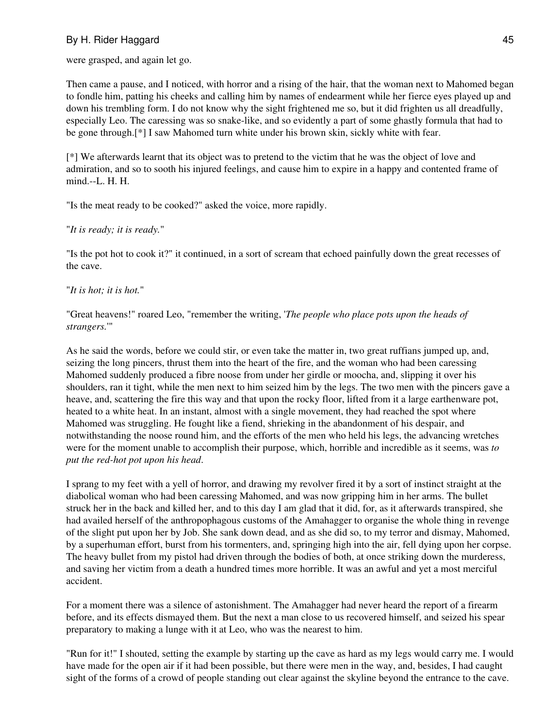were grasped, and again let go.

Then came a pause, and I noticed, with horror and a rising of the hair, that the woman next to Mahomed began to fondle him, patting his cheeks and calling him by names of endearment while her fierce eyes played up and down his trembling form. I do not know why the sight frightened me so, but it did frighten us all dreadfully, especially Leo. The caressing was so snake-like, and so evidently a part of some ghastly formula that had to be gone through.[\*] I saw Mahomed turn white under his brown skin, sickly white with fear.

[\*] We afterwards learnt that its object was to pretend to the victim that he was the object of love and admiration, and so to sooth his injured feelings, and cause him to expire in a happy and contented frame of mind.--L. H. H.

"Is the meat ready to be cooked?" asked the voice, more rapidly.

"*It is ready; it is ready.*"

"Is the pot hot to cook it?" it continued, in a sort of scream that echoed painfully down the great recesses of the cave.

"*It is hot; it is hot.*"

"Great heavens!" roared Leo, "remember the writing, '*The people who place pots upon the heads of strangers.*'"

As he said the words, before we could stir, or even take the matter in, two great ruffians jumped up, and, seizing the long pincers, thrust them into the heart of the fire, and the woman who had been caressing Mahomed suddenly produced a fibre noose from under her girdle or moocha, and, slipping it over his shoulders, ran it tight, while the men next to him seized him by the legs. The two men with the pincers gave a heave, and, scattering the fire this way and that upon the rocky floor, lifted from it a large earthenware pot, heated to a white heat. In an instant, almost with a single movement, they had reached the spot where Mahomed was struggling. He fought like a fiend, shrieking in the abandonment of his despair, and notwithstanding the noose round him, and the efforts of the men who held his legs, the advancing wretches were for the moment unable to accomplish their purpose, which, horrible and incredible as it seems, was *to put the red-hot pot upon his head*.

I sprang to my feet with a yell of horror, and drawing my revolver fired it by a sort of instinct straight at the diabolical woman who had been caressing Mahomed, and was now gripping him in her arms. The bullet struck her in the back and killed her, and to this day I am glad that it did, for, as it afterwards transpired, she had availed herself of the anthropophagous customs of the Amahagger to organise the whole thing in revenge of the slight put upon her by Job. She sank down dead, and as she did so, to my terror and dismay, Mahomed, by a superhuman effort, burst from his tormenters, and, springing high into the air, fell dying upon her corpse. The heavy bullet from my pistol had driven through the bodies of both, at once striking down the murderess, and saving her victim from a death a hundred times more horrible. It was an awful and yet a most merciful accident.

For a moment there was a silence of astonishment. The Amahagger had never heard the report of a firearm before, and its effects dismayed them. But the next a man close to us recovered himself, and seized his spear preparatory to making a lunge with it at Leo, who was the nearest to him.

"Run for it!" I shouted, setting the example by starting up the cave as hard as my legs would carry me. I would have made for the open air if it had been possible, but there were men in the way, and, besides, I had caught sight of the forms of a crowd of people standing out clear against the skyline beyond the entrance to the cave.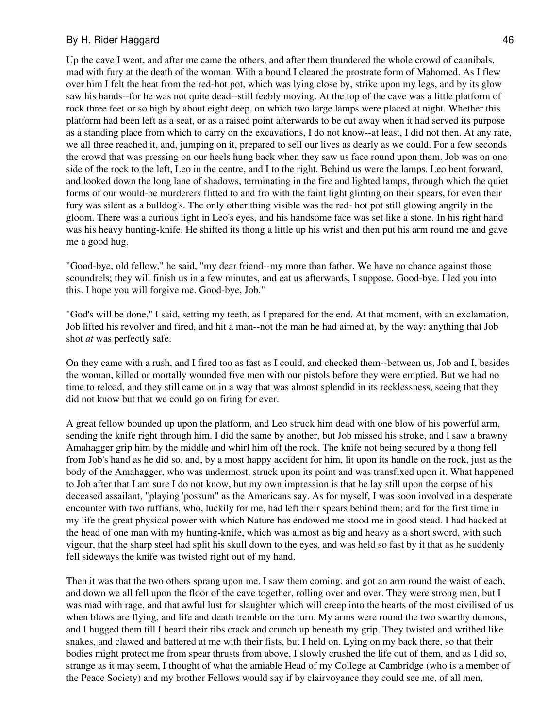Up the cave I went, and after me came the others, and after them thundered the whole crowd of cannibals, mad with fury at the death of the woman. With a bound I cleared the prostrate form of Mahomed. As I flew over him I felt the heat from the red-hot pot, which was lying close by, strike upon my legs, and by its glow saw his hands--for he was not quite dead--still feebly moving. At the top of the cave was a little platform of rock three feet or so high by about eight deep, on which two large lamps were placed at night. Whether this platform had been left as a seat, or as a raised point afterwards to be cut away when it had served its purpose as a standing place from which to carry on the excavations, I do not know--at least, I did not then. At any rate, we all three reached it, and, jumping on it, prepared to sell our lives as dearly as we could. For a few seconds the crowd that was pressing on our heels hung back when they saw us face round upon them. Job was on one side of the rock to the left, Leo in the centre, and I to the right. Behind us were the lamps. Leo bent forward, and looked down the long lane of shadows, terminating in the fire and lighted lamps, through which the quiet forms of our would-be murderers flitted to and fro with the faint light glinting on their spears, for even their fury was silent as a bulldog's. The only other thing visible was the red- hot pot still glowing angrily in the gloom. There was a curious light in Leo's eyes, and his handsome face was set like a stone. In his right hand was his heavy hunting-knife. He shifted its thong a little up his wrist and then put his arm round me and gave me a good hug.

"Good-bye, old fellow," he said, "my dear friend--my more than father. We have no chance against those scoundrels; they will finish us in a few minutes, and eat us afterwards, I suppose. Good-bye. I led you into this. I hope you will forgive me. Good-bye, Job."

"God's will be done," I said, setting my teeth, as I prepared for the end. At that moment, with an exclamation, Job lifted his revolver and fired, and hit a man--not the man he had aimed at, by the way: anything that Job shot *at* was perfectly safe.

On they came with a rush, and I fired too as fast as I could, and checked them--between us, Job and I, besides the woman, killed or mortally wounded five men with our pistols before they were emptied. But we had no time to reload, and they still came on in a way that was almost splendid in its recklessness, seeing that they did not know but that we could go on firing for ever.

A great fellow bounded up upon the platform, and Leo struck him dead with one blow of his powerful arm, sending the knife right through him. I did the same by another, but Job missed his stroke, and I saw a brawny Amahagger grip him by the middle and whirl him off the rock. The knife not being secured by a thong fell from Job's hand as he did so, and, by a most happy accident for him, lit upon its handle on the rock, just as the body of the Amahagger, who was undermost, struck upon its point and was transfixed upon it. What happened to Job after that I am sure I do not know, but my own impression is that he lay still upon the corpse of his deceased assailant, "playing 'possum" as the Americans say. As for myself, I was soon involved in a desperate encounter with two ruffians, who, luckily for me, had left their spears behind them; and for the first time in my life the great physical power with which Nature has endowed me stood me in good stead. I had hacked at the head of one man with my hunting-knife, which was almost as big and heavy as a short sword, with such vigour, that the sharp steel had split his skull down to the eyes, and was held so fast by it that as he suddenly fell sideways the knife was twisted right out of my hand.

Then it was that the two others sprang upon me. I saw them coming, and got an arm round the waist of each, and down we all fell upon the floor of the cave together, rolling over and over. They were strong men, but I was mad with rage, and that awful lust for slaughter which will creep into the hearts of the most civilised of us when blows are flying, and life and death tremble on the turn. My arms were round the two swarthy demons, and I hugged them till I heard their ribs crack and crunch up beneath my grip. They twisted and writhed like snakes, and clawed and battered at me with their fists, but I held on. Lying on my back there, so that their bodies might protect me from spear thrusts from above, I slowly crushed the life out of them, and as I did so, strange as it may seem, I thought of what the amiable Head of my College at Cambridge (who is a member of the Peace Society) and my brother Fellows would say if by clairvoyance they could see me, of all men,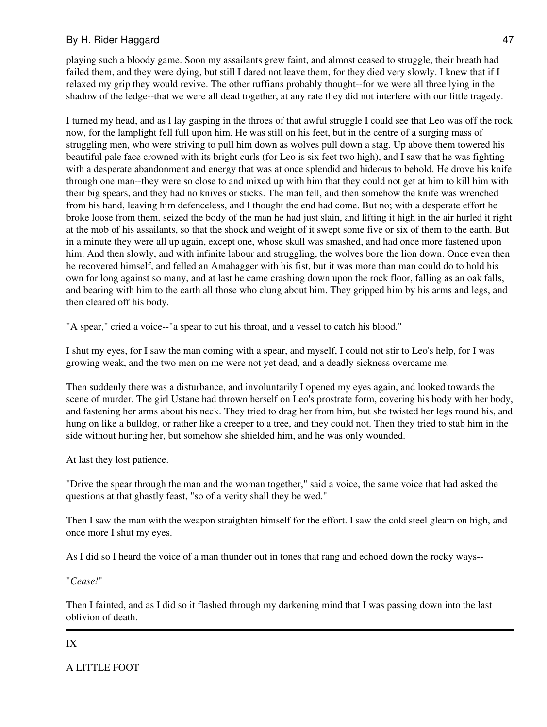playing such a bloody game. Soon my assailants grew faint, and almost ceased to struggle, their breath had failed them, and they were dying, but still I dared not leave them, for they died very slowly. I knew that if I relaxed my grip they would revive. The other ruffians probably thought--for we were all three lying in the shadow of the ledge--that we were all dead together, at any rate they did not interfere with our little tragedy.

I turned my head, and as I lay gasping in the throes of that awful struggle I could see that Leo was off the rock now, for the lamplight fell full upon him. He was still on his feet, but in the centre of a surging mass of struggling men, who were striving to pull him down as wolves pull down a stag. Up above them towered his beautiful pale face crowned with its bright curls (for Leo is six feet two high), and I saw that he was fighting with a desperate abandonment and energy that was at once splendid and hideous to behold. He drove his knife through one man--they were so close to and mixed up with him that they could not get at him to kill him with their big spears, and they had no knives or sticks. The man fell, and then somehow the knife was wrenched from his hand, leaving him defenceless, and I thought the end had come. But no; with a desperate effort he broke loose from them, seized the body of the man he had just slain, and lifting it high in the air hurled it right at the mob of his assailants, so that the shock and weight of it swept some five or six of them to the earth. But in a minute they were all up again, except one, whose skull was smashed, and had once more fastened upon him. And then slowly, and with infinite labour and struggling, the wolves bore the lion down. Once even then he recovered himself, and felled an Amahagger with his fist, but it was more than man could do to hold his own for long against so many, and at last he came crashing down upon the rock floor, falling as an oak falls, and bearing with him to the earth all those who clung about him. They gripped him by his arms and legs, and then cleared off his body.

"A spear," cried a voice--"a spear to cut his throat, and a vessel to catch his blood."

I shut my eyes, for I saw the man coming with a spear, and myself, I could not stir to Leo's help, for I was growing weak, and the two men on me were not yet dead, and a deadly sickness overcame me.

Then suddenly there was a disturbance, and involuntarily I opened my eyes again, and looked towards the scene of murder. The girl Ustane had thrown herself on Leo's prostrate form, covering his body with her body, and fastening her arms about his neck. They tried to drag her from him, but she twisted her legs round his, and hung on like a bulldog, or rather like a creeper to a tree, and they could not. Then they tried to stab him in the side without hurting her, but somehow she shielded him, and he was only wounded.

At last they lost patience.

"Drive the spear through the man and the woman together," said a voice, the same voice that had asked the questions at that ghastly feast, "so of a verity shall they be wed."

Then I saw the man with the weapon straighten himself for the effort. I saw the cold steel gleam on high, and once more I shut my eyes.

As I did so I heard the voice of a man thunder out in tones that rang and echoed down the rocky ways--

"*Cease!*"

Then I fainted, and as I did so it flashed through my darkening mind that I was passing down into the last oblivion of death.

#### IX

A LITTLE FOOT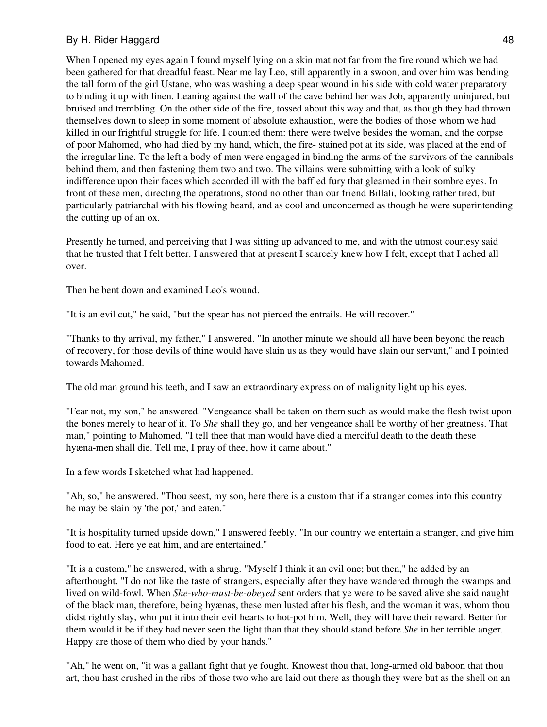When I opened my eyes again I found myself lying on a skin mat not far from the fire round which we had been gathered for that dreadful feast. Near me lay Leo, still apparently in a swoon, and over him was bending the tall form of the girl Ustane, who was washing a deep spear wound in his side with cold water preparatory to binding it up with linen. Leaning against the wall of the cave behind her was Job, apparently uninjured, but bruised and trembling. On the other side of the fire, tossed about this way and that, as though they had thrown themselves down to sleep in some moment of absolute exhaustion, were the bodies of those whom we had killed in our frightful struggle for life. I counted them: there were twelve besides the woman, and the corpse of poor Mahomed, who had died by my hand, which, the fire- stained pot at its side, was placed at the end of the irregular line. To the left a body of men were engaged in binding the arms of the survivors of the cannibals behind them, and then fastening them two and two. The villains were submitting with a look of sulky indifference upon their faces which accorded ill with the baffled fury that gleamed in their sombre eyes. In front of these men, directing the operations, stood no other than our friend Billali, looking rather tired, but particularly patriarchal with his flowing beard, and as cool and unconcerned as though he were superintending the cutting up of an ox.

Presently he turned, and perceiving that I was sitting up advanced to me, and with the utmost courtesy said that he trusted that I felt better. I answered that at present I scarcely knew how I felt, except that I ached all over.

Then he bent down and examined Leo's wound.

"It is an evil cut," he said, "but the spear has not pierced the entrails. He will recover."

"Thanks to thy arrival, my father," I answered. "In another minute we should all have been beyond the reach of recovery, for those devils of thine would have slain us as they would have slain our servant," and I pointed towards Mahomed.

The old man ground his teeth, and I saw an extraordinary expression of malignity light up his eyes.

"Fear not, my son," he answered. "Vengeance shall be taken on them such as would make the flesh twist upon the bones merely to hear of it. To *She* shall they go, and her vengeance shall be worthy of her greatness. That man," pointing to Mahomed, "I tell thee that man would have died a merciful death to the death these hyæna-men shall die. Tell me, I pray of thee, how it came about."

In a few words I sketched what had happened.

"Ah, so," he answered. "Thou seest, my son, here there is a custom that if a stranger comes into this country he may be slain by 'the pot,' and eaten."

"It is hospitality turned upside down," I answered feebly. "In our country we entertain a stranger, and give him food to eat. Here ye eat him, and are entertained."

"It is a custom," he answered, with a shrug. "Myself I think it an evil one; but then," he added by an afterthought, "I do not like the taste of strangers, especially after they have wandered through the swamps and lived on wild-fowl. When *She-who-must-be-obeyed* sent orders that ye were to be saved alive she said naught of the black man, therefore, being hyænas, these men lusted after his flesh, and the woman it was, whom thou didst rightly slay, who put it into their evil hearts to hot-pot him. Well, they will have their reward. Better for them would it be if they had never seen the light than that they should stand before *She* in her terrible anger. Happy are those of them who died by your hands."

"Ah," he went on, "it was a gallant fight that ye fought. Knowest thou that, long-armed old baboon that thou art, thou hast crushed in the ribs of those two who are laid out there as though they were but as the shell on an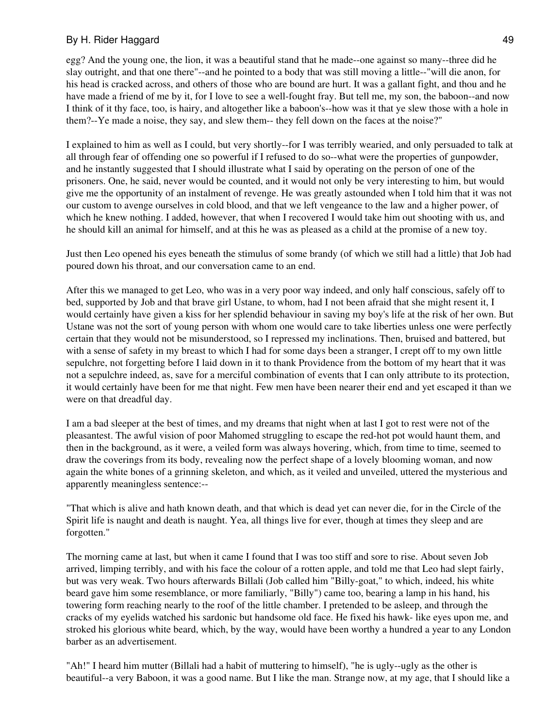egg? And the young one, the lion, it was a beautiful stand that he made--one against so many--three did he slay outright, and that one there"--and he pointed to a body that was still moving a little--"will die anon, for his head is cracked across, and others of those who are bound are hurt. It was a gallant fight, and thou and he have made a friend of me by it, for I love to see a well-fought fray. But tell me, my son, the baboon--and now I think of it thy face, too, is hairy, and altogether like a baboon's--how was it that ye slew those with a hole in them?--Ye made a noise, they say, and slew them-- they fell down on the faces at the noise?"

I explained to him as well as I could, but very shortly--for I was terribly wearied, and only persuaded to talk at all through fear of offending one so powerful if I refused to do so--what were the properties of gunpowder, and he instantly suggested that I should illustrate what I said by operating on the person of one of the prisoners. One, he said, never would be counted, and it would not only be very interesting to him, but would give me the opportunity of an instalment of revenge. He was greatly astounded when I told him that it was not our custom to avenge ourselves in cold blood, and that we left vengeance to the law and a higher power, of which he knew nothing. I added, however, that when I recovered I would take him out shooting with us, and he should kill an animal for himself, and at this he was as pleased as a child at the promise of a new toy.

Just then Leo opened his eyes beneath the stimulus of some brandy (of which we still had a little) that Job had poured down his throat, and our conversation came to an end.

After this we managed to get Leo, who was in a very poor way indeed, and only half conscious, safely off to bed, supported by Job and that brave girl Ustane, to whom, had I not been afraid that she might resent it, I would certainly have given a kiss for her splendid behaviour in saving my boy's life at the risk of her own. But Ustane was not the sort of young person with whom one would care to take liberties unless one were perfectly certain that they would not be misunderstood, so I repressed my inclinations. Then, bruised and battered, but with a sense of safety in my breast to which I had for some days been a stranger, I crept off to my own little sepulchre, not forgetting before I laid down in it to thank Providence from the bottom of my heart that it was not a sepulchre indeed, as, save for a merciful combination of events that I can only attribute to its protection, it would certainly have been for me that night. Few men have been nearer their end and yet escaped it than we were on that dreadful day.

I am a bad sleeper at the best of times, and my dreams that night when at last I got to rest were not of the pleasantest. The awful vision of poor Mahomed struggling to escape the red-hot pot would haunt them, and then in the background, as it were, a veiled form was always hovering, which, from time to time, seemed to draw the coverings from its body, revealing now the perfect shape of a lovely blooming woman, and now again the white bones of a grinning skeleton, and which, as it veiled and unveiled, uttered the mysterious and apparently meaningless sentence:--

"That which is alive and hath known death, and that which is dead yet can never die, for in the Circle of the Spirit life is naught and death is naught. Yea, all things live for ever, though at times they sleep and are forgotten."

The morning came at last, but when it came I found that I was too stiff and sore to rise. About seven Job arrived, limping terribly, and with his face the colour of a rotten apple, and told me that Leo had slept fairly, but was very weak. Two hours afterwards Billali (Job called him "Billy-goat," to which, indeed, his white beard gave him some resemblance, or more familiarly, "Billy") came too, bearing a lamp in his hand, his towering form reaching nearly to the roof of the little chamber. I pretended to be asleep, and through the cracks of my eyelids watched his sardonic but handsome old face. He fixed his hawk- like eyes upon me, and stroked his glorious white beard, which, by the way, would have been worthy a hundred a year to any London barber as an advertisement.

"Ah!" I heard him mutter (Billali had a habit of muttering to himself), "he is ugly--ugly as the other is beautiful--a very Baboon, it was a good name. But I like the man. Strange now, at my age, that I should like a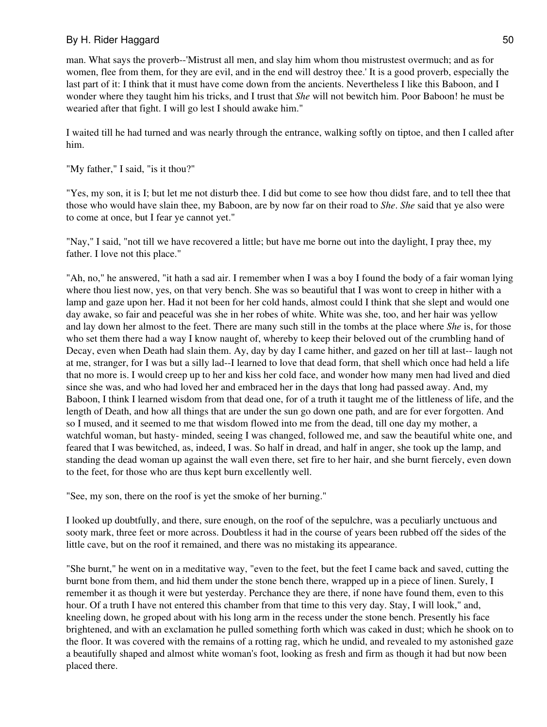man. What says the proverb--'Mistrust all men, and slay him whom thou mistrustest overmuch; and as for women, flee from them, for they are evil, and in the end will destroy thee.' It is a good proverb, especially the last part of it: I think that it must have come down from the ancients. Nevertheless I like this Baboon, and I wonder where they taught him his tricks, and I trust that *She* will not bewitch him. Poor Baboon! he must be wearied after that fight. I will go lest I should awake him."

I waited till he had turned and was nearly through the entrance, walking softly on tiptoe, and then I called after him.

"My father," I said, "is it thou?"

"Yes, my son, it is I; but let me not disturb thee. I did but come to see how thou didst fare, and to tell thee that those who would have slain thee, my Baboon, are by now far on their road to *She*. *She* said that ye also were to come at once, but I fear ye cannot yet."

"Nay," I said, "not till we have recovered a little; but have me borne out into the daylight, I pray thee, my father. I love not this place."

"Ah, no," he answered, "it hath a sad air. I remember when I was a boy I found the body of a fair woman lying where thou liest now, yes, on that very bench. She was so beautiful that I was wont to creep in hither with a lamp and gaze upon her. Had it not been for her cold hands, almost could I think that she slept and would one day awake, so fair and peaceful was she in her robes of white. White was she, too, and her hair was yellow and lay down her almost to the feet. There are many such still in the tombs at the place where *She* is, for those who set them there had a way I know naught of, whereby to keep their beloved out of the crumbling hand of Decay, even when Death had slain them. Ay, day by day I came hither, and gazed on her till at last-- laugh not at me, stranger, for I was but a silly lad--I learned to love that dead form, that shell which once had held a life that no more is. I would creep up to her and kiss her cold face, and wonder how many men had lived and died since she was, and who had loved her and embraced her in the days that long had passed away. And, my Baboon, I think I learned wisdom from that dead one, for of a truth it taught me of the littleness of life, and the length of Death, and how all things that are under the sun go down one path, and are for ever forgotten. And so I mused, and it seemed to me that wisdom flowed into me from the dead, till one day my mother, a watchful woman, but hasty- minded, seeing I was changed, followed me, and saw the beautiful white one, and feared that I was bewitched, as, indeed, I was. So half in dread, and half in anger, she took up the lamp, and standing the dead woman up against the wall even there, set fire to her hair, and she burnt fiercely, even down to the feet, for those who are thus kept burn excellently well.

"See, my son, there on the roof is yet the smoke of her burning."

I looked up doubtfully, and there, sure enough, on the roof of the sepulchre, was a peculiarly unctuous and sooty mark, three feet or more across. Doubtless it had in the course of years been rubbed off the sides of the little cave, but on the roof it remained, and there was no mistaking its appearance.

"She burnt," he went on in a meditative way, "even to the feet, but the feet I came back and saved, cutting the burnt bone from them, and hid them under the stone bench there, wrapped up in a piece of linen. Surely, I remember it as though it were but yesterday. Perchance they are there, if none have found them, even to this hour. Of a truth I have not entered this chamber from that time to this very day. Stay, I will look," and, kneeling down, he groped about with his long arm in the recess under the stone bench. Presently his face brightened, and with an exclamation he pulled something forth which was caked in dust; which he shook on to the floor. It was covered with the remains of a rotting rag, which he undid, and revealed to my astonished gaze a beautifully shaped and almost white woman's foot, looking as fresh and firm as though it had but now been placed there.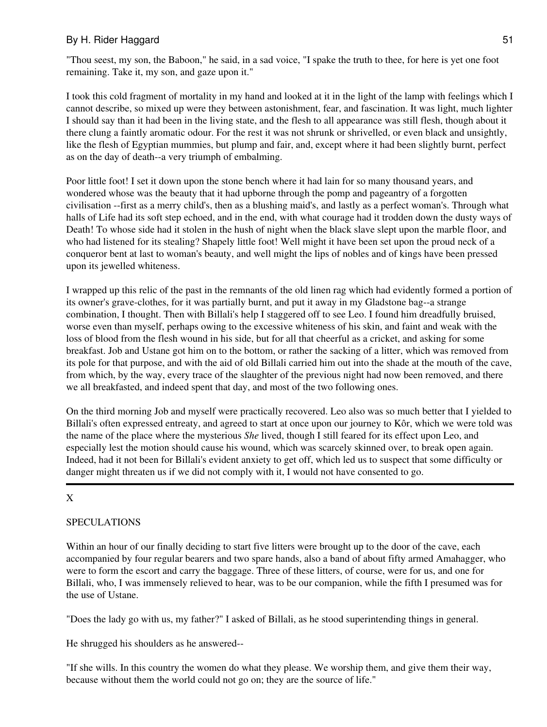"Thou seest, my son, the Baboon," he said, in a sad voice, "I spake the truth to thee, for here is yet one foot remaining. Take it, my son, and gaze upon it."

I took this cold fragment of mortality in my hand and looked at it in the light of the lamp with feelings which I cannot describe, so mixed up were they between astonishment, fear, and fascination. It was light, much lighter I should say than it had been in the living state, and the flesh to all appearance was still flesh, though about it there clung a faintly aromatic odour. For the rest it was not shrunk or shrivelled, or even black and unsightly, like the flesh of Egyptian mummies, but plump and fair, and, except where it had been slightly burnt, perfect as on the day of death--a very triumph of embalming.

Poor little foot! I set it down upon the stone bench where it had lain for so many thousand years, and wondered whose was the beauty that it had upborne through the pomp and pageantry of a forgotten civilisation --first as a merry child's, then as a blushing maid's, and lastly as a perfect woman's. Through what halls of Life had its soft step echoed, and in the end, with what courage had it trodden down the dusty ways of Death! To whose side had it stolen in the hush of night when the black slave slept upon the marble floor, and who had listened for its stealing? Shapely little foot! Well might it have been set upon the proud neck of a conqueror bent at last to woman's beauty, and well might the lips of nobles and of kings have been pressed upon its jewelled whiteness.

I wrapped up this relic of the past in the remnants of the old linen rag which had evidently formed a portion of its owner's grave-clothes, for it was partially burnt, and put it away in my Gladstone bag--a strange combination, I thought. Then with Billali's help I staggered off to see Leo. I found him dreadfully bruised, worse even than myself, perhaps owing to the excessive whiteness of his skin, and faint and weak with the loss of blood from the flesh wound in his side, but for all that cheerful as a cricket, and asking for some breakfast. Job and Ustane got him on to the bottom, or rather the sacking of a litter, which was removed from its pole for that purpose, and with the aid of old Billali carried him out into the shade at the mouth of the cave, from which, by the way, every trace of the slaughter of the previous night had now been removed, and there we all breakfasted, and indeed spent that day, and most of the two following ones.

On the third morning Job and myself were practically recovered. Leo also was so much better that I yielded to Billali's often expressed entreaty, and agreed to start at once upon our journey to Kôr, which we were told was the name of the place where the mysterious *She* lived, though I still feared for its effect upon Leo, and especially lest the motion should cause his wound, which was scarcely skinned over, to break open again. Indeed, had it not been for Billali's evident anxiety to get off, which led us to suspect that some difficulty or danger might threaten us if we did not comply with it, I would not have consented to go.

# X

# **SPECULATIONS**

Within an hour of our finally deciding to start five litters were brought up to the door of the cave, each accompanied by four regular bearers and two spare hands, also a band of about fifty armed Amahagger, who were to form the escort and carry the baggage. Three of these litters, of course, were for us, and one for Billali, who, I was immensely relieved to hear, was to be our companion, while the fifth I presumed was for the use of Ustane.

"Does the lady go with us, my father?" I asked of Billali, as he stood superintending things in general.

He shrugged his shoulders as he answered--

"If she wills. In this country the women do what they please. We worship them, and give them their way, because without them the world could not go on; they are the source of life."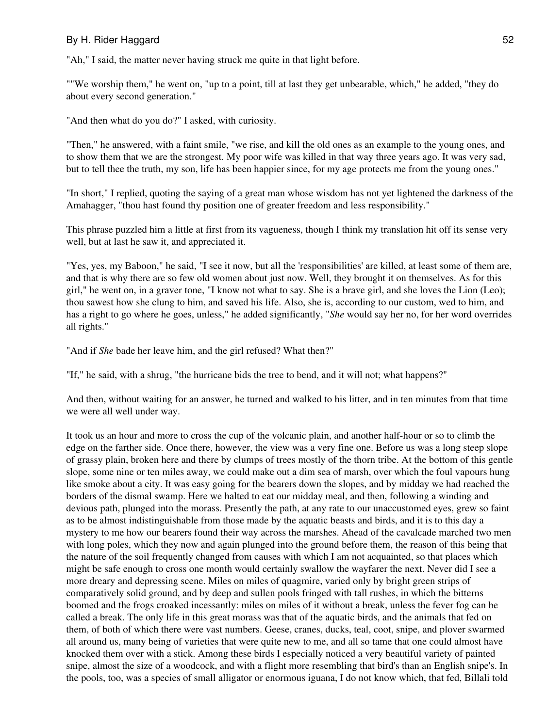"Ah," I said, the matter never having struck me quite in that light before.

""We worship them," he went on, "up to a point, till at last they get unbearable, which," he added, "they do about every second generation."

"And then what do you do?" I asked, with curiosity.

"Then," he answered, with a faint smile, "we rise, and kill the old ones as an example to the young ones, and to show them that we are the strongest. My poor wife was killed in that way three years ago. It was very sad, but to tell thee the truth, my son, life has been happier since, for my age protects me from the young ones."

"In short," I replied, quoting the saying of a great man whose wisdom has not yet lightened the darkness of the Amahagger, "thou hast found thy position one of greater freedom and less responsibility."

This phrase puzzled him a little at first from its vagueness, though I think my translation hit off its sense very well, but at last he saw it, and appreciated it.

"Yes, yes, my Baboon," he said, "I see it now, but all the 'responsibilities' are killed, at least some of them are, and that is why there are so few old women about just now. Well, they brought it on themselves. As for this girl," he went on, in a graver tone, "I know not what to say. She is a brave girl, and she loves the Lion (Leo); thou sawest how she clung to him, and saved his life. Also, she is, according to our custom, wed to him, and has a right to go where he goes, unless," he added significantly, "*She* would say her no, for her word overrides all rights."

"And if *She* bade her leave him, and the girl refused? What then?"

"If," he said, with a shrug, "the hurricane bids the tree to bend, and it will not; what happens?"

And then, without waiting for an answer, he turned and walked to his litter, and in ten minutes from that time we were all well under way.

It took us an hour and more to cross the cup of the volcanic plain, and another half-hour or so to climb the edge on the farther side. Once there, however, the view was a very fine one. Before us was a long steep slope of grassy plain, broken here and there by clumps of trees mostly of the thorn tribe. At the bottom of this gentle slope, some nine or ten miles away, we could make out a dim sea of marsh, over which the foul vapours hung like smoke about a city. It was easy going for the bearers down the slopes, and by midday we had reached the borders of the dismal swamp. Here we halted to eat our midday meal, and then, following a winding and devious path, plunged into the morass. Presently the path, at any rate to our unaccustomed eyes, grew so faint as to be almost indistinguishable from those made by the aquatic beasts and birds, and it is to this day a mystery to me how our bearers found their way across the marshes. Ahead of the cavalcade marched two men with long poles, which they now and again plunged into the ground before them, the reason of this being that the nature of the soil frequently changed from causes with which I am not acquainted, so that places which might be safe enough to cross one month would certainly swallow the wayfarer the next. Never did I see a more dreary and depressing scene. Miles on miles of quagmire, varied only by bright green strips of comparatively solid ground, and by deep and sullen pools fringed with tall rushes, in which the bitterns boomed and the frogs croaked incessantly: miles on miles of it without a break, unless the fever fog can be called a break. The only life in this great morass was that of the aquatic birds, and the animals that fed on them, of both of which there were vast numbers. Geese, cranes, ducks, teal, coot, snipe, and plover swarmed all around us, many being of varieties that were quite new to me, and all so tame that one could almost have knocked them over with a stick. Among these birds I especially noticed a very beautiful variety of painted snipe, almost the size of a woodcock, and with a flight more resembling that bird's than an English snipe's. In the pools, too, was a species of small alligator or enormous iguana, I do not know which, that fed, Billali told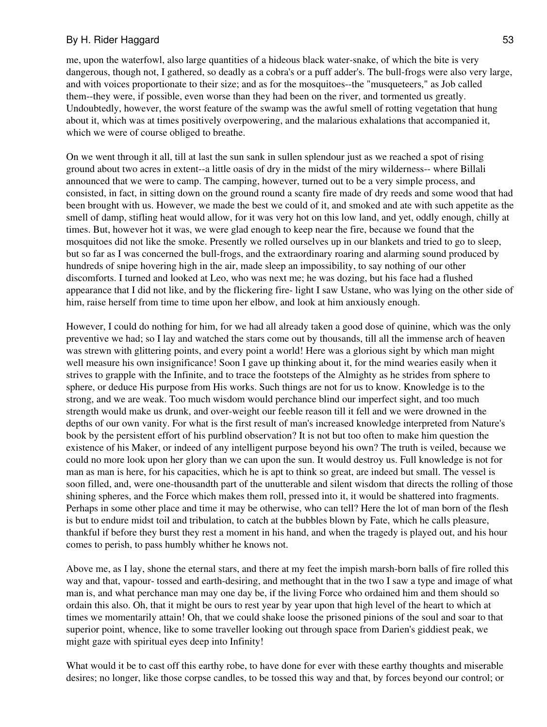me, upon the waterfowl, also large quantities of a hideous black water-snake, of which the bite is very dangerous, though not, I gathered, so deadly as a cobra's or a puff adder's. The bull-frogs were also very large, and with voices proportionate to their size; and as for the mosquitoes--the "musqueteers," as Job called them--they were, if possible, even worse than they had been on the river, and tormented us greatly. Undoubtedly, however, the worst feature of the swamp was the awful smell of rotting vegetation that hung about it, which was at times positively overpowering, and the malarious exhalations that accompanied it, which we were of course obliged to breathe.

On we went through it all, till at last the sun sank in sullen splendour just as we reached a spot of rising ground about two acres in extent--a little oasis of dry in the midst of the miry wilderness-- where Billali announced that we were to camp. The camping, however, turned out to be a very simple process, and consisted, in fact, in sitting down on the ground round a scanty fire made of dry reeds and some wood that had been brought with us. However, we made the best we could of it, and smoked and ate with such appetite as the smell of damp, stifling heat would allow, for it was very hot on this low land, and yet, oddly enough, chilly at times. But, however hot it was, we were glad enough to keep near the fire, because we found that the mosquitoes did not like the smoke. Presently we rolled ourselves up in our blankets and tried to go to sleep, but so far as I was concerned the bull-frogs, and the extraordinary roaring and alarming sound produced by hundreds of snipe hovering high in the air, made sleep an impossibility, to say nothing of our other discomforts. I turned and looked at Leo, who was next me; he was dozing, but his face had a flushed appearance that I did not like, and by the flickering fire- light I saw Ustane, who was lying on the other side of him, raise herself from time to time upon her elbow, and look at him anxiously enough.

However, I could do nothing for him, for we had all already taken a good dose of quinine, which was the only preventive we had; so I lay and watched the stars come out by thousands, till all the immense arch of heaven was strewn with glittering points, and every point a world! Here was a glorious sight by which man might well measure his own insignificance! Soon I gave up thinking about it, for the mind wearies easily when it strives to grapple with the Infinite, and to trace the footsteps of the Almighty as he strides from sphere to sphere, or deduce His purpose from His works. Such things are not for us to know. Knowledge is to the strong, and we are weak. Too much wisdom would perchance blind our imperfect sight, and too much strength would make us drunk, and over-weight our feeble reason till it fell and we were drowned in the depths of our own vanity. For what is the first result of man's increased knowledge interpreted from Nature's book by the persistent effort of his purblind observation? It is not but too often to make him question the existence of his Maker, or indeed of any intelligent purpose beyond his own? The truth is veiled, because we could no more look upon her glory than we can upon the sun. It would destroy us. Full knowledge is not for man as man is here, for his capacities, which he is apt to think so great, are indeed but small. The vessel is soon filled, and, were one-thousandth part of the unutterable and silent wisdom that directs the rolling of those shining spheres, and the Force which makes them roll, pressed into it, it would be shattered into fragments. Perhaps in some other place and time it may be otherwise, who can tell? Here the lot of man born of the flesh is but to endure midst toil and tribulation, to catch at the bubbles blown by Fate, which he calls pleasure, thankful if before they burst they rest a moment in his hand, and when the tragedy is played out, and his hour comes to perish, to pass humbly whither he knows not.

Above me, as I lay, shone the eternal stars, and there at my feet the impish marsh-born balls of fire rolled this way and that, vapour- tossed and earth-desiring, and methought that in the two I saw a type and image of what man is, and what perchance man may one day be, if the living Force who ordained him and them should so ordain this also. Oh, that it might be ours to rest year by year upon that high level of the heart to which at times we momentarily attain! Oh, that we could shake loose the prisoned pinions of the soul and soar to that superior point, whence, like to some traveller looking out through space from Darien's giddiest peak, we might gaze with spiritual eyes deep into Infinity!

What would it be to cast off this earthy robe, to have done for ever with these earthy thoughts and miserable desires; no longer, like those corpse candles, to be tossed this way and that, by forces beyond our control; or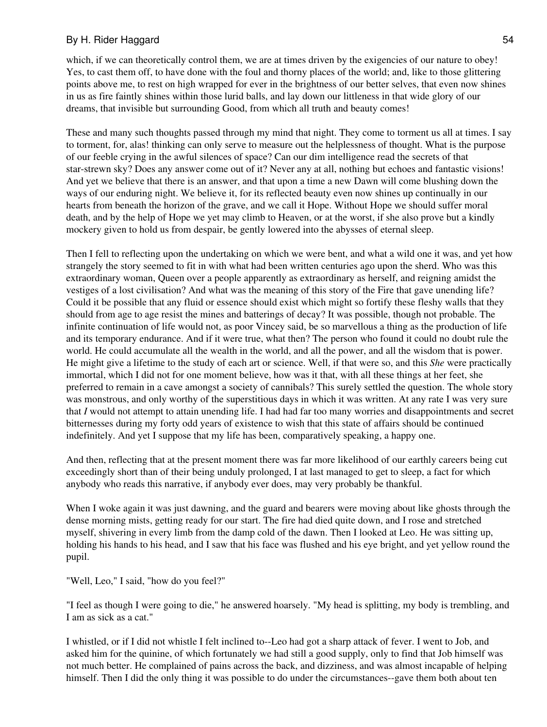which, if we can theoretically control them, we are at times driven by the exigencies of our nature to obey! Yes, to cast them off, to have done with the foul and thorny places of the world; and, like to those glittering points above me, to rest on high wrapped for ever in the brightness of our better selves, that even now shines in us as fire faintly shines within those lurid balls, and lay down our littleness in that wide glory of our dreams, that invisible but surrounding Good, from which all truth and beauty comes!

These and many such thoughts passed through my mind that night. They come to torment us all at times. I say to torment, for, alas! thinking can only serve to measure out the helplessness of thought. What is the purpose of our feeble crying in the awful silences of space? Can our dim intelligence read the secrets of that star-strewn sky? Does any answer come out of it? Never any at all, nothing but echoes and fantastic visions! And yet we believe that there is an answer, and that upon a time a new Dawn will come blushing down the ways of our enduring night. We believe it, for its reflected beauty even now shines up continually in our hearts from beneath the horizon of the grave, and we call it Hope. Without Hope we should suffer moral death, and by the help of Hope we yet may climb to Heaven, or at the worst, if she also prove but a kindly mockery given to hold us from despair, be gently lowered into the abysses of eternal sleep.

Then I fell to reflecting upon the undertaking on which we were bent, and what a wild one it was, and yet how strangely the story seemed to fit in with what had been written centuries ago upon the sherd. Who was this extraordinary woman, Queen over a people apparently as extraordinary as herself, and reigning amidst the vestiges of a lost civilisation? And what was the meaning of this story of the Fire that gave unending life? Could it be possible that any fluid or essence should exist which might so fortify these fleshy walls that they should from age to age resist the mines and batterings of decay? It was possible, though not probable. The infinite continuation of life would not, as poor Vincey said, be so marvellous a thing as the production of life and its temporary endurance. And if it were true, what then? The person who found it could no doubt rule the world. He could accumulate all the wealth in the world, and all the power, and all the wisdom that is power. He might give a lifetime to the study of each art or science. Well, if that were so, and this *She* were practically immortal, which I did not for one moment believe, how was it that, with all these things at her feet, she preferred to remain in a cave amongst a society of cannibals? This surely settled the question. The whole story was monstrous, and only worthy of the superstitious days in which it was written. At any rate I was very sure that *I* would not attempt to attain unending life. I had had far too many worries and disappointments and secret bitternesses during my forty odd years of existence to wish that this state of affairs should be continued indefinitely. And yet I suppose that my life has been, comparatively speaking, a happy one.

And then, reflecting that at the present moment there was far more likelihood of our earthly careers being cut exceedingly short than of their being unduly prolonged, I at last managed to get to sleep, a fact for which anybody who reads this narrative, if anybody ever does, may very probably be thankful.

When I woke again it was just dawning, and the guard and bearers were moving about like ghosts through the dense morning mists, getting ready for our start. The fire had died quite down, and I rose and stretched myself, shivering in every limb from the damp cold of the dawn. Then I looked at Leo. He was sitting up, holding his hands to his head, and I saw that his face was flushed and his eye bright, and yet yellow round the pupil.

"Well, Leo," I said, "how do you feel?"

"I feel as though I were going to die," he answered hoarsely. "My head is splitting, my body is trembling, and I am as sick as a cat."

I whistled, or if I did not whistle I felt inclined to--Leo had got a sharp attack of fever. I went to Job, and asked him for the quinine, of which fortunately we had still a good supply, only to find that Job himself was not much better. He complained of pains across the back, and dizziness, and was almost incapable of helping himself. Then I did the only thing it was possible to do under the circumstances--gave them both about ten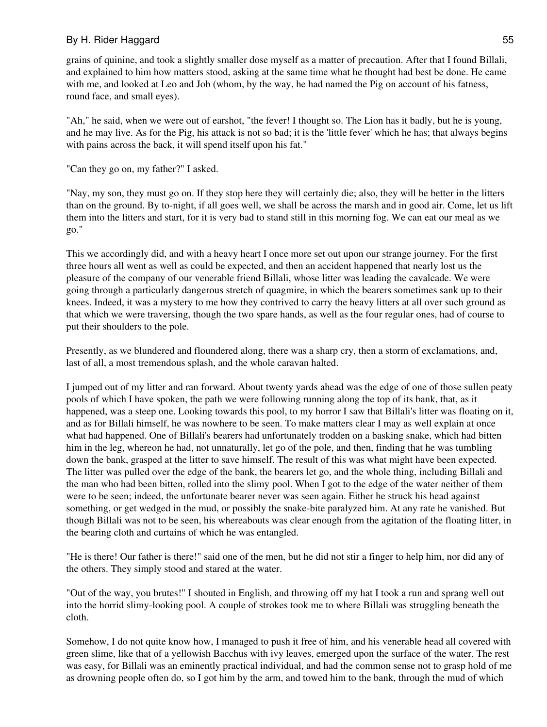grains of quinine, and took a slightly smaller dose myself as a matter of precaution. After that I found Billali, and explained to him how matters stood, asking at the same time what he thought had best be done. He came with me, and looked at Leo and Job (whom, by the way, he had named the Pig on account of his fatness, round face, and small eyes).

"Ah," he said, when we were out of earshot, "the fever! I thought so. The Lion has it badly, but he is young, and he may live. As for the Pig, his attack is not so bad; it is the 'little fever' which he has; that always begins with pains across the back, it will spend itself upon his fat."

"Can they go on, my father?" I asked.

"Nay, my son, they must go on. If they stop here they will certainly die; also, they will be better in the litters than on the ground. By to-night, if all goes well, we shall be across the marsh and in good air. Come, let us lift them into the litters and start, for it is very bad to stand still in this morning fog. We can eat our meal as we go."

This we accordingly did, and with a heavy heart I once more set out upon our strange journey. For the first three hours all went as well as could be expected, and then an accident happened that nearly lost us the pleasure of the company of our venerable friend Billali, whose litter was leading the cavalcade. We were going through a particularly dangerous stretch of quagmire, in which the bearers sometimes sank up to their knees. Indeed, it was a mystery to me how they contrived to carry the heavy litters at all over such ground as that which we were traversing, though the two spare hands, as well as the four regular ones, had of course to put their shoulders to the pole.

Presently, as we blundered and floundered along, there was a sharp cry, then a storm of exclamations, and, last of all, a most tremendous splash, and the whole caravan halted.

I jumped out of my litter and ran forward. About twenty yards ahead was the edge of one of those sullen peaty pools of which I have spoken, the path we were following running along the top of its bank, that, as it happened, was a steep one. Looking towards this pool, to my horror I saw that Billali's litter was floating on it, and as for Billali himself, he was nowhere to be seen. To make matters clear I may as well explain at once what had happened. One of Billali's bearers had unfortunately trodden on a basking snake, which had bitten him in the leg, whereon he had, not unnaturally, let go of the pole, and then, finding that he was tumbling down the bank, grasped at the litter to save himself. The result of this was what might have been expected. The litter was pulled over the edge of the bank, the bearers let go, and the whole thing, including Billali and the man who had been bitten, rolled into the slimy pool. When I got to the edge of the water neither of them were to be seen; indeed, the unfortunate bearer never was seen again. Either he struck his head against something, or get wedged in the mud, or possibly the snake-bite paralyzed him. At any rate he vanished. But though Billali was not to be seen, his whereabouts was clear enough from the agitation of the floating litter, in the bearing cloth and curtains of which he was entangled.

"He is there! Our father is there!" said one of the men, but he did not stir a finger to help him, nor did any of the others. They simply stood and stared at the water.

"Out of the way, you brutes!" I shouted in English, and throwing off my hat I took a run and sprang well out into the horrid slimy-looking pool. A couple of strokes took me to where Billali was struggling beneath the cloth.

Somehow, I do not quite know how, I managed to push it free of him, and his venerable head all covered with green slime, like that of a yellowish Bacchus with ivy leaves, emerged upon the surface of the water. The rest was easy, for Billali was an eminently practical individual, and had the common sense not to grasp hold of me as drowning people often do, so I got him by the arm, and towed him to the bank, through the mud of which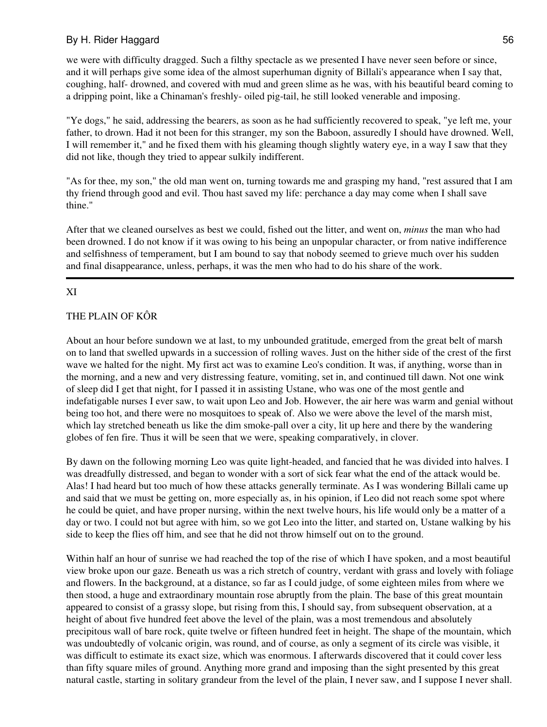we were with difficulty dragged. Such a filthy spectacle as we presented I have never seen before or since, and it will perhaps give some idea of the almost superhuman dignity of Billali's appearance when I say that, coughing, half- drowned, and covered with mud and green slime as he was, with his beautiful beard coming to a dripping point, like a Chinaman's freshly- oiled pig-tail, he still looked venerable and imposing.

"Ye dogs," he said, addressing the bearers, as soon as he had sufficiently recovered to speak, "ye left me, your father, to drown. Had it not been for this stranger, my son the Baboon, assuredly I should have drowned. Well, I will remember it," and he fixed them with his gleaming though slightly watery eye, in a way I saw that they did not like, though they tried to appear sulkily indifferent.

"As for thee, my son," the old man went on, turning towards me and grasping my hand, "rest assured that I am thy friend through good and evil. Thou hast saved my life: perchance a day may come when I shall save thine."

After that we cleaned ourselves as best we could, fished out the litter, and went on, *minus* the man who had been drowned. I do not know if it was owing to his being an unpopular character, or from native indifference and selfishness of temperament, but I am bound to say that nobody seemed to grieve much over his sudden and final disappearance, unless, perhaps, it was the men who had to do his share of the work.

### XI

## THE PLAIN OF KÔR

About an hour before sundown we at last, to my unbounded gratitude, emerged from the great belt of marsh on to land that swelled upwards in a succession of rolling waves. Just on the hither side of the crest of the first wave we halted for the night. My first act was to examine Leo's condition. It was, if anything, worse than in the morning, and a new and very distressing feature, vomiting, set in, and continued till dawn. Not one wink of sleep did I get that night, for I passed it in assisting Ustane, who was one of the most gentle and indefatigable nurses I ever saw, to wait upon Leo and Job. However, the air here was warm and genial without being too hot, and there were no mosquitoes to speak of. Also we were above the level of the marsh mist, which lay stretched beneath us like the dim smoke-pall over a city, lit up here and there by the wandering globes of fen fire. Thus it will be seen that we were, speaking comparatively, in clover.

By dawn on the following morning Leo was quite light-headed, and fancied that he was divided into halves. I was dreadfully distressed, and began to wonder with a sort of sick fear what the end of the attack would be. Alas! I had heard but too much of how these attacks generally terminate. As I was wondering Billali came up and said that we must be getting on, more especially as, in his opinion, if Leo did not reach some spot where he could be quiet, and have proper nursing, within the next twelve hours, his life would only be a matter of a day or two. I could not but agree with him, so we got Leo into the litter, and started on, Ustane walking by his side to keep the flies off him, and see that he did not throw himself out on to the ground.

Within half an hour of sunrise we had reached the top of the rise of which I have spoken, and a most beautiful view broke upon our gaze. Beneath us was a rich stretch of country, verdant with grass and lovely with foliage and flowers. In the background, at a distance, so far as I could judge, of some eighteen miles from where we then stood, a huge and extraordinary mountain rose abruptly from the plain. The base of this great mountain appeared to consist of a grassy slope, but rising from this, I should say, from subsequent observation, at a height of about five hundred feet above the level of the plain, was a most tremendous and absolutely precipitous wall of bare rock, quite twelve or fifteen hundred feet in height. The shape of the mountain, which was undoubtedly of volcanic origin, was round, and of course, as only a segment of its circle was visible, it was difficult to estimate its exact size, which was enormous. I afterwards discovered that it could cover less than fifty square miles of ground. Anything more grand and imposing than the sight presented by this great natural castle, starting in solitary grandeur from the level of the plain, I never saw, and I suppose I never shall.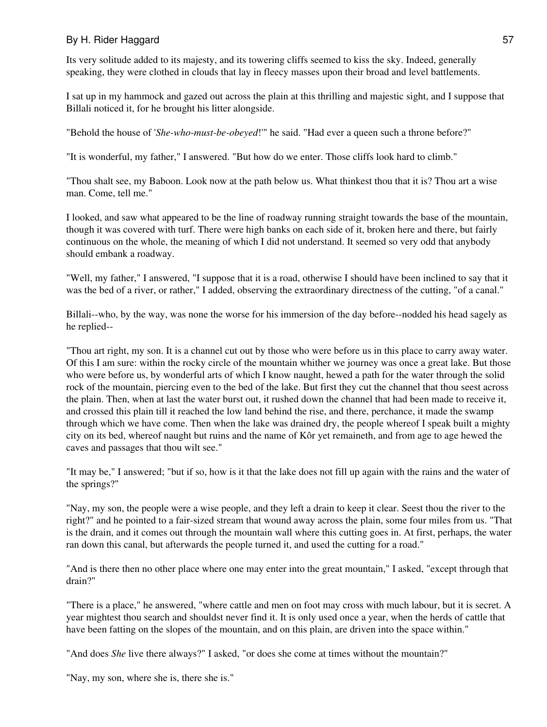Its very solitude added to its majesty, and its towering cliffs seemed to kiss the sky. Indeed, generally speaking, they were clothed in clouds that lay in fleecy masses upon their broad and level battlements.

I sat up in my hammock and gazed out across the plain at this thrilling and majestic sight, and I suppose that Billali noticed it, for he brought his litter alongside.

"Behold the house of '*She-who-must-be-obeyed*!'" he said. "Had ever a queen such a throne before?"

"It is wonderful, my father," I answered. "But how do we enter. Those cliffs look hard to climb."

"Thou shalt see, my Baboon. Look now at the path below us. What thinkest thou that it is? Thou art a wise man. Come, tell me."

I looked, and saw what appeared to be the line of roadway running straight towards the base of the mountain, though it was covered with turf. There were high banks on each side of it, broken here and there, but fairly continuous on the whole, the meaning of which I did not understand. It seemed so very odd that anybody should embank a roadway.

"Well, my father," I answered, "I suppose that it is a road, otherwise I should have been inclined to say that it was the bed of a river, or rather," I added, observing the extraordinary directness of the cutting, "of a canal."

Billali--who, by the way, was none the worse for his immersion of the day before--nodded his head sagely as he replied--

"Thou art right, my son. It is a channel cut out by those who were before us in this place to carry away water. Of this I am sure: within the rocky circle of the mountain whither we journey was once a great lake. But those who were before us, by wonderful arts of which I know naught, hewed a path for the water through the solid rock of the mountain, piercing even to the bed of the lake. But first they cut the channel that thou seest across the plain. Then, when at last the water burst out, it rushed down the channel that had been made to receive it, and crossed this plain till it reached the low land behind the rise, and there, perchance, it made the swamp through which we have come. Then when the lake was drained dry, the people whereof I speak built a mighty city on its bed, whereof naught but ruins and the name of Kôr yet remaineth, and from age to age hewed the caves and passages that thou wilt see."

"It may be," I answered; "but if so, how is it that the lake does not fill up again with the rains and the water of the springs?"

"Nay, my son, the people were a wise people, and they left a drain to keep it clear. Seest thou the river to the right?" and he pointed to a fair-sized stream that wound away across the plain, some four miles from us. "That is the drain, and it comes out through the mountain wall where this cutting goes in. At first, perhaps, the water ran down this canal, but afterwards the people turned it, and used the cutting for a road."

"And is there then no other place where one may enter into the great mountain," I asked, "except through that drain?"

"There is a place," he answered, "where cattle and men on foot may cross with much labour, but it is secret. A year mightest thou search and shouldst never find it. It is only used once a year, when the herds of cattle that have been fatting on the slopes of the mountain, and on this plain, are driven into the space within."

"And does *She* live there always?" I asked, "or does she come at times without the mountain?"

"Nay, my son, where she is, there she is."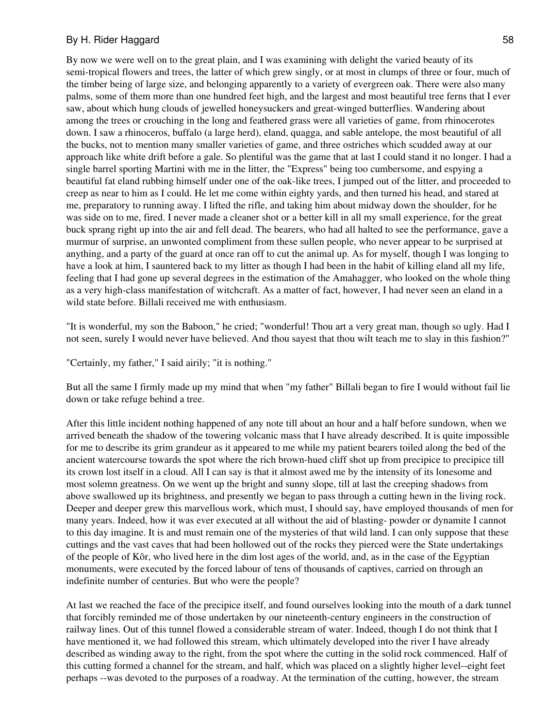By now we were well on to the great plain, and I was examining with delight the varied beauty of its semi-tropical flowers and trees, the latter of which grew singly, or at most in clumps of three or four, much of the timber being of large size, and belonging apparently to a variety of evergreen oak. There were also many palms, some of them more than one hundred feet high, and the largest and most beautiful tree ferns that I ever saw, about which hung clouds of jewelled honeysuckers and great-winged butterflies. Wandering about among the trees or crouching in the long and feathered grass were all varieties of game, from rhinocerotes down. I saw a rhinoceros, buffalo (a large herd), eland, quagga, and sable antelope, the most beautiful of all the bucks, not to mention many smaller varieties of game, and three ostriches which scudded away at our approach like white drift before a gale. So plentiful was the game that at last I could stand it no longer. I had a single barrel sporting Martini with me in the litter, the "Express" being too cumbersome, and espying a beautiful fat eland rubbing himself under one of the oak-like trees, I jumped out of the litter, and proceeded to creep as near to him as I could. He let me come within eighty yards, and then turned his head, and stared at me, preparatory to running away. I lifted the rifle, and taking him about midway down the shoulder, for he was side on to me, fired. I never made a cleaner shot or a better kill in all my small experience, for the great buck sprang right up into the air and fell dead. The bearers, who had all halted to see the performance, gave a murmur of surprise, an unwonted compliment from these sullen people, who never appear to be surprised at anything, and a party of the guard at once ran off to cut the animal up. As for myself, though I was longing to have a look at him, I sauntered back to my litter as though I had been in the habit of killing eland all my life, feeling that I had gone up several degrees in the estimation of the Amahagger, who looked on the whole thing as a very high-class manifestation of witchcraft. As a matter of fact, however, I had never seen an eland in a wild state before. Billali received me with enthusiasm.

"It is wonderful, my son the Baboon," he cried; "wonderful! Thou art a very great man, though so ugly. Had I not seen, surely I would never have believed. And thou sayest that thou wilt teach me to slay in this fashion?"

"Certainly, my father," I said airily; "it is nothing."

But all the same I firmly made up my mind that when "my father" Billali began to fire I would without fail lie down or take refuge behind a tree.

After this little incident nothing happened of any note till about an hour and a half before sundown, when we arrived beneath the shadow of the towering volcanic mass that I have already described. It is quite impossible for me to describe its grim grandeur as it appeared to me while my patient bearers toiled along the bed of the ancient watercourse towards the spot where the rich brown-hued cliff shot up from precipice to precipice till its crown lost itself in a cloud. All I can say is that it almost awed me by the intensity of its lonesome and most solemn greatness. On we went up the bright and sunny slope, till at last the creeping shadows from above swallowed up its brightness, and presently we began to pass through a cutting hewn in the living rock. Deeper and deeper grew this marvellous work, which must, I should say, have employed thousands of men for many years. Indeed, how it was ever executed at all without the aid of blasting- powder or dynamite I cannot to this day imagine. It is and must remain one of the mysteries of that wild land. I can only suppose that these cuttings and the vast caves that had been hollowed out of the rocks they pierced were the State undertakings of the people of Kôr, who lived here in the dim lost ages of the world, and, as in the case of the Egyptian monuments, were executed by the forced labour of tens of thousands of captives, carried on through an indefinite number of centuries. But who were the people?

At last we reached the face of the precipice itself, and found ourselves looking into the mouth of a dark tunnel that forcibly reminded me of those undertaken by our nineteenth-century engineers in the construction of railway lines. Out of this tunnel flowed a considerable stream of water. Indeed, though I do not think that I have mentioned it, we had followed this stream, which ultimately developed into the river I have already described as winding away to the right, from the spot where the cutting in the solid rock commenced. Half of this cutting formed a channel for the stream, and half, which was placed on a slightly higher level--eight feet perhaps --was devoted to the purposes of a roadway. At the termination of the cutting, however, the stream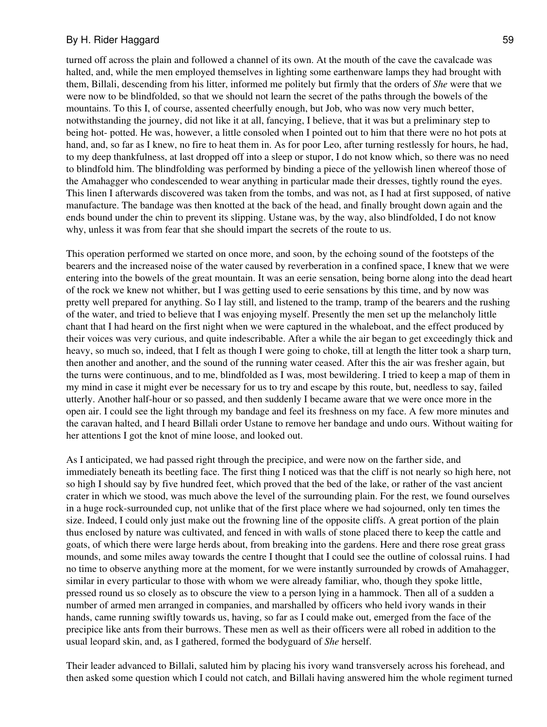turned off across the plain and followed a channel of its own. At the mouth of the cave the cavalcade was halted, and, while the men employed themselves in lighting some earthenware lamps they had brought with them, Billali, descending from his litter, informed me politely but firmly that the orders of *She* were that we were now to be blindfolded, so that we should not learn the secret of the paths through the bowels of the mountains. To this I, of course, assented cheerfully enough, but Job, who was now very much better, notwithstanding the journey, did not like it at all, fancying, I believe, that it was but a preliminary step to being hot- potted. He was, however, a little consoled when I pointed out to him that there were no hot pots at hand, and, so far as I knew, no fire to heat them in. As for poor Leo, after turning restlessly for hours, he had, to my deep thankfulness, at last dropped off into a sleep or stupor, I do not know which, so there was no need to blindfold him. The blindfolding was performed by binding a piece of the yellowish linen whereof those of the Amahagger who condescended to wear anything in particular made their dresses, tightly round the eyes. This linen I afterwards discovered was taken from the tombs, and was not, as I had at first supposed, of native manufacture. The bandage was then knotted at the back of the head, and finally brought down again and the ends bound under the chin to prevent its slipping. Ustane was, by the way, also blindfolded, I do not know why, unless it was from fear that she should impart the secrets of the route to us.

This operation performed we started on once more, and soon, by the echoing sound of the footsteps of the bearers and the increased noise of the water caused by reverberation in a confined space, I knew that we were entering into the bowels of the great mountain. It was an eerie sensation, being borne along into the dead heart of the rock we knew not whither, but I was getting used to eerie sensations by this time, and by now was pretty well prepared for anything. So I lay still, and listened to the tramp, tramp of the bearers and the rushing of the water, and tried to believe that I was enjoying myself. Presently the men set up the melancholy little chant that I had heard on the first night when we were captured in the whaleboat, and the effect produced by their voices was very curious, and quite indescribable. After a while the air began to get exceedingly thick and heavy, so much so, indeed, that I felt as though I were going to choke, till at length the litter took a sharp turn, then another and another, and the sound of the running water ceased. After this the air was fresher again, but the turns were continuous, and to me, blindfolded as I was, most bewildering. I tried to keep a map of them in my mind in case it might ever be necessary for us to try and escape by this route, but, needless to say, failed utterly. Another half-hour or so passed, and then suddenly I became aware that we were once more in the open air. I could see the light through my bandage and feel its freshness on my face. A few more minutes and the caravan halted, and I heard Billali order Ustane to remove her bandage and undo ours. Without waiting for her attentions I got the knot of mine loose, and looked out.

As I anticipated, we had passed right through the precipice, and were now on the farther side, and immediately beneath its beetling face. The first thing I noticed was that the cliff is not nearly so high here, not so high I should say by five hundred feet, which proved that the bed of the lake, or rather of the vast ancient crater in which we stood, was much above the level of the surrounding plain. For the rest, we found ourselves in a huge rock-surrounded cup, not unlike that of the first place where we had sojourned, only ten times the size. Indeed, I could only just make out the frowning line of the opposite cliffs. A great portion of the plain thus enclosed by nature was cultivated, and fenced in with walls of stone placed there to keep the cattle and goats, of which there were large herds about, from breaking into the gardens. Here and there rose great grass mounds, and some miles away towards the centre I thought that I could see the outline of colossal ruins. I had no time to observe anything more at the moment, for we were instantly surrounded by crowds of Amahagger, similar in every particular to those with whom we were already familiar, who, though they spoke little, pressed round us so closely as to obscure the view to a person lying in a hammock. Then all of a sudden a number of armed men arranged in companies, and marshalled by officers who held ivory wands in their hands, came running swiftly towards us, having, so far as I could make out, emerged from the face of the precipice like ants from their burrows. These men as well as their officers were all robed in addition to the usual leopard skin, and, as I gathered, formed the bodyguard of *She* herself.

Their leader advanced to Billali, saluted him by placing his ivory wand transversely across his forehead, and then asked some question which I could not catch, and Billali having answered him the whole regiment turned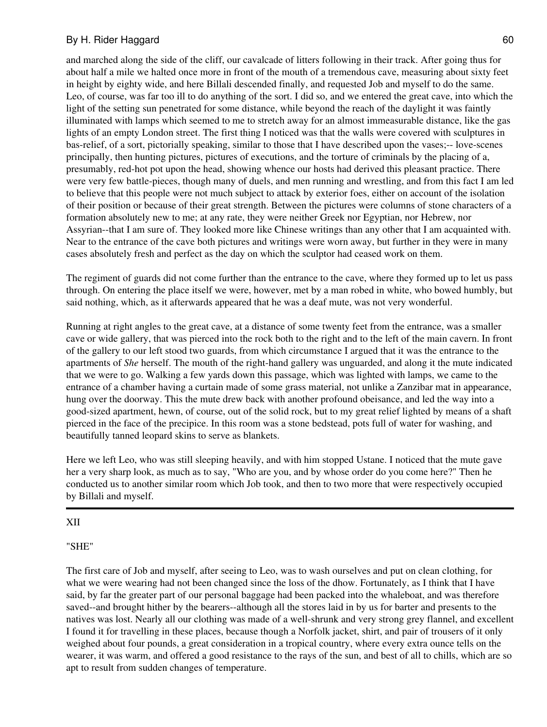and marched along the side of the cliff, our cavalcade of litters following in their track. After going thus for about half a mile we halted once more in front of the mouth of a tremendous cave, measuring about sixty feet in height by eighty wide, and here Billali descended finally, and requested Job and myself to do the same. Leo, of course, was far too ill to do anything of the sort. I did so, and we entered the great cave, into which the light of the setting sun penetrated for some distance, while beyond the reach of the daylight it was faintly illuminated with lamps which seemed to me to stretch away for an almost immeasurable distance, like the gas lights of an empty London street. The first thing I noticed was that the walls were covered with sculptures in bas-relief, of a sort, pictorially speaking, similar to those that I have described upon the vases;-- love-scenes principally, then hunting pictures, pictures of executions, and the torture of criminals by the placing of a, presumably, red-hot pot upon the head, showing whence our hosts had derived this pleasant practice. There were very few battle-pieces, though many of duels, and men running and wrestling, and from this fact I am led to believe that this people were not much subject to attack by exterior foes, either on account of the isolation of their position or because of their great strength. Between the pictures were columns of stone characters of a formation absolutely new to me; at any rate, they were neither Greek nor Egyptian, nor Hebrew, nor Assyrian--that I am sure of. They looked more like Chinese writings than any other that I am acquainted with. Near to the entrance of the cave both pictures and writings were worn away, but further in they were in many cases absolutely fresh and perfect as the day on which the sculptor had ceased work on them.

The regiment of guards did not come further than the entrance to the cave, where they formed up to let us pass through. On entering the place itself we were, however, met by a man robed in white, who bowed humbly, but said nothing, which, as it afterwards appeared that he was a deaf mute, was not very wonderful.

Running at right angles to the great cave, at a distance of some twenty feet from the entrance, was a smaller cave or wide gallery, that was pierced into the rock both to the right and to the left of the main cavern. In front of the gallery to our left stood two guards, from which circumstance I argued that it was the entrance to the apartments of *She* herself. The mouth of the right-hand gallery was unguarded, and along it the mute indicated that we were to go. Walking a few yards down this passage, which was lighted with lamps, we came to the entrance of a chamber having a curtain made of some grass material, not unlike a Zanzibar mat in appearance, hung over the doorway. This the mute drew back with another profound obeisance, and led the way into a good-sized apartment, hewn, of course, out of the solid rock, but to my great relief lighted by means of a shaft pierced in the face of the precipice. In this room was a stone bedstead, pots full of water for washing, and beautifully tanned leopard skins to serve as blankets.

Here we left Leo, who was still sleeping heavily, and with him stopped Ustane. I noticed that the mute gave her a very sharp look, as much as to say, "Who are you, and by whose order do you come here?" Then he conducted us to another similar room which Job took, and then to two more that were respectively occupied by Billali and myself.

#### XII

#### "SHE"

The first care of Job and myself, after seeing to Leo, was to wash ourselves and put on clean clothing, for what we were wearing had not been changed since the loss of the dhow. Fortunately, as I think that I have said, by far the greater part of our personal baggage had been packed into the whaleboat, and was therefore saved--and brought hither by the bearers--although all the stores laid in by us for barter and presents to the natives was lost. Nearly all our clothing was made of a well-shrunk and very strong grey flannel, and excellent I found it for travelling in these places, because though a Norfolk jacket, shirt, and pair of trousers of it only weighed about four pounds, a great consideration in a tropical country, where every extra ounce tells on the wearer, it was warm, and offered a good resistance to the rays of the sun, and best of all to chills, which are so apt to result from sudden changes of temperature.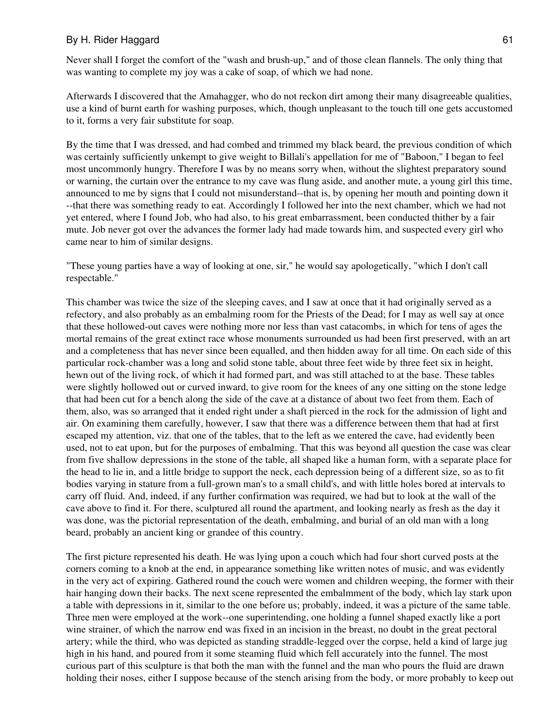Never shall I forget the comfort of the "wash and brush-up," and of those clean flannels. The only thing that was wanting to complete my joy was a cake of soap, of which we had none.

Afterwards I discovered that the Amahagger, who do not reckon dirt among their many disagreeable qualities, use a kind of burnt earth for washing purposes, which, though unpleasant to the touch till one gets accustomed to it, forms a very fair substitute for soap.

By the time that I was dressed, and had combed and trimmed my black beard, the previous condition of which was certainly sufficiently unkempt to give weight to Billali's appellation for me of "Baboon," I began to feel most uncommonly hungry. Therefore I was by no means sorry when, without the slightest preparatory sound or warning, the curtain over the entrance to my cave was flung aside, and another mute, a young girl this time, announced to me by signs that I could not misunderstand--that is, by opening her mouth and pointing down it --that there was something ready to eat. Accordingly I followed her into the next chamber, which we had not yet entered, where I found Job, who had also, to his great embarrassment, been conducted thither by a fair mute. Job never got over the advances the former lady had made towards him, and suspected every girl who came near to him of similar designs.

"These young parties have a way of looking at one, sir," he would say apologetically, "which I don't call respectable."

This chamber was twice the size of the sleeping caves, and I saw at once that it had originally served as a refectory, and also probably as an embalming room for the Priests of the Dead; for I may as well say at once that these hollowed-out caves were nothing more nor less than vast catacombs, in which for tens of ages the mortal remains of the great extinct race whose monuments surrounded us had been first preserved, with an art and a completeness that has never since been equalled, and then hidden away for all time. On each side of this particular rock-chamber was a long and solid stone table, about three feet wide by three feet six in height, hewn out of the living rock, of which it had formed part, and was still attached to at the base. These tables were slightly hollowed out or curved inward, to give room for the knees of any one sitting on the stone ledge that had been cut for a bench along the side of the cave at a distance of about two feet from them. Each of them, also, was so arranged that it ended right under a shaft pierced in the rock for the admission of light and air. On examining them carefully, however, I saw that there was a difference between them that had at first escaped my attention, viz. that one of the tables, that to the left as we entered the cave, had evidently been used, not to eat upon, but for the purposes of embalming. That this was beyond all question the case was clear from five shallow depressions in the stone of the table, all shaped like a human form, with a separate place for the head to lie in, and a little bridge to support the neck, each depression being of a different size, so as to fit bodies varying in stature from a full-grown man's to a small child's, and with little holes bored at intervals to carry off fluid. And, indeed, if any further confirmation was required, we had but to look at the wall of the cave above to find it. For there, sculptured all round the apartment, and looking nearly as fresh as the day it was done, was the pictorial representation of the death, embalming, and burial of an old man with a long beard, probably an ancient king or grandee of this country.

The first picture represented his death. He was lying upon a couch which had four short curved posts at the corners coming to a knob at the end, in appearance something like written notes of music, and was evidently in the very act of expiring. Gathered round the couch were women and children weeping, the former with their hair hanging down their backs. The next scene represented the embalmment of the body, which lay stark upon a table with depressions in it, similar to the one before us; probably, indeed, it was a picture of the same table. Three men were employed at the work--one superintending, one holding a funnel shaped exactly like a port wine strainer, of which the narrow end was fixed in an incision in the breast, no doubt in the great pectoral artery; while the third, who was depicted as standing straddle-legged over the corpse, held a kind of large jug high in his hand, and poured from it some steaming fluid which fell accurately into the funnel. The most curious part of this sculpture is that both the man with the funnel and the man who pours the fluid are drawn holding their noses, either I suppose because of the stench arising from the body, or more probably to keep out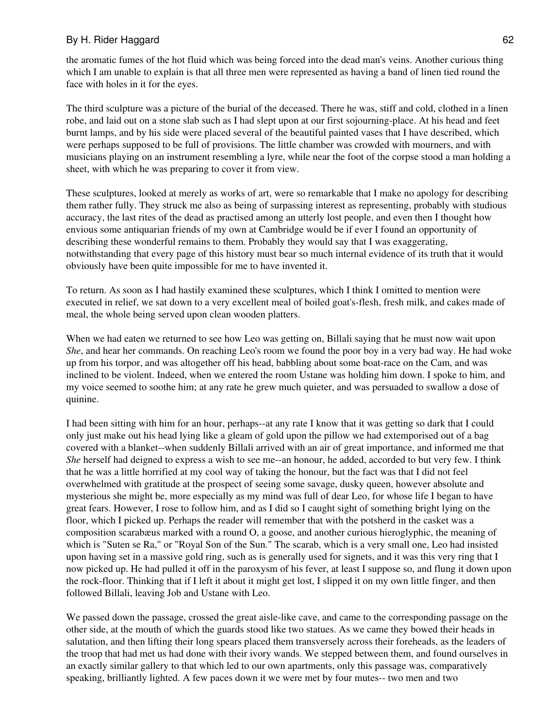the aromatic fumes of the hot fluid which was being forced into the dead man's veins. Another curious thing which I am unable to explain is that all three men were represented as having a band of linen tied round the face with holes in it for the eyes.

The third sculpture was a picture of the burial of the deceased. There he was, stiff and cold, clothed in a linen robe, and laid out on a stone slab such as I had slept upon at our first sojourning-place. At his head and feet burnt lamps, and by his side were placed several of the beautiful painted vases that I have described, which were perhaps supposed to be full of provisions. The little chamber was crowded with mourners, and with musicians playing on an instrument resembling a lyre, while near the foot of the corpse stood a man holding a sheet, with which he was preparing to cover it from view.

These sculptures, looked at merely as works of art, were so remarkable that I make no apology for describing them rather fully. They struck me also as being of surpassing interest as representing, probably with studious accuracy, the last rites of the dead as practised among an utterly lost people, and even then I thought how envious some antiquarian friends of my own at Cambridge would be if ever I found an opportunity of describing these wonderful remains to them. Probably they would say that I was exaggerating, notwithstanding that every page of this history must bear so much internal evidence of its truth that it would obviously have been quite impossible for me to have invented it.

To return. As soon as I had hastily examined these sculptures, which I think I omitted to mention were executed in relief, we sat down to a very excellent meal of boiled goat's-flesh, fresh milk, and cakes made of meal, the whole being served upon clean wooden platters.

When we had eaten we returned to see how Leo was getting on, Billali saying that he must now wait upon *She*, and hear her commands. On reaching Leo's room we found the poor boy in a very bad way. He had woke up from his torpor, and was altogether off his head, babbling about some boat-race on the Cam, and was inclined to be violent. Indeed, when we entered the room Ustane was holding him down. I spoke to him, and my voice seemed to soothe him; at any rate he grew much quieter, and was persuaded to swallow a dose of quinine.

I had been sitting with him for an hour, perhaps--at any rate I know that it was getting so dark that I could only just make out his head lying like a gleam of gold upon the pillow we had extemporised out of a bag covered with a blanket--when suddenly Billali arrived with an air of great importance, and informed me that *She* herself had deigned to express a wish to see me--an honour, he added, accorded to but very few. I think that he was a little horrified at my cool way of taking the honour, but the fact was that I did not feel overwhelmed with gratitude at the prospect of seeing some savage, dusky queen, however absolute and mysterious she might be, more especially as my mind was full of dear Leo, for whose life I began to have great fears. However, I rose to follow him, and as I did so I caught sight of something bright lying on the floor, which I picked up. Perhaps the reader will remember that with the potsherd in the casket was a composition scarabæus marked with a round O, a goose, and another curious hieroglyphic, the meaning of which is "Suten se Ra," or "Royal Son of the Sun." The scarab, which is a very small one, Leo had insisted upon having set in a massive gold ring, such as is generally used for signets, and it was this very ring that I now picked up. He had pulled it off in the paroxysm of his fever, at least I suppose so, and flung it down upon the rock-floor. Thinking that if I left it about it might get lost, I slipped it on my own little finger, and then followed Billali, leaving Job and Ustane with Leo.

We passed down the passage, crossed the great aisle-like cave, and came to the corresponding passage on the other side, at the mouth of which the guards stood like two statues. As we came they bowed their heads in salutation, and then lifting their long spears placed them transversely across their foreheads, as the leaders of the troop that had met us had done with their ivory wands. We stepped between them, and found ourselves in an exactly similar gallery to that which led to our own apartments, only this passage was, comparatively speaking, brilliantly lighted. A few paces down it we were met by four mutes-- two men and two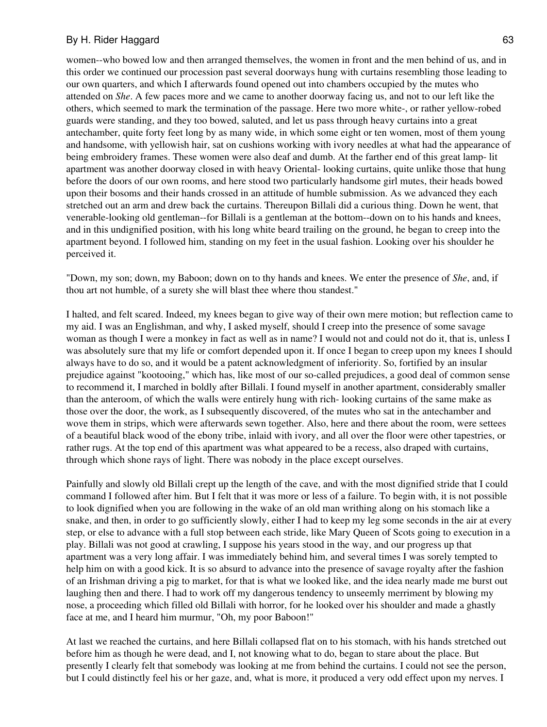women--who bowed low and then arranged themselves, the women in front and the men behind of us, and in this order we continued our procession past several doorways hung with curtains resembling those leading to our own quarters, and which I afterwards found opened out into chambers occupied by the mutes who attended on *She*. A few paces more and we came to another doorway facing us, and not to our left like the others, which seemed to mark the termination of the passage. Here two more white-, or rather yellow-robed guards were standing, and they too bowed, saluted, and let us pass through heavy curtains into a great antechamber, quite forty feet long by as many wide, in which some eight or ten women, most of them young and handsome, with yellowish hair, sat on cushions working with ivory needles at what had the appearance of being embroidery frames. These women were also deaf and dumb. At the farther end of this great lamp- lit apartment was another doorway closed in with heavy Oriental- looking curtains, quite unlike those that hung before the doors of our own rooms, and here stood two particularly handsome girl mutes, their heads bowed upon their bosoms and their hands crossed in an attitude of humble submission. As we advanced they each stretched out an arm and drew back the curtains. Thereupon Billali did a curious thing. Down he went, that venerable-looking old gentleman--for Billali is a gentleman at the bottom--down on to his hands and knees, and in this undignified position, with his long white beard trailing on the ground, he began to creep into the apartment beyond. I followed him, standing on my feet in the usual fashion. Looking over his shoulder he perceived it.

"Down, my son; down, my Baboon; down on to thy hands and knees. We enter the presence of *She*, and, if thou art not humble, of a surety she will blast thee where thou standest."

I halted, and felt scared. Indeed, my knees began to give way of their own mere motion; but reflection came to my aid. I was an Englishman, and why, I asked myself, should I creep into the presence of some savage woman as though I were a monkey in fact as well as in name? I would not and could not do it, that is, unless I was absolutely sure that my life or comfort depended upon it. If once I began to creep upon my knees I should always have to do so, and it would be a patent acknowledgment of inferiority. So, fortified by an insular prejudice against "kootooing," which has, like most of our so-called prejudices, a good deal of common sense to recommend it, I marched in boldly after Billali. I found myself in another apartment, considerably smaller than the anteroom, of which the walls were entirely hung with rich- looking curtains of the same make as those over the door, the work, as I subsequently discovered, of the mutes who sat in the antechamber and wove them in strips, which were afterwards sewn together. Also, here and there about the room, were settees of a beautiful black wood of the ebony tribe, inlaid with ivory, and all over the floor were other tapestries, or rather rugs. At the top end of this apartment was what appeared to be a recess, also draped with curtains, through which shone rays of light. There was nobody in the place except ourselves.

Painfully and slowly old Billali crept up the length of the cave, and with the most dignified stride that I could command I followed after him. But I felt that it was more or less of a failure. To begin with, it is not possible to look dignified when you are following in the wake of an old man writhing along on his stomach like a snake, and then, in order to go sufficiently slowly, either I had to keep my leg some seconds in the air at every step, or else to advance with a full stop between each stride, like Mary Queen of Scots going to execution in a play. Billali was not good at crawling, I suppose his years stood in the way, and our progress up that apartment was a very long affair. I was immediately behind him, and several times I was sorely tempted to help him on with a good kick. It is so absurd to advance into the presence of savage royalty after the fashion of an Irishman driving a pig to market, for that is what we looked like, and the idea nearly made me burst out laughing then and there. I had to work off my dangerous tendency to unseemly merriment by blowing my nose, a proceeding which filled old Billali with horror, for he looked over his shoulder and made a ghastly face at me, and I heard him murmur, "Oh, my poor Baboon!"

At last we reached the curtains, and here Billali collapsed flat on to his stomach, with his hands stretched out before him as though he were dead, and I, not knowing what to do, began to stare about the place. But presently I clearly felt that somebody was looking at me from behind the curtains. I could not see the person, but I could distinctly feel his or her gaze, and, what is more, it produced a very odd effect upon my nerves. I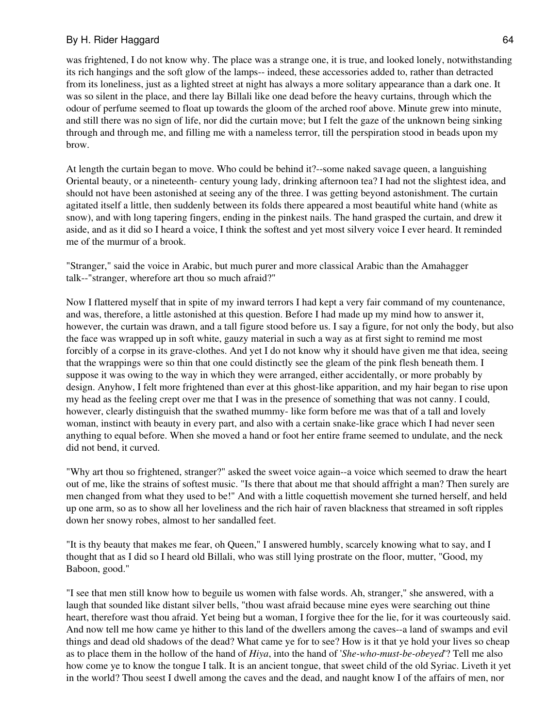was frightened, I do not know why. The place was a strange one, it is true, and looked lonely, notwithstanding its rich hangings and the soft glow of the lamps-- indeed, these accessories added to, rather than detracted from its loneliness, just as a lighted street at night has always a more solitary appearance than a dark one. It was so silent in the place, and there lay Billali like one dead before the heavy curtains, through which the odour of perfume seemed to float up towards the gloom of the arched roof above. Minute grew into minute, and still there was no sign of life, nor did the curtain move; but I felt the gaze of the unknown being sinking through and through me, and filling me with a nameless terror, till the perspiration stood in beads upon my brow.

At length the curtain began to move. Who could be behind it?--some naked savage queen, a languishing Oriental beauty, or a nineteenth- century young lady, drinking afternoon tea? I had not the slightest idea, and should not have been astonished at seeing any of the three. I was getting beyond astonishment. The curtain agitated itself a little, then suddenly between its folds there appeared a most beautiful white hand (white as snow), and with long tapering fingers, ending in the pinkest nails. The hand grasped the curtain, and drew it aside, and as it did so I heard a voice, I think the softest and yet most silvery voice I ever heard. It reminded me of the murmur of a brook.

"Stranger," said the voice in Arabic, but much purer and more classical Arabic than the Amahagger talk--"stranger, wherefore art thou so much afraid?"

Now I flattered myself that in spite of my inward terrors I had kept a very fair command of my countenance, and was, therefore, a little astonished at this question. Before I had made up my mind how to answer it, however, the curtain was drawn, and a tall figure stood before us. I say a figure, for not only the body, but also the face was wrapped up in soft white, gauzy material in such a way as at first sight to remind me most forcibly of a corpse in its grave-clothes. And yet I do not know why it should have given me that idea, seeing that the wrappings were so thin that one could distinctly see the gleam of the pink flesh beneath them. I suppose it was owing to the way in which they were arranged, either accidentally, or more probably by design. Anyhow, I felt more frightened than ever at this ghost-like apparition, and my hair began to rise upon my head as the feeling crept over me that I was in the presence of something that was not canny. I could, however, clearly distinguish that the swathed mummy- like form before me was that of a tall and lovely woman, instinct with beauty in every part, and also with a certain snake-like grace which I had never seen anything to equal before. When she moved a hand or foot her entire frame seemed to undulate, and the neck did not bend, it curved.

"Why art thou so frightened, stranger?" asked the sweet voice again--a voice which seemed to draw the heart out of me, like the strains of softest music. "Is there that about me that should affright a man? Then surely are men changed from what they used to be!" And with a little coquettish movement she turned herself, and held up one arm, so as to show all her loveliness and the rich hair of raven blackness that streamed in soft ripples down her snowy robes, almost to her sandalled feet.

"It is thy beauty that makes me fear, oh Queen," I answered humbly, scarcely knowing what to say, and I thought that as I did so I heard old Billali, who was still lying prostrate on the floor, mutter, "Good, my Baboon, good."

"I see that men still know how to beguile us women with false words. Ah, stranger," she answered, with a laugh that sounded like distant silver bells, "thou wast afraid because mine eyes were searching out thine heart, therefore wast thou afraid. Yet being but a woman, I forgive thee for the lie, for it was courteously said. And now tell me how came ye hither to this land of the dwellers among the caves--a land of swamps and evil things and dead old shadows of the dead? What came ye for to see? How is it that ye hold your lives so cheap as to place them in the hollow of the hand of *Hiya*, into the hand of '*She-who-must-be-obeyed*'? Tell me also how come ye to know the tongue I talk. It is an ancient tongue, that sweet child of the old Syriac. Liveth it yet in the world? Thou seest I dwell among the caves and the dead, and naught know I of the affairs of men, nor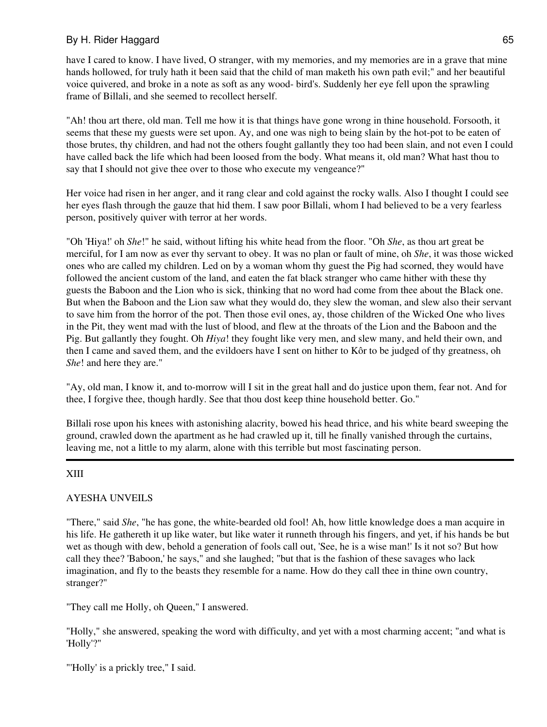have I cared to know. I have lived, O stranger, with my memories, and my memories are in a grave that mine hands hollowed, for truly hath it been said that the child of man maketh his own path evil;" and her beautiful voice quivered, and broke in a note as soft as any wood- bird's. Suddenly her eye fell upon the sprawling frame of Billali, and she seemed to recollect herself.

"Ah! thou art there, old man. Tell me how it is that things have gone wrong in thine household. Forsooth, it seems that these my guests were set upon. Ay, and one was nigh to being slain by the hot-pot to be eaten of those brutes, thy children, and had not the others fought gallantly they too had been slain, and not even I could have called back the life which had been loosed from the body. What means it, old man? What hast thou to say that I should not give thee over to those who execute my vengeance?"

Her voice had risen in her anger, and it rang clear and cold against the rocky walls. Also I thought I could see her eyes flash through the gauze that hid them. I saw poor Billali, whom I had believed to be a very fearless person, positively quiver with terror at her words.

"Oh 'Hiya!' oh *She*!" he said, without lifting his white head from the floor. "Oh *She*, as thou art great be merciful, for I am now as ever thy servant to obey. It was no plan or fault of mine, oh *She*, it was those wicked ones who are called my children. Led on by a woman whom thy guest the Pig had scorned, they would have followed the ancient custom of the land, and eaten the fat black stranger who came hither with these thy guests the Baboon and the Lion who is sick, thinking that no word had come from thee about the Black one. But when the Baboon and the Lion saw what they would do, they slew the woman, and slew also their servant to save him from the horror of the pot. Then those evil ones, ay, those children of the Wicked One who lives in the Pit, they went mad with the lust of blood, and flew at the throats of the Lion and the Baboon and the Pig. But gallantly they fought. Oh *Hiya*! they fought like very men, and slew many, and held their own, and then I came and saved them, and the evildoers have I sent on hither to Kôr to be judged of thy greatness, oh *She*! and here they are."

"Ay, old man, I know it, and to-morrow will I sit in the great hall and do justice upon them, fear not. And for thee, I forgive thee, though hardly. See that thou dost keep thine household better. Go."

Billali rose upon his knees with astonishing alacrity, bowed his head thrice, and his white beard sweeping the ground, crawled down the apartment as he had crawled up it, till he finally vanished through the curtains, leaving me, not a little to my alarm, alone with this terrible but most fascinating person.

# XIII

# AYESHA UNVEILS

"There," said *She*, "he has gone, the white-bearded old fool! Ah, how little knowledge does a man acquire in his life. He gathereth it up like water, but like water it runneth through his fingers, and yet, if his hands be but wet as though with dew, behold a generation of fools call out, 'See, he is a wise man!' Is it not so? But how call they thee? 'Baboon,' he says," and she laughed; "but that is the fashion of these savages who lack imagination, and fly to the beasts they resemble for a name. How do they call thee in thine own country, stranger?"

"They call me Holly, oh Queen," I answered.

"Holly," she answered, speaking the word with difficulty, and yet with a most charming accent; "and what is 'Holly'?"

"'Holly' is a prickly tree," I said.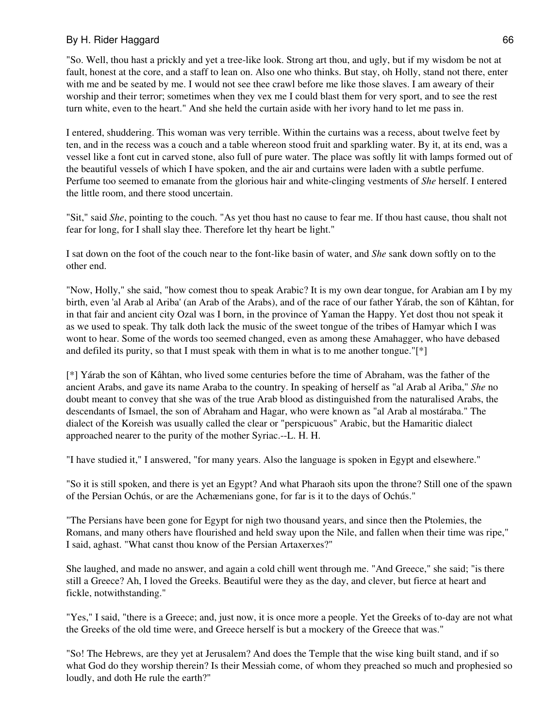"So. Well, thou hast a prickly and yet a tree-like look. Strong art thou, and ugly, but if my wisdom be not at fault, honest at the core, and a staff to lean on. Also one who thinks. But stay, oh Holly, stand not there, enter with me and be seated by me. I would not see thee crawl before me like those slaves. I am aweary of their worship and their terror; sometimes when they vex me I could blast them for very sport, and to see the rest turn white, even to the heart." And she held the curtain aside with her ivory hand to let me pass in.

I entered, shuddering. This woman was very terrible. Within the curtains was a recess, about twelve feet by ten, and in the recess was a couch and a table whereon stood fruit and sparkling water. By it, at its end, was a vessel like a font cut in carved stone, also full of pure water. The place was softly lit with lamps formed out of the beautiful vessels of which I have spoken, and the air and curtains were laden with a subtle perfume. Perfume too seemed to emanate from the glorious hair and white-clinging vestments of *She* herself. I entered the little room, and there stood uncertain.

"Sit," said *She*, pointing to the couch. "As yet thou hast no cause to fear me. If thou hast cause, thou shalt not fear for long, for I shall slay thee. Therefore let thy heart be light."

I sat down on the foot of the couch near to the font-like basin of water, and *She* sank down softly on to the other end.

"Now, Holly," she said, "how comest thou to speak Arabic? It is my own dear tongue, for Arabian am I by my birth, even 'al Arab al Ariba' (an Arab of the Arabs), and of the race of our father Yárab, the son of Kâhtan, for in that fair and ancient city Ozal was I born, in the province of Yaman the Happy. Yet dost thou not speak it as we used to speak. Thy talk doth lack the music of the sweet tongue of the tribes of Hamyar which I was wont to hear. Some of the words too seemed changed, even as among these Amahagger, who have debased and defiled its purity, so that I must speak with them in what is to me another tongue." $[*]$ 

[\*] Yárab the son of Kâhtan, who lived some centuries before the time of Abraham, was the father of the ancient Arabs, and gave its name Araba to the country. In speaking of herself as "al Arab al Ariba," *She* no doubt meant to convey that she was of the true Arab blood as distinguished from the naturalised Arabs, the descendants of Ismael, the son of Abraham and Hagar, who were known as "al Arab al mostáraba." The dialect of the Koreish was usually called the clear or "perspicuous" Arabic, but the Hamaritic dialect approached nearer to the purity of the mother Syriac.--L. H. H.

"I have studied it," I answered, "for many years. Also the language is spoken in Egypt and elsewhere."

"So it is still spoken, and there is yet an Egypt? And what Pharaoh sits upon the throne? Still one of the spawn of the Persian Ochús, or are the Achæmenians gone, for far is it to the days of Ochús."

"The Persians have been gone for Egypt for nigh two thousand years, and since then the Ptolemies, the Romans, and many others have flourished and held sway upon the Nile, and fallen when their time was ripe," I said, aghast. "What canst thou know of the Persian Artaxerxes?"

She laughed, and made no answer, and again a cold chill went through me. "And Greece," she said; "is there still a Greece? Ah, I loved the Greeks. Beautiful were they as the day, and clever, but fierce at heart and fickle, notwithstanding."

"Yes," I said, "there is a Greece; and, just now, it is once more a people. Yet the Greeks of to-day are not what the Greeks of the old time were, and Greece herself is but a mockery of the Greece that was."

"So! The Hebrews, are they yet at Jerusalem? And does the Temple that the wise king built stand, and if so what God do they worship therein? Is their Messiah come, of whom they preached so much and prophesied so loudly, and doth He rule the earth?"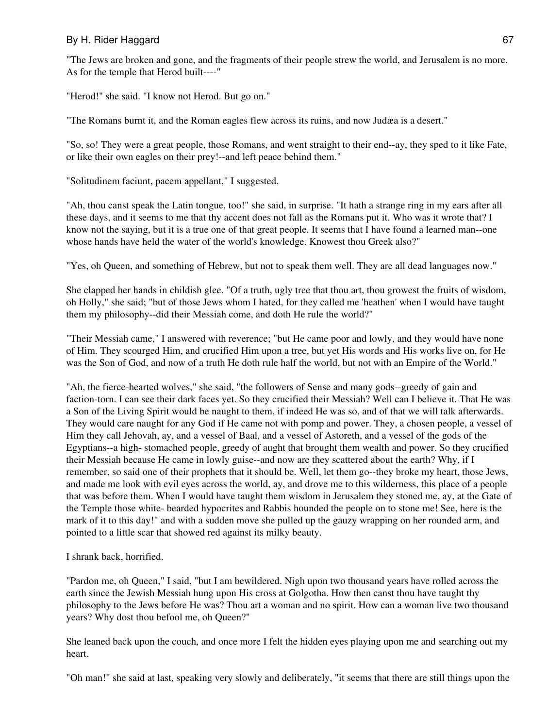"The Jews are broken and gone, and the fragments of their people strew the world, and Jerusalem is no more. As for the temple that Herod built----"

"Herod!" she said. "I know not Herod. But go on."

"The Romans burnt it, and the Roman eagles flew across its ruins, and now Judæa is a desert."

"So, so! They were a great people, those Romans, and went straight to their end--ay, they sped to it like Fate, or like their own eagles on their prey!--and left peace behind them."

"Solitudinem faciunt, pacem appellant," I suggested.

"Ah, thou canst speak the Latin tongue, too!" she said, in surprise. "It hath a strange ring in my ears after all these days, and it seems to me that thy accent does not fall as the Romans put it. Who was it wrote that? I know not the saying, but it is a true one of that great people. It seems that I have found a learned man--one whose hands have held the water of the world's knowledge. Knowest thou Greek also?"

"Yes, oh Queen, and something of Hebrew, but not to speak them well. They are all dead languages now."

She clapped her hands in childish glee. "Of a truth, ugly tree that thou art, thou growest the fruits of wisdom, oh Holly," she said; "but of those Jews whom I hated, for they called me 'heathen' when I would have taught them my philosophy--did their Messiah come, and doth He rule the world?"

"Their Messiah came," I answered with reverence; "but He came poor and lowly, and they would have none of Him. They scourged Him, and crucified Him upon a tree, but yet His words and His works live on, for He was the Son of God, and now of a truth He doth rule half the world, but not with an Empire of the World."

"Ah, the fierce-hearted wolves," she said, "the followers of Sense and many gods--greedy of gain and faction-torn. I can see their dark faces yet. So they crucified their Messiah? Well can I believe it. That He was a Son of the Living Spirit would be naught to them, if indeed He was so, and of that we will talk afterwards. They would care naught for any God if He came not with pomp and power. They, a chosen people, a vessel of Him they call Jehovah, ay, and a vessel of Baal, and a vessel of Astoreth, and a vessel of the gods of the Egyptians--a high- stomached people, greedy of aught that brought them wealth and power. So they crucified their Messiah because He came in lowly guise--and now are they scattered about the earth? Why, if I remember, so said one of their prophets that it should be. Well, let them go--they broke my heart, those Jews, and made me look with evil eyes across the world, ay, and drove me to this wilderness, this place of a people that was before them. When I would have taught them wisdom in Jerusalem they stoned me, ay, at the Gate of the Temple those white- bearded hypocrites and Rabbis hounded the people on to stone me! See, here is the mark of it to this day!" and with a sudden move she pulled up the gauzy wrapping on her rounded arm, and pointed to a little scar that showed red against its milky beauty.

I shrank back, horrified.

"Pardon me, oh Queen," I said, "but I am bewildered. Nigh upon two thousand years have rolled across the earth since the Jewish Messiah hung upon His cross at Golgotha. How then canst thou have taught thy philosophy to the Jews before He was? Thou art a woman and no spirit. How can a woman live two thousand years? Why dost thou befool me, oh Queen?"

She leaned back upon the couch, and once more I felt the hidden eyes playing upon me and searching out my heart.

"Oh man!" she said at last, speaking very slowly and deliberately, "it seems that there are still things upon the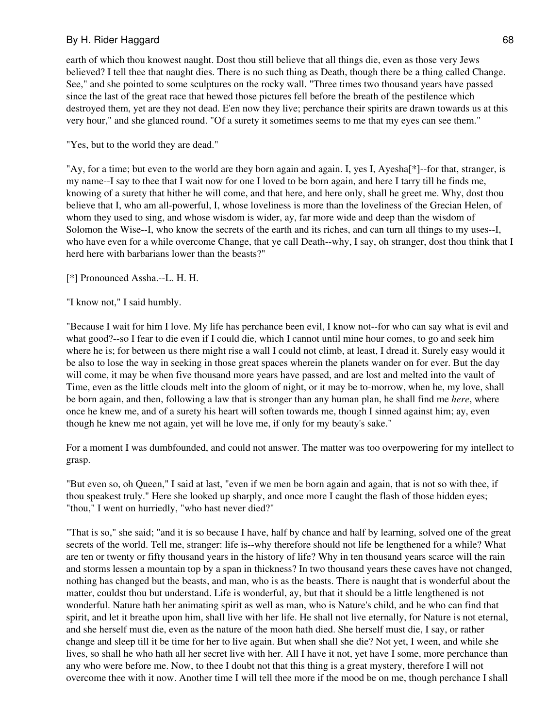earth of which thou knowest naught. Dost thou still believe that all things die, even as those very Jews believed? I tell thee that naught dies. There is no such thing as Death, though there be a thing called Change. See," and she pointed to some sculptures on the rocky wall. "Three times two thousand years have passed since the last of the great race that hewed those pictures fell before the breath of the pestilence which destroyed them, yet are they not dead. E'en now they live; perchance their spirits are drawn towards us at this very hour," and she glanced round. "Of a surety it sometimes seems to me that my eyes can see them."

"Yes, but to the world they are dead."

"Ay, for a time; but even to the world are they born again and again. I, yes I, Ayesha[\*]--for that, stranger, is my name--I say to thee that I wait now for one I loved to be born again, and here I tarry till he finds me, knowing of a surety that hither he will come, and that here, and here only, shall he greet me. Why, dost thou believe that I, who am all-powerful, I, whose loveliness is more than the loveliness of the Grecian Helen, of whom they used to sing, and whose wisdom is wider, ay, far more wide and deep than the wisdom of Solomon the Wise--I, who know the secrets of the earth and its riches, and can turn all things to my uses--I, who have even for a while overcome Change, that ye call Death--why, I say, oh stranger, dost thou think that I herd here with barbarians lower than the beasts?"

[\*] Pronounced Assha.--L. H. H.

"I know not," I said humbly.

"Because I wait for him I love. My life has perchance been evil, I know not--for who can say what is evil and what good?--so I fear to die even if I could die, which I cannot until mine hour comes, to go and seek him where he is; for between us there might rise a wall I could not climb, at least, I dread it. Surely easy would it be also to lose the way in seeking in those great spaces wherein the planets wander on for ever. But the day will come, it may be when five thousand more years have passed, and are lost and melted into the vault of Time, even as the little clouds melt into the gloom of night, or it may be to-morrow, when he, my love, shall be born again, and then, following a law that is stronger than any human plan, he shall find me *here*, where once he knew me, and of a surety his heart will soften towards me, though I sinned against him; ay, even though he knew me not again, yet will he love me, if only for my beauty's sake."

For a moment I was dumbfounded, and could not answer. The matter was too overpowering for my intellect to grasp.

"But even so, oh Queen," I said at last, "even if we men be born again and again, that is not so with thee, if thou speakest truly." Here she looked up sharply, and once more I caught the flash of those hidden eyes; "thou," I went on hurriedly, "who hast never died?"

"That is so," she said; "and it is so because I have, half by chance and half by learning, solved one of the great secrets of the world. Tell me, stranger: life is--why therefore should not life be lengthened for a while? What are ten or twenty or fifty thousand years in the history of life? Why in ten thousand years scarce will the rain and storms lessen a mountain top by a span in thickness? In two thousand years these caves have not changed, nothing has changed but the beasts, and man, who is as the beasts. There is naught that is wonderful about the matter, couldst thou but understand. Life is wonderful, ay, but that it should be a little lengthened is not wonderful. Nature hath her animating spirit as well as man, who is Nature's child, and he who can find that spirit, and let it breathe upon him, shall live with her life. He shall not live eternally, for Nature is not eternal, and she herself must die, even as the nature of the moon hath died. She herself must die, I say, or rather change and sleep till it be time for her to live again. But when shall she die? Not yet, I ween, and while she lives, so shall he who hath all her secret live with her. All I have it not, yet have I some, more perchance than any who were before me. Now, to thee I doubt not that this thing is a great mystery, therefore I will not overcome thee with it now. Another time I will tell thee more if the mood be on me, though perchance I shall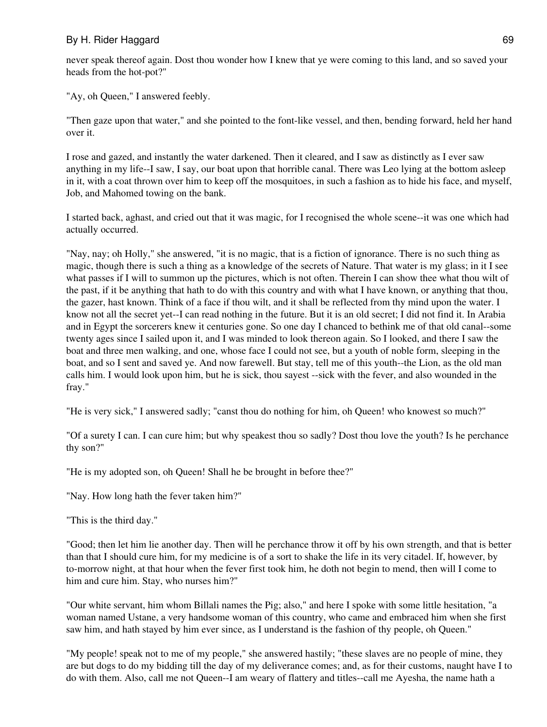never speak thereof again. Dost thou wonder how I knew that ye were coming to this land, and so saved your heads from the hot-pot?"

"Ay, oh Queen," I answered feebly.

"Then gaze upon that water," and she pointed to the font-like vessel, and then, bending forward, held her hand over it.

I rose and gazed, and instantly the water darkened. Then it cleared, and I saw as distinctly as I ever saw anything in my life--I saw, I say, our boat upon that horrible canal. There was Leo lying at the bottom asleep in it, with a coat thrown over him to keep off the mosquitoes, in such a fashion as to hide his face, and myself, Job, and Mahomed towing on the bank.

I started back, aghast, and cried out that it was magic, for I recognised the whole scene--it was one which had actually occurred.

"Nay, nay; oh Holly," she answered, "it is no magic, that is a fiction of ignorance. There is no such thing as magic, though there is such a thing as a knowledge of the secrets of Nature. That water is my glass; in it I see what passes if I will to summon up the pictures, which is not often. Therein I can show thee what thou wilt of the past, if it be anything that hath to do with this country and with what I have known, or anything that thou, the gazer, hast known. Think of a face if thou wilt, and it shall be reflected from thy mind upon the water. I know not all the secret yet--I can read nothing in the future. But it is an old secret; I did not find it. In Arabia and in Egypt the sorcerers knew it centuries gone. So one day I chanced to bethink me of that old canal--some twenty ages since I sailed upon it, and I was minded to look thereon again. So I looked, and there I saw the boat and three men walking, and one, whose face I could not see, but a youth of noble form, sleeping in the boat, and so I sent and saved ye. And now farewell. But stay, tell me of this youth--the Lion, as the old man calls him. I would look upon him, but he is sick, thou sayest --sick with the fever, and also wounded in the fray."

"He is very sick," I answered sadly; "canst thou do nothing for him, oh Queen! who knowest so much?"

"Of a surety I can. I can cure him; but why speakest thou so sadly? Dost thou love the youth? Is he perchance thy son?"

"He is my adopted son, oh Queen! Shall he be brought in before thee?"

"Nay. How long hath the fever taken him?"

"This is the third day."

"Good; then let him lie another day. Then will he perchance throw it off by his own strength, and that is better than that I should cure him, for my medicine is of a sort to shake the life in its very citadel. If, however, by to-morrow night, at that hour when the fever first took him, he doth not begin to mend, then will I come to him and cure him. Stay, who nurses him?"

"Our white servant, him whom Billali names the Pig; also," and here I spoke with some little hesitation, "a woman named Ustane, a very handsome woman of this country, who came and embraced him when she first saw him, and hath stayed by him ever since, as I understand is the fashion of thy people, oh Queen."

"My people! speak not to me of my people," she answered hastily; "these slaves are no people of mine, they are but dogs to do my bidding till the day of my deliverance comes; and, as for their customs, naught have I to do with them. Also, call me not Queen--I am weary of flattery and titles--call me Ayesha, the name hath a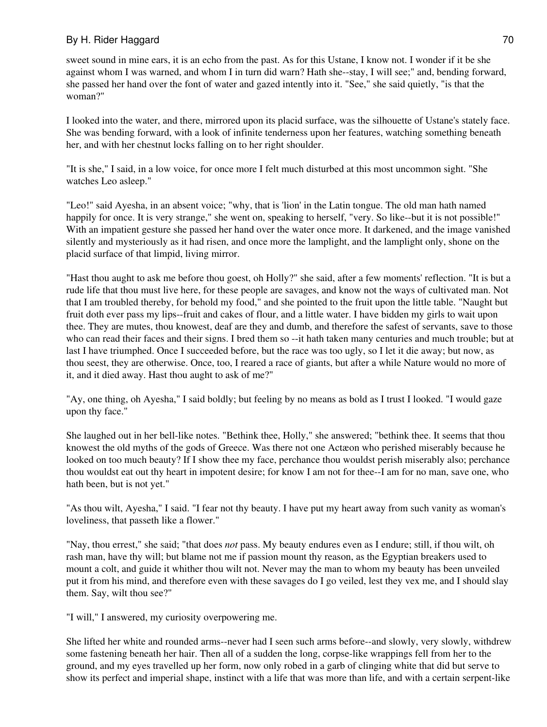sweet sound in mine ears, it is an echo from the past. As for this Ustane, I know not. I wonder if it be she against whom I was warned, and whom I in turn did warn? Hath she--stay, I will see;" and, bending forward, she passed her hand over the font of water and gazed intently into it. "See," she said quietly, "is that the woman?"

I looked into the water, and there, mirrored upon its placid surface, was the silhouette of Ustane's stately face. She was bending forward, with a look of infinite tenderness upon her features, watching something beneath her, and with her chestnut locks falling on to her right shoulder.

"It is she," I said, in a low voice, for once more I felt much disturbed at this most uncommon sight. "She watches Leo asleep."

"Leo!" said Ayesha, in an absent voice; "why, that is 'lion' in the Latin tongue. The old man hath named happily for once. It is very strange," she went on, speaking to herself, "very. So like--but it is not possible!" With an impatient gesture she passed her hand over the water once more. It darkened, and the image vanished silently and mysteriously as it had risen, and once more the lamplight, and the lamplight only, shone on the placid surface of that limpid, living mirror.

"Hast thou aught to ask me before thou goest, oh Holly?" she said, after a few moments' reflection. "It is but a rude life that thou must live here, for these people are savages, and know not the ways of cultivated man. Not that I am troubled thereby, for behold my food," and she pointed to the fruit upon the little table. "Naught but fruit doth ever pass my lips--fruit and cakes of flour, and a little water. I have bidden my girls to wait upon thee. They are mutes, thou knowest, deaf are they and dumb, and therefore the safest of servants, save to those who can read their faces and their signs. I bred them so --it hath taken many centuries and much trouble; but at last I have triumphed. Once I succeeded before, but the race was too ugly, so I let it die away; but now, as thou seest, they are otherwise. Once, too, I reared a race of giants, but after a while Nature would no more of it, and it died away. Hast thou aught to ask of me?"

"Ay, one thing, oh Ayesha," I said boldly; but feeling by no means as bold as I trust I looked. "I would gaze upon thy face."

She laughed out in her bell-like notes. "Bethink thee, Holly," she answered; "bethink thee. It seems that thou knowest the old myths of the gods of Greece. Was there not one Actæon who perished miserably because he looked on too much beauty? If I show thee my face, perchance thou wouldst perish miserably also; perchance thou wouldst eat out thy heart in impotent desire; for know I am not for thee--I am for no man, save one, who hath been, but is not yet."

"As thou wilt, Ayesha," I said. "I fear not thy beauty. I have put my heart away from such vanity as woman's loveliness, that passeth like a flower."

"Nay, thou errest," she said; "that does *not* pass. My beauty endures even as I endure; still, if thou wilt, oh rash man, have thy will; but blame not me if passion mount thy reason, as the Egyptian breakers used to mount a colt, and guide it whither thou wilt not. Never may the man to whom my beauty has been unveiled put it from his mind, and therefore even with these savages do I go veiled, lest they vex me, and I should slay them. Say, wilt thou see?"

"I will," I answered, my curiosity overpowering me.

She lifted her white and rounded arms--never had I seen such arms before--and slowly, very slowly, withdrew some fastening beneath her hair. Then all of a sudden the long, corpse-like wrappings fell from her to the ground, and my eyes travelled up her form, now only robed in a garb of clinging white that did but serve to show its perfect and imperial shape, instinct with a life that was more than life, and with a certain serpent-like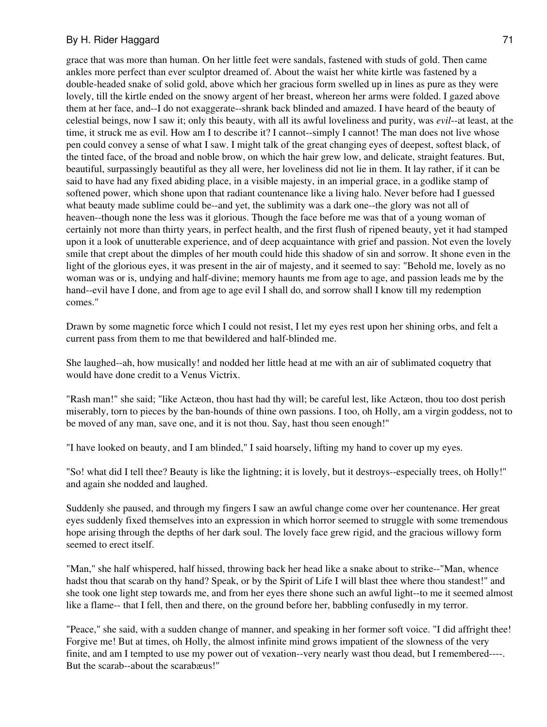grace that was more than human. On her little feet were sandals, fastened with studs of gold. Then came ankles more perfect than ever sculptor dreamed of. About the waist her white kirtle was fastened by a double-headed snake of solid gold, above which her gracious form swelled up in lines as pure as they were lovely, till the kirtle ended on the snowy argent of her breast, whereon her arms were folded. I gazed above them at her face, and--I do not exaggerate--shrank back blinded and amazed. I have heard of the beauty of celestial beings, now I saw it; only this beauty, with all its awful loveliness and purity, was *evil*--at least, at the time, it struck me as evil. How am I to describe it? I cannot--simply I cannot! The man does not live whose pen could convey a sense of what I saw. I might talk of the great changing eyes of deepest, softest black, of the tinted face, of the broad and noble brow, on which the hair grew low, and delicate, straight features. But, beautiful, surpassingly beautiful as they all were, her loveliness did not lie in them. It lay rather, if it can be said to have had any fixed abiding place, in a visible majesty, in an imperial grace, in a godlike stamp of softened power, which shone upon that radiant countenance like a living halo. Never before had I guessed what beauty made sublime could be--and yet, the sublimity was a dark one--the glory was not all of heaven--though none the less was it glorious. Though the face before me was that of a young woman of certainly not more than thirty years, in perfect health, and the first flush of ripened beauty, yet it had stamped upon it a look of unutterable experience, and of deep acquaintance with grief and passion. Not even the lovely smile that crept about the dimples of her mouth could hide this shadow of sin and sorrow. It shone even in the light of the glorious eyes, it was present in the air of majesty, and it seemed to say: "Behold me, lovely as no woman was or is, undying and half-divine; memory haunts me from age to age, and passion leads me by the hand--evil have I done, and from age to age evil I shall do, and sorrow shall I know till my redemption comes."

Drawn by some magnetic force which I could not resist, I let my eyes rest upon her shining orbs, and felt a current pass from them to me that bewildered and half-blinded me.

She laughed--ah, how musically! and nodded her little head at me with an air of sublimated coquetry that would have done credit to a Venus Victrix.

"Rash man!" she said; "like Actæon, thou hast had thy will; be careful lest, like Actæon, thou too dost perish miserably, torn to pieces by the ban-hounds of thine own passions. I too, oh Holly, am a virgin goddess, not to be moved of any man, save one, and it is not thou. Say, hast thou seen enough!"

"I have looked on beauty, and I am blinded," I said hoarsely, lifting my hand to cover up my eyes.

"So! what did I tell thee? Beauty is like the lightning; it is lovely, but it destroys--especially trees, oh Holly!" and again she nodded and laughed.

Suddenly she paused, and through my fingers I saw an awful change come over her countenance. Her great eyes suddenly fixed themselves into an expression in which horror seemed to struggle with some tremendous hope arising through the depths of her dark soul. The lovely face grew rigid, and the gracious willowy form seemed to erect itself.

"Man," she half whispered, half hissed, throwing back her head like a snake about to strike--"Man, whence hadst thou that scarab on thy hand? Speak, or by the Spirit of Life I will blast thee where thou standest!" and she took one light step towards me, and from her eyes there shone such an awful light--to me it seemed almost like a flame-- that I fell, then and there, on the ground before her, babbling confusedly in my terror.

"Peace," she said, with a sudden change of manner, and speaking in her former soft voice. "I did affright thee! Forgive me! But at times, oh Holly, the almost infinite mind grows impatient of the slowness of the very finite, and am I tempted to use my power out of vexation--very nearly wast thou dead, but I remembered----. But the scarab--about the scarabæus!"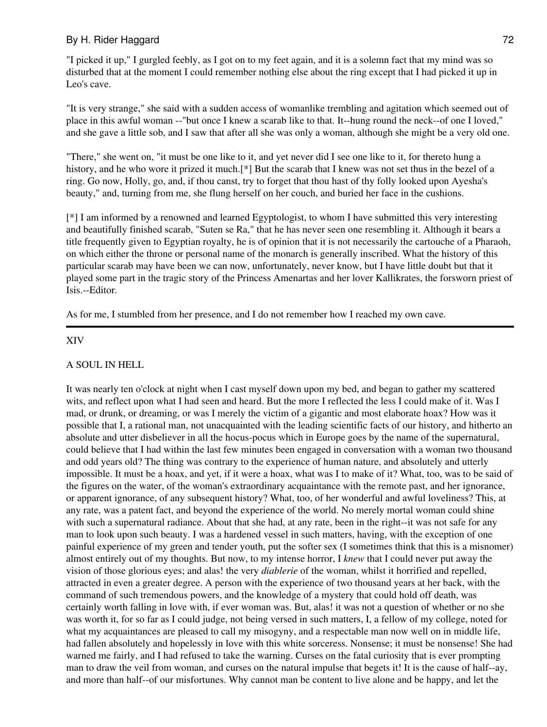"I picked it up," I gurgled feebly, as I got on to my feet again, and it is a solemn fact that my mind was so disturbed that at the moment I could remember nothing else about the ring except that I had picked it up in Leo's cave.

"It is very strange," she said with a sudden access of womanlike trembling and agitation which seemed out of place in this awful woman --"but once I knew a scarab like to that. It--hung round the neck--of one I loved," and she gave a little sob, and I saw that after all she was only a woman, although she might be a very old one.

"There," she went on, "it must be one like to it, and yet never did I see one like to it, for thereto hung a history, and he who wore it prized it much.<sup>[\*]</sup> But the scarab that I knew was not set thus in the bezel of a ring. Go now, Holly, go, and, if thou canst, try to forget that thou hast of thy folly looked upon Ayesha's beauty," and, turning from me, she flung herself on her couch, and buried her face in the cushions.

[\*] I am informed by a renowned and learned Egyptologist, to whom I have submitted this very interesting and beautifully finished scarab, "Suten se Ra," that he has never seen one resembling it. Although it bears a title frequently given to Egyptian royalty, he is of opinion that it is not necessarily the cartouche of a Pharaoh, on which either the throne or personal name of the monarch is generally inscribed. What the history of this particular scarab may have been we can now, unfortunately, never know, but I have little doubt but that it played some part in the tragic story of the Princess Amenartas and her lover Kallikrates, the forsworn priest of Isis.--Editor.

As for me, I stumbled from her presence, and I do not remember how I reached my own cave.

### XIV

## A SOUL IN HELL

It was nearly ten o'clock at night when I cast myself down upon my bed, and began to gather my scattered wits, and reflect upon what I had seen and heard. But the more I reflected the less I could make of it. Was I mad, or drunk, or dreaming, or was I merely the victim of a gigantic and most elaborate hoax? How was it possible that I, a rational man, not unacquainted with the leading scientific facts of our history, and hitherto an absolute and utter disbeliever in all the hocus-pocus which in Europe goes by the name of the supernatural, could believe that I had within the last few minutes been engaged in conversation with a woman two thousand and odd years old? The thing was contrary to the experience of human nature, and absolutely and utterly impossible. It must be a hoax, and yet, if it were a hoax, what was I to make of it? What, too, was to be said of the figures on the water, of the woman's extraordinary acquaintance with the remote past, and her ignorance, or apparent ignorance, of any subsequent history? What, too, of her wonderful and awful loveliness? This, at any rate, was a patent fact, and beyond the experience of the world. No merely mortal woman could shine with such a supernatural radiance. About that she had, at any rate, been in the right--it was not safe for any man to look upon such beauty. I was a hardened vessel in such matters, having, with the exception of one painful experience of my green and tender youth, put the softer sex (I sometimes think that this is a misnomer) almost entirely out of my thoughts. But now, to my intense horror, I *knew* that I could never put away the vision of those glorious eyes; and alas! the very *diablerie* of the woman, whilst it horrified and repelled, attracted in even a greater degree. A person with the experience of two thousand years at her back, with the command of such tremendous powers, and the knowledge of a mystery that could hold off death, was certainly worth falling in love with, if ever woman was. But, alas! it was not a question of whether or no she was worth it, for so far as I could judge, not being versed in such matters, I, a fellow of my college, noted for what my acquaintances are pleased to call my misogyny, and a respectable man now well on in middle life, had fallen absolutely and hopelessly in love with this white sorceress. Nonsense; it must be nonsense! She had warned me fairly, and I had refused to take the warning. Curses on the fatal curiosity that is ever prompting man to draw the veil from woman, and curses on the natural impulse that begets it! It is the cause of half--ay, and more than half--of our misfortunes. Why cannot man be content to live alone and be happy, and let the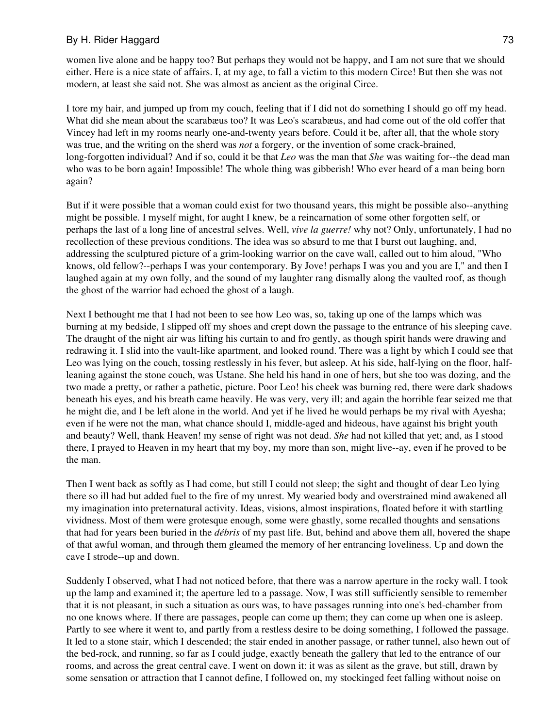women live alone and be happy too? But perhaps they would not be happy, and I am not sure that we should either. Here is a nice state of affairs. I, at my age, to fall a victim to this modern Circe! But then she was not modern, at least she said not. She was almost as ancient as the original Circe.

I tore my hair, and jumped up from my couch, feeling that if I did not do something I should go off my head. What did she mean about the scarabæus too? It was Leo's scarabæus, and had come out of the old coffer that Vincey had left in my rooms nearly one-and-twenty years before. Could it be, after all, that the whole story was true, and the writing on the sherd was *not* a forgery, or the invention of some crack-brained, long-forgotten individual? And if so, could it be that *Leo* was the man that *She* was waiting for--the dead man who was to be born again! Impossible! The whole thing was gibberish! Who ever heard of a man being born again?

But if it were possible that a woman could exist for two thousand years, this might be possible also--anything might be possible. I myself might, for aught I knew, be a reincarnation of some other forgotten self, or perhaps the last of a long line of ancestral selves. Well, *vive la guerre!* why not? Only, unfortunately, I had no recollection of these previous conditions. The idea was so absurd to me that I burst out laughing, and, addressing the sculptured picture of a grim-looking warrior on the cave wall, called out to him aloud, "Who knows, old fellow?--perhaps I was your contemporary. By Jove! perhaps I was you and you are I," and then I laughed again at my own folly, and the sound of my laughter rang dismally along the vaulted roof, as though the ghost of the warrior had echoed the ghost of a laugh.

Next I bethought me that I had not been to see how Leo was, so, taking up one of the lamps which was burning at my bedside, I slipped off my shoes and crept down the passage to the entrance of his sleeping cave. The draught of the night air was lifting his curtain to and fro gently, as though spirit hands were drawing and redrawing it. I slid into the vault-like apartment, and looked round. There was a light by which I could see that Leo was lying on the couch, tossing restlessly in his fever, but asleep. At his side, half-lying on the floor, halfleaning against the stone couch, was Ustane. She held his hand in one of hers, but she too was dozing, and the two made a pretty, or rather a pathetic, picture. Poor Leo! his cheek was burning red, there were dark shadows beneath his eyes, and his breath came heavily. He was very, very ill; and again the horrible fear seized me that he might die, and I be left alone in the world. And yet if he lived he would perhaps be my rival with Ayesha; even if he were not the man, what chance should I, middle-aged and hideous, have against his bright youth and beauty? Well, thank Heaven! my sense of right was not dead. *She* had not killed that yet; and, as I stood there, I prayed to Heaven in my heart that my boy, my more than son, might live--ay, even if he proved to be the man.

Then I went back as softly as I had come, but still I could not sleep; the sight and thought of dear Leo lying there so ill had but added fuel to the fire of my unrest. My wearied body and overstrained mind awakened all my imagination into preternatural activity. Ideas, visions, almost inspirations, floated before it with startling vividness. Most of them were grotesque enough, some were ghastly, some recalled thoughts and sensations that had for years been buried in the *débris* of my past life. But, behind and above them all, hovered the shape of that awful woman, and through them gleamed the memory of her entrancing loveliness. Up and down the cave I strode--up and down.

Suddenly I observed, what I had not noticed before, that there was a narrow aperture in the rocky wall. I took up the lamp and examined it; the aperture led to a passage. Now, I was still sufficiently sensible to remember that it is not pleasant, in such a situation as ours was, to have passages running into one's bed-chamber from no one knows where. If there are passages, people can come up them; they can come up when one is asleep. Partly to see where it went to, and partly from a restless desire to be doing something, I followed the passage. It led to a stone stair, which I descended; the stair ended in another passage, or rather tunnel, also hewn out of the bed-rock, and running, so far as I could judge, exactly beneath the gallery that led to the entrance of our rooms, and across the great central cave. I went on down it: it was as silent as the grave, but still, drawn by some sensation or attraction that I cannot define, I followed on, my stockinged feet falling without noise on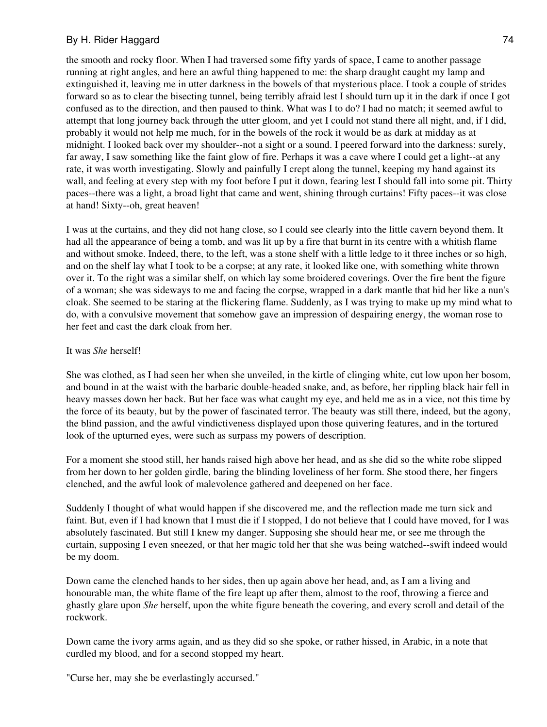the smooth and rocky floor. When I had traversed some fifty yards of space, I came to another passage running at right angles, and here an awful thing happened to me: the sharp draught caught my lamp and extinguished it, leaving me in utter darkness in the bowels of that mysterious place. I took a couple of strides forward so as to clear the bisecting tunnel, being terribly afraid lest I should turn up it in the dark if once I got confused as to the direction, and then paused to think. What was I to do? I had no match; it seemed awful to attempt that long journey back through the utter gloom, and yet I could not stand there all night, and, if I did, probably it would not help me much, for in the bowels of the rock it would be as dark at midday as at midnight. I looked back over my shoulder--not a sight or a sound. I peered forward into the darkness: surely, far away, I saw something like the faint glow of fire. Perhaps it was a cave where I could get a light--at any rate, it was worth investigating. Slowly and painfully I crept along the tunnel, keeping my hand against its wall, and feeling at every step with my foot before I put it down, fearing lest I should fall into some pit. Thirty paces--there was a light, a broad light that came and went, shining through curtains! Fifty paces--it was close at hand! Sixty--oh, great heaven!

I was at the curtains, and they did not hang close, so I could see clearly into the little cavern beyond them. It had all the appearance of being a tomb, and was lit up by a fire that burnt in its centre with a whitish flame and without smoke. Indeed, there, to the left, was a stone shelf with a little ledge to it three inches or so high, and on the shelf lay what I took to be a corpse; at any rate, it looked like one, with something white thrown over it. To the right was a similar shelf, on which lay some broidered coverings. Over the fire bent the figure of a woman; she was sideways to me and facing the corpse, wrapped in a dark mantle that hid her like a nun's cloak. She seemed to be staring at the flickering flame. Suddenly, as I was trying to make up my mind what to do, with a convulsive movement that somehow gave an impression of despairing energy, the woman rose to her feet and cast the dark cloak from her.

#### It was *She* herself!

She was clothed, as I had seen her when she unveiled, in the kirtle of clinging white, cut low upon her bosom, and bound in at the waist with the barbaric double-headed snake, and, as before, her rippling black hair fell in heavy masses down her back. But her face was what caught my eye, and held me as in a vice, not this time by the force of its beauty, but by the power of fascinated terror. The beauty was still there, indeed, but the agony, the blind passion, and the awful vindictiveness displayed upon those quivering features, and in the tortured look of the upturned eyes, were such as surpass my powers of description.

For a moment she stood still, her hands raised high above her head, and as she did so the white robe slipped from her down to her golden girdle, baring the blinding loveliness of her form. She stood there, her fingers clenched, and the awful look of malevolence gathered and deepened on her face.

Suddenly I thought of what would happen if she discovered me, and the reflection made me turn sick and faint. But, even if I had known that I must die if I stopped, I do not believe that I could have moved, for I was absolutely fascinated. But still I knew my danger. Supposing she should hear me, or see me through the curtain, supposing I even sneezed, or that her magic told her that she was being watched--swift indeed would be my doom.

Down came the clenched hands to her sides, then up again above her head, and, as I am a living and honourable man, the white flame of the fire leapt up after them, almost to the roof, throwing a fierce and ghastly glare upon *She* herself, upon the white figure beneath the covering, and every scroll and detail of the rockwork.

Down came the ivory arms again, and as they did so she spoke, or rather hissed, in Arabic, in a note that curdled my blood, and for a second stopped my heart.

"Curse her, may she be everlastingly accursed."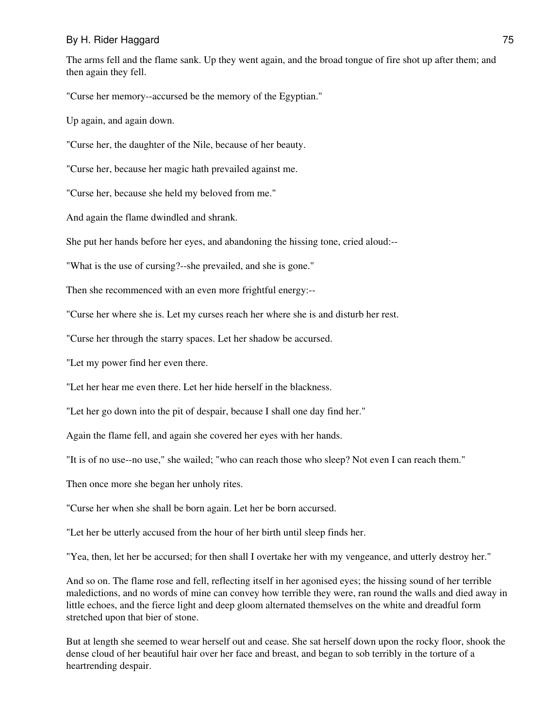The arms fell and the flame sank. Up they went again, and the broad tongue of fire shot up after them; and then again they fell.

"Curse her memory--accursed be the memory of the Egyptian."

Up again, and again down.

"Curse her, the daughter of the Nile, because of her beauty.

"Curse her, because her magic hath prevailed against me.

"Curse her, because she held my beloved from me."

And again the flame dwindled and shrank.

She put her hands before her eyes, and abandoning the hissing tone, cried aloud:--

"What is the use of cursing?--she prevailed, and she is gone."

Then she recommenced with an even more frightful energy:--

"Curse her where she is. Let my curses reach her where she is and disturb her rest.

"Curse her through the starry spaces. Let her shadow be accursed.

"Let my power find her even there.

"Let her hear me even there. Let her hide herself in the blackness.

"Let her go down into the pit of despair, because I shall one day find her."

Again the flame fell, and again she covered her eyes with her hands.

"It is of no use--no use," she wailed; "who can reach those who sleep? Not even I can reach them."

Then once more she began her unholy rites.

"Curse her when she shall be born again. Let her be born accursed.

"Let her be utterly accused from the hour of her birth until sleep finds her.

"Yea, then, let her be accursed; for then shall I overtake her with my vengeance, and utterly destroy her."

And so on. The flame rose and fell, reflecting itself in her agonised eyes; the hissing sound of her terrible maledictions, and no words of mine can convey how terrible they were, ran round the walls and died away in little echoes, and the fierce light and deep gloom alternated themselves on the white and dreadful form stretched upon that bier of stone.

But at length she seemed to wear herself out and cease. She sat herself down upon the rocky floor, shook the dense cloud of her beautiful hair over her face and breast, and began to sob terribly in the torture of a heartrending despair.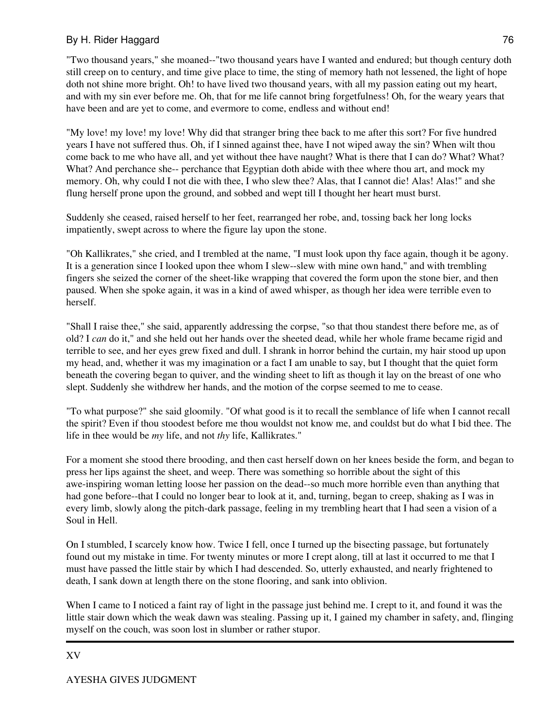"Two thousand years," she moaned--"two thousand years have I wanted and endured; but though century doth still creep on to century, and time give place to time, the sting of memory hath not lessened, the light of hope doth not shine more bright. Oh! to have lived two thousand years, with all my passion eating out my heart, and with my sin ever before me. Oh, that for me life cannot bring forgetfulness! Oh, for the weary years that have been and are yet to come, and evermore to come, endless and without end!

"My love! my love! my love! Why did that stranger bring thee back to me after this sort? For five hundred years I have not suffered thus. Oh, if I sinned against thee, have I not wiped away the sin? When wilt thou come back to me who have all, and yet without thee have naught? What is there that I can do? What? What? What? And perchance she-- perchance that Egyptian doth abide with thee where thou art, and mock my memory. Oh, why could I not die with thee, I who slew thee? Alas, that I cannot die! Alas! Alas!" and she flung herself prone upon the ground, and sobbed and wept till I thought her heart must burst.

Suddenly she ceased, raised herself to her feet, rearranged her robe, and, tossing back her long locks impatiently, swept across to where the figure lay upon the stone.

"Oh Kallikrates," she cried, and I trembled at the name, "I must look upon thy face again, though it be agony. It is a generation since I looked upon thee whom I slew--slew with mine own hand," and with trembling fingers she seized the corner of the sheet-like wrapping that covered the form upon the stone bier, and then paused. When she spoke again, it was in a kind of awed whisper, as though her idea were terrible even to herself.

"Shall I raise thee," she said, apparently addressing the corpse, "so that thou standest there before me, as of old? I *can* do it," and she held out her hands over the sheeted dead, while her whole frame became rigid and terrible to see, and her eyes grew fixed and dull. I shrank in horror behind the curtain, my hair stood up upon my head, and, whether it was my imagination or a fact I am unable to say, but I thought that the quiet form beneath the covering began to quiver, and the winding sheet to lift as though it lay on the breast of one who slept. Suddenly she withdrew her hands, and the motion of the corpse seemed to me to cease.

"To what purpose?" she said gloomily. "Of what good is it to recall the semblance of life when I cannot recall the spirit? Even if thou stoodest before me thou wouldst not know me, and couldst but do what I bid thee. The life in thee would be *my* life, and not *thy* life, Kallikrates."

For a moment she stood there brooding, and then cast herself down on her knees beside the form, and began to press her lips against the sheet, and weep. There was something so horrible about the sight of this awe-inspiring woman letting loose her passion on the dead--so much more horrible even than anything that had gone before--that I could no longer bear to look at it, and, turning, began to creep, shaking as I was in every limb, slowly along the pitch-dark passage, feeling in my trembling heart that I had seen a vision of a Soul in Hell.

On I stumbled, I scarcely know how. Twice I fell, once I turned up the bisecting passage, but fortunately found out my mistake in time. For twenty minutes or more I crept along, till at last it occurred to me that I must have passed the little stair by which I had descended. So, utterly exhausted, and nearly frightened to death, I sank down at length there on the stone flooring, and sank into oblivion.

When I came to I noticed a faint ray of light in the passage just behind me. I crept to it, and found it was the little stair down which the weak dawn was stealing. Passing up it, I gained my chamber in safety, and, flinging myself on the couch, was soon lost in slumber or rather stupor.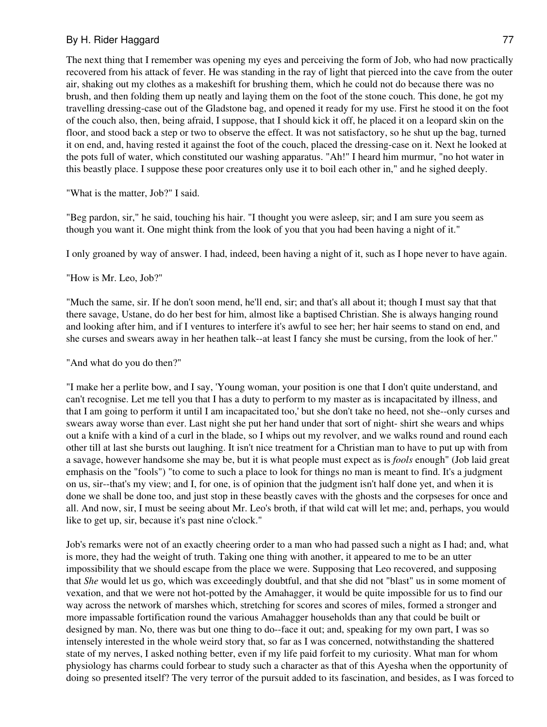The next thing that I remember was opening my eyes and perceiving the form of Job, who had now practically recovered from his attack of fever. He was standing in the ray of light that pierced into the cave from the outer air, shaking out my clothes as a makeshift for brushing them, which he could not do because there was no brush, and then folding them up neatly and laying them on the foot of the stone couch. This done, he got my travelling dressing-case out of the Gladstone bag, and opened it ready for my use. First he stood it on the foot of the couch also, then, being afraid, I suppose, that I should kick it off, he placed it on a leopard skin on the floor, and stood back a step or two to observe the effect. It was not satisfactory, so he shut up the bag, turned it on end, and, having rested it against the foot of the couch, placed the dressing-case on it. Next he looked at the pots full of water, which constituted our washing apparatus. "Ah!" I heard him murmur, "no hot water in this beastly place. I suppose these poor creatures only use it to boil each other in," and he sighed deeply.

"What is the matter, Job?" I said.

"Beg pardon, sir," he said, touching his hair. "I thought you were asleep, sir; and I am sure you seem as though you want it. One might think from the look of you that you had been having a night of it."

I only groaned by way of answer. I had, indeed, been having a night of it, such as I hope never to have again.

"How is Mr. Leo, Job?"

"Much the same, sir. If he don't soon mend, he'll end, sir; and that's all about it; though I must say that that there savage, Ustane, do do her best for him, almost like a baptised Christian. She is always hanging round and looking after him, and if I ventures to interfere it's awful to see her; her hair seems to stand on end, and she curses and swears away in her heathen talk--at least I fancy she must be cursing, from the look of her."

"And what do you do then?"

"I make her a perlite bow, and I say, 'Young woman, your position is one that I don't quite understand, and can't recognise. Let me tell you that I has a duty to perform to my master as is incapacitated by illness, and that I am going to perform it until I am incapacitated too,' but she don't take no heed, not she--only curses and swears away worse than ever. Last night she put her hand under that sort of night- shirt she wears and whips out a knife with a kind of a curl in the blade, so I whips out my revolver, and we walks round and round each other till at last she bursts out laughing. It isn't nice treatment for a Christian man to have to put up with from a savage, however handsome she may be, but it is what people must expect as is *fools* enough" (Job laid great emphasis on the "fools") "to come to such a place to look for things no man is meant to find. It's a judgment on us, sir--that's my view; and I, for one, is of opinion that the judgment isn't half done yet, and when it is done we shall be done too, and just stop in these beastly caves with the ghosts and the corpseses for once and all. And now, sir, I must be seeing about Mr. Leo's broth, if that wild cat will let me; and, perhaps, you would like to get up, sir, because it's past nine o'clock."

Job's remarks were not of an exactly cheering order to a man who had passed such a night as I had; and, what is more, they had the weight of truth. Taking one thing with another, it appeared to me to be an utter impossibility that we should escape from the place we were. Supposing that Leo recovered, and supposing that *She* would let us go, which was exceedingly doubtful, and that she did not "blast" us in some moment of vexation, and that we were not hot-potted by the Amahagger, it would be quite impossible for us to find our way across the network of marshes which, stretching for scores and scores of miles, formed a stronger and more impassable fortification round the various Amahagger households than any that could be built or designed by man. No, there was but one thing to do--face it out; and, speaking for my own part, I was so intensely interested in the whole weird story that, so far as I was concerned, notwithstanding the shattered state of my nerves, I asked nothing better, even if my life paid forfeit to my curiosity. What man for whom physiology has charms could forbear to study such a character as that of this Ayesha when the opportunity of doing so presented itself? The very terror of the pursuit added to its fascination, and besides, as I was forced to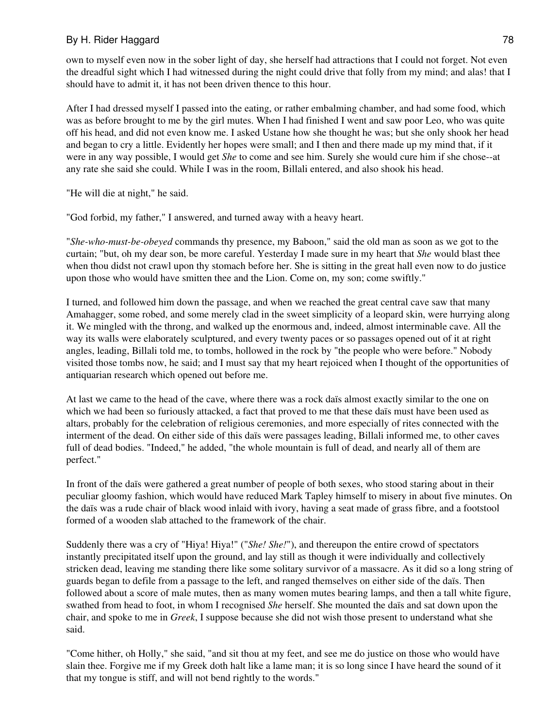own to myself even now in the sober light of day, she herself had attractions that I could not forget. Not even the dreadful sight which I had witnessed during the night could drive that folly from my mind; and alas! that I should have to admit it, it has not been driven thence to this hour.

After I had dressed myself I passed into the eating, or rather embalming chamber, and had some food, which was as before brought to me by the girl mutes. When I had finished I went and saw poor Leo, who was quite off his head, and did not even know me. I asked Ustane how she thought he was; but she only shook her head and began to cry a little. Evidently her hopes were small; and I then and there made up my mind that, if it were in any way possible, I would get *She* to come and see him. Surely she would cure him if she chose--at any rate she said she could. While I was in the room, Billali entered, and also shook his head.

"He will die at night," he said.

"God forbid, my father," I answered, and turned away with a heavy heart.

"*She-who-must-be-obeyed* commands thy presence, my Baboon," said the old man as soon as we got to the curtain; "but, oh my dear son, be more careful. Yesterday I made sure in my heart that *She* would blast thee when thou didst not crawl upon thy stomach before her. She is sitting in the great hall even now to do justice upon those who would have smitten thee and the Lion. Come on, my son; come swiftly."

I turned, and followed him down the passage, and when we reached the great central cave saw that many Amahagger, some robed, and some merely clad in the sweet simplicity of a leopard skin, were hurrying along it. We mingled with the throng, and walked up the enormous and, indeed, almost interminable cave. All the way its walls were elaborately sculptured, and every twenty paces or so passages opened out of it at right angles, leading, Billali told me, to tombs, hollowed in the rock by "the people who were before." Nobody visited those tombs now, he said; and I must say that my heart rejoiced when I thought of the opportunities of antiquarian research which opened out before me.

At last we came to the head of the cave, where there was a rock daïs almost exactly similar to the one on which we had been so furiously attacked, a fact that proved to me that these daïs must have been used as altars, probably for the celebration of religious ceremonies, and more especially of rites connected with the interment of the dead. On either side of this daïs were passages leading, Billali informed me, to other caves full of dead bodies. "Indeed," he added, "the whole mountain is full of dead, and nearly all of them are perfect."

In front of the daïs were gathered a great number of people of both sexes, who stood staring about in their peculiar gloomy fashion, which would have reduced Mark Tapley himself to misery in about five minutes. On the daïs was a rude chair of black wood inlaid with ivory, having a seat made of grass fibre, and a footstool formed of a wooden slab attached to the framework of the chair.

Suddenly there was a cry of "Hiya! Hiya!" ("*She! She!*"), and thereupon the entire crowd of spectators instantly precipitated itself upon the ground, and lay still as though it were individually and collectively stricken dead, leaving me standing there like some solitary survivor of a massacre. As it did so a long string of guards began to defile from a passage to the left, and ranged themselves on either side of the daïs. Then followed about a score of male mutes, then as many women mutes bearing lamps, and then a tall white figure, swathed from head to foot, in whom I recognised *She* herself. She mounted the daïs and sat down upon the chair, and spoke to me in *Greek*, I suppose because she did not wish those present to understand what she said.

"Come hither, oh Holly," she said, "and sit thou at my feet, and see me do justice on those who would have slain thee. Forgive me if my Greek doth halt like a lame man; it is so long since I have heard the sound of it that my tongue is stiff, and will not bend rightly to the words."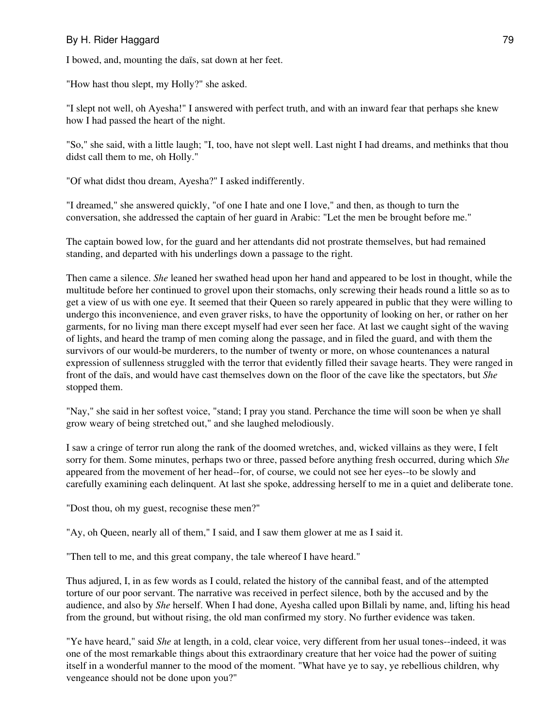I bowed, and, mounting the daïs, sat down at her feet.

"How hast thou slept, my Holly?" she asked.

"I slept not well, oh Ayesha!" I answered with perfect truth, and with an inward fear that perhaps she knew how I had passed the heart of the night.

"So," she said, with a little laugh; "I, too, have not slept well. Last night I had dreams, and methinks that thou didst call them to me, oh Holly."

"Of what didst thou dream, Ayesha?" I asked indifferently.

"I dreamed," she answered quickly, "of one I hate and one I love," and then, as though to turn the conversation, she addressed the captain of her guard in Arabic: "Let the men be brought before me."

The captain bowed low, for the guard and her attendants did not prostrate themselves, but had remained standing, and departed with his underlings down a passage to the right.

Then came a silence. *She* leaned her swathed head upon her hand and appeared to be lost in thought, while the multitude before her continued to grovel upon their stomachs, only screwing their heads round a little so as to get a view of us with one eye. It seemed that their Queen so rarely appeared in public that they were willing to undergo this inconvenience, and even graver risks, to have the opportunity of looking on her, or rather on her garments, for no living man there except myself had ever seen her face. At last we caught sight of the waving of lights, and heard the tramp of men coming along the passage, and in filed the guard, and with them the survivors of our would-be murderers, to the number of twenty or more, on whose countenances a natural expression of sullenness struggled with the terror that evidently filled their savage hearts. They were ranged in front of the daïs, and would have cast themselves down on the floor of the cave like the spectators, but *She* stopped them.

"Nay," she said in her softest voice, "stand; I pray you stand. Perchance the time will soon be when ye shall grow weary of being stretched out," and she laughed melodiously.

I saw a cringe of terror run along the rank of the doomed wretches, and, wicked villains as they were, I felt sorry for them. Some minutes, perhaps two or three, passed before anything fresh occurred, during which *She* appeared from the movement of her head--for, of course, we could not see her eyes--to be slowly and carefully examining each delinquent. At last she spoke, addressing herself to me in a quiet and deliberate tone.

"Dost thou, oh my guest, recognise these men?"

"Ay, oh Queen, nearly all of them," I said, and I saw them glower at me as I said it.

"Then tell to me, and this great company, the tale whereof I have heard."

Thus adjured, I, in as few words as I could, related the history of the cannibal feast, and of the attempted torture of our poor servant. The narrative was received in perfect silence, both by the accused and by the audience, and also by *She* herself. When I had done, Ayesha called upon Billali by name, and, lifting his head from the ground, but without rising, the old man confirmed my story. No further evidence was taken.

"Ye have heard," said *She* at length, in a cold, clear voice, very different from her usual tones--indeed, it was one of the most remarkable things about this extraordinary creature that her voice had the power of suiting itself in a wonderful manner to the mood of the moment. "What have ye to say, ye rebellious children, why vengeance should not be done upon you?"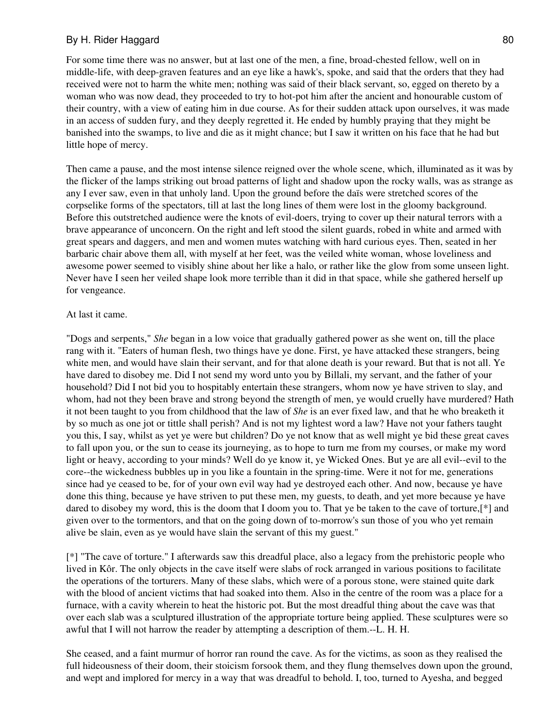For some time there was no answer, but at last one of the men, a fine, broad-chested fellow, well on in middle-life, with deep-graven features and an eye like a hawk's, spoke, and said that the orders that they had received were not to harm the white men; nothing was said of their black servant, so, egged on thereto by a woman who was now dead, they proceeded to try to hot-pot him after the ancient and honourable custom of their country, with a view of eating him in due course. As for their sudden attack upon ourselves, it was made in an access of sudden fury, and they deeply regretted it. He ended by humbly praying that they might be banished into the swamps, to live and die as it might chance; but I saw it written on his face that he had but little hope of mercy.

Then came a pause, and the most intense silence reigned over the whole scene, which, illuminated as it was by the flicker of the lamps striking out broad patterns of light and shadow upon the rocky walls, was as strange as any I ever saw, even in that unholy land. Upon the ground before the daïs were stretched scores of the corpselike forms of the spectators, till at last the long lines of them were lost in the gloomy background. Before this outstretched audience were the knots of evil-doers, trying to cover up their natural terrors with a brave appearance of unconcern. On the right and left stood the silent guards, robed in white and armed with great spears and daggers, and men and women mutes watching with hard curious eyes. Then, seated in her barbaric chair above them all, with myself at her feet, was the veiled white woman, whose loveliness and awesome power seemed to visibly shine about her like a halo, or rather like the glow from some unseen light. Never have I seen her veiled shape look more terrible than it did in that space, while she gathered herself up for vengeance.

#### At last it came.

"Dogs and serpents," *She* began in a low voice that gradually gathered power as she went on, till the place rang with it. "Eaters of human flesh, two things have ye done. First, ye have attacked these strangers, being white men, and would have slain their servant, and for that alone death is your reward. But that is not all. Ye have dared to disobey me. Did I not send my word unto you by Billali, my servant, and the father of your household? Did I not bid you to hospitably entertain these strangers, whom now ye have striven to slay, and whom, had not they been brave and strong beyond the strength of men, ye would cruelly have murdered? Hath it not been taught to you from childhood that the law of *She* is an ever fixed law, and that he who breaketh it by so much as one jot or tittle shall perish? And is not my lightest word a law? Have not your fathers taught you this, I say, whilst as yet ye were but children? Do ye not know that as well might ye bid these great caves to fall upon you, or the sun to cease its journeying, as to hope to turn me from my courses, or make my word light or heavy, according to your minds? Well do ye know it, ye Wicked Ones. But ye are all evil--evil to the core--the wickedness bubbles up in you like a fountain in the spring-time. Were it not for me, generations since had ye ceased to be, for of your own evil way had ye destroyed each other. And now, because ye have done this thing, because ye have striven to put these men, my guests, to death, and yet more because ye have dared to disobey my word, this is the doom that I doom you to. That ye be taken to the cave of torture,[\*] and given over to the tormentors, and that on the going down of to-morrow's sun those of you who yet remain alive be slain, even as ye would have slain the servant of this my guest."

[\*] "The cave of torture." I afterwards saw this dreadful place, also a legacy from the prehistoric people who lived in Kôr. The only objects in the cave itself were slabs of rock arranged in various positions to facilitate the operations of the torturers. Many of these slabs, which were of a porous stone, were stained quite dark with the blood of ancient victims that had soaked into them. Also in the centre of the room was a place for a furnace, with a cavity wherein to heat the historic pot. But the most dreadful thing about the cave was that over each slab was a sculptured illustration of the appropriate torture being applied. These sculptures were so awful that I will not harrow the reader by attempting a description of them.--L. H. H.

She ceased, and a faint murmur of horror ran round the cave. As for the victims, as soon as they realised the full hideousness of their doom, their stoicism forsook them, and they flung themselves down upon the ground, and wept and implored for mercy in a way that was dreadful to behold. I, too, turned to Ayesha, and begged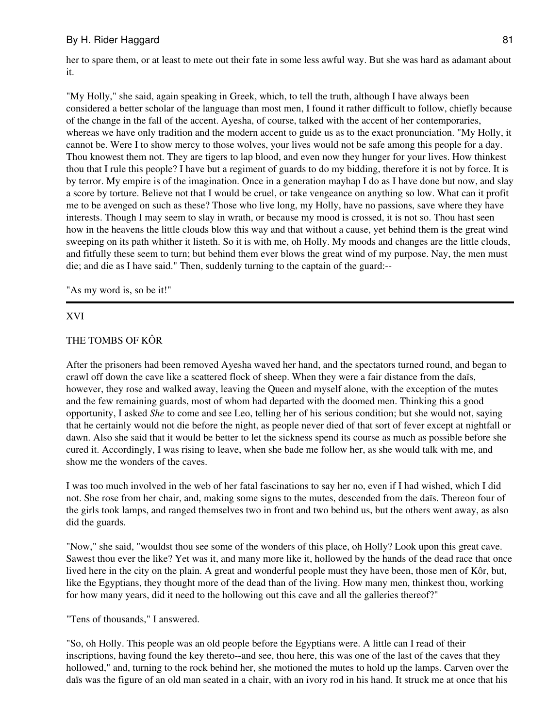her to spare them, or at least to mete out their fate in some less awful way. But she was hard as adamant about it.

"My Holly," she said, again speaking in Greek, which, to tell the truth, although I have always been considered a better scholar of the language than most men, I found it rather difficult to follow, chiefly because of the change in the fall of the accent. Ayesha, of course, talked with the accent of her contemporaries, whereas we have only tradition and the modern accent to guide us as to the exact pronunciation. "My Holly, it cannot be. Were I to show mercy to those wolves, your lives would not be safe among this people for a day. Thou knowest them not. They are tigers to lap blood, and even now they hunger for your lives. How thinkest thou that I rule this people? I have but a regiment of guards to do my bidding, therefore it is not by force. It is by terror. My empire is of the imagination. Once in a generation mayhap I do as I have done but now, and slay a score by torture. Believe not that I would be cruel, or take vengeance on anything so low. What can it profit me to be avenged on such as these? Those who live long, my Holly, have no passions, save where they have interests. Though I may seem to slay in wrath, or because my mood is crossed, it is not so. Thou hast seen how in the heavens the little clouds blow this way and that without a cause, yet behind them is the great wind sweeping on its path whither it listeth. So it is with me, oh Holly. My moods and changes are the little clouds, and fitfully these seem to turn; but behind them ever blows the great wind of my purpose. Nay, the men must die; and die as I have said." Then, suddenly turning to the captain of the guard:--

"As my word is, so be it!"

#### XVI

#### THE TOMBS OF KÔR

After the prisoners had been removed Ayesha waved her hand, and the spectators turned round, and began to crawl off down the cave like a scattered flock of sheep. When they were a fair distance from the daïs, however, they rose and walked away, leaving the Queen and myself alone, with the exception of the mutes and the few remaining guards, most of whom had departed with the doomed men. Thinking this a good opportunity, I asked *She* to come and see Leo, telling her of his serious condition; but she would not, saying that he certainly would not die before the night, as people never died of that sort of fever except at nightfall or dawn. Also she said that it would be better to let the sickness spend its course as much as possible before she cured it. Accordingly, I was rising to leave, when she bade me follow her, as she would talk with me, and show me the wonders of the caves.

I was too much involved in the web of her fatal fascinations to say her no, even if I had wished, which I did not. She rose from her chair, and, making some signs to the mutes, descended from the daïs. Thereon four of the girls took lamps, and ranged themselves two in front and two behind us, but the others went away, as also did the guards.

"Now," she said, "wouldst thou see some of the wonders of this place, oh Holly? Look upon this great cave. Sawest thou ever the like? Yet was it, and many more like it, hollowed by the hands of the dead race that once lived here in the city on the plain. A great and wonderful people must they have been, those men of Kôr, but, like the Egyptians, they thought more of the dead than of the living. How many men, thinkest thou, working for how many years, did it need to the hollowing out this cave and all the galleries thereof?"

"Tens of thousands," I answered.

"So, oh Holly. This people was an old people before the Egyptians were. A little can I read of their inscriptions, having found the key thereto--and see, thou here, this was one of the last of the caves that they hollowed," and, turning to the rock behind her, she motioned the mutes to hold up the lamps. Carven over the daïs was the figure of an old man seated in a chair, with an ivory rod in his hand. It struck me at once that his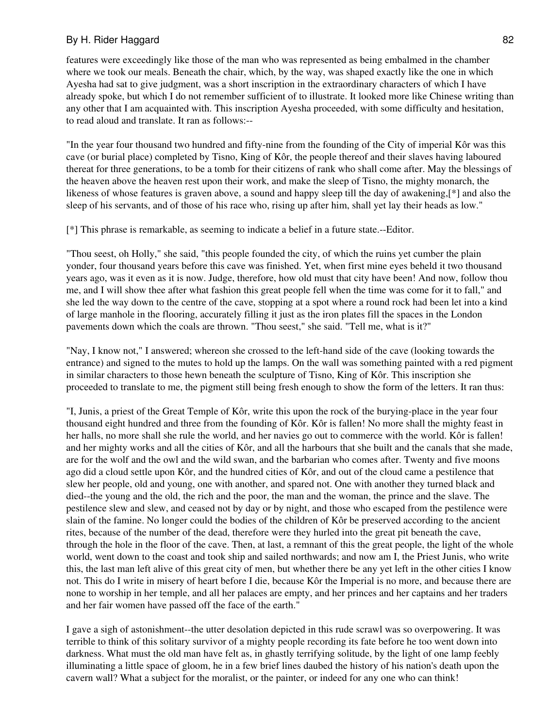features were exceedingly like those of the man who was represented as being embalmed in the chamber where we took our meals. Beneath the chair, which, by the way, was shaped exactly like the one in which Ayesha had sat to give judgment, was a short inscription in the extraordinary characters of which I have already spoke, but which I do not remember sufficient of to illustrate. It looked more like Chinese writing than any other that I am acquainted with. This inscription Ayesha proceeded, with some difficulty and hesitation, to read aloud and translate. It ran as follows:--

"In the year four thousand two hundred and fifty-nine from the founding of the City of imperial Kôr was this cave (or burial place) completed by Tisno, King of Kôr, the people thereof and their slaves having laboured thereat for three generations, to be a tomb for their citizens of rank who shall come after. May the blessings of the heaven above the heaven rest upon their work, and make the sleep of Tisno, the mighty monarch, the likeness of whose features is graven above, a sound and happy sleep till the day of awakening,[\*] and also the sleep of his servants, and of those of his race who, rising up after him, shall yet lay their heads as low."

[\*] This phrase is remarkable, as seeming to indicate a belief in a future state.--Editor.

"Thou seest, oh Holly," she said, "this people founded the city, of which the ruins yet cumber the plain yonder, four thousand years before this cave was finished. Yet, when first mine eyes beheld it two thousand years ago, was it even as it is now. Judge, therefore, how old must that city have been! And now, follow thou me, and I will show thee after what fashion this great people fell when the time was come for it to fall," and she led the way down to the centre of the cave, stopping at a spot where a round rock had been let into a kind of large manhole in the flooring, accurately filling it just as the iron plates fill the spaces in the London pavements down which the coals are thrown. "Thou seest," she said. "Tell me, what is it?"

"Nay, I know not," I answered; whereon she crossed to the left-hand side of the cave (looking towards the entrance) and signed to the mutes to hold up the lamps. On the wall was something painted with a red pigment in similar characters to those hewn beneath the sculpture of Tisno, King of Kôr. This inscription she proceeded to translate to me, the pigment still being fresh enough to show the form of the letters. It ran thus:

"I, Junis, a priest of the Great Temple of Kôr, write this upon the rock of the burying-place in the year four thousand eight hundred and three from the founding of Kôr. Kôr is fallen! No more shall the mighty feast in her halls, no more shall she rule the world, and her navies go out to commerce with the world. Kôr is fallen! and her mighty works and all the cities of Kôr, and all the harbours that she built and the canals that she made, are for the wolf and the owl and the wild swan, and the barbarian who comes after. Twenty and five moons ago did a cloud settle upon Kôr, and the hundred cities of Kôr, and out of the cloud came a pestilence that slew her people, old and young, one with another, and spared not. One with another they turned black and died--the young and the old, the rich and the poor, the man and the woman, the prince and the slave. The pestilence slew and slew, and ceased not by day or by night, and those who escaped from the pestilence were slain of the famine. No longer could the bodies of the children of Kôr be preserved according to the ancient rites, because of the number of the dead, therefore were they hurled into the great pit beneath the cave, through the hole in the floor of the cave. Then, at last, a remnant of this the great people, the light of the whole world, went down to the coast and took ship and sailed northwards; and now am I, the Priest Junis, who write this, the last man left alive of this great city of men, but whether there be any yet left in the other cities I know not. This do I write in misery of heart before I die, because Kôr the Imperial is no more, and because there are none to worship in her temple, and all her palaces are empty, and her princes and her captains and her traders and her fair women have passed off the face of the earth."

I gave a sigh of astonishment--the utter desolation depicted in this rude scrawl was so overpowering. It was terrible to think of this solitary survivor of a mighty people recording its fate before he too went down into darkness. What must the old man have felt as, in ghastly terrifying solitude, by the light of one lamp feebly illuminating a little space of gloom, he in a few brief lines daubed the history of his nation's death upon the cavern wall? What a subject for the moralist, or the painter, or indeed for any one who can think!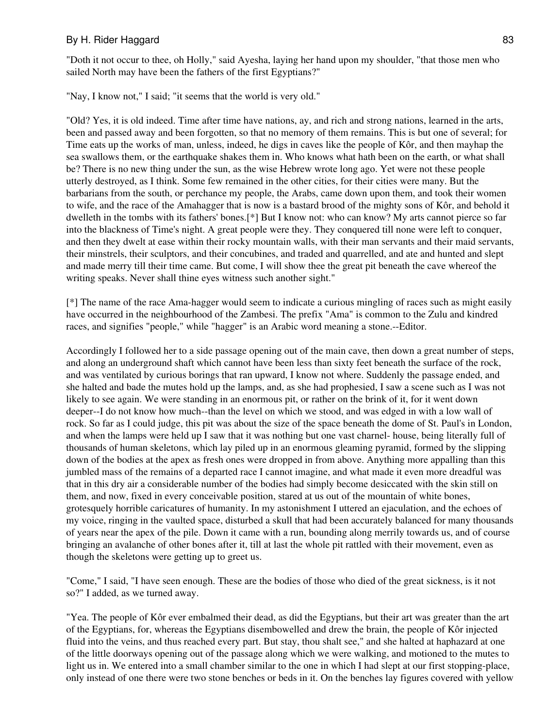"Doth it not occur to thee, oh Holly," said Ayesha, laying her hand upon my shoulder, "that those men who sailed North may have been the fathers of the first Egyptians?"

"Nay, I know not," I said; "it seems that the world is very old."

"Old? Yes, it is old indeed. Time after time have nations, ay, and rich and strong nations, learned in the arts, been and passed away and been forgotten, so that no memory of them remains. This is but one of several; for Time eats up the works of man, unless, indeed, he digs in caves like the people of Kôr, and then mayhap the sea swallows them, or the earthquake shakes them in. Who knows what hath been on the earth, or what shall be? There is no new thing under the sun, as the wise Hebrew wrote long ago. Yet were not these people utterly destroyed, as I think. Some few remained in the other cities, for their cities were many. But the barbarians from the south, or perchance my people, the Arabs, came down upon them, and took their women to wife, and the race of the Amahagger that is now is a bastard brood of the mighty sons of Kôr, and behold it dwelleth in the tombs with its fathers' bones.[\*] But I know not: who can know? My arts cannot pierce so far into the blackness of Time's night. A great people were they. They conquered till none were left to conquer, and then they dwelt at ease within their rocky mountain walls, with their man servants and their maid servants, their minstrels, their sculptors, and their concubines, and traded and quarrelled, and ate and hunted and slept and made merry till their time came. But come, I will show thee the great pit beneath the cave whereof the writing speaks. Never shall thine eyes witness such another sight."

[\*] The name of the race Ama-hagger would seem to indicate a curious mingling of races such as might easily have occurred in the neighbourhood of the Zambesi. The prefix "Ama" is common to the Zulu and kindred races, and signifies "people," while "hagger" is an Arabic word meaning a stone.--Editor.

Accordingly I followed her to a side passage opening out of the main cave, then down a great number of steps, and along an underground shaft which cannot have been less than sixty feet beneath the surface of the rock, and was ventilated by curious borings that ran upward, I know not where. Suddenly the passage ended, and she halted and bade the mutes hold up the lamps, and, as she had prophesied, I saw a scene such as I was not likely to see again. We were standing in an enormous pit, or rather on the brink of it, for it went down deeper--I do not know how much--than the level on which we stood, and was edged in with a low wall of rock. So far as I could judge, this pit was about the size of the space beneath the dome of St. Paul's in London, and when the lamps were held up I saw that it was nothing but one vast charnel- house, being literally full of thousands of human skeletons, which lay piled up in an enormous gleaming pyramid, formed by the slipping down of the bodies at the apex as fresh ones were dropped in from above. Anything more appalling than this jumbled mass of the remains of a departed race I cannot imagine, and what made it even more dreadful was that in this dry air a considerable number of the bodies had simply become desiccated with the skin still on them, and now, fixed in every conceivable position, stared at us out of the mountain of white bones, grotesquely horrible caricatures of humanity. In my astonishment I uttered an ejaculation, and the echoes of my voice, ringing in the vaulted space, disturbed a skull that had been accurately balanced for many thousands of years near the apex of the pile. Down it came with a run, bounding along merrily towards us, and of course bringing an avalanche of other bones after it, till at last the whole pit rattled with their movement, even as though the skeletons were getting up to greet us.

"Come," I said, "I have seen enough. These are the bodies of those who died of the great sickness, is it not so?" I added, as we turned away.

"Yea. The people of Kôr ever embalmed their dead, as did the Egyptians, but their art was greater than the art of the Egyptians, for, whereas the Egyptians disembowelled and drew the brain, the people of Kôr injected fluid into the veins, and thus reached every part. But stay, thou shalt see," and she halted at haphazard at one of the little doorways opening out of the passage along which we were walking, and motioned to the mutes to light us in. We entered into a small chamber similar to the one in which I had slept at our first stopping-place, only instead of one there were two stone benches or beds in it. On the benches lay figures covered with yellow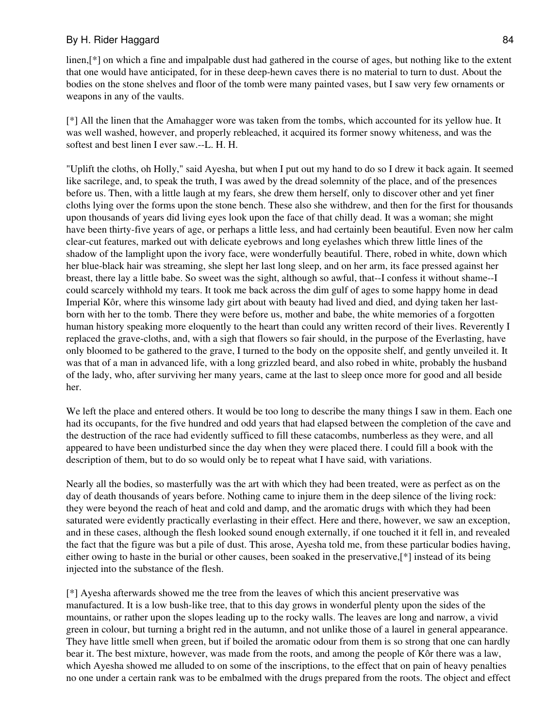linen,[\*] on which a fine and impalpable dust had gathered in the course of ages, but nothing like to the extent that one would have anticipated, for in these deep-hewn caves there is no material to turn to dust. About the bodies on the stone shelves and floor of the tomb were many painted vases, but I saw very few ornaments or weapons in any of the vaults.

[\*] All the linen that the Amahagger wore was taken from the tombs, which accounted for its yellow hue. It was well washed, however, and properly rebleached, it acquired its former snowy whiteness, and was the softest and best linen I ever saw.--L. H. H.

"Uplift the cloths, oh Holly," said Ayesha, but when I put out my hand to do so I drew it back again. It seemed like sacrilege, and, to speak the truth, I was awed by the dread solemnity of the place, and of the presences before us. Then, with a little laugh at my fears, she drew them herself, only to discover other and yet finer cloths lying over the forms upon the stone bench. These also she withdrew, and then for the first for thousands upon thousands of years did living eyes look upon the face of that chilly dead. It was a woman; she might have been thirty-five years of age, or perhaps a little less, and had certainly been beautiful. Even now her calm clear-cut features, marked out with delicate eyebrows and long eyelashes which threw little lines of the shadow of the lamplight upon the ivory face, were wonderfully beautiful. There, robed in white, down which her blue-black hair was streaming, she slept her last long sleep, and on her arm, its face pressed against her breast, there lay a little babe. So sweet was the sight, although so awful, that--I confess it without shame--I could scarcely withhold my tears. It took me back across the dim gulf of ages to some happy home in dead Imperial Kôr, where this winsome lady girt about with beauty had lived and died, and dying taken her lastborn with her to the tomb. There they were before us, mother and babe, the white memories of a forgotten human history speaking more eloquently to the heart than could any written record of their lives. Reverently I replaced the grave-cloths, and, with a sigh that flowers so fair should, in the purpose of the Everlasting, have only bloomed to be gathered to the grave, I turned to the body on the opposite shelf, and gently unveiled it. It was that of a man in advanced life, with a long grizzled beard, and also robed in white, probably the husband of the lady, who, after surviving her many years, came at the last to sleep once more for good and all beside her.

We left the place and entered others. It would be too long to describe the many things I saw in them. Each one had its occupants, for the five hundred and odd years that had elapsed between the completion of the cave and the destruction of the race had evidently sufficed to fill these catacombs, numberless as they were, and all appeared to have been undisturbed since the day when they were placed there. I could fill a book with the description of them, but to do so would only be to repeat what I have said, with variations.

Nearly all the bodies, so masterfully was the art with which they had been treated, were as perfect as on the day of death thousands of years before. Nothing came to injure them in the deep silence of the living rock: they were beyond the reach of heat and cold and damp, and the aromatic drugs with which they had been saturated were evidently practically everlasting in their effect. Here and there, however, we saw an exception, and in these cases, although the flesh looked sound enough externally, if one touched it it fell in, and revealed the fact that the figure was but a pile of dust. This arose, Ayesha told me, from these particular bodies having, either owing to haste in the burial or other causes, been soaked in the preservative,[\*] instead of its being injected into the substance of the flesh.

[\*] Ayesha afterwards showed me the tree from the leaves of which this ancient preservative was manufactured. It is a low bush-like tree, that to this day grows in wonderful plenty upon the sides of the mountains, or rather upon the slopes leading up to the rocky walls. The leaves are long and narrow, a vivid green in colour, but turning a bright red in the autumn, and not unlike those of a laurel in general appearance. They have little smell when green, but if boiled the aromatic odour from them is so strong that one can hardly bear it. The best mixture, however, was made from the roots, and among the people of Kôr there was a law, which Ayesha showed me alluded to on some of the inscriptions, to the effect that on pain of heavy penalties no one under a certain rank was to be embalmed with the drugs prepared from the roots. The object and effect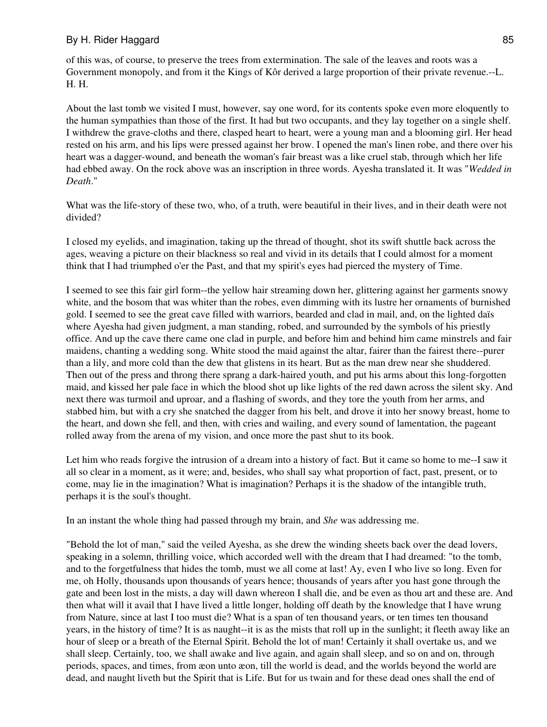of this was, of course, to preserve the trees from extermination. The sale of the leaves and roots was a Government monopoly, and from it the Kings of Kôr derived a large proportion of their private revenue.--L. H. H.

About the last tomb we visited I must, however, say one word, for its contents spoke even more eloquently to the human sympathies than those of the first. It had but two occupants, and they lay together on a single shelf. I withdrew the grave-cloths and there, clasped heart to heart, were a young man and a blooming girl. Her head rested on his arm, and his lips were pressed against her brow. I opened the man's linen robe, and there over his heart was a dagger-wound, and beneath the woman's fair breast was a like cruel stab, through which her life had ebbed away. On the rock above was an inscription in three words. Ayesha translated it. It was "*Wedded in Death*."

What was the life-story of these two, who, of a truth, were beautiful in their lives, and in their death were not divided?

I closed my eyelids, and imagination, taking up the thread of thought, shot its swift shuttle back across the ages, weaving a picture on their blackness so real and vivid in its details that I could almost for a moment think that I had triumphed o'er the Past, and that my spirit's eyes had pierced the mystery of Time.

I seemed to see this fair girl form--the yellow hair streaming down her, glittering against her garments snowy white, and the bosom that was whiter than the robes, even dimming with its lustre her ornaments of burnished gold. I seemed to see the great cave filled with warriors, bearded and clad in mail, and, on the lighted daïs where Ayesha had given judgment, a man standing, robed, and surrounded by the symbols of his priestly office. And up the cave there came one clad in purple, and before him and behind him came minstrels and fair maidens, chanting a wedding song. White stood the maid against the altar, fairer than the fairest there--purer than a lily, and more cold than the dew that glistens in its heart. But as the man drew near she shuddered. Then out of the press and throng there sprang a dark-haired youth, and put his arms about this long-forgotten maid, and kissed her pale face in which the blood shot up like lights of the red dawn across the silent sky. And next there was turmoil and uproar, and a flashing of swords, and they tore the youth from her arms, and stabbed him, but with a cry she snatched the dagger from his belt, and drove it into her snowy breast, home to the heart, and down she fell, and then, with cries and wailing, and every sound of lamentation, the pageant rolled away from the arena of my vision, and once more the past shut to its book.

Let him who reads forgive the intrusion of a dream into a history of fact. But it came so home to me--I saw it all so clear in a moment, as it were; and, besides, who shall say what proportion of fact, past, present, or to come, may lie in the imagination? What is imagination? Perhaps it is the shadow of the intangible truth, perhaps it is the soul's thought.

In an instant the whole thing had passed through my brain, and *She* was addressing me.

"Behold the lot of man," said the veiled Ayesha, as she drew the winding sheets back over the dead lovers, speaking in a solemn, thrilling voice, which accorded well with the dream that I had dreamed: "to the tomb, and to the forgetfulness that hides the tomb, must we all come at last! Ay, even I who live so long. Even for me, oh Holly, thousands upon thousands of years hence; thousands of years after you hast gone through the gate and been lost in the mists, a day will dawn whereon I shall die, and be even as thou art and these are. And then what will it avail that I have lived a little longer, holding off death by the knowledge that I have wrung from Nature, since at last I too must die? What is a span of ten thousand years, or ten times ten thousand years, in the history of time? It is as naught--it is as the mists that roll up in the sunlight; it fleeth away like an hour of sleep or a breath of the Eternal Spirit. Behold the lot of man! Certainly it shall overtake us, and we shall sleep. Certainly, too, we shall awake and live again, and again shall sleep, and so on and on, through periods, spaces, and times, from æon unto æon, till the world is dead, and the worlds beyond the world are dead, and naught liveth but the Spirit that is Life. But for us twain and for these dead ones shall the end of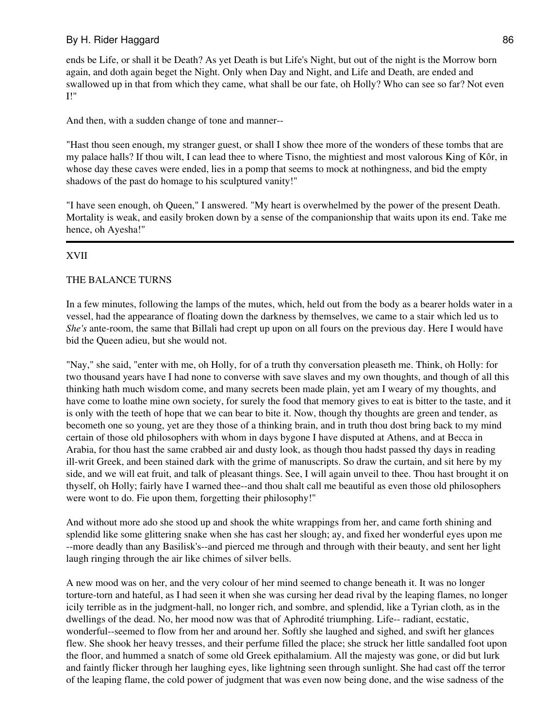ends be Life, or shall it be Death? As yet Death is but Life's Night, but out of the night is the Morrow born again, and doth again beget the Night. Only when Day and Night, and Life and Death, are ended and swallowed up in that from which they came, what shall be our fate, oh Holly? Who can see so far? Not even I!"

And then, with a sudden change of tone and manner--

"Hast thou seen enough, my stranger guest, or shall I show thee more of the wonders of these tombs that are my palace halls? If thou wilt, I can lead thee to where Tisno, the mightiest and most valorous King of Kôr, in whose day these caves were ended, lies in a pomp that seems to mock at nothingness, and bid the empty shadows of the past do homage to his sculptured vanity!"

"I have seen enough, oh Queen," I answered. "My heart is overwhelmed by the power of the present Death. Mortality is weak, and easily broken down by a sense of the companionship that waits upon its end. Take me hence, oh Ayesha!"

# XVII

# THE BALANCE TURNS

In a few minutes, following the lamps of the mutes, which, held out from the body as a bearer holds water in a vessel, had the appearance of floating down the darkness by themselves, we came to a stair which led us to *She's* ante-room, the same that Billali had crept up upon on all fours on the previous day. Here I would have bid the Queen adieu, but she would not.

"Nay," she said, "enter with me, oh Holly, for of a truth thy conversation pleaseth me. Think, oh Holly: for two thousand years have I had none to converse with save slaves and my own thoughts, and though of all this thinking hath much wisdom come, and many secrets been made plain, yet am I weary of my thoughts, and have come to loathe mine own society, for surely the food that memory gives to eat is bitter to the taste, and it is only with the teeth of hope that we can bear to bite it. Now, though thy thoughts are green and tender, as becometh one so young, yet are they those of a thinking brain, and in truth thou dost bring back to my mind certain of those old philosophers with whom in days bygone I have disputed at Athens, and at Becca in Arabia, for thou hast the same crabbed air and dusty look, as though thou hadst passed thy days in reading ill-writ Greek, and been stained dark with the grime of manuscripts. So draw the curtain, and sit here by my side, and we will eat fruit, and talk of pleasant things. See, I will again unveil to thee. Thou hast brought it on thyself, oh Holly; fairly have I warned thee--and thou shalt call me beautiful as even those old philosophers were wont to do. Fie upon them, forgetting their philosophy!"

And without more ado she stood up and shook the white wrappings from her, and came forth shining and splendid like some glittering snake when she has cast her slough; ay, and fixed her wonderful eyes upon me --more deadly than any Basilisk's--and pierced me through and through with their beauty, and sent her light laugh ringing through the air like chimes of silver bells.

A new mood was on her, and the very colour of her mind seemed to change beneath it. It was no longer torture-torn and hateful, as I had seen it when she was cursing her dead rival by the leaping flames, no longer icily terrible as in the judgment-hall, no longer rich, and sombre, and splendid, like a Tyrian cloth, as in the dwellings of the dead. No, her mood now was that of Aphrodité triumphing. Life-- radiant, ecstatic, wonderful--seemed to flow from her and around her. Softly she laughed and sighed, and swift her glances flew. She shook her heavy tresses, and their perfume filled the place; she struck her little sandalled foot upon the floor, and hummed a snatch of some old Greek epithalamium. All the majesty was gone, or did but lurk and faintly flicker through her laughing eyes, like lightning seen through sunlight. She had cast off the terror of the leaping flame, the cold power of judgment that was even now being done, and the wise sadness of the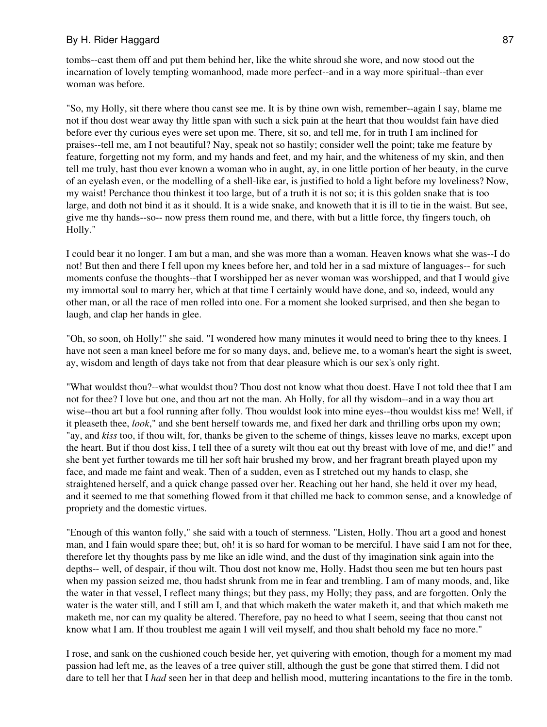tombs--cast them off and put them behind her, like the white shroud she wore, and now stood out the incarnation of lovely tempting womanhood, made more perfect--and in a way more spiritual--than ever woman was before.

"So, my Holly, sit there where thou canst see me. It is by thine own wish, remember--again I say, blame me not if thou dost wear away thy little span with such a sick pain at the heart that thou wouldst fain have died before ever thy curious eyes were set upon me. There, sit so, and tell me, for in truth I am inclined for praises--tell me, am I not beautiful? Nay, speak not so hastily; consider well the point; take me feature by feature, forgetting not my form, and my hands and feet, and my hair, and the whiteness of my skin, and then tell me truly, hast thou ever known a woman who in aught, ay, in one little portion of her beauty, in the curve of an eyelash even, or the modelling of a shell-like ear, is justified to hold a light before my loveliness? Now, my waist! Perchance thou thinkest it too large, but of a truth it is not so; it is this golden snake that is too large, and doth not bind it as it should. It is a wide snake, and knoweth that it is ill to tie in the waist. But see, give me thy hands--so-- now press them round me, and there, with but a little force, thy fingers touch, oh Holly."

I could bear it no longer. I am but a man, and she was more than a woman. Heaven knows what she was--I do not! But then and there I fell upon my knees before her, and told her in a sad mixture of languages-- for such moments confuse the thoughts--that I worshipped her as never woman was worshipped, and that I would give my immortal soul to marry her, which at that time I certainly would have done, and so, indeed, would any other man, or all the race of men rolled into one. For a moment she looked surprised, and then she began to laugh, and clap her hands in glee.

"Oh, so soon, oh Holly!" she said. "I wondered how many minutes it would need to bring thee to thy knees. I have not seen a man kneel before me for so many days, and, believe me, to a woman's heart the sight is sweet, ay, wisdom and length of days take not from that dear pleasure which is our sex's only right.

"What wouldst thou?--what wouldst thou? Thou dost not know what thou doest. Have I not told thee that I am not for thee? I love but one, and thou art not the man. Ah Holly, for all thy wisdom--and in a way thou art wise--thou art but a fool running after folly. Thou wouldst look into mine eyes--thou wouldst kiss me! Well, if it pleaseth thee, *look*," and she bent herself towards me, and fixed her dark and thrilling orbs upon my own; "ay, and *kiss* too, if thou wilt, for, thanks be given to the scheme of things, kisses leave no marks, except upon the heart. But if thou dost kiss, I tell thee of a surety wilt thou eat out thy breast with love of me, and die!" and she bent yet further towards me till her soft hair brushed my brow, and her fragrant breath played upon my face, and made me faint and weak. Then of a sudden, even as I stretched out my hands to clasp, she straightened herself, and a quick change passed over her. Reaching out her hand, she held it over my head, and it seemed to me that something flowed from it that chilled me back to common sense, and a knowledge of propriety and the domestic virtues.

"Enough of this wanton folly," she said with a touch of sternness. "Listen, Holly. Thou art a good and honest man, and I fain would spare thee; but, oh! it is so hard for woman to be merciful. I have said I am not for thee, therefore let thy thoughts pass by me like an idle wind, and the dust of thy imagination sink again into the depths-- well, of despair, if thou wilt. Thou dost not know me, Holly. Hadst thou seen me but ten hours past when my passion seized me, thou hadst shrunk from me in fear and trembling. I am of many moods, and, like the water in that vessel, I reflect many things; but they pass, my Holly; they pass, and are forgotten. Only the water is the water still, and I still am I, and that which maketh the water maketh it, and that which maketh me maketh me, nor can my quality be altered. Therefore, pay no heed to what I seem, seeing that thou canst not know what I am. If thou troublest me again I will veil myself, and thou shalt behold my face no more."

I rose, and sank on the cushioned couch beside her, yet quivering with emotion, though for a moment my mad passion had left me, as the leaves of a tree quiver still, although the gust be gone that stirred them. I did not dare to tell her that I *had* seen her in that deep and hellish mood, muttering incantations to the fire in the tomb.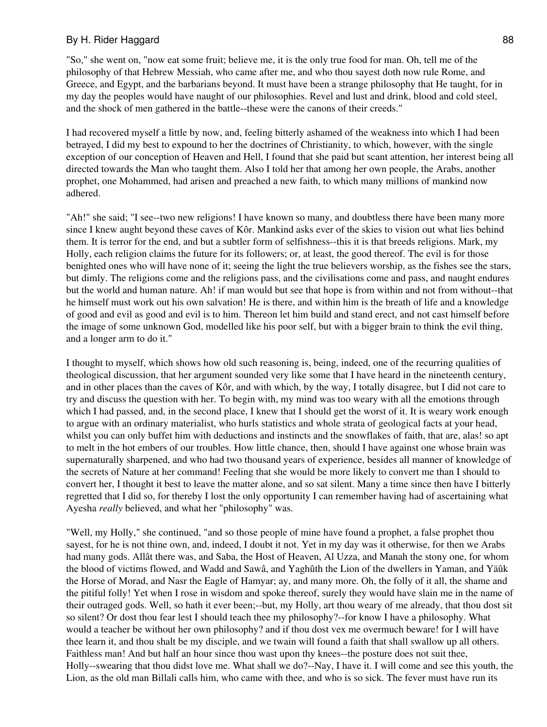"So," she went on, "now eat some fruit; believe me, it is the only true food for man. Oh, tell me of the philosophy of that Hebrew Messiah, who came after me, and who thou sayest doth now rule Rome, and Greece, and Egypt, and the barbarians beyond. It must have been a strange philosophy that He taught, for in my day the peoples would have naught of our philosophies. Revel and lust and drink, blood and cold steel, and the shock of men gathered in the battle--these were the canons of their creeds."

I had recovered myself a little by now, and, feeling bitterly ashamed of the weakness into which I had been betrayed, I did my best to expound to her the doctrines of Christianity, to which, however, with the single exception of our conception of Heaven and Hell, I found that she paid but scant attention, her interest being all directed towards the Man who taught them. Also I told her that among her own people, the Arabs, another prophet, one Mohammed, had arisen and preached a new faith, to which many millions of mankind now adhered.

"Ah!" she said; "I see--two new religions! I have known so many, and doubtless there have been many more since I knew aught beyond these caves of Kôr. Mankind asks ever of the skies to vision out what lies behind them. It is terror for the end, and but a subtler form of selfishness--this it is that breeds religions. Mark, my Holly, each religion claims the future for its followers; or, at least, the good thereof. The evil is for those benighted ones who will have none of it; seeing the light the true believers worship, as the fishes see the stars, but dimly. The religions come and the religions pass, and the civilisations come and pass, and naught endures but the world and human nature. Ah! if man would but see that hope is from within and not from without--that he himself must work out his own salvation! He is there, and within him is the breath of life and a knowledge of good and evil as good and evil is to him. Thereon let him build and stand erect, and not cast himself before the image of some unknown God, modelled like his poor self, but with a bigger brain to think the evil thing, and a longer arm to do it."

I thought to myself, which shows how old such reasoning is, being, indeed, one of the recurring qualities of theological discussion, that her argument sounded very like some that I have heard in the nineteenth century, and in other places than the caves of Kôr, and with which, by the way, I totally disagree, but I did not care to try and discuss the question with her. To begin with, my mind was too weary with all the emotions through which I had passed, and, in the second place, I knew that I should get the worst of it. It is weary work enough to argue with an ordinary materialist, who hurls statistics and whole strata of geological facts at your head, whilst you can only buffet him with deductions and instincts and the snowflakes of faith, that are, alas! so apt to melt in the hot embers of our troubles. How little chance, then, should I have against one whose brain was supernaturally sharpened, and who had two thousand years of experience, besides all manner of knowledge of the secrets of Nature at her command! Feeling that she would be more likely to convert me than I should to convert her, I thought it best to leave the matter alone, and so sat silent. Many a time since then have I bitterly regretted that I did so, for thereby I lost the only opportunity I can remember having had of ascertaining what Ayesha *really* believed, and what her "philosophy" was.

"Well, my Holly," she continued, "and so those people of mine have found a prophet, a false prophet thou sayest, for he is not thine own, and, indeed, I doubt it not. Yet in my day was it otherwise, for then we Arabs had many gods. Allât there was, and Saba, the Host of Heaven, Al Uzza, and Manah the stony one, for whom the blood of victims flowed, and Wadd and Sawâ, and Yaghûth the Lion of the dwellers in Yaman, and Yäûk the Horse of Morad, and Nasr the Eagle of Hamyar; ay, and many more. Oh, the folly of it all, the shame and the pitiful folly! Yet when I rose in wisdom and spoke thereof, surely they would have slain me in the name of their outraged gods. Well, so hath it ever been;--but, my Holly, art thou weary of me already, that thou dost sit so silent? Or dost thou fear lest I should teach thee my philosophy?--for know I have a philosophy. What would a teacher be without her own philosophy? and if thou dost vex me overmuch beware! for I will have thee learn it, and thou shalt be my disciple, and we twain will found a faith that shall swallow up all others. Faithless man! And but half an hour since thou wast upon thy knees--the posture does not suit thee, Holly--swearing that thou didst love me. What shall we do?--Nay, I have it. I will come and see this youth, the Lion, as the old man Billali calls him, who came with thee, and who is so sick. The fever must have run its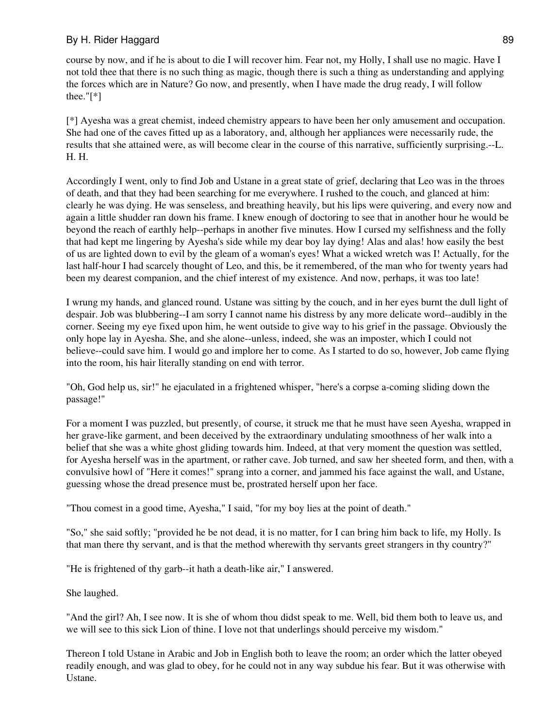course by now, and if he is about to die I will recover him. Fear not, my Holly, I shall use no magic. Have I not told thee that there is no such thing as magic, though there is such a thing as understanding and applying the forces which are in Nature? Go now, and presently, when I have made the drug ready, I will follow thee."[\*]

[\*] Ayesha was a great chemist, indeed chemistry appears to have been her only amusement and occupation. She had one of the caves fitted up as a laboratory, and, although her appliances were necessarily rude, the results that she attained were, as will become clear in the course of this narrative, sufficiently surprising.--L. H. H.

Accordingly I went, only to find Job and Ustane in a great state of grief, declaring that Leo was in the throes of death, and that they had been searching for me everywhere. I rushed to the couch, and glanced at him: clearly he was dying. He was senseless, and breathing heavily, but his lips were quivering, and every now and again a little shudder ran down his frame. I knew enough of doctoring to see that in another hour he would be beyond the reach of earthly help--perhaps in another five minutes. How I cursed my selfishness and the folly that had kept me lingering by Ayesha's side while my dear boy lay dying! Alas and alas! how easily the best of us are lighted down to evil by the gleam of a woman's eyes! What a wicked wretch was I! Actually, for the last half-hour I had scarcely thought of Leo, and this, be it remembered, of the man who for twenty years had been my dearest companion, and the chief interest of my existence. And now, perhaps, it was too late!

I wrung my hands, and glanced round. Ustane was sitting by the couch, and in her eyes burnt the dull light of despair. Job was blubbering--I am sorry I cannot name his distress by any more delicate word--audibly in the corner. Seeing my eye fixed upon him, he went outside to give way to his grief in the passage. Obviously the only hope lay in Ayesha. She, and she alone--unless, indeed, she was an imposter, which I could not believe--could save him. I would go and implore her to come. As I started to do so, however, Job came flying into the room, his hair literally standing on end with terror.

"Oh, God help us, sir!" he ejaculated in a frightened whisper, "here's a corpse a-coming sliding down the passage!"

For a moment I was puzzled, but presently, of course, it struck me that he must have seen Ayesha, wrapped in her grave-like garment, and been deceived by the extraordinary undulating smoothness of her walk into a belief that she was a white ghost gliding towards him. Indeed, at that very moment the question was settled, for Ayesha herself was in the apartment, or rather cave. Job turned, and saw her sheeted form, and then, with a convulsive howl of "Here it comes!" sprang into a corner, and jammed his face against the wall, and Ustane, guessing whose the dread presence must be, prostrated herself upon her face.

"Thou comest in a good time, Ayesha," I said, "for my boy lies at the point of death."

"So," she said softly; "provided he be not dead, it is no matter, for I can bring him back to life, my Holly. Is that man there thy servant, and is that the method wherewith thy servants greet strangers in thy country?"

"He is frightened of thy garb--it hath a death-like air," I answered.

She laughed.

"And the girl? Ah, I see now. It is she of whom thou didst speak to me. Well, bid them both to leave us, and we will see to this sick Lion of thine. I love not that underlings should perceive my wisdom."

Thereon I told Ustane in Arabic and Job in English both to leave the room; an order which the latter obeyed readily enough, and was glad to obey, for he could not in any way subdue his fear. But it was otherwise with Ustane.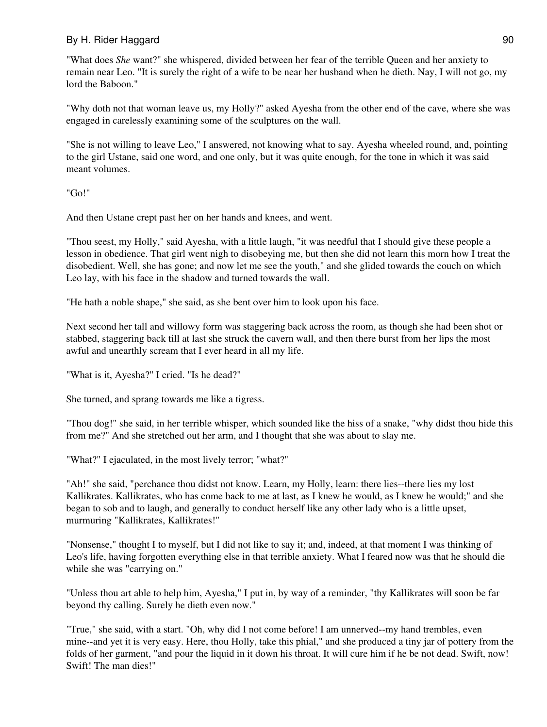"What does *She* want?" she whispered, divided between her fear of the terrible Queen and her anxiety to remain near Leo. "It is surely the right of a wife to be near her husband when he dieth. Nay, I will not go, my lord the Baboon."

"Why doth not that woman leave us, my Holly?" asked Ayesha from the other end of the cave, where she was engaged in carelessly examining some of the sculptures on the wall.

"She is not willing to leave Leo," I answered, not knowing what to say. Ayesha wheeled round, and, pointing to the girl Ustane, said one word, and one only, but it was quite enough, for the tone in which it was said meant volumes.

"Go!"

And then Ustane crept past her on her hands and knees, and went.

"Thou seest, my Holly," said Ayesha, with a little laugh, "it was needful that I should give these people a lesson in obedience. That girl went nigh to disobeying me, but then she did not learn this morn how I treat the disobedient. Well, she has gone; and now let me see the youth," and she glided towards the couch on which Leo lay, with his face in the shadow and turned towards the wall.

"He hath a noble shape," she said, as she bent over him to look upon his face.

Next second her tall and willowy form was staggering back across the room, as though she had been shot or stabbed, staggering back till at last she struck the cavern wall, and then there burst from her lips the most awful and unearthly scream that I ever heard in all my life.

"What is it, Ayesha?" I cried. "Is he dead?"

She turned, and sprang towards me like a tigress.

"Thou dog!" she said, in her terrible whisper, which sounded like the hiss of a snake, "why didst thou hide this from me?" And she stretched out her arm, and I thought that she was about to slay me.

"What?" I ejaculated, in the most lively terror; "what?"

"Ah!" she said, "perchance thou didst not know. Learn, my Holly, learn: there lies--there lies my lost Kallikrates. Kallikrates, who has come back to me at last, as I knew he would, as I knew he would;" and she began to sob and to laugh, and generally to conduct herself like any other lady who is a little upset, murmuring "Kallikrates, Kallikrates!"

"Nonsense," thought I to myself, but I did not like to say it; and, indeed, at that moment I was thinking of Leo's life, having forgotten everything else in that terrible anxiety. What I feared now was that he should die while she was "carrying on."

"Unless thou art able to help him, Ayesha," I put in, by way of a reminder, "thy Kallikrates will soon be far beyond thy calling. Surely he dieth even now."

"True," she said, with a start. "Oh, why did I not come before! I am unnerved--my hand trembles, even mine--and yet it is very easy. Here, thou Holly, take this phial," and she produced a tiny jar of pottery from the folds of her garment, "and pour the liquid in it down his throat. It will cure him if he be not dead. Swift, now! Swift! The man dies!"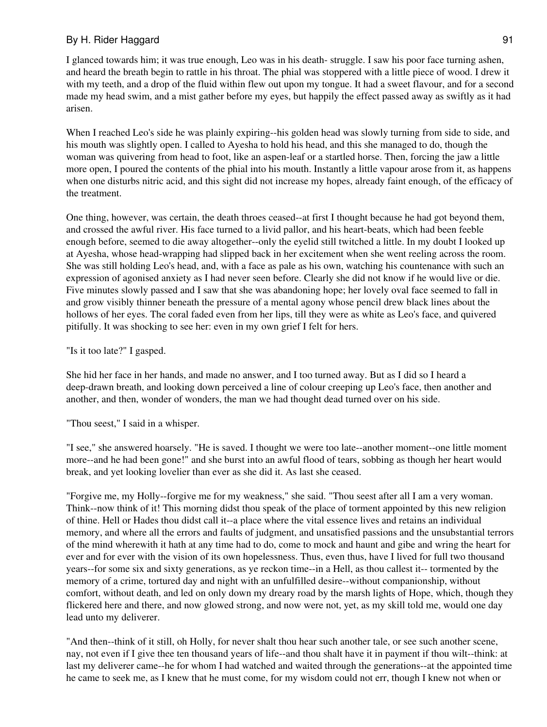I glanced towards him; it was true enough, Leo was in his death- struggle. I saw his poor face turning ashen, and heard the breath begin to rattle in his throat. The phial was stoppered with a little piece of wood. I drew it with my teeth, and a drop of the fluid within flew out upon my tongue. It had a sweet flavour, and for a second made my head swim, and a mist gather before my eyes, but happily the effect passed away as swiftly as it had arisen.

When I reached Leo's side he was plainly expiring--his golden head was slowly turning from side to side, and his mouth was slightly open. I called to Ayesha to hold his head, and this she managed to do, though the woman was quivering from head to foot, like an aspen-leaf or a startled horse. Then, forcing the jaw a little more open, I poured the contents of the phial into his mouth. Instantly a little vapour arose from it, as happens when one disturbs nitric acid, and this sight did not increase my hopes, already faint enough, of the efficacy of the treatment.

One thing, however, was certain, the death throes ceased--at first I thought because he had got beyond them, and crossed the awful river. His face turned to a livid pallor, and his heart-beats, which had been feeble enough before, seemed to die away altogether--only the eyelid still twitched a little. In my doubt I looked up at Ayesha, whose head-wrapping had slipped back in her excitement when she went reeling across the room. She was still holding Leo's head, and, with a face as pale as his own, watching his countenance with such an expression of agonised anxiety as I had never seen before. Clearly she did not know if he would live or die. Five minutes slowly passed and I saw that she was abandoning hope; her lovely oval face seemed to fall in and grow visibly thinner beneath the pressure of a mental agony whose pencil drew black lines about the hollows of her eyes. The coral faded even from her lips, till they were as white as Leo's face, and quivered pitifully. It was shocking to see her: even in my own grief I felt for hers.

"Is it too late?" I gasped.

She hid her face in her hands, and made no answer, and I too turned away. But as I did so I heard a deep-drawn breath, and looking down perceived a line of colour creeping up Leo's face, then another and another, and then, wonder of wonders, the man we had thought dead turned over on his side.

"Thou seest," I said in a whisper.

"I see," she answered hoarsely. "He is saved. I thought we were too late--another moment--one little moment more--and he had been gone!" and she burst into an awful flood of tears, sobbing as though her heart would break, and yet looking lovelier than ever as she did it. As last she ceased.

"Forgive me, my Holly--forgive me for my weakness," she said. "Thou seest after all I am a very woman. Think--now think of it! This morning didst thou speak of the place of torment appointed by this new religion of thine. Hell or Hades thou didst call it--a place where the vital essence lives and retains an individual memory, and where all the errors and faults of judgment, and unsatisfied passions and the unsubstantial terrors of the mind wherewith it hath at any time had to do, come to mock and haunt and gibe and wring the heart for ever and for ever with the vision of its own hopelessness. Thus, even thus, have I lived for full two thousand years--for some six and sixty generations, as ye reckon time--in a Hell, as thou callest it-- tormented by the memory of a crime, tortured day and night with an unfulfilled desire--without companionship, without comfort, without death, and led on only down my dreary road by the marsh lights of Hope, which, though they flickered here and there, and now glowed strong, and now were not, yet, as my skill told me, would one day lead unto my deliverer.

"And then--think of it still, oh Holly, for never shalt thou hear such another tale, or see such another scene, nay, not even if I give thee ten thousand years of life--and thou shalt have it in payment if thou wilt--think: at last my deliverer came--he for whom I had watched and waited through the generations--at the appointed time he came to seek me, as I knew that he must come, for my wisdom could not err, though I knew not when or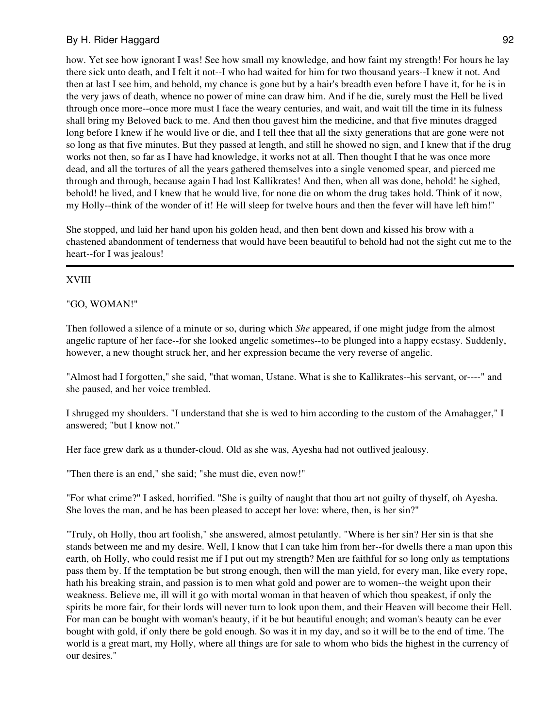how. Yet see how ignorant I was! See how small my knowledge, and how faint my strength! For hours he lay there sick unto death, and I felt it not--I who had waited for him for two thousand years--I knew it not. And then at last I see him, and behold, my chance is gone but by a hair's breadth even before I have it, for he is in the very jaws of death, whence no power of mine can draw him. And if he die, surely must the Hell be lived through once more--once more must I face the weary centuries, and wait, and wait till the time in its fulness shall bring my Beloved back to me. And then thou gavest him the medicine, and that five minutes dragged long before I knew if he would live or die, and I tell thee that all the sixty generations that are gone were not so long as that five minutes. But they passed at length, and still he showed no sign, and I knew that if the drug works not then, so far as I have had knowledge, it works not at all. Then thought I that he was once more dead, and all the tortures of all the years gathered themselves into a single venomed spear, and pierced me through and through, because again I had lost Kallikrates! And then, when all was done, behold! he sighed, behold! he lived, and I knew that he would live, for none die on whom the drug takes hold. Think of it now, my Holly--think of the wonder of it! He will sleep for twelve hours and then the fever will have left him!"

She stopped, and laid her hand upon his golden head, and then bent down and kissed his brow with a chastened abandonment of tenderness that would have been beautiful to behold had not the sight cut me to the heart--for I was jealous!

#### XVIII

#### "GO, WOMAN!"

Then followed a silence of a minute or so, during which *She* appeared, if one might judge from the almost angelic rapture of her face--for she looked angelic sometimes--to be plunged into a happy ecstasy. Suddenly, however, a new thought struck her, and her expression became the very reverse of angelic.

"Almost had I forgotten," she said, "that woman, Ustane. What is she to Kallikrates--his servant, or----" and she paused, and her voice trembled.

I shrugged my shoulders. "I understand that she is wed to him according to the custom of the Amahagger," I answered; "but I know not."

Her face grew dark as a thunder-cloud. Old as she was, Ayesha had not outlived jealousy.

"Then there is an end," she said; "she must die, even now!"

"For what crime?" I asked, horrified. "She is guilty of naught that thou art not guilty of thyself, oh Ayesha. She loves the man, and he has been pleased to accept her love: where, then, is her sin?"

"Truly, oh Holly, thou art foolish," she answered, almost petulantly. "Where is her sin? Her sin is that she stands between me and my desire. Well, I know that I can take him from her--for dwells there a man upon this earth, oh Holly, who could resist me if I put out my strength? Men are faithful for so long only as temptations pass them by. If the temptation be but strong enough, then will the man yield, for every man, like every rope, hath his breaking strain, and passion is to men what gold and power are to women--the weight upon their weakness. Believe me, ill will it go with mortal woman in that heaven of which thou speakest, if only the spirits be more fair, for their lords will never turn to look upon them, and their Heaven will become their Hell. For man can be bought with woman's beauty, if it be but beautiful enough; and woman's beauty can be ever bought with gold, if only there be gold enough. So was it in my day, and so it will be to the end of time. The world is a great mart, my Holly, where all things are for sale to whom who bids the highest in the currency of our desires."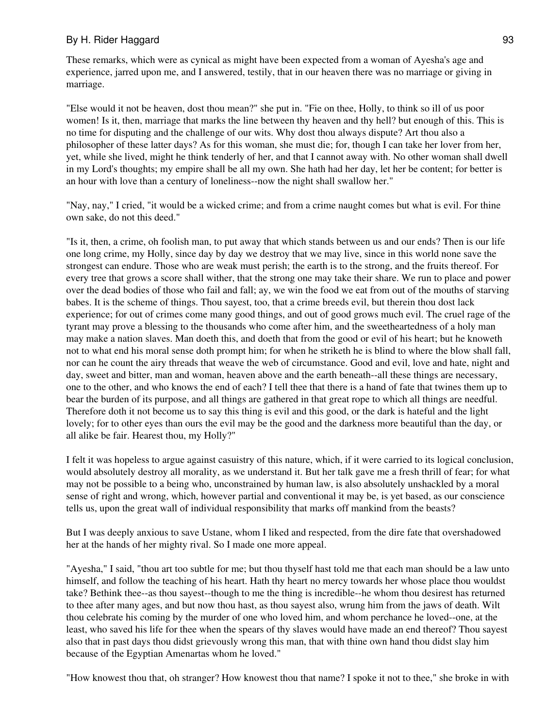These remarks, which were as cynical as might have been expected from a woman of Ayesha's age and experience, jarred upon me, and I answered, testily, that in our heaven there was no marriage or giving in marriage.

"Else would it not be heaven, dost thou mean?" she put in. "Fie on thee, Holly, to think so ill of us poor women! Is it, then, marriage that marks the line between thy heaven and thy hell? but enough of this. This is no time for disputing and the challenge of our wits. Why dost thou always dispute? Art thou also a philosopher of these latter days? As for this woman, she must die; for, though I can take her lover from her, yet, while she lived, might he think tenderly of her, and that I cannot away with. No other woman shall dwell in my Lord's thoughts; my empire shall be all my own. She hath had her day, let her be content; for better is an hour with love than a century of loneliness--now the night shall swallow her."

"Nay, nay," I cried, "it would be a wicked crime; and from a crime naught comes but what is evil. For thine own sake, do not this deed."

"Is it, then, a crime, oh foolish man, to put away that which stands between us and our ends? Then is our life one long crime, my Holly, since day by day we destroy that we may live, since in this world none save the strongest can endure. Those who are weak must perish; the earth is to the strong, and the fruits thereof. For every tree that grows a score shall wither, that the strong one may take their share. We run to place and power over the dead bodies of those who fail and fall; ay, we win the food we eat from out of the mouths of starving babes. It is the scheme of things. Thou sayest, too, that a crime breeds evil, but therein thou dost lack experience; for out of crimes come many good things, and out of good grows much evil. The cruel rage of the tyrant may prove a blessing to the thousands who come after him, and the sweetheartedness of a holy man may make a nation slaves. Man doeth this, and doeth that from the good or evil of his heart; but he knoweth not to what end his moral sense doth prompt him; for when he striketh he is blind to where the blow shall fall, nor can he count the airy threads that weave the web of circumstance. Good and evil, love and hate, night and day, sweet and bitter, man and woman, heaven above and the earth beneath--all these things are necessary, one to the other, and who knows the end of each? I tell thee that there is a hand of fate that twines them up to bear the burden of its purpose, and all things are gathered in that great rope to which all things are needful. Therefore doth it not become us to say this thing is evil and this good, or the dark is hateful and the light lovely; for to other eyes than ours the evil may be the good and the darkness more beautiful than the day, or all alike be fair. Hearest thou, my Holly?"

I felt it was hopeless to argue against casuistry of this nature, which, if it were carried to its logical conclusion, would absolutely destroy all morality, as we understand it. But her talk gave me a fresh thrill of fear; for what may not be possible to a being who, unconstrained by human law, is also absolutely unshackled by a moral sense of right and wrong, which, however partial and conventional it may be, is yet based, as our conscience tells us, upon the great wall of individual responsibility that marks off mankind from the beasts?

But I was deeply anxious to save Ustane, whom I liked and respected, from the dire fate that overshadowed her at the hands of her mighty rival. So I made one more appeal.

"Ayesha," I said, "thou art too subtle for me; but thou thyself hast told me that each man should be a law unto himself, and follow the teaching of his heart. Hath thy heart no mercy towards her whose place thou wouldst take? Bethink thee--as thou sayest--though to me the thing is incredible--he whom thou desirest has returned to thee after many ages, and but now thou hast, as thou sayest also, wrung him from the jaws of death. Wilt thou celebrate his coming by the murder of one who loved him, and whom perchance he loved--one, at the least, who saved his life for thee when the spears of thy slaves would have made an end thereof? Thou sayest also that in past days thou didst grievously wrong this man, that with thine own hand thou didst slay him because of the Egyptian Amenartas whom he loved."

"How knowest thou that, oh stranger? How knowest thou that name? I spoke it not to thee," she broke in with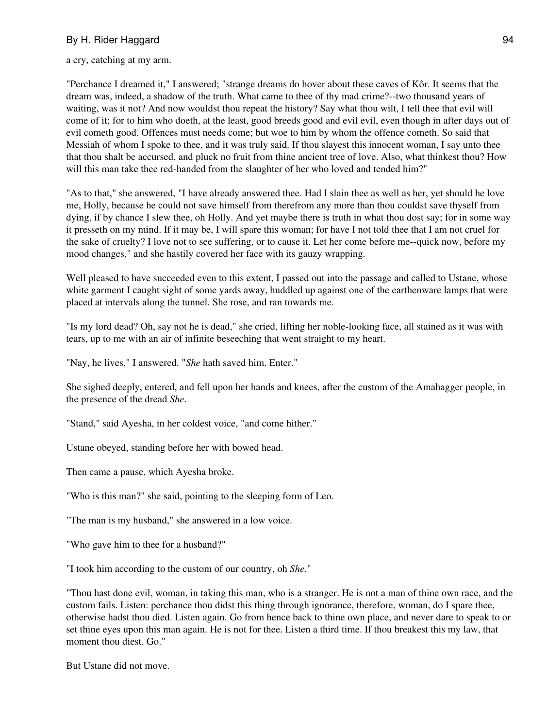a cry, catching at my arm.

"Perchance I dreamed it," I answered; "strange dreams do hover about these caves of Kôr. It seems that the dream was, indeed, a shadow of the truth. What came to thee of thy mad crime?--two thousand years of waiting, was it not? And now wouldst thou repeat the history? Say what thou wilt, I tell thee that evil will come of it; for to him who doeth, at the least, good breeds good and evil evil, even though in after days out of evil cometh good. Offences must needs come; but woe to him by whom the offence cometh. So said that Messiah of whom I spoke to thee, and it was truly said. If thou slayest this innocent woman, I say unto thee that thou shalt be accursed, and pluck no fruit from thine ancient tree of love. Also, what thinkest thou? How will this man take thee red-handed from the slaughter of her who loved and tended him?"

"As to that," she answered, "I have already answered thee. Had I slain thee as well as her, yet should he love me, Holly, because he could not save himself from therefrom any more than thou couldst save thyself from dying, if by chance I slew thee, oh Holly. And yet maybe there is truth in what thou dost say; for in some way it presseth on my mind. If it may be, I will spare this woman; for have I not told thee that I am not cruel for the sake of cruelty? I love not to see suffering, or to cause it. Let her come before me--quick now, before my mood changes," and she hastily covered her face with its gauzy wrapping.

Well pleased to have succeeded even to this extent, I passed out into the passage and called to Ustane, whose white garment I caught sight of some yards away, huddled up against one of the earthenware lamps that were placed at intervals along the tunnel. She rose, and ran towards me.

"Is my lord dead? Oh, say not he is dead," she cried, lifting her noble-looking face, all stained as it was with tears, up to me with an air of infinite beseeching that went straight to my heart.

"Nay, he lives," I answered. "*She* hath saved him. Enter."

She sighed deeply, entered, and fell upon her hands and knees, after the custom of the Amahagger people, in the presence of the dread *She*.

"Stand," said Ayesha, in her coldest voice, "and come hither."

Ustane obeyed, standing before her with bowed head.

Then came a pause, which Ayesha broke.

"Who is this man?" she said, pointing to the sleeping form of Leo.

"The man is my husband," she answered in a low voice.

"Who gave him to thee for a husband?"

"I took him according to the custom of our country, oh *She*."

"Thou hast done evil, woman, in taking this man, who is a stranger. He is not a man of thine own race, and the custom fails. Listen: perchance thou didst this thing through ignorance, therefore, woman, do I spare thee, otherwise hadst thou died. Listen again. Go from hence back to thine own place, and never dare to speak to or set thine eyes upon this man again. He is not for thee. Listen a third time. If thou breakest this my law, that moment thou diest. Go."

But Ustane did not move.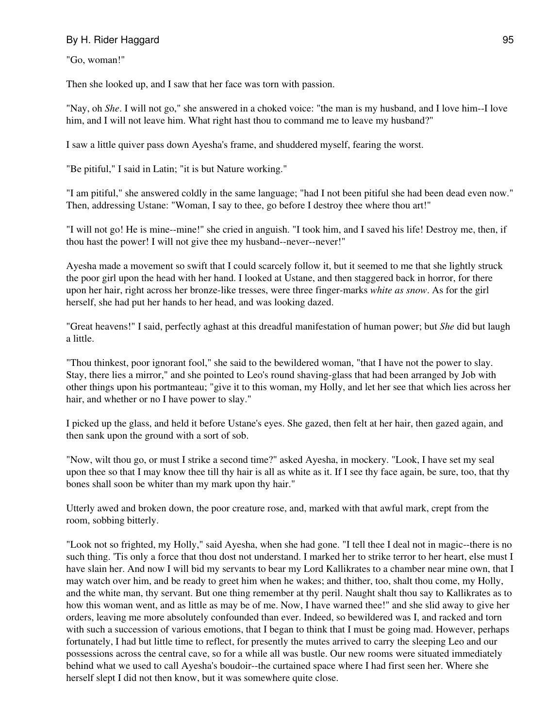"Go, woman!"

Then she looked up, and I saw that her face was torn with passion.

"Nay, oh *She*. I will not go," she answered in a choked voice: "the man is my husband, and I love him--I love him, and I will not leave him. What right hast thou to command me to leave my husband?"

I saw a little quiver pass down Ayesha's frame, and shuddered myself, fearing the worst.

"Be pitiful," I said in Latin; "it is but Nature working."

"I am pitiful," she answered coldly in the same language; "had I not been pitiful she had been dead even now." Then, addressing Ustane: "Woman, I say to thee, go before I destroy thee where thou art!"

"I will not go! He is mine--mine!" she cried in anguish. "I took him, and I saved his life! Destroy me, then, if thou hast the power! I will not give thee my husband--never--never!"

Ayesha made a movement so swift that I could scarcely follow it, but it seemed to me that she lightly struck the poor girl upon the head with her hand. I looked at Ustane, and then staggered back in horror, for there upon her hair, right across her bronze-like tresses, were three finger-marks *white as snow*. As for the girl herself, she had put her hands to her head, and was looking dazed.

"Great heavens!" I said, perfectly aghast at this dreadful manifestation of human power; but *She* did but laugh a little.

"Thou thinkest, poor ignorant fool," she said to the bewildered woman, "that I have not the power to slay. Stay, there lies a mirror," and she pointed to Leo's round shaving-glass that had been arranged by Job with other things upon his portmanteau; "give it to this woman, my Holly, and let her see that which lies across her hair, and whether or no I have power to slay."

I picked up the glass, and held it before Ustane's eyes. She gazed, then felt at her hair, then gazed again, and then sank upon the ground with a sort of sob.

"Now, wilt thou go, or must I strike a second time?" asked Ayesha, in mockery. "Look, I have set my seal upon thee so that I may know thee till thy hair is all as white as it. If I see thy face again, be sure, too, that thy bones shall soon be whiter than my mark upon thy hair."

Utterly awed and broken down, the poor creature rose, and, marked with that awful mark, crept from the room, sobbing bitterly.

"Look not so frighted, my Holly," said Ayesha, when she had gone. "I tell thee I deal not in magic--there is no such thing. 'Tis only a force that thou dost not understand. I marked her to strike terror to her heart, else must I have slain her. And now I will bid my servants to bear my Lord Kallikrates to a chamber near mine own, that I may watch over him, and be ready to greet him when he wakes; and thither, too, shalt thou come, my Holly, and the white man, thy servant. But one thing remember at thy peril. Naught shalt thou say to Kallikrates as to how this woman went, and as little as may be of me. Now, I have warned thee!" and she slid away to give her orders, leaving me more absolutely confounded than ever. Indeed, so bewildered was I, and racked and torn with such a succession of various emotions, that I began to think that I must be going mad. However, perhaps fortunately, I had but little time to reflect, for presently the mutes arrived to carry the sleeping Leo and our possessions across the central cave, so for a while all was bustle. Our new rooms were situated immediately behind what we used to call Ayesha's boudoir--the curtained space where I had first seen her. Where she herself slept I did not then know, but it was somewhere quite close.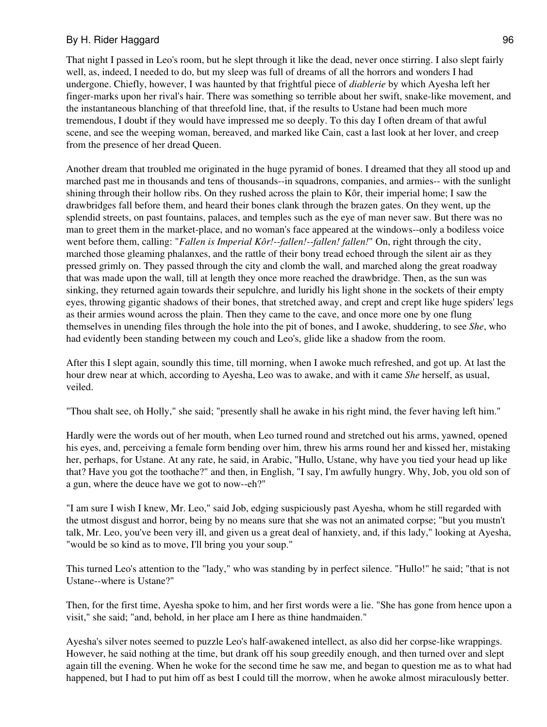That night I passed in Leo's room, but he slept through it like the dead, never once stirring. I also slept fairly well, as, indeed, I needed to do, but my sleep was full of dreams of all the horrors and wonders I had undergone. Chiefly, however, I was haunted by that frightful piece of *diablerie* by which Ayesha left her finger-marks upon her rival's hair. There was something so terrible about her swift, snake-like movement, and the instantaneous blanching of that threefold line, that, if the results to Ustane had been much more tremendous, I doubt if they would have impressed me so deeply. To this day I often dream of that awful scene, and see the weeping woman, bereaved, and marked like Cain, cast a last look at her lover, and creep from the presence of her dread Queen.

Another dream that troubled me originated in the huge pyramid of bones. I dreamed that they all stood up and marched past me in thousands and tens of thousands--in squadrons, companies, and armies-- with the sunlight shining through their hollow ribs. On they rushed across the plain to Kôr, their imperial home; I saw the drawbridges fall before them, and heard their bones clank through the brazen gates. On they went, up the splendid streets, on past fountains, palaces, and temples such as the eye of man never saw. But there was no man to greet them in the market-place, and no woman's face appeared at the windows--only a bodiless voice went before them, calling: "*Fallen is Imperial Kôr!--fallen!--fallen! fallen!*" On, right through the city, marched those gleaming phalanxes, and the rattle of their bony tread echoed through the silent air as they pressed grimly on. They passed through the city and clomb the wall, and marched along the great roadway that was made upon the wall, till at length they once more reached the drawbridge. Then, as the sun was sinking, they returned again towards their sepulchre, and luridly his light shone in the sockets of their empty eyes, throwing gigantic shadows of their bones, that stretched away, and crept and crept like huge spiders' legs as their armies wound across the plain. Then they came to the cave, and once more one by one flung themselves in unending files through the hole into the pit of bones, and I awoke, shuddering, to see *She*, who had evidently been standing between my couch and Leo's, glide like a shadow from the room.

After this I slept again, soundly this time, till morning, when I awoke much refreshed, and got up. At last the hour drew near at which, according to Ayesha, Leo was to awake, and with it came *She* herself, as usual, veiled.

"Thou shalt see, oh Holly," she said; "presently shall he awake in his right mind, the fever having left him."

Hardly were the words out of her mouth, when Leo turned round and stretched out his arms, yawned, opened his eyes, and, perceiving a female form bending over him, threw his arms round her and kissed her, mistaking her, perhaps, for Ustane. At any rate, he said, in Arabic, "Hullo, Ustane, why have you tied your head up like that? Have you got the toothache?" and then, in English, "I say, I'm awfully hungry. Why, Job, you old son of a gun, where the deuce have we got to now--eh?"

"I am sure I wish I knew, Mr. Leo," said Job, edging suspiciously past Ayesha, whom he still regarded with the utmost disgust and horror, being by no means sure that she was not an animated corpse; "but you mustn't talk, Mr. Leo, you've been very ill, and given us a great deal of hanxiety, and, if this lady," looking at Ayesha, "would be so kind as to move, I'll bring you your soup."

This turned Leo's attention to the "lady," who was standing by in perfect silence. "Hullo!" he said; "that is not Ustane--where is Ustane?"

Then, for the first time, Ayesha spoke to him, and her first words were a lie. "She has gone from hence upon a visit," she said; "and, behold, in her place am I here as thine handmaiden."

Ayesha's silver notes seemed to puzzle Leo's half-awakened intellect, as also did her corpse-like wrappings. However, he said nothing at the time, but drank off his soup greedily enough, and then turned over and slept again till the evening. When he woke for the second time he saw me, and began to question me as to what had happened, but I had to put him off as best I could till the morrow, when he awoke almost miraculously better.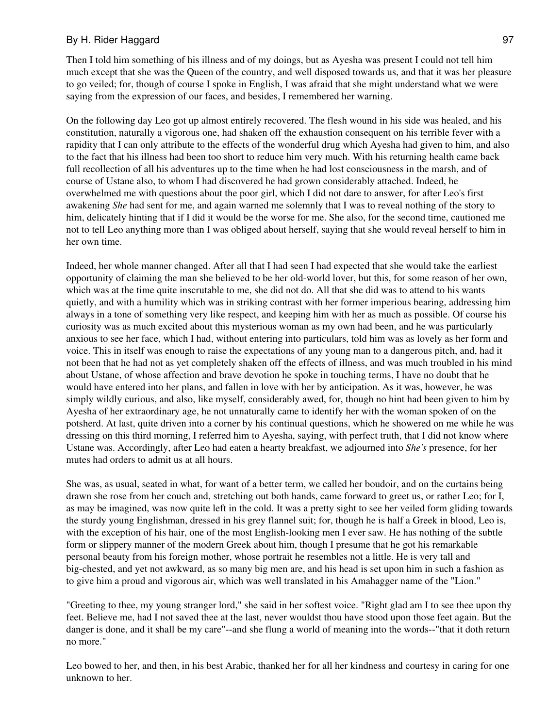Then I told him something of his illness and of my doings, but as Ayesha was present I could not tell him much except that she was the Queen of the country, and well disposed towards us, and that it was her pleasure to go veiled; for, though of course I spoke in English, I was afraid that she might understand what we were saying from the expression of our faces, and besides, I remembered her warning.

On the following day Leo got up almost entirely recovered. The flesh wound in his side was healed, and his constitution, naturally a vigorous one, had shaken off the exhaustion consequent on his terrible fever with a rapidity that I can only attribute to the effects of the wonderful drug which Ayesha had given to him, and also to the fact that his illness had been too short to reduce him very much. With his returning health came back full recollection of all his adventures up to the time when he had lost consciousness in the marsh, and of course of Ustane also, to whom I had discovered he had grown considerably attached. Indeed, he overwhelmed me with questions about the poor girl, which I did not dare to answer, for after Leo's first awakening *She* had sent for me, and again warned me solemnly that I was to reveal nothing of the story to him, delicately hinting that if I did it would be the worse for me. She also, for the second time, cautioned me not to tell Leo anything more than I was obliged about herself, saying that she would reveal herself to him in her own time.

Indeed, her whole manner changed. After all that I had seen I had expected that she would take the earliest opportunity of claiming the man she believed to be her old-world lover, but this, for some reason of her own, which was at the time quite inscrutable to me, she did not do. All that she did was to attend to his wants quietly, and with a humility which was in striking contrast with her former imperious bearing, addressing him always in a tone of something very like respect, and keeping him with her as much as possible. Of course his curiosity was as much excited about this mysterious woman as my own had been, and he was particularly anxious to see her face, which I had, without entering into particulars, told him was as lovely as her form and voice. This in itself was enough to raise the expectations of any young man to a dangerous pitch, and, had it not been that he had not as yet completely shaken off the effects of illness, and was much troubled in his mind about Ustane, of whose affection and brave devotion he spoke in touching terms, I have no doubt that he would have entered into her plans, and fallen in love with her by anticipation. As it was, however, he was simply wildly curious, and also, like myself, considerably awed, for, though no hint had been given to him by Ayesha of her extraordinary age, he not unnaturally came to identify her with the woman spoken of on the potsherd. At last, quite driven into a corner by his continual questions, which he showered on me while he was dressing on this third morning, I referred him to Ayesha, saying, with perfect truth, that I did not know where Ustane was. Accordingly, after Leo had eaten a hearty breakfast, we adjourned into *She's* presence, for her mutes had orders to admit us at all hours.

She was, as usual, seated in what, for want of a better term, we called her boudoir, and on the curtains being drawn she rose from her couch and, stretching out both hands, came forward to greet us, or rather Leo; for I, as may be imagined, was now quite left in the cold. It was a pretty sight to see her veiled form gliding towards the sturdy young Englishman, dressed in his grey flannel suit; for, though he is half a Greek in blood, Leo is, with the exception of his hair, one of the most English-looking men I ever saw. He has nothing of the subtle form or slippery manner of the modern Greek about him, though I presume that he got his remarkable personal beauty from his foreign mother, whose portrait he resembles not a little. He is very tall and big-chested, and yet not awkward, as so many big men are, and his head is set upon him in such a fashion as to give him a proud and vigorous air, which was well translated in his Amahagger name of the "Lion."

"Greeting to thee, my young stranger lord," she said in her softest voice. "Right glad am I to see thee upon thy feet. Believe me, had I not saved thee at the last, never wouldst thou have stood upon those feet again. But the danger is done, and it shall be my care"--and she flung a world of meaning into the words--"that it doth return no more."

Leo bowed to her, and then, in his best Arabic, thanked her for all her kindness and courtesy in caring for one unknown to her.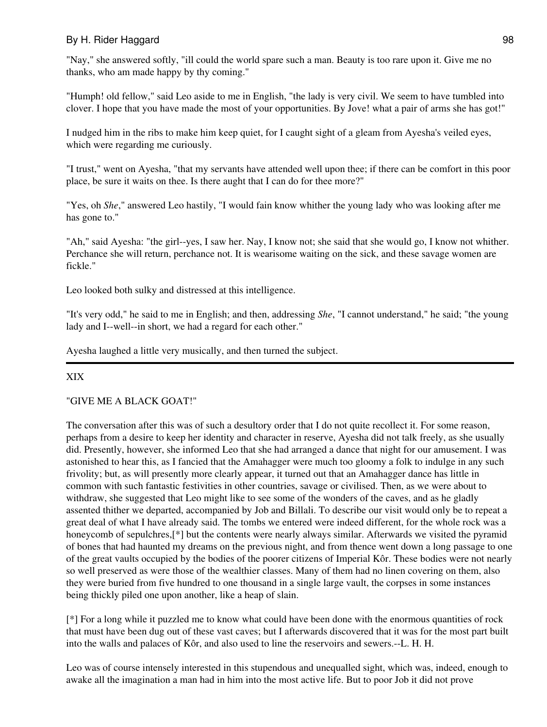"Nay," she answered softly, "ill could the world spare such a man. Beauty is too rare upon it. Give me no thanks, who am made happy by thy coming."

"Humph! old fellow," said Leo aside to me in English, "the lady is very civil. We seem to have tumbled into clover. I hope that you have made the most of your opportunities. By Jove! what a pair of arms she has got!"

I nudged him in the ribs to make him keep quiet, for I caught sight of a gleam from Ayesha's veiled eyes, which were regarding me curiously.

"I trust," went on Ayesha, "that my servants have attended well upon thee; if there can be comfort in this poor place, be sure it waits on thee. Is there aught that I can do for thee more?"

"Yes, oh *She*," answered Leo hastily, "I would fain know whither the young lady who was looking after me has gone to."

"Ah," said Ayesha: "the girl--yes, I saw her. Nay, I know not; she said that she would go, I know not whither. Perchance she will return, perchance not. It is wearisome waiting on the sick, and these savage women are fickle."

Leo looked both sulky and distressed at this intelligence.

"It's very odd," he said to me in English; and then, addressing *She*, "I cannot understand," he said; "the young lady and I--well--in short, we had a regard for each other."

Ayesha laughed a little very musically, and then turned the subject.

## XIX

#### "GIVE ME A BLACK GOAT!"

The conversation after this was of such a desultory order that I do not quite recollect it. For some reason, perhaps from a desire to keep her identity and character in reserve, Ayesha did not talk freely, as she usually did. Presently, however, she informed Leo that she had arranged a dance that night for our amusement. I was astonished to hear this, as I fancied that the Amahagger were much too gloomy a folk to indulge in any such frivolity; but, as will presently more clearly appear, it turned out that an Amahagger dance has little in common with such fantastic festivities in other countries, savage or civilised. Then, as we were about to withdraw, she suggested that Leo might like to see some of the wonders of the caves, and as he gladly assented thither we departed, accompanied by Job and Billali. To describe our visit would only be to repeat a great deal of what I have already said. The tombs we entered were indeed different, for the whole rock was a honeycomb of sepulchres,[\*] but the contents were nearly always similar. Afterwards we visited the pyramid of bones that had haunted my dreams on the previous night, and from thence went down a long passage to one of the great vaults occupied by the bodies of the poorer citizens of Imperial Kôr. These bodies were not nearly so well preserved as were those of the wealthier classes. Many of them had no linen covering on them, also they were buried from five hundred to one thousand in a single large vault, the corpses in some instances being thickly piled one upon another, like a heap of slain.

[\*] For a long while it puzzled me to know what could have been done with the enormous quantities of rock that must have been dug out of these vast caves; but I afterwards discovered that it was for the most part built into the walls and palaces of Kôr, and also used to line the reservoirs and sewers.--L. H. H.

Leo was of course intensely interested in this stupendous and unequalled sight, which was, indeed, enough to awake all the imagination a man had in him into the most active life. But to poor Job it did not prove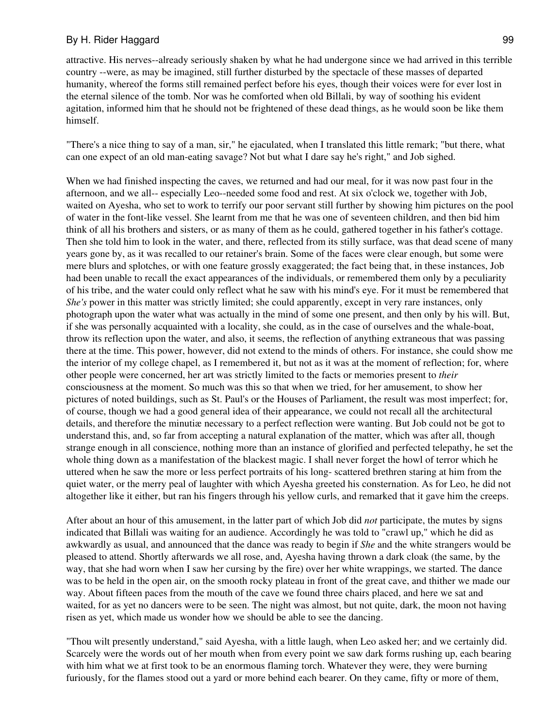attractive. His nerves--already seriously shaken by what he had undergone since we had arrived in this terrible country --were, as may be imagined, still further disturbed by the spectacle of these masses of departed humanity, whereof the forms still remained perfect before his eyes, though their voices were for ever lost in the eternal silence of the tomb. Nor was he comforted when old Billali, by way of soothing his evident agitation, informed him that he should not be frightened of these dead things, as he would soon be like them himself.

"There's a nice thing to say of a man, sir," he ejaculated, when I translated this little remark; "but there, what can one expect of an old man-eating savage? Not but what I dare say he's right," and Job sighed.

When we had finished inspecting the caves, we returned and had our meal, for it was now past four in the afternoon, and we all-- especially Leo--needed some food and rest. At six o'clock we, together with Job, waited on Ayesha, who set to work to terrify our poor servant still further by showing him pictures on the pool of water in the font-like vessel. She learnt from me that he was one of seventeen children, and then bid him think of all his brothers and sisters, or as many of them as he could, gathered together in his father's cottage. Then she told him to look in the water, and there, reflected from its stilly surface, was that dead scene of many years gone by, as it was recalled to our retainer's brain. Some of the faces were clear enough, but some were mere blurs and splotches, or with one feature grossly exaggerated; the fact being that, in these instances, Job had been unable to recall the exact appearances of the individuals, or remembered them only by a peculiarity of his tribe, and the water could only reflect what he saw with his mind's eye. For it must be remembered that *She's* power in this matter was strictly limited; she could apparently, except in very rare instances, only photograph upon the water what was actually in the mind of some one present, and then only by his will. But, if she was personally acquainted with a locality, she could, as in the case of ourselves and the whale-boat, throw its reflection upon the water, and also, it seems, the reflection of anything extraneous that was passing there at the time. This power, however, did not extend to the minds of others. For instance, she could show me the interior of my college chapel, as I remembered it, but not as it was at the moment of reflection; for, where other people were concerned, her art was strictly limited to the facts or memories present to *their* consciousness at the moment. So much was this so that when we tried, for her amusement, to show her pictures of noted buildings, such as St. Paul's or the Houses of Parliament, the result was most imperfect; for, of course, though we had a good general idea of their appearance, we could not recall all the architectural details, and therefore the minutiæ necessary to a perfect reflection were wanting. But Job could not be got to understand this, and, so far from accepting a natural explanation of the matter, which was after all, though strange enough in all conscience, nothing more than an instance of glorified and perfected telepathy, he set the whole thing down as a manifestation of the blackest magic. I shall never forget the howl of terror which he uttered when he saw the more or less perfect portraits of his long- scattered brethren staring at him from the quiet water, or the merry peal of laughter with which Ayesha greeted his consternation. As for Leo, he did not altogether like it either, but ran his fingers through his yellow curls, and remarked that it gave him the creeps.

After about an hour of this amusement, in the latter part of which Job did *not* participate, the mutes by signs indicated that Billali was waiting for an audience. Accordingly he was told to "crawl up," which he did as awkwardly as usual, and announced that the dance was ready to begin if *She* and the white strangers would be pleased to attend. Shortly afterwards we all rose, and, Ayesha having thrown a dark cloak (the same, by the way, that she had worn when I saw her cursing by the fire) over her white wrappings, we started. The dance was to be held in the open air, on the smooth rocky plateau in front of the great cave, and thither we made our way. About fifteen paces from the mouth of the cave we found three chairs placed, and here we sat and waited, for as yet no dancers were to be seen. The night was almost, but not quite, dark, the moon not having risen as yet, which made us wonder how we should be able to see the dancing.

"Thou wilt presently understand," said Ayesha, with a little laugh, when Leo asked her; and we certainly did. Scarcely were the words out of her mouth when from every point we saw dark forms rushing up, each bearing with him what we at first took to be an enormous flaming torch. Whatever they were, they were burning furiously, for the flames stood out a yard or more behind each bearer. On they came, fifty or more of them,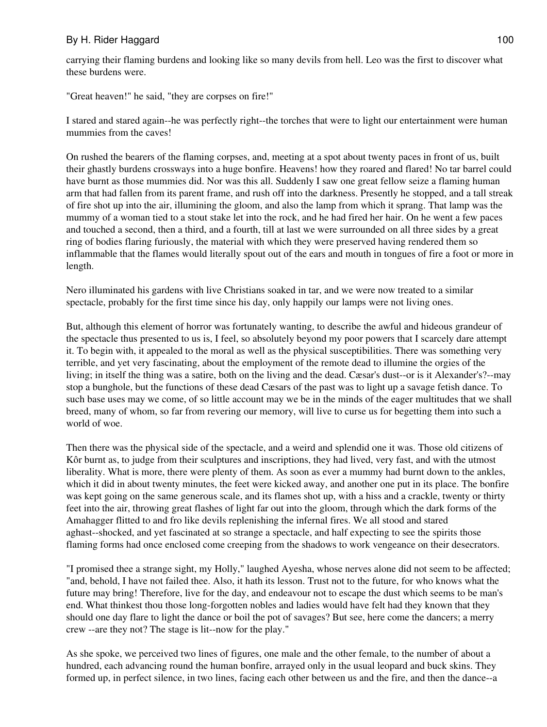carrying their flaming burdens and looking like so many devils from hell. Leo was the first to discover what these burdens were.

"Great heaven!" he said, "they are corpses on fire!"

I stared and stared again--he was perfectly right--the torches that were to light our entertainment were human mummies from the caves!

On rushed the bearers of the flaming corpses, and, meeting at a spot about twenty paces in front of us, built their ghastly burdens crossways into a huge bonfire. Heavens! how they roared and flared! No tar barrel could have burnt as those mummies did. Nor was this all. Suddenly I saw one great fellow seize a flaming human arm that had fallen from its parent frame, and rush off into the darkness. Presently he stopped, and a tall streak of fire shot up into the air, illumining the gloom, and also the lamp from which it sprang. That lamp was the mummy of a woman tied to a stout stake let into the rock, and he had fired her hair. On he went a few paces and touched a second, then a third, and a fourth, till at last we were surrounded on all three sides by a great ring of bodies flaring furiously, the material with which they were preserved having rendered them so inflammable that the flames would literally spout out of the ears and mouth in tongues of fire a foot or more in length.

Nero illuminated his gardens with live Christians soaked in tar, and we were now treated to a similar spectacle, probably for the first time since his day, only happily our lamps were not living ones.

But, although this element of horror was fortunately wanting, to describe the awful and hideous grandeur of the spectacle thus presented to us is, I feel, so absolutely beyond my poor powers that I scarcely dare attempt it. To begin with, it appealed to the moral as well as the physical susceptibilities. There was something very terrible, and yet very fascinating, about the employment of the remote dead to illumine the orgies of the living; in itself the thing was a satire, both on the living and the dead. Cæsar's dust--or is it Alexander's?--may stop a bunghole, but the functions of these dead Cæsars of the past was to light up a savage fetish dance. To such base uses may we come, of so little account may we be in the minds of the eager multitudes that we shall breed, many of whom, so far from revering our memory, will live to curse us for begetting them into such a world of woe.

Then there was the physical side of the spectacle, and a weird and splendid one it was. Those old citizens of Kôr burnt as, to judge from their sculptures and inscriptions, they had lived, very fast, and with the utmost liberality. What is more, there were plenty of them. As soon as ever a mummy had burnt down to the ankles, which it did in about twenty minutes, the feet were kicked away, and another one put in its place. The bonfire was kept going on the same generous scale, and its flames shot up, with a hiss and a crackle, twenty or thirty feet into the air, throwing great flashes of light far out into the gloom, through which the dark forms of the Amahagger flitted to and fro like devils replenishing the infernal fires. We all stood and stared aghast--shocked, and yet fascinated at so strange a spectacle, and half expecting to see the spirits those flaming forms had once enclosed come creeping from the shadows to work vengeance on their desecrators.

"I promised thee a strange sight, my Holly," laughed Ayesha, whose nerves alone did not seem to be affected; "and, behold, I have not failed thee. Also, it hath its lesson. Trust not to the future, for who knows what the future may bring! Therefore, live for the day, and endeavour not to escape the dust which seems to be man's end. What thinkest thou those long-forgotten nobles and ladies would have felt had they known that they should one day flare to light the dance or boil the pot of savages? But see, here come the dancers; a merry crew --are they not? The stage is lit--now for the play."

As she spoke, we perceived two lines of figures, one male and the other female, to the number of about a hundred, each advancing round the human bonfire, arrayed only in the usual leopard and buck skins. They formed up, in perfect silence, in two lines, facing each other between us and the fire, and then the dance--a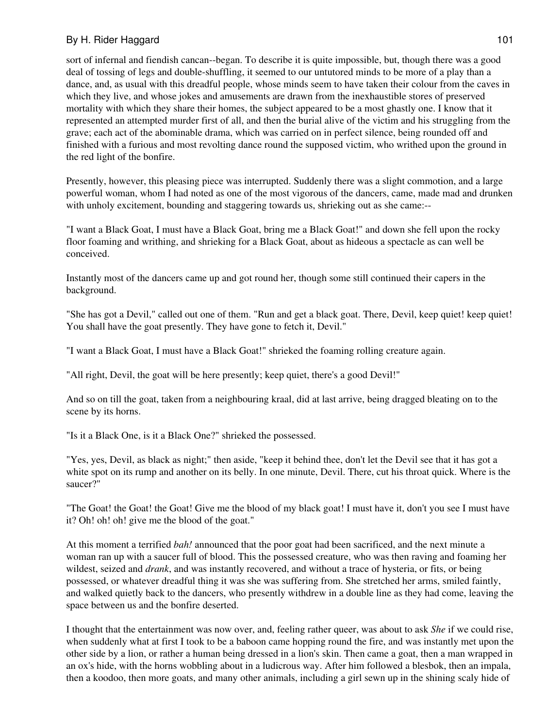sort of infernal and fiendish cancan--began. To describe it is quite impossible, but, though there was a good deal of tossing of legs and double-shuffling, it seemed to our untutored minds to be more of a play than a dance, and, as usual with this dreadful people, whose minds seem to have taken their colour from the caves in which they live, and whose jokes and amusements are drawn from the inexhaustible stores of preserved mortality with which they share their homes, the subject appeared to be a most ghastly one. I know that it represented an attempted murder first of all, and then the burial alive of the victim and his struggling from the grave; each act of the abominable drama, which was carried on in perfect silence, being rounded off and finished with a furious and most revolting dance round the supposed victim, who writhed upon the ground in the red light of the bonfire.

Presently, however, this pleasing piece was interrupted. Suddenly there was a slight commotion, and a large powerful woman, whom I had noted as one of the most vigorous of the dancers, came, made mad and drunken with unholy excitement, bounding and staggering towards us, shrieking out as she came:--

"I want a Black Goat, I must have a Black Goat, bring me a Black Goat!" and down she fell upon the rocky floor foaming and writhing, and shrieking for a Black Goat, about as hideous a spectacle as can well be conceived.

Instantly most of the dancers came up and got round her, though some still continued their capers in the background.

"She has got a Devil," called out one of them. "Run and get a black goat. There, Devil, keep quiet! keep quiet! You shall have the goat presently. They have gone to fetch it, Devil."

"I want a Black Goat, I must have a Black Goat!" shrieked the foaming rolling creature again.

"All right, Devil, the goat will be here presently; keep quiet, there's a good Devil!"

And so on till the goat, taken from a neighbouring kraal, did at last arrive, being dragged bleating on to the scene by its horns.

"Is it a Black One, is it a Black One?" shrieked the possessed.

"Yes, yes, Devil, as black as night;" then aside, "keep it behind thee, don't let the Devil see that it has got a white spot on its rump and another on its belly. In one minute, Devil. There, cut his throat quick. Where is the saucer?"

"The Goat! the Goat! the Goat! Give me the blood of my black goat! I must have it, don't you see I must have it? Oh! oh! oh! give me the blood of the goat."

At this moment a terrified *bah!* announced that the poor goat had been sacrificed, and the next minute a woman ran up with a saucer full of blood. This the possessed creature, who was then raving and foaming her wildest, seized and *drank*, and was instantly recovered, and without a trace of hysteria, or fits, or being possessed, or whatever dreadful thing it was she was suffering from. She stretched her arms, smiled faintly, and walked quietly back to the dancers, who presently withdrew in a double line as they had come, leaving the space between us and the bonfire deserted.

I thought that the entertainment was now over, and, feeling rather queer, was about to ask *She* if we could rise, when suddenly what at first I took to be a baboon came hopping round the fire, and was instantly met upon the other side by a lion, or rather a human being dressed in a lion's skin. Then came a goat, then a man wrapped in an ox's hide, with the horns wobbling about in a ludicrous way. After him followed a blesbok, then an impala, then a koodoo, then more goats, and many other animals, including a girl sewn up in the shining scaly hide of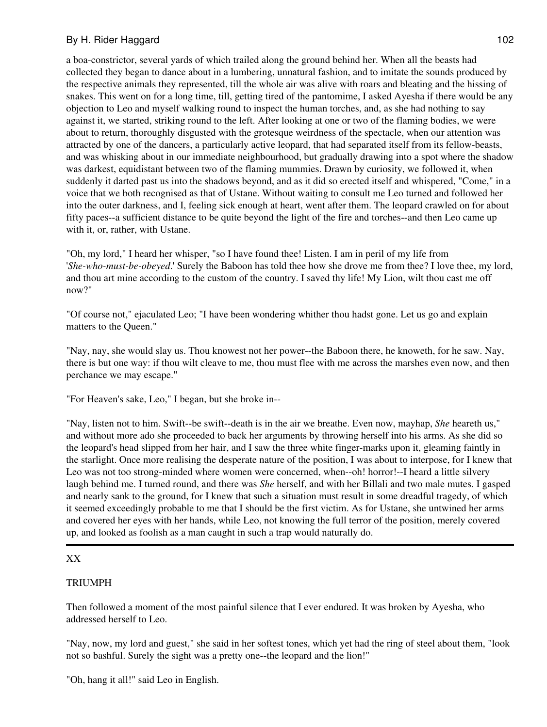a boa-constrictor, several yards of which trailed along the ground behind her. When all the beasts had collected they began to dance about in a lumbering, unnatural fashion, and to imitate the sounds produced by the respective animals they represented, till the whole air was alive with roars and bleating and the hissing of snakes. This went on for a long time, till, getting tired of the pantomime, I asked Ayesha if there would be any objection to Leo and myself walking round to inspect the human torches, and, as she had nothing to say against it, we started, striking round to the left. After looking at one or two of the flaming bodies, we were about to return, thoroughly disgusted with the grotesque weirdness of the spectacle, when our attention was attracted by one of the dancers, a particularly active leopard, that had separated itself from its fellow-beasts, and was whisking about in our immediate neighbourhood, but gradually drawing into a spot where the shadow was darkest, equidistant between two of the flaming mummies. Drawn by curiosity, we followed it, when suddenly it darted past us into the shadows beyond, and as it did so erected itself and whispered, "Come," in a voice that we both recognised as that of Ustane. Without waiting to consult me Leo turned and followed her into the outer darkness, and I, feeling sick enough at heart, went after them. The leopard crawled on for about fifty paces--a sufficient distance to be quite beyond the light of the fire and torches--and then Leo came up with it, or, rather, with Ustane.

"Oh, my lord," I heard her whisper, "so I have found thee! Listen. I am in peril of my life from '*She-who-must-be-obeyed*.' Surely the Baboon has told thee how she drove me from thee? I love thee, my lord, and thou art mine according to the custom of the country. I saved thy life! My Lion, wilt thou cast me off now?"

"Of course not," ejaculated Leo; "I have been wondering whither thou hadst gone. Let us go and explain matters to the Queen."

"Nay, nay, she would slay us. Thou knowest not her power--the Baboon there, he knoweth, for he saw. Nay, there is but one way: if thou wilt cleave to me, thou must flee with me across the marshes even now, and then perchance we may escape."

"For Heaven's sake, Leo," I began, but she broke in--

"Nay, listen not to him. Swift--be swift--death is in the air we breathe. Even now, mayhap, *She* heareth us," and without more ado she proceeded to back her arguments by throwing herself into his arms. As she did so the leopard's head slipped from her hair, and I saw the three white finger-marks upon it, gleaming faintly in the starlight. Once more realising the desperate nature of the position, I was about to interpose, for I knew that Leo was not too strong-minded where women were concerned, when--oh! horror!--I heard a little silvery laugh behind me. I turned round, and there was *She* herself, and with her Billali and two male mutes. I gasped and nearly sank to the ground, for I knew that such a situation must result in some dreadful tragedy, of which it seemed exceedingly probable to me that I should be the first victim. As for Ustane, she untwined her arms and covered her eyes with her hands, while Leo, not knowing the full terror of the position, merely covered up, and looked as foolish as a man caught in such a trap would naturally do.

## XX

## TRIUMPH

Then followed a moment of the most painful silence that I ever endured. It was broken by Ayesha, who addressed herself to Leo.

"Nay, now, my lord and guest," she said in her softest tones, which yet had the ring of steel about them, "look not so bashful. Surely the sight was a pretty one--the leopard and the lion!"

"Oh, hang it all!" said Leo in English.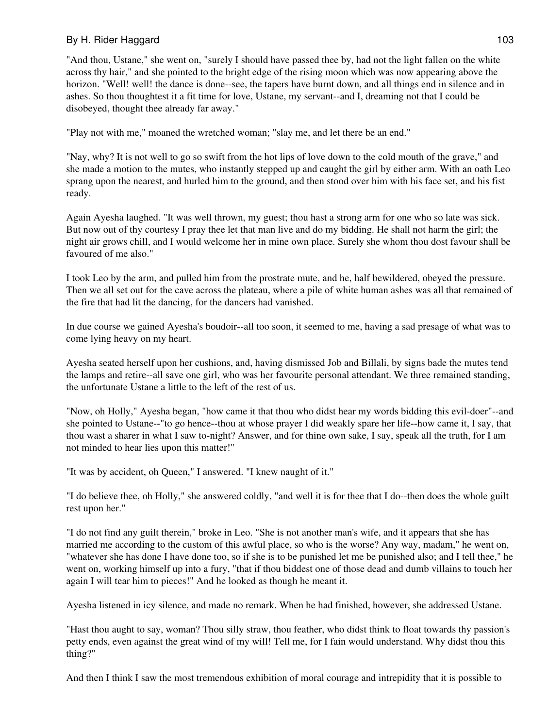"And thou, Ustane," she went on, "surely I should have passed thee by, had not the light fallen on the white across thy hair," and she pointed to the bright edge of the rising moon which was now appearing above the horizon. "Well! well! the dance is done--see, the tapers have burnt down, and all things end in silence and in ashes. So thou thoughtest it a fit time for love, Ustane, my servant--and I, dreaming not that I could be disobeyed, thought thee already far away."

"Play not with me," moaned the wretched woman; "slay me, and let there be an end."

"Nay, why? It is not well to go so swift from the hot lips of love down to the cold mouth of the grave," and she made a motion to the mutes, who instantly stepped up and caught the girl by either arm. With an oath Leo sprang upon the nearest, and hurled him to the ground, and then stood over him with his face set, and his fist ready.

Again Ayesha laughed. "It was well thrown, my guest; thou hast a strong arm for one who so late was sick. But now out of thy courtesy I pray thee let that man live and do my bidding. He shall not harm the girl; the night air grows chill, and I would welcome her in mine own place. Surely she whom thou dost favour shall be favoured of me also."

I took Leo by the arm, and pulled him from the prostrate mute, and he, half bewildered, obeyed the pressure. Then we all set out for the cave across the plateau, where a pile of white human ashes was all that remained of the fire that had lit the dancing, for the dancers had vanished.

In due course we gained Ayesha's boudoir--all too soon, it seemed to me, having a sad presage of what was to come lying heavy on my heart.

Ayesha seated herself upon her cushions, and, having dismissed Job and Billali, by signs bade the mutes tend the lamps and retire--all save one girl, who was her favourite personal attendant. We three remained standing, the unfortunate Ustane a little to the left of the rest of us.

"Now, oh Holly," Ayesha began, "how came it that thou who didst hear my words bidding this evil-doer"--and she pointed to Ustane--"to go hence--thou at whose prayer I did weakly spare her life--how came it, I say, that thou wast a sharer in what I saw to-night? Answer, and for thine own sake, I say, speak all the truth, for I am not minded to hear lies upon this matter!"

"It was by accident, oh Queen," I answered. "I knew naught of it."

"I do believe thee, oh Holly," she answered coldly, "and well it is for thee that I do--then does the whole guilt rest upon her."

"I do not find any guilt therein," broke in Leo. "She is not another man's wife, and it appears that she has married me according to the custom of this awful place, so who is the worse? Any way, madam," he went on, "whatever she has done I have done too, so if she is to be punished let me be punished also; and I tell thee," he went on, working himself up into a fury, "that if thou biddest one of those dead and dumb villains to touch her again I will tear him to pieces!" And he looked as though he meant it.

Ayesha listened in icy silence, and made no remark. When he had finished, however, she addressed Ustane.

"Hast thou aught to say, woman? Thou silly straw, thou feather, who didst think to float towards thy passion's petty ends, even against the great wind of my will! Tell me, for I fain would understand. Why didst thou this thing?"

And then I think I saw the most tremendous exhibition of moral courage and intrepidity that it is possible to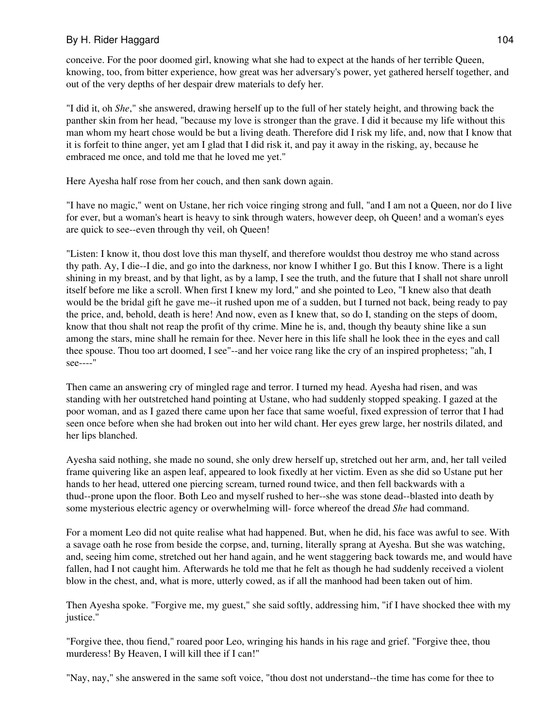conceive. For the poor doomed girl, knowing what she had to expect at the hands of her terrible Queen, knowing, too, from bitter experience, how great was her adversary's power, yet gathered herself together, and out of the very depths of her despair drew materials to defy her.

"I did it, oh *She*," she answered, drawing herself up to the full of her stately height, and throwing back the panther skin from her head, "because my love is stronger than the grave. I did it because my life without this man whom my heart chose would be but a living death. Therefore did I risk my life, and, now that I know that it is forfeit to thine anger, yet am I glad that I did risk it, and pay it away in the risking, ay, because he embraced me once, and told me that he loved me yet."

Here Ayesha half rose from her couch, and then sank down again.

"I have no magic," went on Ustane, her rich voice ringing strong and full, "and I am not a Queen, nor do I live for ever, but a woman's heart is heavy to sink through waters, however deep, oh Queen! and a woman's eyes are quick to see--even through thy veil, oh Queen!

"Listen: I know it, thou dost love this man thyself, and therefore wouldst thou destroy me who stand across thy path. Ay, I die--I die, and go into the darkness, nor know I whither I go. But this I know. There is a light shining in my breast, and by that light, as by a lamp, I see the truth, and the future that I shall not share unroll itself before me like a scroll. When first I knew my lord," and she pointed to Leo, "I knew also that death would be the bridal gift he gave me--it rushed upon me of a sudden, but I turned not back, being ready to pay the price, and, behold, death is here! And now, even as I knew that, so do I, standing on the steps of doom, know that thou shalt not reap the profit of thy crime. Mine he is, and, though thy beauty shine like a sun among the stars, mine shall he remain for thee. Never here in this life shall he look thee in the eyes and call thee spouse. Thou too art doomed, I see"--and her voice rang like the cry of an inspired prophetess; "ah, I see----"

Then came an answering cry of mingled rage and terror. I turned my head. Ayesha had risen, and was standing with her outstretched hand pointing at Ustane, who had suddenly stopped speaking. I gazed at the poor woman, and as I gazed there came upon her face that same woeful, fixed expression of terror that I had seen once before when she had broken out into her wild chant. Her eyes grew large, her nostrils dilated, and her lips blanched.

Ayesha said nothing, she made no sound, she only drew herself up, stretched out her arm, and, her tall veiled frame quivering like an aspen leaf, appeared to look fixedly at her victim. Even as she did so Ustane put her hands to her head, uttered one piercing scream, turned round twice, and then fell backwards with a thud--prone upon the floor. Both Leo and myself rushed to her--she was stone dead--blasted into death by some mysterious electric agency or overwhelming will- force whereof the dread *She* had command.

For a moment Leo did not quite realise what had happened. But, when he did, his face was awful to see. With a savage oath he rose from beside the corpse, and, turning, literally sprang at Ayesha. But she was watching, and, seeing him come, stretched out her hand again, and he went staggering back towards me, and would have fallen, had I not caught him. Afterwards he told me that he felt as though he had suddenly received a violent blow in the chest, and, what is more, utterly cowed, as if all the manhood had been taken out of him.

Then Ayesha spoke. "Forgive me, my guest," she said softly, addressing him, "if I have shocked thee with my justice."

"Forgive thee, thou fiend," roared poor Leo, wringing his hands in his rage and grief. "Forgive thee, thou murderess! By Heaven, I will kill thee if I can!"

"Nay, nay," she answered in the same soft voice, "thou dost not understand--the time has come for thee to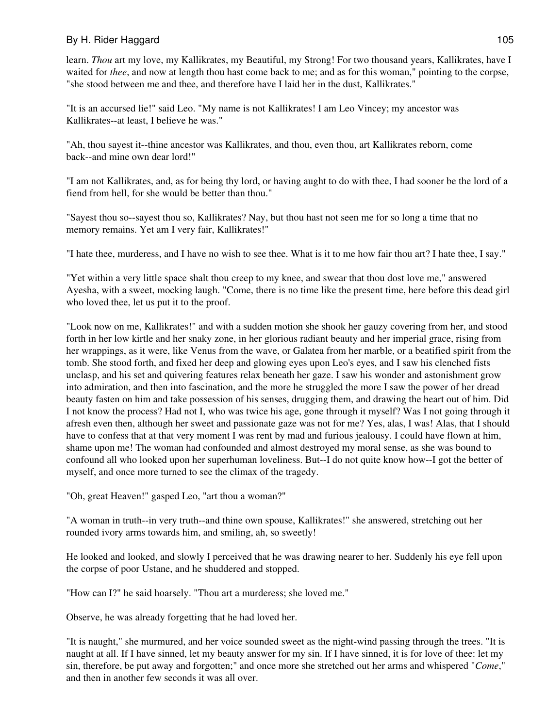learn. *Thou* art my love, my Kallikrates, my Beautiful, my Strong! For two thousand years, Kallikrates, have I waited for *thee*, and now at length thou hast come back to me; and as for this woman," pointing to the corpse, "she stood between me and thee, and therefore have I laid her in the dust, Kallikrates."

"It is an accursed lie!" said Leo. "My name is not Kallikrates! I am Leo Vincey; my ancestor was Kallikrates--at least, I believe he was."

"Ah, thou sayest it--thine ancestor was Kallikrates, and thou, even thou, art Kallikrates reborn, come back--and mine own dear lord!"

"I am not Kallikrates, and, as for being thy lord, or having aught to do with thee, I had sooner be the lord of a fiend from hell, for she would be better than thou."

"Sayest thou so--sayest thou so, Kallikrates? Nay, but thou hast not seen me for so long a time that no memory remains. Yet am I very fair, Kallikrates!"

"I hate thee, murderess, and I have no wish to see thee. What is it to me how fair thou art? I hate thee, I say."

"Yet within a very little space shalt thou creep to my knee, and swear that thou dost love me," answered Ayesha, with a sweet, mocking laugh. "Come, there is no time like the present time, here before this dead girl who loved thee, let us put it to the proof.

"Look now on me, Kallikrates!" and with a sudden motion she shook her gauzy covering from her, and stood forth in her low kirtle and her snaky zone, in her glorious radiant beauty and her imperial grace, rising from her wrappings, as it were, like Venus from the wave, or Galatea from her marble, or a beatified spirit from the tomb. She stood forth, and fixed her deep and glowing eyes upon Leo's eyes, and I saw his clenched fists unclasp, and his set and quivering features relax beneath her gaze. I saw his wonder and astonishment grow into admiration, and then into fascination, and the more he struggled the more I saw the power of her dread beauty fasten on him and take possession of his senses, drugging them, and drawing the heart out of him. Did I not know the process? Had not I, who was twice his age, gone through it myself? Was I not going through it afresh even then, although her sweet and passionate gaze was not for me? Yes, alas, I was! Alas, that I should have to confess that at that very moment I was rent by mad and furious jealousy. I could have flown at him, shame upon me! The woman had confounded and almost destroyed my moral sense, as she was bound to confound all who looked upon her superhuman loveliness. But--I do not quite know how--I got the better of myself, and once more turned to see the climax of the tragedy.

"Oh, great Heaven!" gasped Leo, "art thou a woman?"

"A woman in truth--in very truth--and thine own spouse, Kallikrates!" she answered, stretching out her rounded ivory arms towards him, and smiling, ah, so sweetly!

He looked and looked, and slowly I perceived that he was drawing nearer to her. Suddenly his eye fell upon the corpse of poor Ustane, and he shuddered and stopped.

"How can I?" he said hoarsely. "Thou art a murderess; she loved me."

Observe, he was already forgetting that he had loved her.

"It is naught," she murmured, and her voice sounded sweet as the night-wind passing through the trees. "It is naught at all. If I have sinned, let my beauty answer for my sin. If I have sinned, it is for love of thee: let my sin, therefore, be put away and forgotten;" and once more she stretched out her arms and whispered "*Come*," and then in another few seconds it was all over.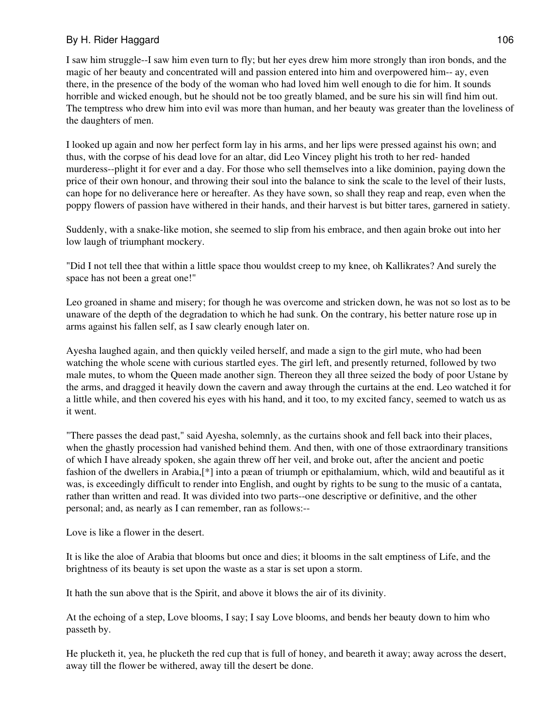I saw him struggle--I saw him even turn to fly; but her eyes drew him more strongly than iron bonds, and the magic of her beauty and concentrated will and passion entered into him and overpowered him-- ay, even there, in the presence of the body of the woman who had loved him well enough to die for him. It sounds horrible and wicked enough, but he should not be too greatly blamed, and be sure his sin will find him out. The temptress who drew him into evil was more than human, and her beauty was greater than the loveliness of the daughters of men.

I looked up again and now her perfect form lay in his arms, and her lips were pressed against his own; and thus, with the corpse of his dead love for an altar, did Leo Vincey plight his troth to her red- handed murderess--plight it for ever and a day. For those who sell themselves into a like dominion, paying down the price of their own honour, and throwing their soul into the balance to sink the scale to the level of their lusts, can hope for no deliverance here or hereafter. As they have sown, so shall they reap and reap, even when the poppy flowers of passion have withered in their hands, and their harvest is but bitter tares, garnered in satiety.

Suddenly, with a snake-like motion, she seemed to slip from his embrace, and then again broke out into her low laugh of triumphant mockery.

"Did I not tell thee that within a little space thou wouldst creep to my knee, oh Kallikrates? And surely the space has not been a great one!"

Leo groaned in shame and misery; for though he was overcome and stricken down, he was not so lost as to be unaware of the depth of the degradation to which he had sunk. On the contrary, his better nature rose up in arms against his fallen self, as I saw clearly enough later on.

Ayesha laughed again, and then quickly veiled herself, and made a sign to the girl mute, who had been watching the whole scene with curious startled eyes. The girl left, and presently returned, followed by two male mutes, to whom the Queen made another sign. Thereon they all three seized the body of poor Ustane by the arms, and dragged it heavily down the cavern and away through the curtains at the end. Leo watched it for a little while, and then covered his eyes with his hand, and it too, to my excited fancy, seemed to watch us as it went.

"There passes the dead past," said Ayesha, solemnly, as the curtains shook and fell back into their places, when the ghastly procession had vanished behind them. And then, with one of those extraordinary transitions of which I have already spoken, she again threw off her veil, and broke out, after the ancient and poetic fashion of the dwellers in Arabia,[\*] into a pæan of triumph or epithalamium, which, wild and beautiful as it was, is exceedingly difficult to render into English, and ought by rights to be sung to the music of a cantata, rather than written and read. It was divided into two parts--one descriptive or definitive, and the other personal; and, as nearly as I can remember, ran as follows:--

Love is like a flower in the desert.

It is like the aloe of Arabia that blooms but once and dies; it blooms in the salt emptiness of Life, and the brightness of its beauty is set upon the waste as a star is set upon a storm.

It hath the sun above that is the Spirit, and above it blows the air of its divinity.

At the echoing of a step, Love blooms, I say; I say Love blooms, and bends her beauty down to him who passeth by.

He plucketh it, yea, he plucketh the red cup that is full of honey, and beareth it away; away across the desert, away till the flower be withered, away till the desert be done.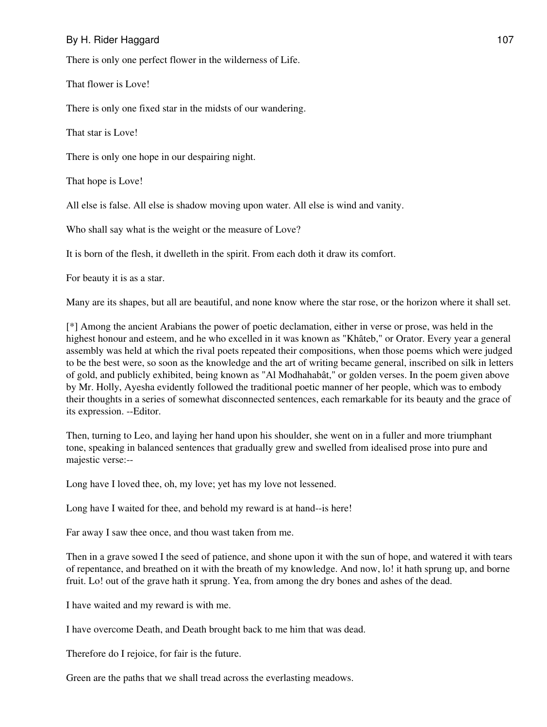There is only one perfect flower in the wilderness of Life.

That flower is Love!

There is only one fixed star in the midsts of our wandering.

That star is Love!

There is only one hope in our despairing night.

That hope is Love!

All else is false. All else is shadow moving upon water. All else is wind and vanity.

Who shall say what is the weight or the measure of Love?

It is born of the flesh, it dwelleth in the spirit. From each doth it draw its comfort.

For beauty it is as a star.

Many are its shapes, but all are beautiful, and none know where the star rose, or the horizon where it shall set.

[\*] Among the ancient Arabians the power of poetic declamation, either in verse or prose, was held in the highest honour and esteem, and he who excelled in it was known as "Khâteb," or Orator. Every year a general assembly was held at which the rival poets repeated their compositions, when those poems which were judged to be the best were, so soon as the knowledge and the art of writing became general, inscribed on silk in letters of gold, and publicly exhibited, being known as "Al Modhahabât," or golden verses. In the poem given above by Mr. Holly, Ayesha evidently followed the traditional poetic manner of her people, which was to embody their thoughts in a series of somewhat disconnected sentences, each remarkable for its beauty and the grace of its expression. --Editor.

Then, turning to Leo, and laying her hand upon his shoulder, she went on in a fuller and more triumphant tone, speaking in balanced sentences that gradually grew and swelled from idealised prose into pure and majestic verse:--

Long have I loved thee, oh, my love; yet has my love not lessened.

Long have I waited for thee, and behold my reward is at hand--is here!

Far away I saw thee once, and thou wast taken from me.

Then in a grave sowed I the seed of patience, and shone upon it with the sun of hope, and watered it with tears of repentance, and breathed on it with the breath of my knowledge. And now, lo! it hath sprung up, and borne fruit. Lo! out of the grave hath it sprung. Yea, from among the dry bones and ashes of the dead.

I have waited and my reward is with me.

I have overcome Death, and Death brought back to me him that was dead.

Therefore do I rejoice, for fair is the future.

Green are the paths that we shall tread across the everlasting meadows.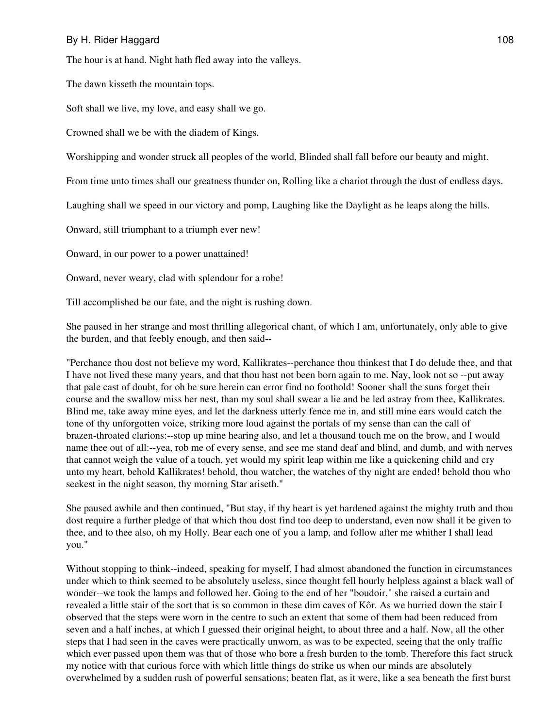The hour is at hand. Night hath fled away into the valleys.

The dawn kisseth the mountain tops.

Soft shall we live, my love, and easy shall we go.

Crowned shall we be with the diadem of Kings.

Worshipping and wonder struck all peoples of the world, Blinded shall fall before our beauty and might.

From time unto times shall our greatness thunder on, Rolling like a chariot through the dust of endless days.

Laughing shall we speed in our victory and pomp, Laughing like the Daylight as he leaps along the hills.

Onward, still triumphant to a triumph ever new!

Onward, in our power to a power unattained!

Onward, never weary, clad with splendour for a robe!

Till accomplished be our fate, and the night is rushing down.

She paused in her strange and most thrilling allegorical chant, of which I am, unfortunately, only able to give the burden, and that feebly enough, and then said--

"Perchance thou dost not believe my word, Kallikrates--perchance thou thinkest that I do delude thee, and that I have not lived these many years, and that thou hast not been born again to me. Nay, look not so --put away that pale cast of doubt, for oh be sure herein can error find no foothold! Sooner shall the suns forget their course and the swallow miss her nest, than my soul shall swear a lie and be led astray from thee, Kallikrates. Blind me, take away mine eyes, and let the darkness utterly fence me in, and still mine ears would catch the tone of thy unforgotten voice, striking more loud against the portals of my sense than can the call of brazen-throated clarions:--stop up mine hearing also, and let a thousand touch me on the brow, and I would name thee out of all:--yea, rob me of every sense, and see me stand deaf and blind, and dumb, and with nerves that cannot weigh the value of a touch, yet would my spirit leap within me like a quickening child and cry unto my heart, behold Kallikrates! behold, thou watcher, the watches of thy night are ended! behold thou who seekest in the night season, thy morning Star ariseth."

She paused awhile and then continued, "But stay, if thy heart is yet hardened against the mighty truth and thou dost require a further pledge of that which thou dost find too deep to understand, even now shall it be given to thee, and to thee also, oh my Holly. Bear each one of you a lamp, and follow after me whither I shall lead you."

Without stopping to think--indeed, speaking for myself, I had almost abandoned the function in circumstances under which to think seemed to be absolutely useless, since thought fell hourly helpless against a black wall of wonder--we took the lamps and followed her. Going to the end of her "boudoir," she raised a curtain and revealed a little stair of the sort that is so common in these dim caves of Kôr. As we hurried down the stair I observed that the steps were worn in the centre to such an extent that some of them had been reduced from seven and a half inches, at which I guessed their original height, to about three and a half. Now, all the other steps that I had seen in the caves were practically unworn, as was to be expected, seeing that the only traffic which ever passed upon them was that of those who bore a fresh burden to the tomb. Therefore this fact struck my notice with that curious force with which little things do strike us when our minds are absolutely overwhelmed by a sudden rush of powerful sensations; beaten flat, as it were, like a sea beneath the first burst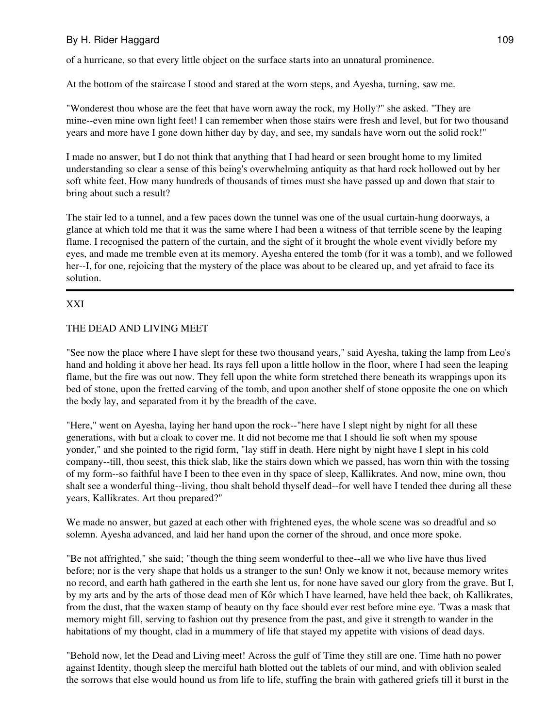of a hurricane, so that every little object on the surface starts into an unnatural prominence.

At the bottom of the staircase I stood and stared at the worn steps, and Ayesha, turning, saw me.

"Wonderest thou whose are the feet that have worn away the rock, my Holly?" she asked. "They are mine--even mine own light feet! I can remember when those stairs were fresh and level, but for two thousand years and more have I gone down hither day by day, and see, my sandals have worn out the solid rock!"

I made no answer, but I do not think that anything that I had heard or seen brought home to my limited understanding so clear a sense of this being's overwhelming antiquity as that hard rock hollowed out by her soft white feet. How many hundreds of thousands of times must she have passed up and down that stair to bring about such a result?

The stair led to a tunnel, and a few paces down the tunnel was one of the usual curtain-hung doorways, a glance at which told me that it was the same where I had been a witness of that terrible scene by the leaping flame. I recognised the pattern of the curtain, and the sight of it brought the whole event vividly before my eyes, and made me tremble even at its memory. Ayesha entered the tomb (for it was a tomb), and we followed her--I, for one, rejoicing that the mystery of the place was about to be cleared up, and yet afraid to face its solution.

## XXI

## THE DEAD AND LIVING MEET

"See now the place where I have slept for these two thousand years," said Ayesha, taking the lamp from Leo's hand and holding it above her head. Its rays fell upon a little hollow in the floor, where I had seen the leaping flame, but the fire was out now. They fell upon the white form stretched there beneath its wrappings upon its bed of stone, upon the fretted carving of the tomb, and upon another shelf of stone opposite the one on which the body lay, and separated from it by the breadth of the cave.

"Here," went on Ayesha, laying her hand upon the rock--"here have I slept night by night for all these generations, with but a cloak to cover me. It did not become me that I should lie soft when my spouse yonder," and she pointed to the rigid form, "lay stiff in death. Here night by night have I slept in his cold company--till, thou seest, this thick slab, like the stairs down which we passed, has worn thin with the tossing of my form--so faithful have I been to thee even in thy space of sleep, Kallikrates. And now, mine own, thou shalt see a wonderful thing--living, thou shalt behold thyself dead--for well have I tended thee during all these years, Kallikrates. Art thou prepared?"

We made no answer, but gazed at each other with frightened eyes, the whole scene was so dreadful and so solemn. Ayesha advanced, and laid her hand upon the corner of the shroud, and once more spoke.

"Be not affrighted," she said; "though the thing seem wonderful to thee--all we who live have thus lived before; nor is the very shape that holds us a stranger to the sun! Only we know it not, because memory writes no record, and earth hath gathered in the earth she lent us, for none have saved our glory from the grave. But I, by my arts and by the arts of those dead men of Kôr which I have learned, have held thee back, oh Kallikrates, from the dust, that the waxen stamp of beauty on thy face should ever rest before mine eye. 'Twas a mask that memory might fill, serving to fashion out thy presence from the past, and give it strength to wander in the habitations of my thought, clad in a mummery of life that stayed my appetite with visions of dead days.

"Behold now, let the Dead and Living meet! Across the gulf of Time they still are one. Time hath no power against Identity, though sleep the merciful hath blotted out the tablets of our mind, and with oblivion sealed the sorrows that else would hound us from life to life, stuffing the brain with gathered griefs till it burst in the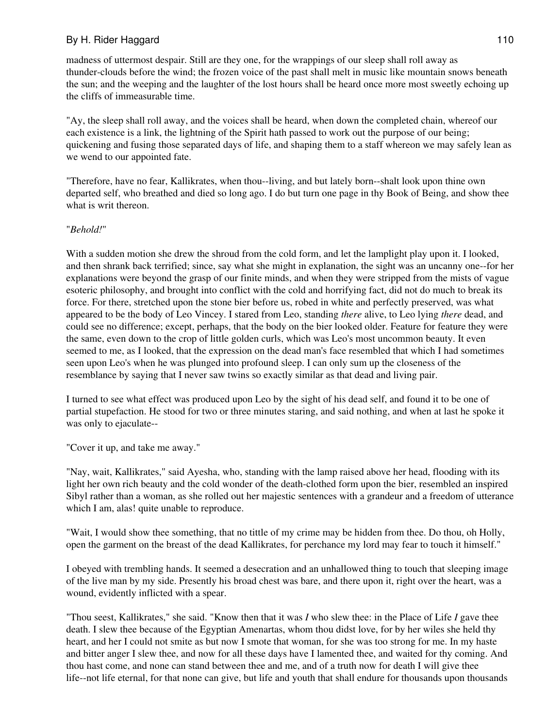madness of uttermost despair. Still are they one, for the wrappings of our sleep shall roll away as thunder-clouds before the wind; the frozen voice of the past shall melt in music like mountain snows beneath the sun; and the weeping and the laughter of the lost hours shall be heard once more most sweetly echoing up the cliffs of immeasurable time.

"Ay, the sleep shall roll away, and the voices shall be heard, when down the completed chain, whereof our each existence is a link, the lightning of the Spirit hath passed to work out the purpose of our being; quickening and fusing those separated days of life, and shaping them to a staff whereon we may safely lean as we wend to our appointed fate.

"Therefore, have no fear, Kallikrates, when thou--living, and but lately born--shalt look upon thine own departed self, who breathed and died so long ago. I do but turn one page in thy Book of Being, and show thee what is writ thereon.

### "*Behold!*"

With a sudden motion she drew the shroud from the cold form, and let the lamplight play upon it. I looked, and then shrank back terrified; since, say what she might in explanation, the sight was an uncanny one--for her explanations were beyond the grasp of our finite minds, and when they were stripped from the mists of vague esoteric philosophy, and brought into conflict with the cold and horrifying fact, did not do much to break its force. For there, stretched upon the stone bier before us, robed in white and perfectly preserved, was what appeared to be the body of Leo Vincey. I stared from Leo, standing *there* alive, to Leo lying *there* dead, and could see no difference; except, perhaps, that the body on the bier looked older. Feature for feature they were the same, even down to the crop of little golden curls, which was Leo's most uncommon beauty. It even seemed to me, as I looked, that the expression on the dead man's face resembled that which I had sometimes seen upon Leo's when he was plunged into profound sleep. I can only sum up the closeness of the resemblance by saying that I never saw twins so exactly similar as that dead and living pair.

I turned to see what effect was produced upon Leo by the sight of his dead self, and found it to be one of partial stupefaction. He stood for two or three minutes staring, and said nothing, and when at last he spoke it was only to ejaculate--

"Cover it up, and take me away."

"Nay, wait, Kallikrates," said Ayesha, who, standing with the lamp raised above her head, flooding with its light her own rich beauty and the cold wonder of the death-clothed form upon the bier, resembled an inspired Sibyl rather than a woman, as she rolled out her majestic sentences with a grandeur and a freedom of utterance which I am, alas! quite unable to reproduce.

"Wait, I would show thee something, that no tittle of my crime may be hidden from thee. Do thou, oh Holly, open the garment on the breast of the dead Kallikrates, for perchance my lord may fear to touch it himself."

I obeyed with trembling hands. It seemed a desecration and an unhallowed thing to touch that sleeping image of the live man by my side. Presently his broad chest was bare, and there upon it, right over the heart, was a wound, evidently inflicted with a spear.

"Thou seest, Kallikrates," she said. "Know then that it was *I* who slew thee: in the Place of Life *I* gave thee death. I slew thee because of the Egyptian Amenartas, whom thou didst love, for by her wiles she held thy heart, and her I could not smite as but now I smote that woman, for she was too strong for me. In my haste and bitter anger I slew thee, and now for all these days have I lamented thee, and waited for thy coming. And thou hast come, and none can stand between thee and me, and of a truth now for death I will give thee life--not life eternal, for that none can give, but life and youth that shall endure for thousands upon thousands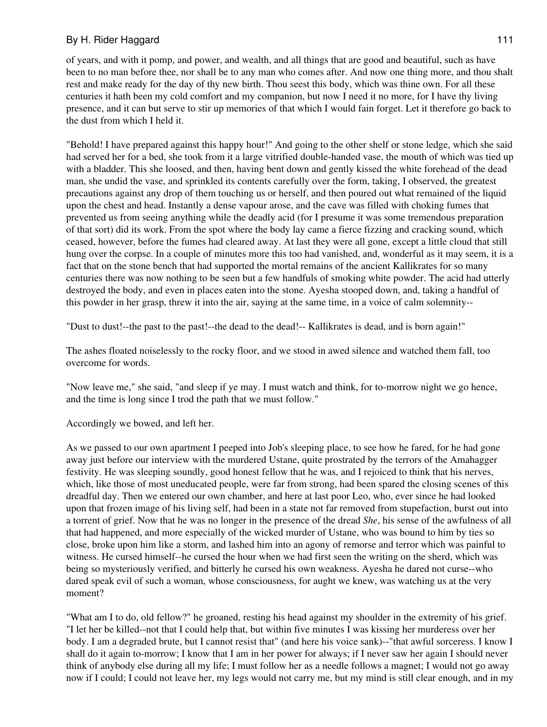of years, and with it pomp, and power, and wealth, and all things that are good and beautiful, such as have been to no man before thee, nor shall be to any man who comes after. And now one thing more, and thou shalt rest and make ready for the day of thy new birth. Thou seest this body, which was thine own. For all these centuries it hath been my cold comfort and my companion, but now I need it no more, for I have thy living presence, and it can but serve to stir up memories of that which I would fain forget. Let it therefore go back to the dust from which I held it.

"Behold! I have prepared against this happy hour!" And going to the other shelf or stone ledge, which she said had served her for a bed, she took from it a large vitrified double-handed vase, the mouth of which was tied up with a bladder. This she loosed, and then, having bent down and gently kissed the white forehead of the dead man, she undid the vase, and sprinkled its contents carefully over the form, taking, I observed, the greatest precautions against any drop of them touching us or herself, and then poured out what remained of the liquid upon the chest and head. Instantly a dense vapour arose, and the cave was filled with choking fumes that prevented us from seeing anything while the deadly acid (for I presume it was some tremendous preparation of that sort) did its work. From the spot where the body lay came a fierce fizzing and cracking sound, which ceased, however, before the fumes had cleared away. At last they were all gone, except a little cloud that still hung over the corpse. In a couple of minutes more this too had vanished, and, wonderful as it may seem, it is a fact that on the stone bench that had supported the mortal remains of the ancient Kallikrates for so many centuries there was now nothing to be seen but a few handfuls of smoking white powder. The acid had utterly destroyed the body, and even in places eaten into the stone. Ayesha stooped down, and, taking a handful of this powder in her grasp, threw it into the air, saying at the same time, in a voice of calm solemnity--

"Dust to dust!--the past to the past!--the dead to the dead!-- Kallikrates is dead, and is born again!"

The ashes floated noiselessly to the rocky floor, and we stood in awed silence and watched them fall, too overcome for words.

"Now leave me," she said, "and sleep if ye may. I must watch and think, for to-morrow night we go hence, and the time is long since I trod the path that we must follow."

Accordingly we bowed, and left her.

As we passed to our own apartment I peeped into Job's sleeping place, to see how he fared, for he had gone away just before our interview with the murdered Ustane, quite prostrated by the terrors of the Amahagger festivity. He was sleeping soundly, good honest fellow that he was, and I rejoiced to think that his nerves, which, like those of most uneducated people, were far from strong, had been spared the closing scenes of this dreadful day. Then we entered our own chamber, and here at last poor Leo, who, ever since he had looked upon that frozen image of his living self, had been in a state not far removed from stupefaction, burst out into a torrent of grief. Now that he was no longer in the presence of the dread *She*, his sense of the awfulness of all that had happened, and more especially of the wicked murder of Ustane, who was bound to him by ties so close, broke upon him like a storm, and lashed him into an agony of remorse and terror which was painful to witness. He cursed himself--he cursed the hour when we had first seen the writing on the sherd, which was being so mysteriously verified, and bitterly he cursed his own weakness. Ayesha he dared not curse--who dared speak evil of such a woman, whose consciousness, for aught we knew, was watching us at the very moment?

"What am I to do, old fellow?" he groaned, resting his head against my shoulder in the extremity of his grief. "I let her be killed--not that I could help that, but within five minutes I was kissing her murderess over her body. I am a degraded brute, but I cannot resist that" (and here his voice sank)--"that awful sorceress. I know I shall do it again to-morrow; I know that I am in her power for always; if I never saw her again I should never think of anybody else during all my life; I must follow her as a needle follows a magnet; I would not go away now if I could; I could not leave her, my legs would not carry me, but my mind is still clear enough, and in my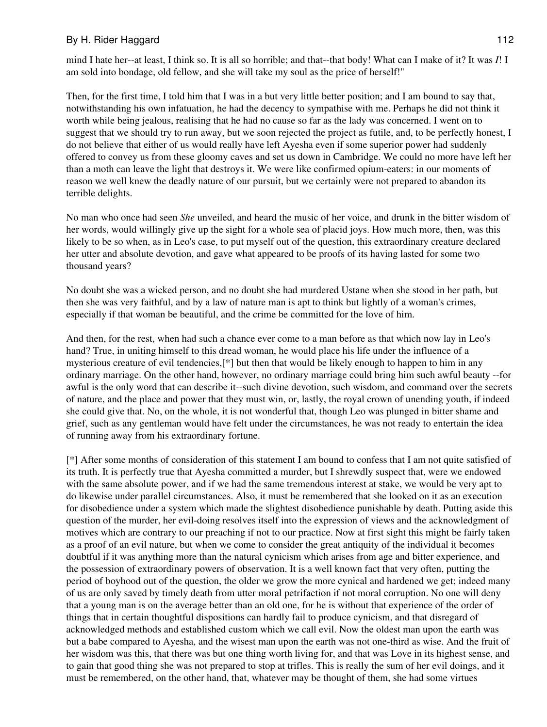mind I hate her--at least, I think so. It is all so horrible; and that--that body! What can I make of it? It was *I*! I am sold into bondage, old fellow, and she will take my soul as the price of herself!"

Then, for the first time, I told him that I was in a but very little better position; and I am bound to say that, notwithstanding his own infatuation, he had the decency to sympathise with me. Perhaps he did not think it worth while being jealous, realising that he had no cause so far as the lady was concerned. I went on to suggest that we should try to run away, but we soon rejected the project as futile, and, to be perfectly honest, I do not believe that either of us would really have left Ayesha even if some superior power had suddenly offered to convey us from these gloomy caves and set us down in Cambridge. We could no more have left her than a moth can leave the light that destroys it. We were like confirmed opium-eaters: in our moments of reason we well knew the deadly nature of our pursuit, but we certainly were not prepared to abandon its terrible delights.

No man who once had seen *She* unveiled, and heard the music of her voice, and drunk in the bitter wisdom of her words, would willingly give up the sight for a whole sea of placid joys. How much more, then, was this likely to be so when, as in Leo's case, to put myself out of the question, this extraordinary creature declared her utter and absolute devotion, and gave what appeared to be proofs of its having lasted for some two thousand years?

No doubt she was a wicked person, and no doubt she had murdered Ustane when she stood in her path, but then she was very faithful, and by a law of nature man is apt to think but lightly of a woman's crimes, especially if that woman be beautiful, and the crime be committed for the love of him.

And then, for the rest, when had such a chance ever come to a man before as that which now lay in Leo's hand? True, in uniting himself to this dread woman, he would place his life under the influence of a mysterious creature of evil tendencies,[\*] but then that would be likely enough to happen to him in any ordinary marriage. On the other hand, however, no ordinary marriage could bring him such awful beauty --for awful is the only word that can describe it--such divine devotion, such wisdom, and command over the secrets of nature, and the place and power that they must win, or, lastly, the royal crown of unending youth, if indeed she could give that. No, on the whole, it is not wonderful that, though Leo was plunged in bitter shame and grief, such as any gentleman would have felt under the circumstances, he was not ready to entertain the idea of running away from his extraordinary fortune.

[\*] After some months of consideration of this statement I am bound to confess that I am not quite satisfied of its truth. It is perfectly true that Ayesha committed a murder, but I shrewdly suspect that, were we endowed with the same absolute power, and if we had the same tremendous interest at stake, we would be very apt to do likewise under parallel circumstances. Also, it must be remembered that she looked on it as an execution for disobedience under a system which made the slightest disobedience punishable by death. Putting aside this question of the murder, her evil-doing resolves itself into the expression of views and the acknowledgment of motives which are contrary to our preaching if not to our practice. Now at first sight this might be fairly taken as a proof of an evil nature, but when we come to consider the great antiquity of the individual it becomes doubtful if it was anything more than the natural cynicism which arises from age and bitter experience, and the possession of extraordinary powers of observation. It is a well known fact that very often, putting the period of boyhood out of the question, the older we grow the more cynical and hardened we get; indeed many of us are only saved by timely death from utter moral petrifaction if not moral corruption. No one will deny that a young man is on the average better than an old one, for he is without that experience of the order of things that in certain thoughtful dispositions can hardly fail to produce cynicism, and that disregard of acknowledged methods and established custom which we call evil. Now the oldest man upon the earth was but a babe compared to Ayesha, and the wisest man upon the earth was not one-third as wise. And the fruit of her wisdom was this, that there was but one thing worth living for, and that was Love in its highest sense, and to gain that good thing she was not prepared to stop at trifles. This is really the sum of her evil doings, and it must be remembered, on the other hand, that, whatever may be thought of them, she had some virtues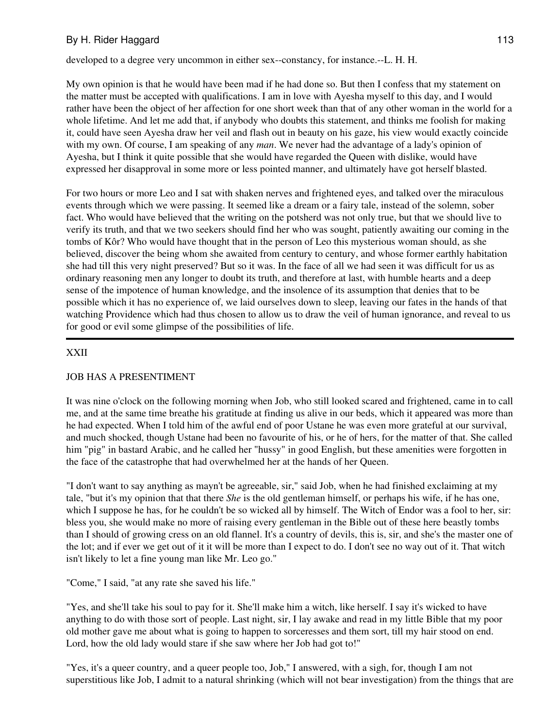developed to a degree very uncommon in either sex--constancy, for instance.--L. H. H.

My own opinion is that he would have been mad if he had done so. But then I confess that my statement on the matter must be accepted with qualifications. I am in love with Ayesha myself to this day, and I would rather have been the object of her affection for one short week than that of any other woman in the world for a whole lifetime. And let me add that, if anybody who doubts this statement, and thinks me foolish for making it, could have seen Ayesha draw her veil and flash out in beauty on his gaze, his view would exactly coincide with my own. Of course, I am speaking of any *man*. We never had the advantage of a lady's opinion of Ayesha, but I think it quite possible that she would have regarded the Queen with dislike, would have expressed her disapproval in some more or less pointed manner, and ultimately have got herself blasted.

For two hours or more Leo and I sat with shaken nerves and frightened eyes, and talked over the miraculous events through which we were passing. It seemed like a dream or a fairy tale, instead of the solemn, sober fact. Who would have believed that the writing on the potsherd was not only true, but that we should live to verify its truth, and that we two seekers should find her who was sought, patiently awaiting our coming in the tombs of Kôr? Who would have thought that in the person of Leo this mysterious woman should, as she believed, discover the being whom she awaited from century to century, and whose former earthly habitation she had till this very night preserved? But so it was. In the face of all we had seen it was difficult for us as ordinary reasoning men any longer to doubt its truth, and therefore at last, with humble hearts and a deep sense of the impotence of human knowledge, and the insolence of its assumption that denies that to be possible which it has no experience of, we laid ourselves down to sleep, leaving our fates in the hands of that watching Providence which had thus chosen to allow us to draw the veil of human ignorance, and reveal to us for good or evil some glimpse of the possibilities of life.

#### XXII

### JOB HAS A PRESENTIMENT

It was nine o'clock on the following morning when Job, who still looked scared and frightened, came in to call me, and at the same time breathe his gratitude at finding us alive in our beds, which it appeared was more than he had expected. When I told him of the awful end of poor Ustane he was even more grateful at our survival, and much shocked, though Ustane had been no favourite of his, or he of hers, for the matter of that. She called him "pig" in bastard Arabic, and he called her "hussy" in good English, but these amenities were forgotten in the face of the catastrophe that had overwhelmed her at the hands of her Queen.

"I don't want to say anything as mayn't be agreeable, sir," said Job, when he had finished exclaiming at my tale, "but it's my opinion that that there *She* is the old gentleman himself, or perhaps his wife, if he has one, which I suppose he has, for he couldn't be so wicked all by himself. The Witch of Endor was a fool to her, sir: bless you, she would make no more of raising every gentleman in the Bible out of these here beastly tombs than I should of growing cress on an old flannel. It's a country of devils, this is, sir, and she's the master one of the lot; and if ever we get out of it it will be more than I expect to do. I don't see no way out of it. That witch isn't likely to let a fine young man like Mr. Leo go."

"Come," I said, "at any rate she saved his life."

"Yes, and she'll take his soul to pay for it. She'll make him a witch, like herself. I say it's wicked to have anything to do with those sort of people. Last night, sir, I lay awake and read in my little Bible that my poor old mother gave me about what is going to happen to sorceresses and them sort, till my hair stood on end. Lord, how the old lady would stare if she saw where her Job had got to!"

"Yes, it's a queer country, and a queer people too, Job," I answered, with a sigh, for, though I am not superstitious like Job, I admit to a natural shrinking (which will not bear investigation) from the things that are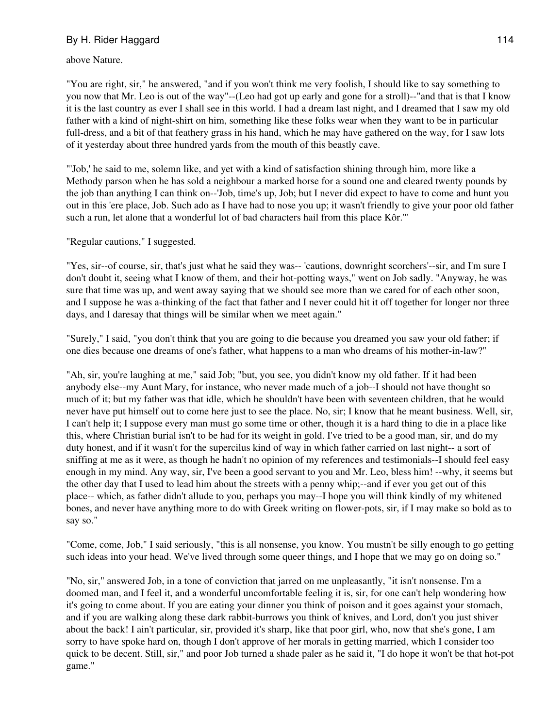above Nature.

"You are right, sir," he answered, "and if you won't think me very foolish, I should like to say something to you now that Mr. Leo is out of the way"--(Leo had got up early and gone for a stroll)--"and that is that I know it is the last country as ever I shall see in this world. I had a dream last night, and I dreamed that I saw my old father with a kind of night-shirt on him, something like these folks wear when they want to be in particular full-dress, and a bit of that feathery grass in his hand, which he may have gathered on the way, for I saw lots of it yesterday about three hundred yards from the mouth of this beastly cave.

"'Job,' he said to me, solemn like, and yet with a kind of satisfaction shining through him, more like a Methody parson when he has sold a neighbour a marked horse for a sound one and cleared twenty pounds by the job than anything I can think on--'Job, time's up, Job; but I never did expect to have to come and hunt you out in this 'ere place, Job. Such ado as I have had to nose you up; it wasn't friendly to give your poor old father such a run, let alone that a wonderful lot of bad characters hail from this place Kôr.'"

### "Regular cautions," I suggested.

"Yes, sir--of course, sir, that's just what he said they was-- 'cautions, downright scorchers'--sir, and I'm sure I don't doubt it, seeing what I know of them, and their hot-potting ways," went on Job sadly. "Anyway, he was sure that time was up, and went away saying that we should see more than we cared for of each other soon, and I suppose he was a-thinking of the fact that father and I never could hit it off together for longer nor three days, and I daresay that things will be similar when we meet again."

"Surely," I said, "you don't think that you are going to die because you dreamed you saw your old father; if one dies because one dreams of one's father, what happens to a man who dreams of his mother-in-law?"

"Ah, sir, you're laughing at me," said Job; "but, you see, you didn't know my old father. If it had been anybody else--my Aunt Mary, for instance, who never made much of a job--I should not have thought so much of it; but my father was that idle, which he shouldn't have been with seventeen children, that he would never have put himself out to come here just to see the place. No, sir; I know that he meant business. Well, sir, I can't help it; I suppose every man must go some time or other, though it is a hard thing to die in a place like this, where Christian burial isn't to be had for its weight in gold. I've tried to be a good man, sir, and do my duty honest, and if it wasn't for the supercilus kind of way in which father carried on last night-- a sort of sniffing at me as it were, as though he hadn't no opinion of my references and testimonials--I should feel easy enough in my mind. Any way, sir, I've been a good servant to you and Mr. Leo, bless him! --why, it seems but the other day that I used to lead him about the streets with a penny whip;--and if ever you get out of this place-- which, as father didn't allude to you, perhaps you may--I hope you will think kindly of my whitened bones, and never have anything more to do with Greek writing on flower-pots, sir, if I may make so bold as to say so."

"Come, come, Job," I said seriously, "this is all nonsense, you know. You mustn't be silly enough to go getting such ideas into your head. We've lived through some queer things, and I hope that we may go on doing so."

"No, sir," answered Job, in a tone of conviction that jarred on me unpleasantly, "it isn't nonsense. I'm a doomed man, and I feel it, and a wonderful uncomfortable feeling it is, sir, for one can't help wondering how it's going to come about. If you are eating your dinner you think of poison and it goes against your stomach, and if you are walking along these dark rabbit-burrows you think of knives, and Lord, don't you just shiver about the back! I ain't particular, sir, provided it's sharp, like that poor girl, who, now that she's gone, I am sorry to have spoke hard on, though I don't approve of her morals in getting married, which I consider too quick to be decent. Still, sir," and poor Job turned a shade paler as he said it, "I do hope it won't be that hot-pot game."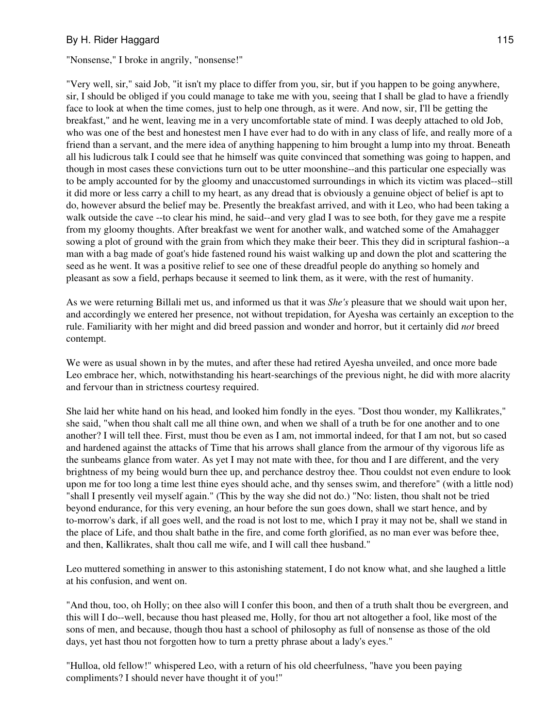"Nonsense," I broke in angrily, "nonsense!"

"Very well, sir," said Job, "it isn't my place to differ from you, sir, but if you happen to be going anywhere, sir, I should be obliged if you could manage to take me with you, seeing that I shall be glad to have a friendly face to look at when the time comes, just to help one through, as it were. And now, sir, I'll be getting the breakfast," and he went, leaving me in a very uncomfortable state of mind. I was deeply attached to old Job, who was one of the best and honestest men I have ever had to do with in any class of life, and really more of a friend than a servant, and the mere idea of anything happening to him brought a lump into my throat. Beneath all his ludicrous talk I could see that he himself was quite convinced that something was going to happen, and though in most cases these convictions turn out to be utter moonshine--and this particular one especially was to be amply accounted for by the gloomy and unaccustomed surroundings in which its victim was placed--still it did more or less carry a chill to my heart, as any dread that is obviously a genuine object of belief is apt to do, however absurd the belief may be. Presently the breakfast arrived, and with it Leo, who had been taking a walk outside the cave --to clear his mind, he said--and very glad I was to see both, for they gave me a respite from my gloomy thoughts. After breakfast we went for another walk, and watched some of the Amahagger sowing a plot of ground with the grain from which they make their beer. This they did in scriptural fashion--a man with a bag made of goat's hide fastened round his waist walking up and down the plot and scattering the seed as he went. It was a positive relief to see one of these dreadful people do anything so homely and pleasant as sow a field, perhaps because it seemed to link them, as it were, with the rest of humanity.

As we were returning Billali met us, and informed us that it was *She's* pleasure that we should wait upon her, and accordingly we entered her presence, not without trepidation, for Ayesha was certainly an exception to the rule. Familiarity with her might and did breed passion and wonder and horror, but it certainly did *not* breed contempt.

We were as usual shown in by the mutes, and after these had retired Ayesha unveiled, and once more bade Leo embrace her, which, notwithstanding his heart-searchings of the previous night, he did with more alacrity and fervour than in strictness courtesy required.

She laid her white hand on his head, and looked him fondly in the eyes. "Dost thou wonder, my Kallikrates," she said, "when thou shalt call me all thine own, and when we shall of a truth be for one another and to one another? I will tell thee. First, must thou be even as I am, not immortal indeed, for that I am not, but so cased and hardened against the attacks of Time that his arrows shall glance from the armour of thy vigorous life as the sunbeams glance from water. As yet I may not mate with thee, for thou and I are different, and the very brightness of my being would burn thee up, and perchance destroy thee. Thou couldst not even endure to look upon me for too long a time lest thine eyes should ache, and thy senses swim, and therefore" (with a little nod) "shall I presently veil myself again." (This by the way she did not do.) "No: listen, thou shalt not be tried beyond endurance, for this very evening, an hour before the sun goes down, shall we start hence, and by to-morrow's dark, if all goes well, and the road is not lost to me, which I pray it may not be, shall we stand in the place of Life, and thou shalt bathe in the fire, and come forth glorified, as no man ever was before thee, and then, Kallikrates, shalt thou call me wife, and I will call thee husband."

Leo muttered something in answer to this astonishing statement, I do not know what, and she laughed a little at his confusion, and went on.

"And thou, too, oh Holly; on thee also will I confer this boon, and then of a truth shalt thou be evergreen, and this will I do--well, because thou hast pleased me, Holly, for thou art not altogether a fool, like most of the sons of men, and because, though thou hast a school of philosophy as full of nonsense as those of the old days, yet hast thou not forgotten how to turn a pretty phrase about a lady's eyes."

"Hulloa, old fellow!" whispered Leo, with a return of his old cheerfulness, "have you been paying compliments? I should never have thought it of you!"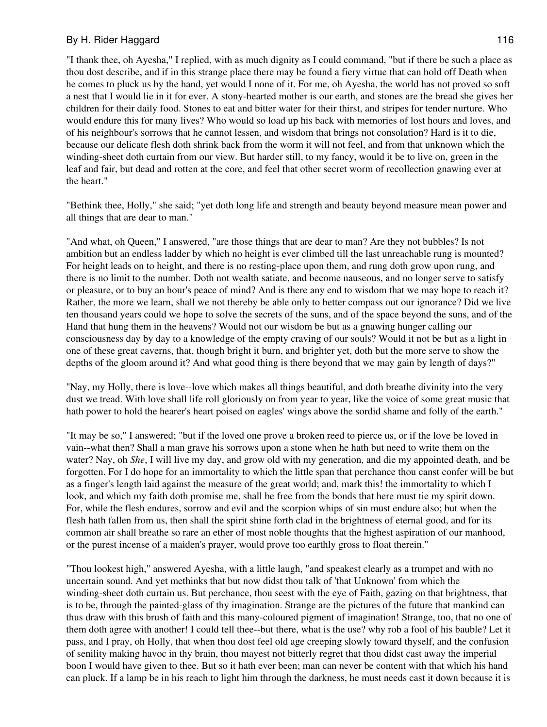"I thank thee, oh Ayesha," I replied, with as much dignity as I could command, "but if there be such a place as thou dost describe, and if in this strange place there may be found a fiery virtue that can hold off Death when he comes to pluck us by the hand, yet would I none of it. For me, oh Ayesha, the world has not proved so soft a nest that I would lie in it for ever. A stony-hearted mother is our earth, and stones are the bread she gives her children for their daily food. Stones to eat and bitter water for their thirst, and stripes for tender nurture. Who would endure this for many lives? Who would so load up his back with memories of lost hours and loves, and of his neighbour's sorrows that he cannot lessen, and wisdom that brings not consolation? Hard is it to die, because our delicate flesh doth shrink back from the worm it will not feel, and from that unknown which the winding-sheet doth curtain from our view. But harder still, to my fancy, would it be to live on, green in the leaf and fair, but dead and rotten at the core, and feel that other secret worm of recollection gnawing ever at the heart."

"Bethink thee, Holly," she said; "yet doth long life and strength and beauty beyond measure mean power and all things that are dear to man."

"And what, oh Queen," I answered, "are those things that are dear to man? Are they not bubbles? Is not ambition but an endless ladder by which no height is ever climbed till the last unreachable rung is mounted? For height leads on to height, and there is no resting-place upon them, and rung doth grow upon rung, and there is no limit to the number. Doth not wealth satiate, and become nauseous, and no longer serve to satisfy or pleasure, or to buy an hour's peace of mind? And is there any end to wisdom that we may hope to reach it? Rather, the more we learn, shall we not thereby be able only to better compass out our ignorance? Did we live ten thousand years could we hope to solve the secrets of the suns, and of the space beyond the suns, and of the Hand that hung them in the heavens? Would not our wisdom be but as a gnawing hunger calling our consciousness day by day to a knowledge of the empty craving of our souls? Would it not be but as a light in one of these great caverns, that, though bright it burn, and brighter yet, doth but the more serve to show the depths of the gloom around it? And what good thing is there beyond that we may gain by length of days?"

"Nay, my Holly, there is love--love which makes all things beautiful, and doth breathe divinity into the very dust we tread. With love shall life roll gloriously on from year to year, like the voice of some great music that hath power to hold the hearer's heart poised on eagles' wings above the sordid shame and folly of the earth."

"It may be so," I answered; "but if the loved one prove a broken reed to pierce us, or if the love be loved in vain--what then? Shall a man grave his sorrows upon a stone when he hath but need to write them on the water? Nay, oh *She*, I will live my day, and grow old with my generation, and die my appointed death, and be forgotten. For I do hope for an immortality to which the little span that perchance thou canst confer will be but as a finger's length laid against the measure of the great world; and, mark this! the immortality to which I look, and which my faith doth promise me, shall be free from the bonds that here must tie my spirit down. For, while the flesh endures, sorrow and evil and the scorpion whips of sin must endure also; but when the flesh hath fallen from us, then shall the spirit shine forth clad in the brightness of eternal good, and for its common air shall breathe so rare an ether of most noble thoughts that the highest aspiration of our manhood, or the purest incense of a maiden's prayer, would prove too earthly gross to float therein."

"Thou lookest high," answered Ayesha, with a little laugh, "and speakest clearly as a trumpet and with no uncertain sound. And yet methinks that but now didst thou talk of 'that Unknown' from which the winding-sheet doth curtain us. But perchance, thou seest with the eye of Faith, gazing on that brightness, that is to be, through the painted-glass of thy imagination. Strange are the pictures of the future that mankind can thus draw with this brush of faith and this many-coloured pigment of imagination! Strange, too, that no one of them doth agree with another! I could tell thee--but there, what is the use? why rob a fool of his bauble? Let it pass, and I pray, oh Holly, that when thou dost feel old age creeping slowly toward thyself, and the confusion of senility making havoc in thy brain, thou mayest not bitterly regret that thou didst cast away the imperial boon I would have given to thee. But so it hath ever been; man can never be content with that which his hand can pluck. If a lamp be in his reach to light him through the darkness, he must needs cast it down because it is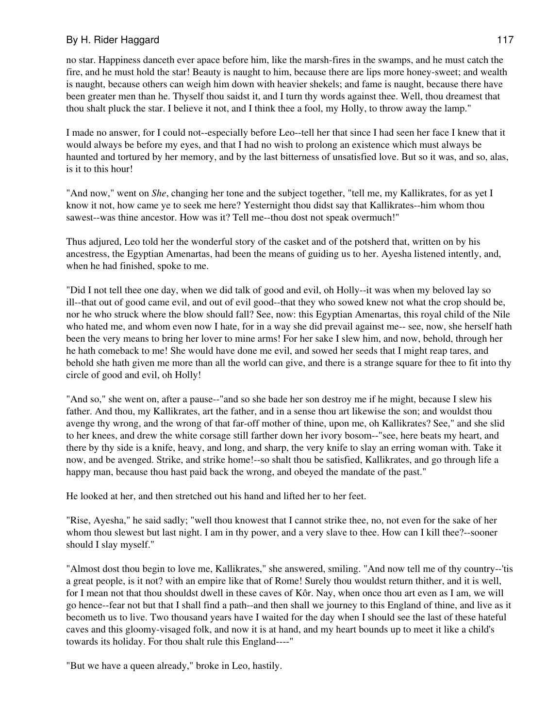no star. Happiness danceth ever apace before him, like the marsh-fires in the swamps, and he must catch the fire, and he must hold the star! Beauty is naught to him, because there are lips more honey-sweet; and wealth is naught, because others can weigh him down with heavier shekels; and fame is naught, because there have been greater men than he. Thyself thou saidst it, and I turn thy words against thee. Well, thou dreamest that thou shalt pluck the star. I believe it not, and I think thee a fool, my Holly, to throw away the lamp."

I made no answer, for I could not--especially before Leo--tell her that since I had seen her face I knew that it would always be before my eyes, and that I had no wish to prolong an existence which must always be haunted and tortured by her memory, and by the last bitterness of unsatisfied love. But so it was, and so, alas, is it to this hour!

"And now," went on *She*, changing her tone and the subject together, "tell me, my Kallikrates, for as yet I know it not, how came ye to seek me here? Yesternight thou didst say that Kallikrates--him whom thou sawest--was thine ancestor. How was it? Tell me--thou dost not speak overmuch!"

Thus adjured, Leo told her the wonderful story of the casket and of the potsherd that, written on by his ancestress, the Egyptian Amenartas, had been the means of guiding us to her. Ayesha listened intently, and, when he had finished, spoke to me.

"Did I not tell thee one day, when we did talk of good and evil, oh Holly--it was when my beloved lay so ill--that out of good came evil, and out of evil good--that they who sowed knew not what the crop should be, nor he who struck where the blow should fall? See, now: this Egyptian Amenartas, this royal child of the Nile who hated me, and whom even now I hate, for in a way she did prevail against me-- see, now, she herself hath been the very means to bring her lover to mine arms! For her sake I slew him, and now, behold, through her he hath comeback to me! She would have done me evil, and sowed her seeds that I might reap tares, and behold she hath given me more than all the world can give, and there is a strange square for thee to fit into thy circle of good and evil, oh Holly!

"And so," she went on, after a pause--"and so she bade her son destroy me if he might, because I slew his father. And thou, my Kallikrates, art the father, and in a sense thou art likewise the son; and wouldst thou avenge thy wrong, and the wrong of that far-off mother of thine, upon me, oh Kallikrates? See," and she slid to her knees, and drew the white corsage still farther down her ivory bosom--"see, here beats my heart, and there by thy side is a knife, heavy, and long, and sharp, the very knife to slay an erring woman with. Take it now, and be avenged. Strike, and strike home!--so shalt thou be satisfied, Kallikrates, and go through life a happy man, because thou hast paid back the wrong, and obeyed the mandate of the past."

He looked at her, and then stretched out his hand and lifted her to her feet.

"Rise, Ayesha," he said sadly; "well thou knowest that I cannot strike thee, no, not even for the sake of her whom thou slewest but last night. I am in thy power, and a very slave to thee. How can I kill thee?-sooner should I slay myself."

"Almost dost thou begin to love me, Kallikrates," she answered, smiling. "And now tell me of thy country--'tis a great people, is it not? with an empire like that of Rome! Surely thou wouldst return thither, and it is well, for I mean not that thou shouldst dwell in these caves of Kôr. Nay, when once thou art even as I am, we will go hence--fear not but that I shall find a path--and then shall we journey to this England of thine, and live as it becometh us to live. Two thousand years have I waited for the day when I should see the last of these hateful caves and this gloomy-visaged folk, and now it is at hand, and my heart bounds up to meet it like a child's towards its holiday. For thou shalt rule this England----"

"But we have a queen already," broke in Leo, hastily.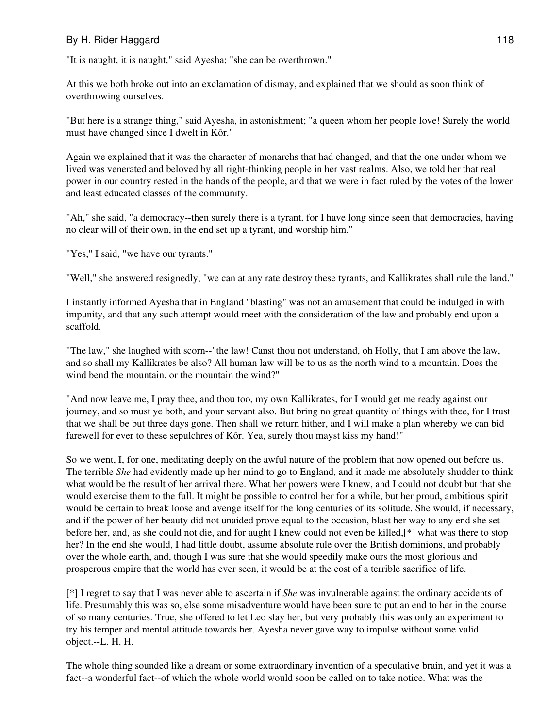"It is naught, it is naught," said Ayesha; "she can be overthrown."

At this we both broke out into an exclamation of dismay, and explained that we should as soon think of overthrowing ourselves.

"But here is a strange thing," said Ayesha, in astonishment; "a queen whom her people love! Surely the world must have changed since I dwelt in Kôr."

Again we explained that it was the character of monarchs that had changed, and that the one under whom we lived was venerated and beloved by all right-thinking people in her vast realms. Also, we told her that real power in our country rested in the hands of the people, and that we were in fact ruled by the votes of the lower and least educated classes of the community.

"Ah," she said, "a democracy--then surely there is a tyrant, for I have long since seen that democracies, having no clear will of their own, in the end set up a tyrant, and worship him."

"Yes," I said, "we have our tyrants."

"Well," she answered resignedly, "we can at any rate destroy these tyrants, and Kallikrates shall rule the land."

I instantly informed Ayesha that in England "blasting" was not an amusement that could be indulged in with impunity, and that any such attempt would meet with the consideration of the law and probably end upon a scaffold.

"The law," she laughed with scorn--"the law! Canst thou not understand, oh Holly, that I am above the law, and so shall my Kallikrates be also? All human law will be to us as the north wind to a mountain. Does the wind bend the mountain, or the mountain the wind?"

"And now leave me, I pray thee, and thou too, my own Kallikrates, for I would get me ready against our journey, and so must ye both, and your servant also. But bring no great quantity of things with thee, for I trust that we shall be but three days gone. Then shall we return hither, and I will make a plan whereby we can bid farewell for ever to these sepulchres of Kôr. Yea, surely thou mayst kiss my hand!"

So we went, I, for one, meditating deeply on the awful nature of the problem that now opened out before us. The terrible *She* had evidently made up her mind to go to England, and it made me absolutely shudder to think what would be the result of her arrival there. What her powers were I knew, and I could not doubt but that she would exercise them to the full. It might be possible to control her for a while, but her proud, ambitious spirit would be certain to break loose and avenge itself for the long centuries of its solitude. She would, if necessary, and if the power of her beauty did not unaided prove equal to the occasion, blast her way to any end she set before her, and, as she could not die, and for aught I knew could not even be killed,[\*] what was there to stop her? In the end she would, I had little doubt, assume absolute rule over the British dominions, and probably over the whole earth, and, though I was sure that she would speedily make ours the most glorious and prosperous empire that the world has ever seen, it would be at the cost of a terrible sacrifice of life.

[\*] I regret to say that I was never able to ascertain if *She* was invulnerable against the ordinary accidents of life. Presumably this was so, else some misadventure would have been sure to put an end to her in the course of so many centuries. True, she offered to let Leo slay her, but very probably this was only an experiment to try his temper and mental attitude towards her. Ayesha never gave way to impulse without some valid object.--L. H. H.

The whole thing sounded like a dream or some extraordinary invention of a speculative brain, and yet it was a fact--a wonderful fact--of which the whole world would soon be called on to take notice. What was the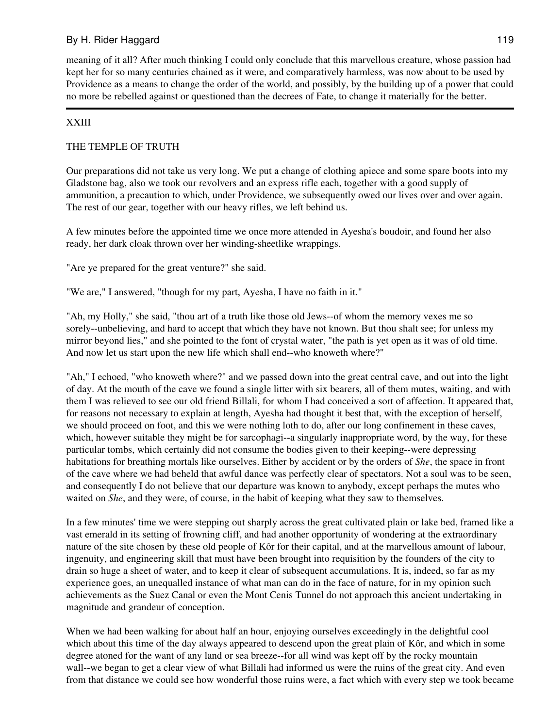meaning of it all? After much thinking I could only conclude that this marvellous creature, whose passion had kept her for so many centuries chained as it were, and comparatively harmless, was now about to be used by Providence as a means to change the order of the world, and possibly, by the building up of a power that could no more be rebelled against or questioned than the decrees of Fate, to change it materially for the better.

# XXIII

# THE TEMPLE OF TRUTH

Our preparations did not take us very long. We put a change of clothing apiece and some spare boots into my Gladstone bag, also we took our revolvers and an express rifle each, together with a good supply of ammunition, a precaution to which, under Providence, we subsequently owed our lives over and over again. The rest of our gear, together with our heavy rifles, we left behind us.

A few minutes before the appointed time we once more attended in Ayesha's boudoir, and found her also ready, her dark cloak thrown over her winding-sheetlike wrappings.

"Are ye prepared for the great venture?" she said.

"We are," I answered, "though for my part, Ayesha, I have no faith in it."

"Ah, my Holly," she said, "thou art of a truth like those old Jews--of whom the memory vexes me so sorely--unbelieving, and hard to accept that which they have not known. But thou shalt see; for unless my mirror beyond lies," and she pointed to the font of crystal water, "the path is yet open as it was of old time. And now let us start upon the new life which shall end--who knoweth where?"

"Ah," I echoed, "who knoweth where?" and we passed down into the great central cave, and out into the light of day. At the mouth of the cave we found a single litter with six bearers, all of them mutes, waiting, and with them I was relieved to see our old friend Billali, for whom I had conceived a sort of affection. It appeared that, for reasons not necessary to explain at length, Ayesha had thought it best that, with the exception of herself, we should proceed on foot, and this we were nothing loth to do, after our long confinement in these caves, which, however suitable they might be for sarcophagi--a singularly inappropriate word, by the way, for these particular tombs, which certainly did not consume the bodies given to their keeping--were depressing habitations for breathing mortals like ourselves. Either by accident or by the orders of *She*, the space in front of the cave where we had beheld that awful dance was perfectly clear of spectators. Not a soul was to be seen, and consequently I do not believe that our departure was known to anybody, except perhaps the mutes who waited on *She*, and they were, of course, in the habit of keeping what they saw to themselves.

In a few minutes' time we were stepping out sharply across the great cultivated plain or lake bed, framed like a vast emerald in its setting of frowning cliff, and had another opportunity of wondering at the extraordinary nature of the site chosen by these old people of Kôr for their capital, and at the marvellous amount of labour, ingenuity, and engineering skill that must have been brought into requisition by the founders of the city to drain so huge a sheet of water, and to keep it clear of subsequent accumulations. It is, indeed, so far as my experience goes, an unequalled instance of what man can do in the face of nature, for in my opinion such achievements as the Suez Canal or even the Mont Cenis Tunnel do not approach this ancient undertaking in magnitude and grandeur of conception.

When we had been walking for about half an hour, enjoying ourselves exceedingly in the delightful cool which about this time of the day always appeared to descend upon the great plain of Kôr, and which in some degree atoned for the want of any land or sea breeze--for all wind was kept off by the rocky mountain wall--we began to get a clear view of what Billali had informed us were the ruins of the great city. And even from that distance we could see how wonderful those ruins were, a fact which with every step we took became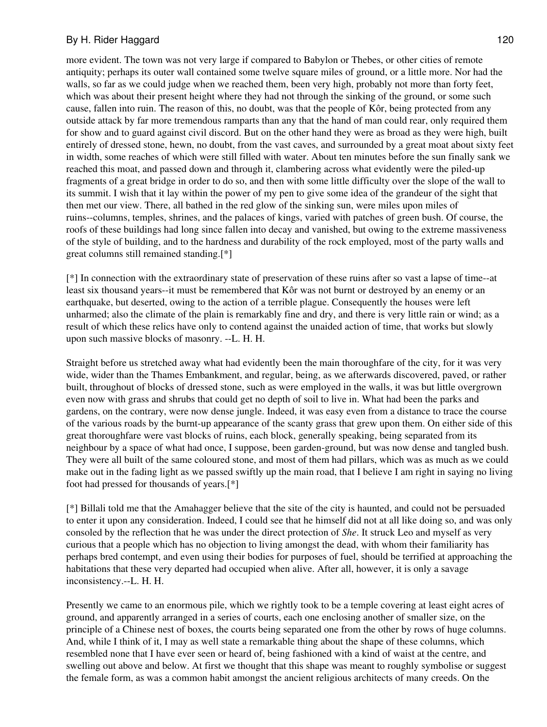more evident. The town was not very large if compared to Babylon or Thebes, or other cities of remote antiquity; perhaps its outer wall contained some twelve square miles of ground, or a little more. Nor had the walls, so far as we could judge when we reached them, been very high, probably not more than forty feet, which was about their present height where they had not through the sinking of the ground, or some such cause, fallen into ruin. The reason of this, no doubt, was that the people of Kôr, being protected from any outside attack by far more tremendous ramparts than any that the hand of man could rear, only required them for show and to guard against civil discord. But on the other hand they were as broad as they were high, built entirely of dressed stone, hewn, no doubt, from the vast caves, and surrounded by a great moat about sixty feet in width, some reaches of which were still filled with water. About ten minutes before the sun finally sank we reached this moat, and passed down and through it, clambering across what evidently were the piled-up fragments of a great bridge in order to do so, and then with some little difficulty over the slope of the wall to its summit. I wish that it lay within the power of my pen to give some idea of the grandeur of the sight that then met our view. There, all bathed in the red glow of the sinking sun, were miles upon miles of ruins--columns, temples, shrines, and the palaces of kings, varied with patches of green bush. Of course, the roofs of these buildings had long since fallen into decay and vanished, but owing to the extreme massiveness of the style of building, and to the hardness and durability of the rock employed, most of the party walls and great columns still remained standing.[\*]

[\*] In connection with the extraordinary state of preservation of these ruins after so vast a lapse of time--at least six thousand years--it must be remembered that Kôr was not burnt or destroyed by an enemy or an earthquake, but deserted, owing to the action of a terrible plague. Consequently the houses were left unharmed; also the climate of the plain is remarkably fine and dry, and there is very little rain or wind; as a result of which these relics have only to contend against the unaided action of time, that works but slowly upon such massive blocks of masonry. --L. H. H.

Straight before us stretched away what had evidently been the main thoroughfare of the city, for it was very wide, wider than the Thames Embankment, and regular, being, as we afterwards discovered, paved, or rather built, throughout of blocks of dressed stone, such as were employed in the walls, it was but little overgrown even now with grass and shrubs that could get no depth of soil to live in. What had been the parks and gardens, on the contrary, were now dense jungle. Indeed, it was easy even from a distance to trace the course of the various roads by the burnt-up appearance of the scanty grass that grew upon them. On either side of this great thoroughfare were vast blocks of ruins, each block, generally speaking, being separated from its neighbour by a space of what had once, I suppose, been garden-ground, but was now dense and tangled bush. They were all built of the same coloured stone, and most of them had pillars, which was as much as we could make out in the fading light as we passed swiftly up the main road, that I believe I am right in saying no living foot had pressed for thousands of years.[\*]

[\*] Billali told me that the Amahagger believe that the site of the city is haunted, and could not be persuaded to enter it upon any consideration. Indeed, I could see that he himself did not at all like doing so, and was only consoled by the reflection that he was under the direct protection of *She*. It struck Leo and myself as very curious that a people which has no objection to living amongst the dead, with whom their familiarity has perhaps bred contempt, and even using their bodies for purposes of fuel, should be terrified at approaching the habitations that these very departed had occupied when alive. After all, however, it is only a savage inconsistency.--L. H. H.

Presently we came to an enormous pile, which we rightly took to be a temple covering at least eight acres of ground, and apparently arranged in a series of courts, each one enclosing another of smaller size, on the principle of a Chinese nest of boxes, the courts being separated one from the other by rows of huge columns. And, while I think of it, I may as well state a remarkable thing about the shape of these columns, which resembled none that I have ever seen or heard of, being fashioned with a kind of waist at the centre, and swelling out above and below. At first we thought that this shape was meant to roughly symbolise or suggest the female form, as was a common habit amongst the ancient religious architects of many creeds. On the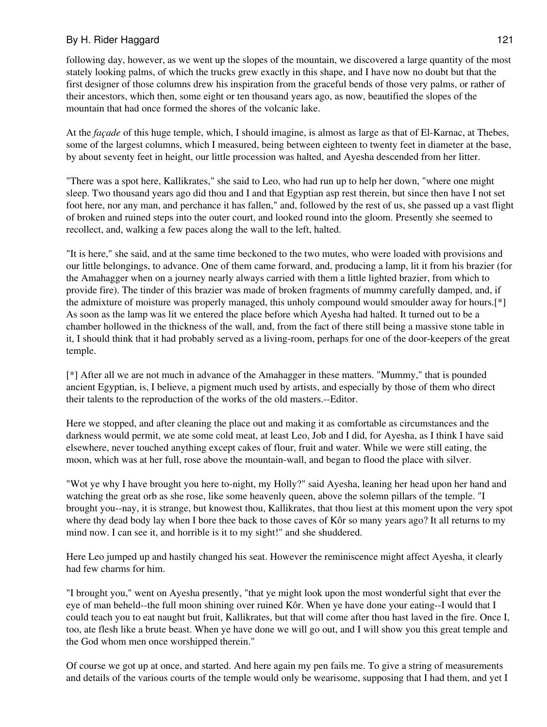following day, however, as we went up the slopes of the mountain, we discovered a large quantity of the most stately looking palms, of which the trucks grew exactly in this shape, and I have now no doubt but that the first designer of those columns drew his inspiration from the graceful bends of those very palms, or rather of their ancestors, which then, some eight or ten thousand years ago, as now, beautified the slopes of the mountain that had once formed the shores of the volcanic lake.

At the *façade* of this huge temple, which, I should imagine, is almost as large as that of El-Karnac, at Thebes, some of the largest columns, which I measured, being between eighteen to twenty feet in diameter at the base, by about seventy feet in height, our little procession was halted, and Ayesha descended from her litter.

"There was a spot here, Kallikrates," she said to Leo, who had run up to help her down, "where one might sleep. Two thousand years ago did thou and I and that Egyptian asp rest therein, but since then have I not set foot here, nor any man, and perchance it has fallen," and, followed by the rest of us, she passed up a vast flight of broken and ruined steps into the outer court, and looked round into the gloom. Presently she seemed to recollect, and, walking a few paces along the wall to the left, halted.

"It is here," she said, and at the same time beckoned to the two mutes, who were loaded with provisions and our little belongings, to advance. One of them came forward, and, producing a lamp, lit it from his brazier (for the Amahagger when on a journey nearly always carried with them a little lighted brazier, from which to provide fire). The tinder of this brazier was made of broken fragments of mummy carefully damped, and, if the admixture of moisture was properly managed, this unholy compound would smoulder away for hours.[\*] As soon as the lamp was lit we entered the place before which Ayesha had halted. It turned out to be a chamber hollowed in the thickness of the wall, and, from the fact of there still being a massive stone table in it, I should think that it had probably served as a living-room, perhaps for one of the door-keepers of the great temple.

[\*] After all we are not much in advance of the Amahagger in these matters. "Mummy," that is pounded ancient Egyptian, is, I believe, a pigment much used by artists, and especially by those of them who direct their talents to the reproduction of the works of the old masters.--Editor.

Here we stopped, and after cleaning the place out and making it as comfortable as circumstances and the darkness would permit, we ate some cold meat, at least Leo, Job and I did, for Ayesha, as I think I have said elsewhere, never touched anything except cakes of flour, fruit and water. While we were still eating, the moon, which was at her full, rose above the mountain-wall, and began to flood the place with silver.

"Wot ye why I have brought you here to-night, my Holly?" said Ayesha, leaning her head upon her hand and watching the great orb as she rose, like some heavenly queen, above the solemn pillars of the temple. "I brought you--nay, it is strange, but knowest thou, Kallikrates, that thou liest at this moment upon the very spot where thy dead body lay when I bore thee back to those caves of Kôr so many years ago? It all returns to my mind now. I can see it, and horrible is it to my sight!" and she shuddered.

Here Leo jumped up and hastily changed his seat. However the reminiscence might affect Ayesha, it clearly had few charms for him.

"I brought you," went on Ayesha presently, "that ye might look upon the most wonderful sight that ever the eye of man beheld--the full moon shining over ruined Kôr. When ye have done your eating--I would that I could teach you to eat naught but fruit, Kallikrates, but that will come after thou hast laved in the fire. Once I, too, ate flesh like a brute beast. When ye have done we will go out, and I will show you this great temple and the God whom men once worshipped therein."

Of course we got up at once, and started. And here again my pen fails me. To give a string of measurements and details of the various courts of the temple would only be wearisome, supposing that I had them, and yet I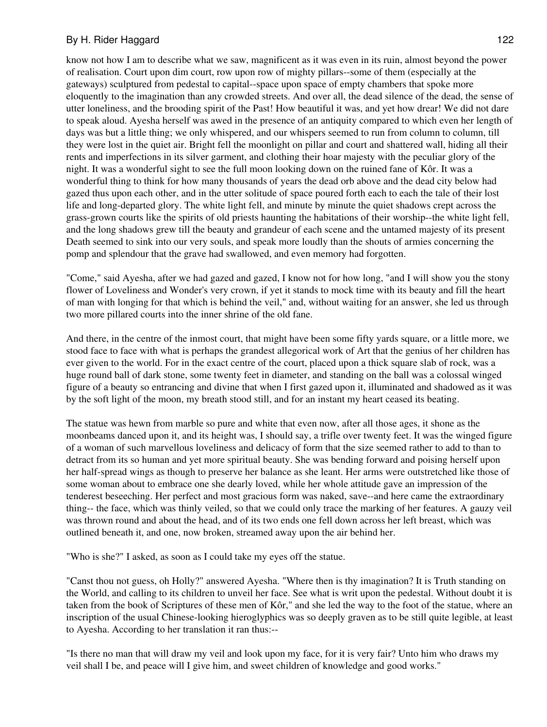know not how I am to describe what we saw, magnificent as it was even in its ruin, almost beyond the power of realisation. Court upon dim court, row upon row of mighty pillars--some of them (especially at the gateways) sculptured from pedestal to capital--space upon space of empty chambers that spoke more eloquently to the imagination than any crowded streets. And over all, the dead silence of the dead, the sense of utter loneliness, and the brooding spirit of the Past! How beautiful it was, and yet how drear! We did not dare to speak aloud. Ayesha herself was awed in the presence of an antiquity compared to which even her length of days was but a little thing; we only whispered, and our whispers seemed to run from column to column, till they were lost in the quiet air. Bright fell the moonlight on pillar and court and shattered wall, hiding all their rents and imperfections in its silver garment, and clothing their hoar majesty with the peculiar glory of the night. It was a wonderful sight to see the full moon looking down on the ruined fane of Kôr. It was a wonderful thing to think for how many thousands of years the dead orb above and the dead city below had gazed thus upon each other, and in the utter solitude of space poured forth each to each the tale of their lost life and long-departed glory. The white light fell, and minute by minute the quiet shadows crept across the grass-grown courts like the spirits of old priests haunting the habitations of their worship--the white light fell, and the long shadows grew till the beauty and grandeur of each scene and the untamed majesty of its present Death seemed to sink into our very souls, and speak more loudly than the shouts of armies concerning the pomp and splendour that the grave had swallowed, and even memory had forgotten.

"Come," said Ayesha, after we had gazed and gazed, I know not for how long, "and I will show you the stony flower of Loveliness and Wonder's very crown, if yet it stands to mock time with its beauty and fill the heart of man with longing for that which is behind the veil," and, without waiting for an answer, she led us through two more pillared courts into the inner shrine of the old fane.

And there, in the centre of the inmost court, that might have been some fifty yards square, or a little more, we stood face to face with what is perhaps the grandest allegorical work of Art that the genius of her children has ever given to the world. For in the exact centre of the court, placed upon a thick square slab of rock, was a huge round ball of dark stone, some twenty feet in diameter, and standing on the ball was a colossal winged figure of a beauty so entrancing and divine that when I first gazed upon it, illuminated and shadowed as it was by the soft light of the moon, my breath stood still, and for an instant my heart ceased its beating.

The statue was hewn from marble so pure and white that even now, after all those ages, it shone as the moonbeams danced upon it, and its height was, I should say, a trifle over twenty feet. It was the winged figure of a woman of such marvellous loveliness and delicacy of form that the size seemed rather to add to than to detract from its so human and yet more spiritual beauty. She was bending forward and poising herself upon her half-spread wings as though to preserve her balance as she leant. Her arms were outstretched like those of some woman about to embrace one she dearly loved, while her whole attitude gave an impression of the tenderest beseeching. Her perfect and most gracious form was naked, save--and here came the extraordinary thing-- the face, which was thinly veiled, so that we could only trace the marking of her features. A gauzy veil was thrown round and about the head, and of its two ends one fell down across her left breast, which was outlined beneath it, and one, now broken, streamed away upon the air behind her.

"Who is she?" I asked, as soon as I could take my eyes off the statue.

"Canst thou not guess, oh Holly?" answered Ayesha. "Where then is thy imagination? It is Truth standing on the World, and calling to its children to unveil her face. See what is writ upon the pedestal. Without doubt it is taken from the book of Scriptures of these men of Kôr," and she led the way to the foot of the statue, where an inscription of the usual Chinese-looking hieroglyphics was so deeply graven as to be still quite legible, at least to Ayesha. According to her translation it ran thus:--

"Is there no man that will draw my veil and look upon my face, for it is very fair? Unto him who draws my veil shall I be, and peace will I give him, and sweet children of knowledge and good works."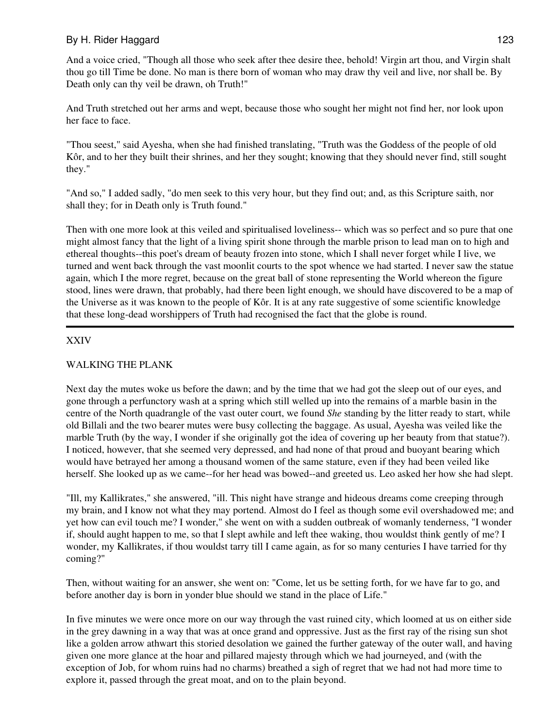And a voice cried, "Though all those who seek after thee desire thee, behold! Virgin art thou, and Virgin shalt thou go till Time be done. No man is there born of woman who may draw thy veil and live, nor shall be. By Death only can thy veil be drawn, oh Truth!"

And Truth stretched out her arms and wept, because those who sought her might not find her, nor look upon her face to face.

"Thou seest," said Ayesha, when she had finished translating, "Truth was the Goddess of the people of old Kôr, and to her they built their shrines, and her they sought; knowing that they should never find, still sought they."

"And so," I added sadly, "do men seek to this very hour, but they find out; and, as this Scripture saith, nor shall they; for in Death only is Truth found."

Then with one more look at this veiled and spiritualised loveliness-- which was so perfect and so pure that one might almost fancy that the light of a living spirit shone through the marble prison to lead man on to high and ethereal thoughts--this poet's dream of beauty frozen into stone, which I shall never forget while I live, we turned and went back through the vast moonlit courts to the spot whence we had started. I never saw the statue again, which I the more regret, because on the great ball of stone representing the World whereon the figure stood, lines were drawn, that probably, had there been light enough, we should have discovered to be a map of the Universe as it was known to the people of Kôr. It is at any rate suggestive of some scientific knowledge that these long-dead worshippers of Truth had recognised the fact that the globe is round.

# XXIV

### WALKING THE PLANK

Next day the mutes woke us before the dawn; and by the time that we had got the sleep out of our eyes, and gone through a perfunctory wash at a spring which still welled up into the remains of a marble basin in the centre of the North quadrangle of the vast outer court, we found *She* standing by the litter ready to start, while old Billali and the two bearer mutes were busy collecting the baggage. As usual, Ayesha was veiled like the marble Truth (by the way, I wonder if she originally got the idea of covering up her beauty from that statue?). I noticed, however, that she seemed very depressed, and had none of that proud and buoyant bearing which would have betrayed her among a thousand women of the same stature, even if they had been veiled like herself. She looked up as we came--for her head was bowed--and greeted us. Leo asked her how she had slept.

"Ill, my Kallikrates," she answered, "ill. This night have strange and hideous dreams come creeping through my brain, and I know not what they may portend. Almost do I feel as though some evil overshadowed me; and yet how can evil touch me? I wonder," she went on with a sudden outbreak of womanly tenderness, "I wonder if, should aught happen to me, so that I slept awhile and left thee waking, thou wouldst think gently of me? I wonder, my Kallikrates, if thou wouldst tarry till I came again, as for so many centuries I have tarried for thy coming?"

Then, without waiting for an answer, she went on: "Come, let us be setting forth, for we have far to go, and before another day is born in yonder blue should we stand in the place of Life."

In five minutes we were once more on our way through the vast ruined city, which loomed at us on either side in the grey dawning in a way that was at once grand and oppressive. Just as the first ray of the rising sun shot like a golden arrow athwart this storied desolation we gained the further gateway of the outer wall, and having given one more glance at the hoar and pillared majesty through which we had journeyed, and (with the exception of Job, for whom ruins had no charms) breathed a sigh of regret that we had not had more time to explore it, passed through the great moat, and on to the plain beyond.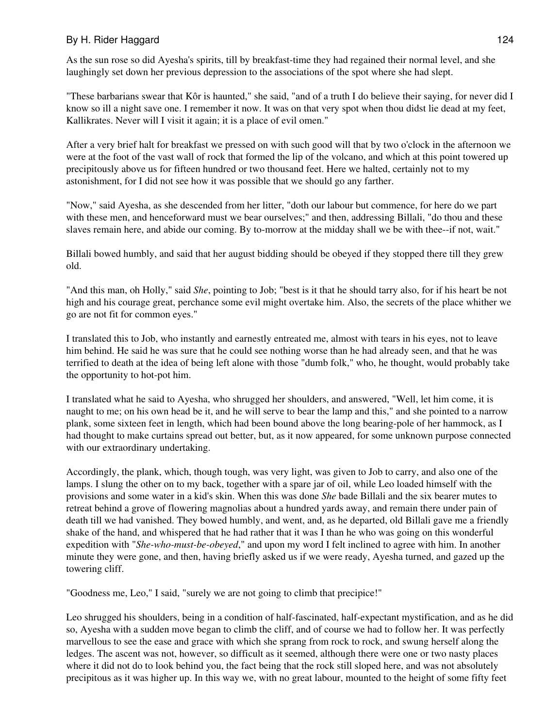As the sun rose so did Ayesha's spirits, till by breakfast-time they had regained their normal level, and she laughingly set down her previous depression to the associations of the spot where she had slept.

"These barbarians swear that Kôr is haunted," she said, "and of a truth I do believe their saying, for never did I know so ill a night save one. I remember it now. It was on that very spot when thou didst lie dead at my feet, Kallikrates. Never will I visit it again; it is a place of evil omen."

After a very brief halt for breakfast we pressed on with such good will that by two o'clock in the afternoon we were at the foot of the vast wall of rock that formed the lip of the volcano, and which at this point towered up precipitously above us for fifteen hundred or two thousand feet. Here we halted, certainly not to my astonishment, for I did not see how it was possible that we should go any farther.

"Now," said Ayesha, as she descended from her litter, "doth our labour but commence, for here do we part with these men, and henceforward must we bear ourselves;" and then, addressing Billali, "do thou and these slaves remain here, and abide our coming. By to-morrow at the midday shall we be with thee--if not, wait."

Billali bowed humbly, and said that her august bidding should be obeyed if they stopped there till they grew old.

"And this man, oh Holly," said *She*, pointing to Job; "best is it that he should tarry also, for if his heart be not high and his courage great, perchance some evil might overtake him. Also, the secrets of the place whither we go are not fit for common eyes."

I translated this to Job, who instantly and earnestly entreated me, almost with tears in his eyes, not to leave him behind. He said he was sure that he could see nothing worse than he had already seen, and that he was terrified to death at the idea of being left alone with those "dumb folk," who, he thought, would probably take the opportunity to hot-pot him.

I translated what he said to Ayesha, who shrugged her shoulders, and answered, "Well, let him come, it is naught to me; on his own head be it, and he will serve to bear the lamp and this," and she pointed to a narrow plank, some sixteen feet in length, which had been bound above the long bearing-pole of her hammock, as I had thought to make curtains spread out better, but, as it now appeared, for some unknown purpose connected with our extraordinary undertaking.

Accordingly, the plank, which, though tough, was very light, was given to Job to carry, and also one of the lamps. I slung the other on to my back, together with a spare jar of oil, while Leo loaded himself with the provisions and some water in a kid's skin. When this was done *She* bade Billali and the six bearer mutes to retreat behind a grove of flowering magnolias about a hundred yards away, and remain there under pain of death till we had vanished. They bowed humbly, and went, and, as he departed, old Billali gave me a friendly shake of the hand, and whispered that he had rather that it was I than he who was going on this wonderful expedition with "*She-who-must-be-obeyed*," and upon my word I felt inclined to agree with him. In another minute they were gone, and then, having briefly asked us if we were ready, Ayesha turned, and gazed up the towering cliff.

"Goodness me, Leo," I said, "surely we are not going to climb that precipice!"

Leo shrugged his shoulders, being in a condition of half-fascinated, half-expectant mystification, and as he did so, Ayesha with a sudden move began to climb the cliff, and of course we had to follow her. It was perfectly marvellous to see the ease and grace with which she sprang from rock to rock, and swung herself along the ledges. The ascent was not, however, so difficult as it seemed, although there were one or two nasty places where it did not do to look behind you, the fact being that the rock still sloped here, and was not absolutely precipitous as it was higher up. In this way we, with no great labour, mounted to the height of some fifty feet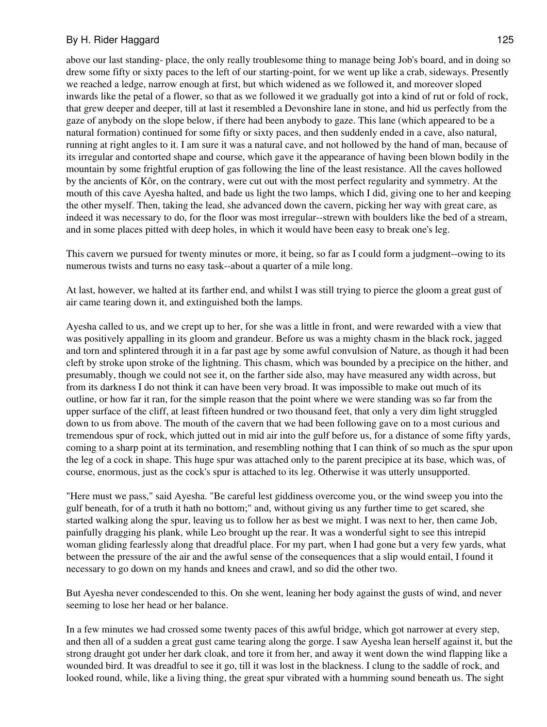above our last standing- place, the only really troublesome thing to manage being Job's board, and in doing so drew some fifty or sixty paces to the left of our starting-point, for we went up like a crab, sideways. Presently we reached a ledge, narrow enough at first, but which widened as we followed it, and moreover sloped inwards like the petal of a flower, so that as we followed it we gradually got into a kind of rut or fold of rock, that grew deeper and deeper, till at last it resembled a Devonshire lane in stone, and hid us perfectly from the gaze of anybody on the slope below, if there had been anybody to gaze. This lane (which appeared to be a natural formation) continued for some fifty or sixty paces, and then suddenly ended in a cave, also natural, running at right angles to it. I am sure it was a natural cave, and not hollowed by the hand of man, because of its irregular and contorted shape and course, which gave it the appearance of having been blown bodily in the mountain by some frightful eruption of gas following the line of the least resistance. All the caves hollowed by the ancients of Kôr, on the contrary, were cut out with the most perfect regularity and symmetry. At the mouth of this cave Ayesha halted, and bade us light the two lamps, which I did, giving one to her and keeping the other myself. Then, taking the lead, she advanced down the cavern, picking her way with great care, as indeed it was necessary to do, for the floor was most irregular--strewn with boulders like the bed of a stream, and in some places pitted with deep holes, in which it would have been easy to break one's leg.

This cavern we pursued for twenty minutes or more, it being, so far as I could form a judgment--owing to its numerous twists and turns no easy task--about a quarter of a mile long.

At last, however, we halted at its farther end, and whilst I was still trying to pierce the gloom a great gust of air came tearing down it, and extinguished both the lamps.

Ayesha called to us, and we crept up to her, for she was a little in front, and were rewarded with a view that was positively appalling in its gloom and grandeur. Before us was a mighty chasm in the black rock, jagged and torn and splintered through it in a far past age by some awful convulsion of Nature, as though it had been cleft by stroke upon stroke of the lightning. This chasm, which was bounded by a precipice on the hither, and presumably, though we could not see it, on the farther side also, may have measured any width across, but from its darkness I do not think it can have been very broad. It was impossible to make out much of its outline, or how far it ran, for the simple reason that the point where we were standing was so far from the upper surface of the cliff, at least fifteen hundred or two thousand feet, that only a very dim light struggled down to us from above. The mouth of the cavern that we had been following gave on to a most curious and tremendous spur of rock, which jutted out in mid air into the gulf before us, for a distance of some fifty yards, coming to a sharp point at its termination, and resembling nothing that I can think of so much as the spur upon the leg of a cock in shape. This huge spur was attached only to the parent precipice at its base, which was, of course, enormous, just as the cock's spur is attached to its leg. Otherwise it was utterly unsupported.

"Here must we pass," said Ayesha. "Be careful lest giddiness overcome you, or the wind sweep you into the gulf beneath, for of a truth it hath no bottom;" and, without giving us any further time to get scared, she started walking along the spur, leaving us to follow her as best we might. I was next to her, then came Job, painfully dragging his plank, while Leo brought up the rear. It was a wonderful sight to see this intrepid woman gliding fearlessly along that dreadful place. For my part, when I had gone but a very few yards, what between the pressure of the air and the awful sense of the consequences that a slip would entail, I found it necessary to go down on my hands and knees and crawl, and so did the other two.

But Ayesha never condescended to this. On she went, leaning her body against the gusts of wind, and never seeming to lose her head or her balance.

In a few minutes we had crossed some twenty paces of this awful bridge, which got narrower at every step, and then all of a sudden a great gust came tearing along the gorge. I saw Ayesha lean herself against it, but the strong draught got under her dark cloak, and tore it from her, and away it went down the wind flapping like a wounded bird. It was dreadful to see it go, till it was lost in the blackness. I clung to the saddle of rock, and looked round, while, like a living thing, the great spur vibrated with a humming sound beneath us. The sight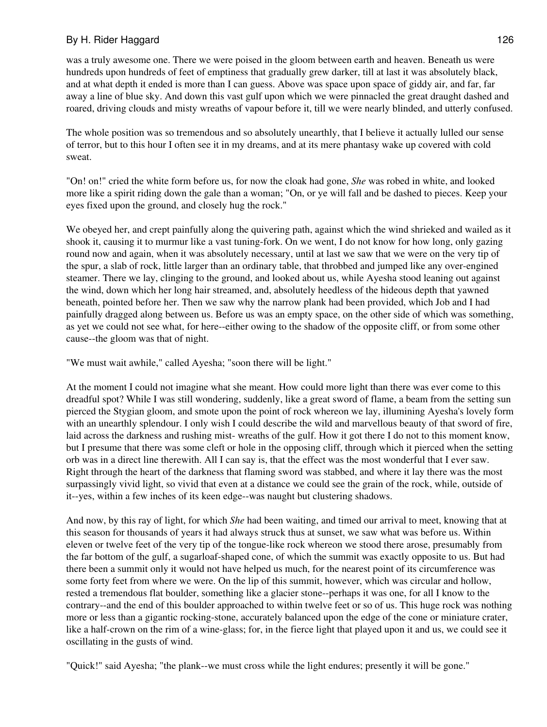was a truly awesome one. There we were poised in the gloom between earth and heaven. Beneath us were hundreds upon hundreds of feet of emptiness that gradually grew darker, till at last it was absolutely black, and at what depth it ended is more than I can guess. Above was space upon space of giddy air, and far, far away a line of blue sky. And down this vast gulf upon which we were pinnacled the great draught dashed and roared, driving clouds and misty wreaths of vapour before it, till we were nearly blinded, and utterly confused.

The whole position was so tremendous and so absolutely unearthly, that I believe it actually lulled our sense of terror, but to this hour I often see it in my dreams, and at its mere phantasy wake up covered with cold sweat.

"On! on!" cried the white form before us, for now the cloak had gone, *She* was robed in white, and looked more like a spirit riding down the gale than a woman; "On, or ye will fall and be dashed to pieces. Keep your eyes fixed upon the ground, and closely hug the rock."

We obeyed her, and crept painfully along the quivering path, against which the wind shrieked and wailed as it shook it, causing it to murmur like a vast tuning-fork. On we went, I do not know for how long, only gazing round now and again, when it was absolutely necessary, until at last we saw that we were on the very tip of the spur, a slab of rock, little larger than an ordinary table, that throbbed and jumped like any over-engined steamer. There we lay, clinging to the ground, and looked about us, while Ayesha stood leaning out against the wind, down which her long hair streamed, and, absolutely heedless of the hideous depth that yawned beneath, pointed before her. Then we saw why the narrow plank had been provided, which Job and I had painfully dragged along between us. Before us was an empty space, on the other side of which was something, as yet we could not see what, for here--either owing to the shadow of the opposite cliff, or from some other cause--the gloom was that of night.

"We must wait awhile," called Ayesha; "soon there will be light."

At the moment I could not imagine what she meant. How could more light than there was ever come to this dreadful spot? While I was still wondering, suddenly, like a great sword of flame, a beam from the setting sun pierced the Stygian gloom, and smote upon the point of rock whereon we lay, illumining Ayesha's lovely form with an unearthly splendour. I only wish I could describe the wild and marvellous beauty of that sword of fire, laid across the darkness and rushing mist- wreaths of the gulf. How it got there I do not to this moment know, but I presume that there was some cleft or hole in the opposing cliff, through which it pierced when the setting orb was in a direct line therewith. All I can say is, that the effect was the most wonderful that I ever saw. Right through the heart of the darkness that flaming sword was stabbed, and where it lay there was the most surpassingly vivid light, so vivid that even at a distance we could see the grain of the rock, while, outside of it--yes, within a few inches of its keen edge--was naught but clustering shadows.

And now, by this ray of light, for which *She* had been waiting, and timed our arrival to meet, knowing that at this season for thousands of years it had always struck thus at sunset, we saw what was before us. Within eleven or twelve feet of the very tip of the tongue-like rock whereon we stood there arose, presumably from the far bottom of the gulf, a sugarloaf-shaped cone, of which the summit was exactly opposite to us. But had there been a summit only it would not have helped us much, for the nearest point of its circumference was some forty feet from where we were. On the lip of this summit, however, which was circular and hollow, rested a tremendous flat boulder, something like a glacier stone--perhaps it was one, for all I know to the contrary--and the end of this boulder approached to within twelve feet or so of us. This huge rock was nothing more or less than a gigantic rocking-stone, accurately balanced upon the edge of the cone or miniature crater, like a half-crown on the rim of a wine-glass; for, in the fierce light that played upon it and us, we could see it oscillating in the gusts of wind.

"Quick!" said Ayesha; "the plank--we must cross while the light endures; presently it will be gone."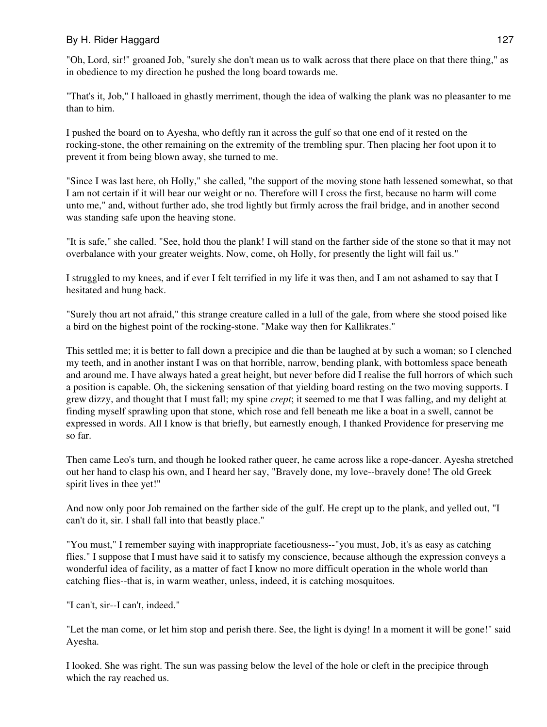"Oh, Lord, sir!" groaned Job, "surely she don't mean us to walk across that there place on that there thing," as in obedience to my direction he pushed the long board towards me.

"That's it, Job," I halloaed in ghastly merriment, though the idea of walking the plank was no pleasanter to me than to him.

I pushed the board on to Ayesha, who deftly ran it across the gulf so that one end of it rested on the rocking-stone, the other remaining on the extremity of the trembling spur. Then placing her foot upon it to prevent it from being blown away, she turned to me.

"Since I was last here, oh Holly," she called, "the support of the moving stone hath lessened somewhat, so that I am not certain if it will bear our weight or no. Therefore will I cross the first, because no harm will come unto me," and, without further ado, she trod lightly but firmly across the frail bridge, and in another second was standing safe upon the heaving stone.

"It is safe," she called. "See, hold thou the plank! I will stand on the farther side of the stone so that it may not overbalance with your greater weights. Now, come, oh Holly, for presently the light will fail us."

I struggled to my knees, and if ever I felt terrified in my life it was then, and I am not ashamed to say that I hesitated and hung back.

"Surely thou art not afraid," this strange creature called in a lull of the gale, from where she stood poised like a bird on the highest point of the rocking-stone. "Make way then for Kallikrates."

This settled me; it is better to fall down a precipice and die than be laughed at by such a woman; so I clenched my teeth, and in another instant I was on that horrible, narrow, bending plank, with bottomless space beneath and around me. I have always hated a great height, but never before did I realise the full horrors of which such a position is capable. Oh, the sickening sensation of that yielding board resting on the two moving supports. I grew dizzy, and thought that I must fall; my spine *crept*; it seemed to me that I was falling, and my delight at finding myself sprawling upon that stone, which rose and fell beneath me like a boat in a swell, cannot be expressed in words. All I know is that briefly, but earnestly enough, I thanked Providence for preserving me so far.

Then came Leo's turn, and though he looked rather queer, he came across like a rope-dancer. Ayesha stretched out her hand to clasp his own, and I heard her say, "Bravely done, my love--bravely done! The old Greek spirit lives in thee yet!"

And now only poor Job remained on the farther side of the gulf. He crept up to the plank, and yelled out, "I can't do it, sir. I shall fall into that beastly place."

"You must," I remember saying with inappropriate facetiousness--"you must, Job, it's as easy as catching flies." I suppose that I must have said it to satisfy my conscience, because although the expression conveys a wonderful idea of facility, as a matter of fact I know no more difficult operation in the whole world than catching flies--that is, in warm weather, unless, indeed, it is catching mosquitoes.

"I can't, sir--I can't, indeed."

"Let the man come, or let him stop and perish there. See, the light is dying! In a moment it will be gone!" said Ayesha.

I looked. She was right. The sun was passing below the level of the hole or cleft in the precipice through which the ray reached us.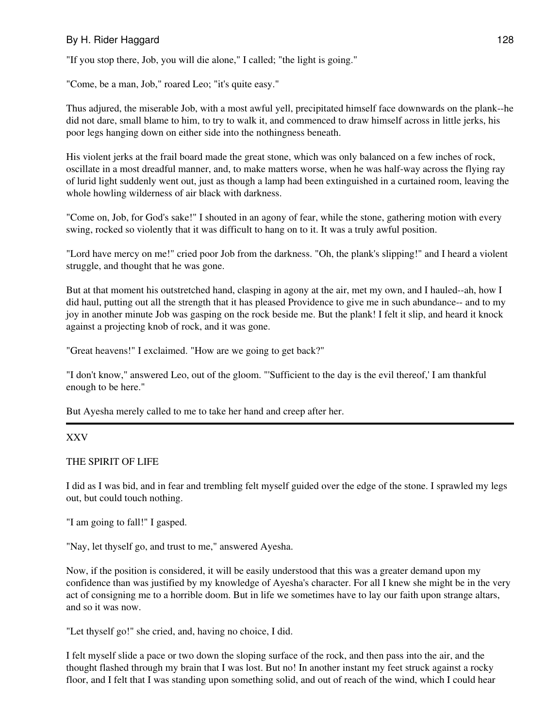"If you stop there, Job, you will die alone," I called; "the light is going."

"Come, be a man, Job," roared Leo; "it's quite easy."

Thus adjured, the miserable Job, with a most awful yell, precipitated himself face downwards on the plank--he did not dare, small blame to him, to try to walk it, and commenced to draw himself across in little jerks, his poor legs hanging down on either side into the nothingness beneath.

His violent jerks at the frail board made the great stone, which was only balanced on a few inches of rock, oscillate in a most dreadful manner, and, to make matters worse, when he was half-way across the flying ray of lurid light suddenly went out, just as though a lamp had been extinguished in a curtained room, leaving the whole howling wilderness of air black with darkness.

"Come on, Job, for God's sake!" I shouted in an agony of fear, while the stone, gathering motion with every swing, rocked so violently that it was difficult to hang on to it. It was a truly awful position.

"Lord have mercy on me!" cried poor Job from the darkness. "Oh, the plank's slipping!" and I heard a violent struggle, and thought that he was gone.

But at that moment his outstretched hand, clasping in agony at the air, met my own, and I hauled--ah, how I did haul, putting out all the strength that it has pleased Providence to give me in such abundance-- and to my joy in another minute Job was gasping on the rock beside me. But the plank! I felt it slip, and heard it knock against a projecting knob of rock, and it was gone.

"Great heavens!" I exclaimed. "How are we going to get back?"

"I don't know," answered Leo, out of the gloom. "'Sufficient to the day is the evil thereof,' I am thankful enough to be here."

But Ayesha merely called to me to take her hand and creep after her.

### XXV

### THE SPIRIT OF LIFE

I did as I was bid, and in fear and trembling felt myself guided over the edge of the stone. I sprawled my legs out, but could touch nothing.

"I am going to fall!" I gasped.

"Nay, let thyself go, and trust to me," answered Ayesha.

Now, if the position is considered, it will be easily understood that this was a greater demand upon my confidence than was justified by my knowledge of Ayesha's character. For all I knew she might be in the very act of consigning me to a horrible doom. But in life we sometimes have to lay our faith upon strange altars, and so it was now.

"Let thyself go!" she cried, and, having no choice, I did.

I felt myself slide a pace or two down the sloping surface of the rock, and then pass into the air, and the thought flashed through my brain that I was lost. But no! In another instant my feet struck against a rocky floor, and I felt that I was standing upon something solid, and out of reach of the wind, which I could hear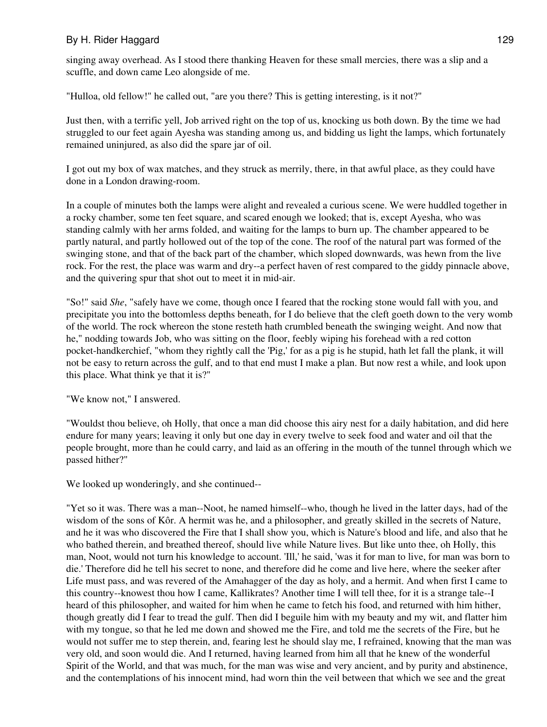singing away overhead. As I stood there thanking Heaven for these small mercies, there was a slip and a scuffle, and down came Leo alongside of me.

"Hulloa, old fellow!" he called out, "are you there? This is getting interesting, is it not?"

Just then, with a terrific yell, Job arrived right on the top of us, knocking us both down. By the time we had struggled to our feet again Ayesha was standing among us, and bidding us light the lamps, which fortunately remained uninjured, as also did the spare jar of oil.

I got out my box of wax matches, and they struck as merrily, there, in that awful place, as they could have done in a London drawing-room.

In a couple of minutes both the lamps were alight and revealed a curious scene. We were huddled together in a rocky chamber, some ten feet square, and scared enough we looked; that is, except Ayesha, who was standing calmly with her arms folded, and waiting for the lamps to burn up. The chamber appeared to be partly natural, and partly hollowed out of the top of the cone. The roof of the natural part was formed of the swinging stone, and that of the back part of the chamber, which sloped downwards, was hewn from the live rock. For the rest, the place was warm and dry--a perfect haven of rest compared to the giddy pinnacle above, and the quivering spur that shot out to meet it in mid-air.

"So!" said *She*, "safely have we come, though once I feared that the rocking stone would fall with you, and precipitate you into the bottomless depths beneath, for I do believe that the cleft goeth down to the very womb of the world. The rock whereon the stone resteth hath crumbled beneath the swinging weight. And now that he," nodding towards Job, who was sitting on the floor, feebly wiping his forehead with a red cotton pocket-handkerchief, "whom they rightly call the 'Pig,' for as a pig is he stupid, hath let fall the plank, it will not be easy to return across the gulf, and to that end must I make a plan. But now rest a while, and look upon this place. What think ye that it is?"

"We know not," I answered.

"Wouldst thou believe, oh Holly, that once a man did choose this airy nest for a daily habitation, and did here endure for many years; leaving it only but one day in every twelve to seek food and water and oil that the people brought, more than he could carry, and laid as an offering in the mouth of the tunnel through which we passed hither?"

We looked up wonderingly, and she continued--

"Yet so it was. There was a man--Noot, he named himself--who, though he lived in the latter days, had of the wisdom of the sons of Kôr. A hermit was he, and a philosopher, and greatly skilled in the secrets of Nature, and he it was who discovered the Fire that I shall show you, which is Nature's blood and life, and also that he who bathed therein, and breathed thereof, should live while Nature lives. But like unto thee, oh Holly, this man, Noot, would not turn his knowledge to account. 'Ill,' he said, 'was it for man to live, for man was born to die.' Therefore did he tell his secret to none, and therefore did he come and live here, where the seeker after Life must pass, and was revered of the Amahagger of the day as holy, and a hermit. And when first I came to this country--knowest thou how I came, Kallikrates? Another time I will tell thee, for it is a strange tale--I heard of this philosopher, and waited for him when he came to fetch his food, and returned with him hither, though greatly did I fear to tread the gulf. Then did I beguile him with my beauty and my wit, and flatter him with my tongue, so that he led me down and showed me the Fire, and told me the secrets of the Fire, but he would not suffer me to step therein, and, fearing lest he should slay me, I refrained, knowing that the man was very old, and soon would die. And I returned, having learned from him all that he knew of the wonderful Spirit of the World, and that was much, for the man was wise and very ancient, and by purity and abstinence, and the contemplations of his innocent mind, had worn thin the veil between that which we see and the great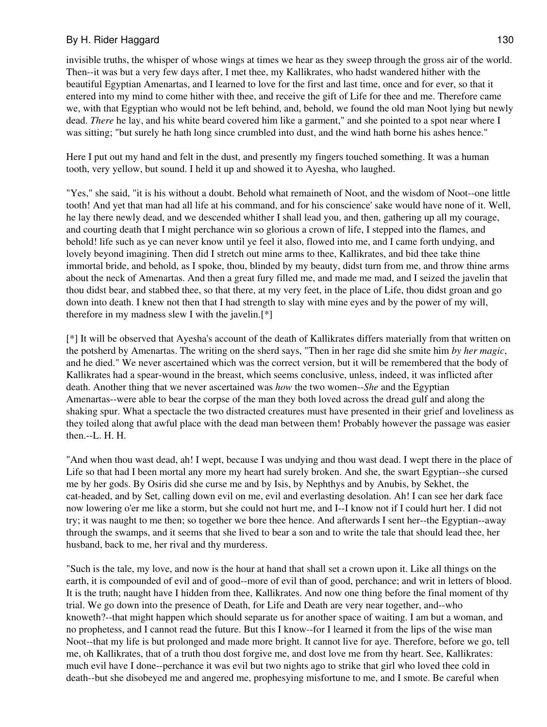invisible truths, the whisper of whose wings at times we hear as they sweep through the gross air of the world. Then--it was but a very few days after, I met thee, my Kallikrates, who hadst wandered hither with the beautiful Egyptian Amenartas, and I learned to love for the first and last time, once and for ever, so that it entered into my mind to come hither with thee, and receive the gift of Life for thee and me. Therefore came we, with that Egyptian who would not be left behind, and, behold, we found the old man Noot lying but newly dead. *There* he lay, and his white beard covered him like a garment," and she pointed to a spot near where I was sitting; "but surely he hath long since crumbled into dust, and the wind hath borne his ashes hence."

Here I put out my hand and felt in the dust, and presently my fingers touched something. It was a human tooth, very yellow, but sound. I held it up and showed it to Ayesha, who laughed.

"Yes," she said, "it is his without a doubt. Behold what remaineth of Noot, and the wisdom of Noot--one little tooth! And yet that man had all life at his command, and for his conscience' sake would have none of it. Well, he lay there newly dead, and we descended whither I shall lead you, and then, gathering up all my courage, and courting death that I might perchance win so glorious a crown of life, I stepped into the flames, and behold! life such as ye can never know until ye feel it also, flowed into me, and I came forth undying, and lovely beyond imagining. Then did I stretch out mine arms to thee, Kallikrates, and bid thee take thine immortal bride, and behold, as I spoke, thou, blinded by my beauty, didst turn from me, and throw thine arms about the neck of Amenartas. And then a great fury filled me, and made me mad, and I seized the javelin that thou didst bear, and stabbed thee, so that there, at my very feet, in the place of Life, thou didst groan and go down into death. I knew not then that I had strength to slay with mine eyes and by the power of my will, therefore in my madness slew I with the javelin.[\*]

[\*] It will be observed that Ayesha's account of the death of Kallikrates differs materially from that written on the potsherd by Amenartas. The writing on the sherd says, "Then in her rage did she smite him *by her magic*, and he died." We never ascertained which was the correct version, but it will be remembered that the body of Kallikrates had a spear-wound in the breast, which seems conclusive, unless, indeed, it was inflicted after death. Another thing that we never ascertained was *how* the two women--*She* and the Egyptian Amenartas--were able to bear the corpse of the man they both loved across the dread gulf and along the shaking spur. What a spectacle the two distracted creatures must have presented in their grief and loveliness as they toiled along that awful place with the dead man between them! Probably however the passage was easier then.--L. H. H.

"And when thou wast dead, ah! I wept, because I was undying and thou wast dead. I wept there in the place of Life so that had I been mortal any more my heart had surely broken. And she, the swart Egyptian--she cursed me by her gods. By Osiris did she curse me and by Isis, by Nephthys and by Anubis, by Sekhet, the cat-headed, and by Set, calling down evil on me, evil and everlasting desolation. Ah! I can see her dark face now lowering o'er me like a storm, but she could not hurt me, and I--I know not if I could hurt her. I did not try; it was naught to me then; so together we bore thee hence. And afterwards I sent her--the Egyptian--away through the swamps, and it seems that she lived to bear a son and to write the tale that should lead thee, her husband, back to me, her rival and thy murderess.

"Such is the tale, my love, and now is the hour at hand that shall set a crown upon it. Like all things on the earth, it is compounded of evil and of good--more of evil than of good, perchance; and writ in letters of blood. It is the truth; naught have I hidden from thee, Kallikrates. And now one thing before the final moment of thy trial. We go down into the presence of Death, for Life and Death are very near together, and--who knoweth?--that might happen which should separate us for another space of waiting. I am but a woman, and no prophetess, and I cannot read the future. But this I know--for I learned it from the lips of the wise man Noot--that my life is but prolonged and made more bright. It cannot live for aye. Therefore, before we go, tell me, oh Kallikrates, that of a truth thou dost forgive me, and dost love me from thy heart. See, Kallikrates: much evil have I done--perchance it was evil but two nights ago to strike that girl who loved thee cold in death--but she disobeyed me and angered me, prophesying misfortune to me, and I smote. Be careful when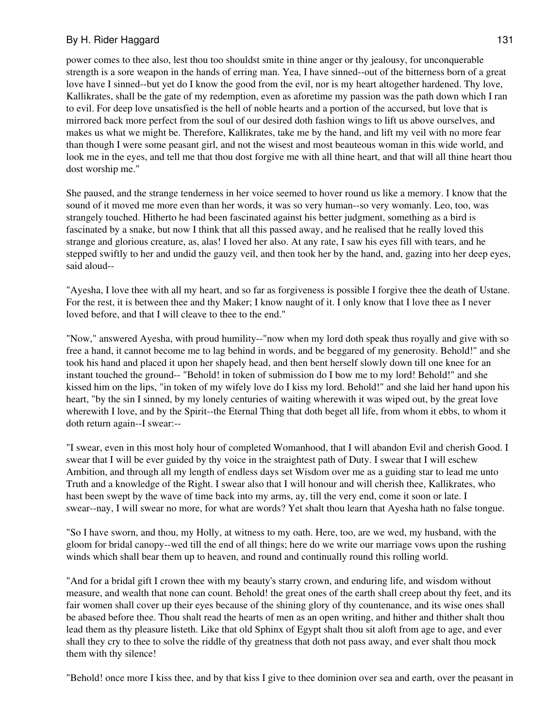power comes to thee also, lest thou too shouldst smite in thine anger or thy jealousy, for unconquerable strength is a sore weapon in the hands of erring man. Yea, I have sinned--out of the bitterness born of a great love have I sinned--but yet do I know the good from the evil, nor is my heart altogether hardened. Thy love, Kallikrates, shall be the gate of my redemption, even as aforetime my passion was the path down which I ran to evil. For deep love unsatisfied is the hell of noble hearts and a portion of the accursed, but love that is mirrored back more perfect from the soul of our desired doth fashion wings to lift us above ourselves, and makes us what we might be. Therefore, Kallikrates, take me by the hand, and lift my veil with no more fear than though I were some peasant girl, and not the wisest and most beauteous woman in this wide world, and look me in the eyes, and tell me that thou dost forgive me with all thine heart, and that will all thine heart thou dost worship me."

She paused, and the strange tenderness in her voice seemed to hover round us like a memory. I know that the sound of it moved me more even than her words, it was so very human--so very womanly. Leo, too, was strangely touched. Hitherto he had been fascinated against his better judgment, something as a bird is fascinated by a snake, but now I think that all this passed away, and he realised that he really loved this strange and glorious creature, as, alas! I loved her also. At any rate, I saw his eyes fill with tears, and he stepped swiftly to her and undid the gauzy veil, and then took her by the hand, and, gazing into her deep eyes, said aloud--

"Ayesha, I love thee with all my heart, and so far as forgiveness is possible I forgive thee the death of Ustane. For the rest, it is between thee and thy Maker; I know naught of it. I only know that I love thee as I never loved before, and that I will cleave to thee to the end."

"Now," answered Ayesha, with proud humility--"now when my lord doth speak thus royally and give with so free a hand, it cannot become me to lag behind in words, and be beggared of my generosity. Behold!" and she took his hand and placed it upon her shapely head, and then bent herself slowly down till one knee for an instant touched the ground-- "Behold! in token of submission do I bow me to my lord! Behold!" and she kissed him on the lips, "in token of my wifely love do I kiss my lord. Behold!" and she laid her hand upon his heart, "by the sin I sinned, by my lonely centuries of waiting wherewith it was wiped out, by the great love wherewith I love, and by the Spirit--the Eternal Thing that doth beget all life, from whom it ebbs, to whom it doth return again--I swear:--

"I swear, even in this most holy hour of completed Womanhood, that I will abandon Evil and cherish Good. I swear that I will be ever guided by thy voice in the straightest path of Duty. I swear that I will eschew Ambition, and through all my length of endless days set Wisdom over me as a guiding star to lead me unto Truth and a knowledge of the Right. I swear also that I will honour and will cherish thee, Kallikrates, who hast been swept by the wave of time back into my arms, ay, till the very end, come it soon or late. I swear--nay, I will swear no more, for what are words? Yet shalt thou learn that Ayesha hath no false tongue.

"So I have sworn, and thou, my Holly, at witness to my oath. Here, too, are we wed, my husband, with the gloom for bridal canopy--wed till the end of all things; here do we write our marriage vows upon the rushing winds which shall bear them up to heaven, and round and continually round this rolling world.

"And for a bridal gift I crown thee with my beauty's starry crown, and enduring life, and wisdom without measure, and wealth that none can count. Behold! the great ones of the earth shall creep about thy feet, and its fair women shall cover up their eyes because of the shining glory of thy countenance, and its wise ones shall be abased before thee. Thou shalt read the hearts of men as an open writing, and hither and thither shalt thou lead them as thy pleasure listeth. Like that old Sphinx of Egypt shalt thou sit aloft from age to age, and ever shall they cry to thee to solve the riddle of thy greatness that doth not pass away, and ever shalt thou mock them with thy silence!

"Behold! once more I kiss thee, and by that kiss I give to thee dominion over sea and earth, over the peasant in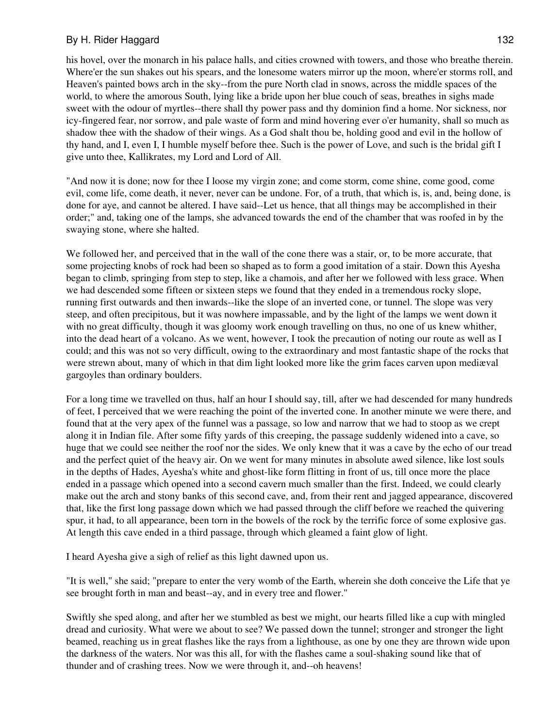his hovel, over the monarch in his palace halls, and cities crowned with towers, and those who breathe therein. Where'er the sun shakes out his spears, and the lonesome waters mirror up the moon, where'er storms roll, and Heaven's painted bows arch in the sky--from the pure North clad in snows, across the middle spaces of the world, to where the amorous South, lying like a bride upon her blue couch of seas, breathes in sighs made sweet with the odour of myrtles--there shall thy power pass and thy dominion find a home. Nor sickness, nor icy-fingered fear, nor sorrow, and pale waste of form and mind hovering ever o'er humanity, shall so much as shadow thee with the shadow of their wings. As a God shalt thou be, holding good and evil in the hollow of thy hand, and I, even I, I humble myself before thee. Such is the power of Love, and such is the bridal gift I give unto thee, Kallikrates, my Lord and Lord of All.

"And now it is done; now for thee I loose my virgin zone; and come storm, come shine, come good, come evil, come life, come death, it never, never can be undone. For, of a truth, that which is, is, and, being done, is done for aye, and cannot be altered. I have said--Let us hence, that all things may be accomplished in their order;" and, taking one of the lamps, she advanced towards the end of the chamber that was roofed in by the swaying stone, where she halted.

We followed her, and perceived that in the wall of the cone there was a stair, or, to be more accurate, that some projecting knobs of rock had been so shaped as to form a good imitation of a stair. Down this Ayesha began to climb, springing from step to step, like a chamois, and after her we followed with less grace. When we had descended some fifteen or sixteen steps we found that they ended in a tremendous rocky slope, running first outwards and then inwards--like the slope of an inverted cone, or tunnel. The slope was very steep, and often precipitous, but it was nowhere impassable, and by the light of the lamps we went down it with no great difficulty, though it was gloomy work enough travelling on thus, no one of us knew whither, into the dead heart of a volcano. As we went, however, I took the precaution of noting our route as well as I could; and this was not so very difficult, owing to the extraordinary and most fantastic shape of the rocks that were strewn about, many of which in that dim light looked more like the grim faces carven upon mediæval gargoyles than ordinary boulders.

For a long time we travelled on thus, half an hour I should say, till, after we had descended for many hundreds of feet, I perceived that we were reaching the point of the inverted cone. In another minute we were there, and found that at the very apex of the funnel was a passage, so low and narrow that we had to stoop as we crept along it in Indian file. After some fifty yards of this creeping, the passage suddenly widened into a cave, so huge that we could see neither the roof nor the sides. We only knew that it was a cave by the echo of our tread and the perfect quiet of the heavy air. On we went for many minutes in absolute awed silence, like lost souls in the depths of Hades, Ayesha's white and ghost-like form flitting in front of us, till once more the place ended in a passage which opened into a second cavern much smaller than the first. Indeed, we could clearly make out the arch and stony banks of this second cave, and, from their rent and jagged appearance, discovered that, like the first long passage down which we had passed through the cliff before we reached the quivering spur, it had, to all appearance, been torn in the bowels of the rock by the terrific force of some explosive gas. At length this cave ended in a third passage, through which gleamed a faint glow of light.

I heard Ayesha give a sigh of relief as this light dawned upon us.

"It is well," she said; "prepare to enter the very womb of the Earth, wherein she doth conceive the Life that ye see brought forth in man and beast--ay, and in every tree and flower."

Swiftly she sped along, and after her we stumbled as best we might, our hearts filled like a cup with mingled dread and curiosity. What were we about to see? We passed down the tunnel; stronger and stronger the light beamed, reaching us in great flashes like the rays from a lighthouse, as one by one they are thrown wide upon the darkness of the waters. Nor was this all, for with the flashes came a soul-shaking sound like that of thunder and of crashing trees. Now we were through it, and--oh heavens!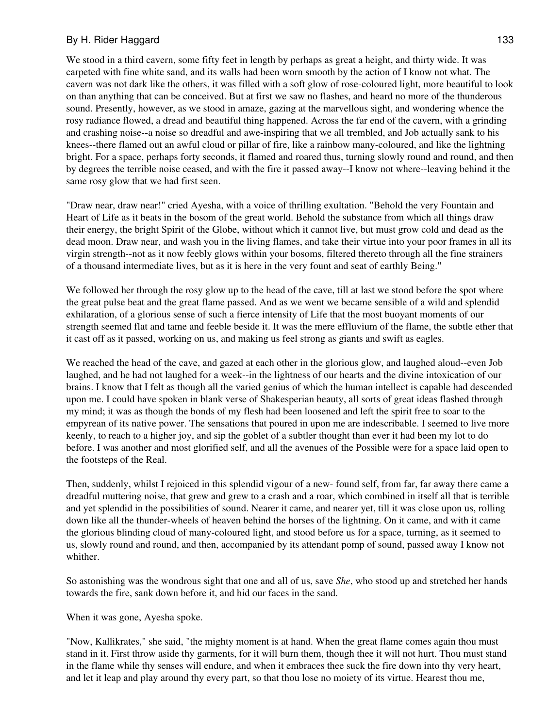We stood in a third cavern, some fifty feet in length by perhaps as great a height, and thirty wide. It was carpeted with fine white sand, and its walls had been worn smooth by the action of I know not what. The cavern was not dark like the others, it was filled with a soft glow of rose-coloured light, more beautiful to look on than anything that can be conceived. But at first we saw no flashes, and heard no more of the thunderous sound. Presently, however, as we stood in amaze, gazing at the marvellous sight, and wondering whence the rosy radiance flowed, a dread and beautiful thing happened. Across the far end of the cavern, with a grinding and crashing noise--a noise so dreadful and awe-inspiring that we all trembled, and Job actually sank to his knees--there flamed out an awful cloud or pillar of fire, like a rainbow many-coloured, and like the lightning bright. For a space, perhaps forty seconds, it flamed and roared thus, turning slowly round and round, and then by degrees the terrible noise ceased, and with the fire it passed away--I know not where--leaving behind it the same rosy glow that we had first seen.

"Draw near, draw near!" cried Ayesha, with a voice of thrilling exultation. "Behold the very Fountain and Heart of Life as it beats in the bosom of the great world. Behold the substance from which all things draw their energy, the bright Spirit of the Globe, without which it cannot live, but must grow cold and dead as the dead moon. Draw near, and wash you in the living flames, and take their virtue into your poor frames in all its virgin strength--not as it now feebly glows within your bosoms, filtered thereto through all the fine strainers of a thousand intermediate lives, but as it is here in the very fount and seat of earthly Being."

We followed her through the rosy glow up to the head of the cave, till at last we stood before the spot where the great pulse beat and the great flame passed. And as we went we became sensible of a wild and splendid exhilaration, of a glorious sense of such a fierce intensity of Life that the most buoyant moments of our strength seemed flat and tame and feeble beside it. It was the mere effluvium of the flame, the subtle ether that it cast off as it passed, working on us, and making us feel strong as giants and swift as eagles.

We reached the head of the cave, and gazed at each other in the glorious glow, and laughed aloud--even Job laughed, and he had not laughed for a week--in the lightness of our hearts and the divine intoxication of our brains. I know that I felt as though all the varied genius of which the human intellect is capable had descended upon me. I could have spoken in blank verse of Shakesperian beauty, all sorts of great ideas flashed through my mind; it was as though the bonds of my flesh had been loosened and left the spirit free to soar to the empyrean of its native power. The sensations that poured in upon me are indescribable. I seemed to live more keenly, to reach to a higher joy, and sip the goblet of a subtler thought than ever it had been my lot to do before. I was another and most glorified self, and all the avenues of the Possible were for a space laid open to the footsteps of the Real.

Then, suddenly, whilst I rejoiced in this splendid vigour of a new- found self, from far, far away there came a dreadful muttering noise, that grew and grew to a crash and a roar, which combined in itself all that is terrible and yet splendid in the possibilities of sound. Nearer it came, and nearer yet, till it was close upon us, rolling down like all the thunder-wheels of heaven behind the horses of the lightning. On it came, and with it came the glorious blinding cloud of many-coloured light, and stood before us for a space, turning, as it seemed to us, slowly round and round, and then, accompanied by its attendant pomp of sound, passed away I know not whither.

So astonishing was the wondrous sight that one and all of us, save *She*, who stood up and stretched her hands towards the fire, sank down before it, and hid our faces in the sand.

When it was gone, Ayesha spoke.

"Now, Kallikrates," she said, "the mighty moment is at hand. When the great flame comes again thou must stand in it. First throw aside thy garments, for it will burn them, though thee it will not hurt. Thou must stand in the flame while thy senses will endure, and when it embraces thee suck the fire down into thy very heart, and let it leap and play around thy every part, so that thou lose no moiety of its virtue. Hearest thou me,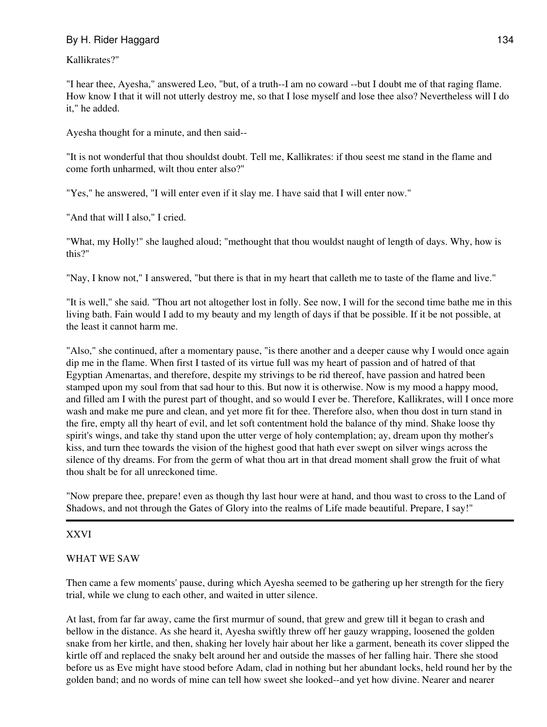Kallikrates?"

"I hear thee, Ayesha," answered Leo, "but, of a truth--I am no coward --but I doubt me of that raging flame. How know I that it will not utterly destroy me, so that I lose myself and lose thee also? Nevertheless will I do it," he added.

Ayesha thought for a minute, and then said--

"It is not wonderful that thou shouldst doubt. Tell me, Kallikrates: if thou seest me stand in the flame and come forth unharmed, wilt thou enter also?"

"Yes," he answered, "I will enter even if it slay me. I have said that I will enter now."

"And that will I also," I cried.

"What, my Holly!" she laughed aloud; "methought that thou wouldst naught of length of days. Why, how is this?"

"Nay, I know not," I answered, "but there is that in my heart that calleth me to taste of the flame and live."

"It is well," she said. "Thou art not altogether lost in folly. See now, I will for the second time bathe me in this living bath. Fain would I add to my beauty and my length of days if that be possible. If it be not possible, at the least it cannot harm me.

"Also," she continued, after a momentary pause, "is there another and a deeper cause why I would once again dip me in the flame. When first I tasted of its virtue full was my heart of passion and of hatred of that Egyptian Amenartas, and therefore, despite my strivings to be rid thereof, have passion and hatred been stamped upon my soul from that sad hour to this. But now it is otherwise. Now is my mood a happy mood, and filled am I with the purest part of thought, and so would I ever be. Therefore, Kallikrates, will I once more wash and make me pure and clean, and yet more fit for thee. Therefore also, when thou dost in turn stand in the fire, empty all thy heart of evil, and let soft contentment hold the balance of thy mind. Shake loose thy spirit's wings, and take thy stand upon the utter verge of holy contemplation; ay, dream upon thy mother's kiss, and turn thee towards the vision of the highest good that hath ever swept on silver wings across the silence of thy dreams. For from the germ of what thou art in that dread moment shall grow the fruit of what thou shalt be for all unreckoned time.

"Now prepare thee, prepare! even as though thy last hour were at hand, and thou wast to cross to the Land of Shadows, and not through the Gates of Glory into the realms of Life made beautiful. Prepare, I say!"

### XXVI

### WHAT WE SAW

Then came a few moments' pause, during which Ayesha seemed to be gathering up her strength for the fiery trial, while we clung to each other, and waited in utter silence.

At last, from far far away, came the first murmur of sound, that grew and grew till it began to crash and bellow in the distance. As she heard it, Ayesha swiftly threw off her gauzy wrapping, loosened the golden snake from her kirtle, and then, shaking her lovely hair about her like a garment, beneath its cover slipped the kirtle off and replaced the snaky belt around her and outside the masses of her falling hair. There she stood before us as Eve might have stood before Adam, clad in nothing but her abundant locks, held round her by the golden band; and no words of mine can tell how sweet she looked--and yet how divine. Nearer and nearer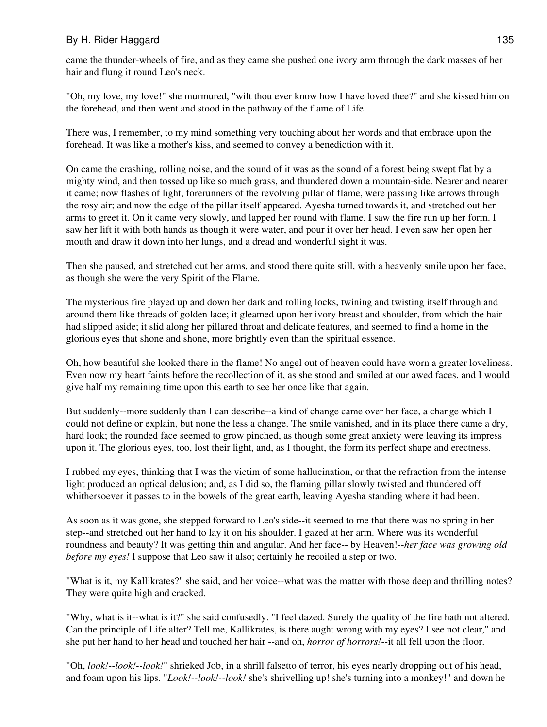came the thunder-wheels of fire, and as they came she pushed one ivory arm through the dark masses of her hair and flung it round Leo's neck.

"Oh, my love, my love!" she murmured, "wilt thou ever know how I have loved thee?" and she kissed him on the forehead, and then went and stood in the pathway of the flame of Life.

There was, I remember, to my mind something very touching about her words and that embrace upon the forehead. It was like a mother's kiss, and seemed to convey a benediction with it.

On came the crashing, rolling noise, and the sound of it was as the sound of a forest being swept flat by a mighty wind, and then tossed up like so much grass, and thundered down a mountain-side. Nearer and nearer it came; now flashes of light, forerunners of the revolving pillar of flame, were passing like arrows through the rosy air; and now the edge of the pillar itself appeared. Ayesha turned towards it, and stretched out her arms to greet it. On it came very slowly, and lapped her round with flame. I saw the fire run up her form. I saw her lift it with both hands as though it were water, and pour it over her head. I even saw her open her mouth and draw it down into her lungs, and a dread and wonderful sight it was.

Then she paused, and stretched out her arms, and stood there quite still, with a heavenly smile upon her face, as though she were the very Spirit of the Flame.

The mysterious fire played up and down her dark and rolling locks, twining and twisting itself through and around them like threads of golden lace; it gleamed upon her ivory breast and shoulder, from which the hair had slipped aside; it slid along her pillared throat and delicate features, and seemed to find a home in the glorious eyes that shone and shone, more brightly even than the spiritual essence.

Oh, how beautiful she looked there in the flame! No angel out of heaven could have worn a greater loveliness. Even now my heart faints before the recollection of it, as she stood and smiled at our awed faces, and I would give half my remaining time upon this earth to see her once like that again.

But suddenly--more suddenly than I can describe--a kind of change came over her face, a change which I could not define or explain, but none the less a change. The smile vanished, and in its place there came a dry, hard look; the rounded face seemed to grow pinched, as though some great anxiety were leaving its impress upon it. The glorious eyes, too, lost their light, and, as I thought, the form its perfect shape and erectness.

I rubbed my eyes, thinking that I was the victim of some hallucination, or that the refraction from the intense light produced an optical delusion; and, as I did so, the flaming pillar slowly twisted and thundered off whithersoever it passes to in the bowels of the great earth, leaving Ayesha standing where it had been.

As soon as it was gone, she stepped forward to Leo's side--it seemed to me that there was no spring in her step--and stretched out her hand to lay it on his shoulder. I gazed at her arm. Where was its wonderful roundness and beauty? It was getting thin and angular. And her face-- by Heaven!--*her face was growing old before my eyes!* I suppose that Leo saw it also; certainly he recoiled a step or two.

"What is it, my Kallikrates?" she said, and her voice--what was the matter with those deep and thrilling notes? They were quite high and cracked.

"Why, what is it--what is it?" she said confusedly. "I feel dazed. Surely the quality of the fire hath not altered. Can the principle of Life alter? Tell me, Kallikrates, is there aught wrong with my eyes? I see not clear," and she put her hand to her head and touched her hair --and oh, *horror of horrors!*--it all fell upon the floor.

"Oh, *look!--look!--look!*" shrieked Job, in a shrill falsetto of terror, his eyes nearly dropping out of his head, and foam upon his lips. "*Look!--look!--look!* she's shrivelling up! she's turning into a monkey!" and down he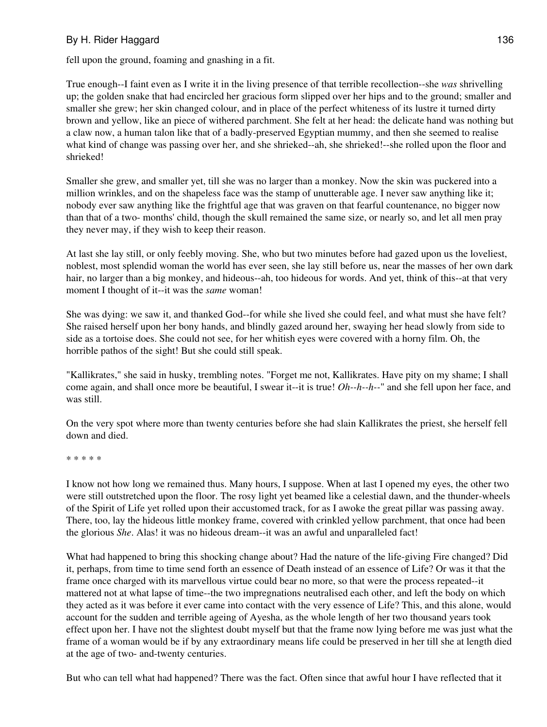fell upon the ground, foaming and gnashing in a fit.

True enough--I faint even as I write it in the living presence of that terrible recollection--she *was* shrivelling up; the golden snake that had encircled her gracious form slipped over her hips and to the ground; smaller and smaller she grew; her skin changed colour, and in place of the perfect whiteness of its lustre it turned dirty brown and yellow, like an piece of withered parchment. She felt at her head: the delicate hand was nothing but a claw now, a human talon like that of a badly-preserved Egyptian mummy, and then she seemed to realise what kind of change was passing over her, and she shrieked--ah, she shrieked!--she rolled upon the floor and shrieked!

Smaller she grew, and smaller yet, till she was no larger than a monkey. Now the skin was puckered into a million wrinkles, and on the shapeless face was the stamp of unutterable age. I never saw anything like it; nobody ever saw anything like the frightful age that was graven on that fearful countenance, no bigger now than that of a two- months' child, though the skull remained the same size, or nearly so, and let all men pray they never may, if they wish to keep their reason.

At last she lay still, or only feebly moving. She, who but two minutes before had gazed upon us the loveliest, noblest, most splendid woman the world has ever seen, she lay still before us, near the masses of her own dark hair, no larger than a big monkey, and hideous--ah, too hideous for words. And yet, think of this--at that very moment I thought of it--it was the *same* woman!

She was dying: we saw it, and thanked God--for while she lived she could feel, and what must she have felt? She raised herself upon her bony hands, and blindly gazed around her, swaying her head slowly from side to side as a tortoise does. She could not see, for her whitish eyes were covered with a horny film. Oh, the horrible pathos of the sight! But she could still speak.

"Kallikrates," she said in husky, trembling notes. "Forget me not, Kallikrates. Have pity on my shame; I shall come again, and shall once more be beautiful, I swear it--it is true! *Oh--h--h--*" and she fell upon her face, and was still.

On the very spot where more than twenty centuries before she had slain Kallikrates the priest, she herself fell down and died.

\* \* \* \* \*

I know not how long we remained thus. Many hours, I suppose. When at last I opened my eyes, the other two were still outstretched upon the floor. The rosy light yet beamed like a celestial dawn, and the thunder-wheels of the Spirit of Life yet rolled upon their accustomed track, for as I awoke the great pillar was passing away. There, too, lay the hideous little monkey frame, covered with crinkled yellow parchment, that once had been the glorious *She*. Alas! it was no hideous dream--it was an awful and unparalleled fact!

What had happened to bring this shocking change about? Had the nature of the life-giving Fire changed? Did it, perhaps, from time to time send forth an essence of Death instead of an essence of Life? Or was it that the frame once charged with its marvellous virtue could bear no more, so that were the process repeated--it mattered not at what lapse of time--the two impregnations neutralised each other, and left the body on which they acted as it was before it ever came into contact with the very essence of Life? This, and this alone, would account for the sudden and terrible ageing of Ayesha, as the whole length of her two thousand years took effect upon her. I have not the slightest doubt myself but that the frame now lying before me was just what the frame of a woman would be if by any extraordinary means life could be preserved in her till she at length died at the age of two- and-twenty centuries.

But who can tell what had happened? There was the fact. Often since that awful hour I have reflected that it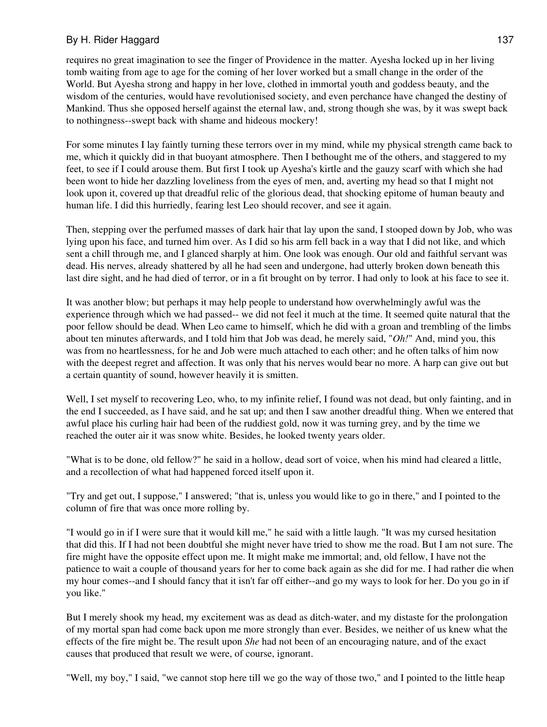requires no great imagination to see the finger of Providence in the matter. Ayesha locked up in her living tomb waiting from age to age for the coming of her lover worked but a small change in the order of the World. But Ayesha strong and happy in her love, clothed in immortal youth and goddess beauty, and the wisdom of the centuries, would have revolutionised society, and even perchance have changed the destiny of Mankind. Thus she opposed herself against the eternal law, and, strong though she was, by it was swept back to nothingness--swept back with shame and hideous mockery!

For some minutes I lay faintly turning these terrors over in my mind, while my physical strength came back to me, which it quickly did in that buoyant atmosphere. Then I bethought me of the others, and staggered to my feet, to see if I could arouse them. But first I took up Ayesha's kirtle and the gauzy scarf with which she had been wont to hide her dazzling loveliness from the eyes of men, and, averting my head so that I might not look upon it, covered up that dreadful relic of the glorious dead, that shocking epitome of human beauty and human life. I did this hurriedly, fearing lest Leo should recover, and see it again.

Then, stepping over the perfumed masses of dark hair that lay upon the sand, I stooped down by Job, who was lying upon his face, and turned him over. As I did so his arm fell back in a way that I did not like, and which sent a chill through me, and I glanced sharply at him. One look was enough. Our old and faithful servant was dead. His nerves, already shattered by all he had seen and undergone, had utterly broken down beneath this last dire sight, and he had died of terror, or in a fit brought on by terror. I had only to look at his face to see it.

It was another blow; but perhaps it may help people to understand how overwhelmingly awful was the experience through which we had passed-- we did not feel it much at the time. It seemed quite natural that the poor fellow should be dead. When Leo came to himself, which he did with a groan and trembling of the limbs about ten minutes afterwards, and I told him that Job was dead, he merely said, "*Oh!*" And, mind you, this was from no heartlessness, for he and Job were much attached to each other; and he often talks of him now with the deepest regret and affection. It was only that his nerves would bear no more. A harp can give out but a certain quantity of sound, however heavily it is smitten.

Well, I set myself to recovering Leo, who, to my infinite relief, I found was not dead, but only fainting, and in the end I succeeded, as I have said, and he sat up; and then I saw another dreadful thing. When we entered that awful place his curling hair had been of the ruddiest gold, now it was turning grey, and by the time we reached the outer air it was snow white. Besides, he looked twenty years older.

"What is to be done, old fellow?" he said in a hollow, dead sort of voice, when his mind had cleared a little, and a recollection of what had happened forced itself upon it.

"Try and get out, I suppose," I answered; "that is, unless you would like to go in there," and I pointed to the column of fire that was once more rolling by.

"I would go in if I were sure that it would kill me," he said with a little laugh. "It was my cursed hesitation that did this. If I had not been doubtful she might never have tried to show me the road. But I am not sure. The fire might have the opposite effect upon me. It might make me immortal; and, old fellow, I have not the patience to wait a couple of thousand years for her to come back again as she did for me. I had rather die when my hour comes--and I should fancy that it isn't far off either--and go my ways to look for her. Do you go in if you like."

But I merely shook my head, my excitement was as dead as ditch-water, and my distaste for the prolongation of my mortal span had come back upon me more strongly than ever. Besides, we neither of us knew what the effects of the fire might be. The result upon *She* had not been of an encouraging nature, and of the exact causes that produced that result we were, of course, ignorant.

"Well, my boy," I said, "we cannot stop here till we go the way of those two," and I pointed to the little heap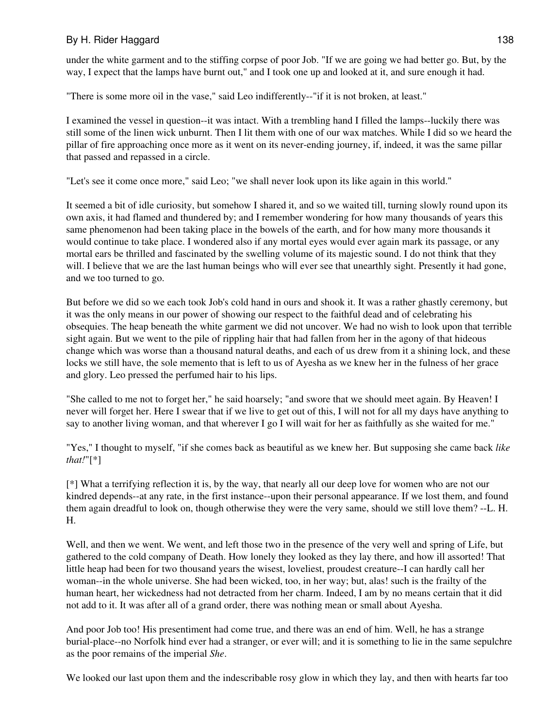under the white garment and to the stiffing corpse of poor Job. "If we are going we had better go. But, by the way, I expect that the lamps have burnt out," and I took one up and looked at it, and sure enough it had.

"There is some more oil in the vase," said Leo indifferently--"if it is not broken, at least."

I examined the vessel in question--it was intact. With a trembling hand I filled the lamps--luckily there was still some of the linen wick unburnt. Then I lit them with one of our wax matches. While I did so we heard the pillar of fire approaching once more as it went on its never-ending journey, if, indeed, it was the same pillar that passed and repassed in a circle.

"Let's see it come once more," said Leo; "we shall never look upon its like again in this world."

It seemed a bit of idle curiosity, but somehow I shared it, and so we waited till, turning slowly round upon its own axis, it had flamed and thundered by; and I remember wondering for how many thousands of years this same phenomenon had been taking place in the bowels of the earth, and for how many more thousands it would continue to take place. I wondered also if any mortal eyes would ever again mark its passage, or any mortal ears be thrilled and fascinated by the swelling volume of its majestic sound. I do not think that they will. I believe that we are the last human beings who will ever see that unearthly sight. Presently it had gone, and we too turned to go.

But before we did so we each took Job's cold hand in ours and shook it. It was a rather ghastly ceremony, but it was the only means in our power of showing our respect to the faithful dead and of celebrating his obsequies. The heap beneath the white garment we did not uncover. We had no wish to look upon that terrible sight again. But we went to the pile of rippling hair that had fallen from her in the agony of that hideous change which was worse than a thousand natural deaths, and each of us drew from it a shining lock, and these locks we still have, the sole memento that is left to us of Ayesha as we knew her in the fulness of her grace and glory. Leo pressed the perfumed hair to his lips.

"She called to me not to forget her," he said hoarsely; "and swore that we should meet again. By Heaven! I never will forget her. Here I swear that if we live to get out of this, I will not for all my days have anything to say to another living woman, and that wherever I go I will wait for her as faithfully as she waited for me."

"Yes," I thought to myself, "if she comes back as beautiful as we knew her. But supposing she came back *like that!*"[\*]

[\*] What a terrifying reflection it is, by the way, that nearly all our deep love for women who are not our kindred depends--at any rate, in the first instance--upon their personal appearance. If we lost them, and found them again dreadful to look on, though otherwise they were the very same, should we still love them? --L. H. H.

Well, and then we went. We went, and left those two in the presence of the very well and spring of Life, but gathered to the cold company of Death. How lonely they looked as they lay there, and how ill assorted! That little heap had been for two thousand years the wisest, loveliest, proudest creature--I can hardly call her woman--in the whole universe. She had been wicked, too, in her way; but, alas! such is the frailty of the human heart, her wickedness had not detracted from her charm. Indeed, I am by no means certain that it did not add to it. It was after all of a grand order, there was nothing mean or small about Ayesha.

And poor Job too! His presentiment had come true, and there was an end of him. Well, he has a strange burial-place--no Norfolk hind ever had a stranger, or ever will; and it is something to lie in the same sepulchre as the poor remains of the imperial *She*.

We looked our last upon them and the indescribable rosy glow in which they lay, and then with hearts far too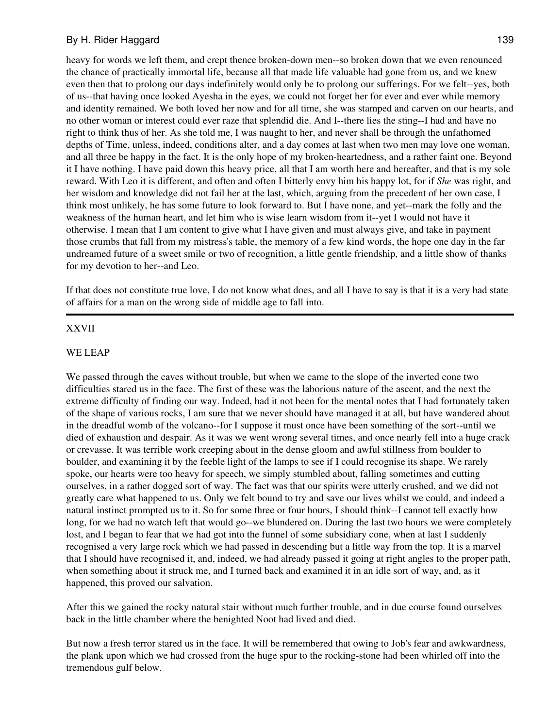heavy for words we left them, and crept thence broken-down men--so broken down that we even renounced the chance of practically immortal life, because all that made life valuable had gone from us, and we knew even then that to prolong our days indefinitely would only be to prolong our sufferings. For we felt--yes, both of us--that having once looked Ayesha in the eyes, we could not forget her for ever and ever while memory and identity remained. We both loved her now and for all time, she was stamped and carven on our hearts, and no other woman or interest could ever raze that splendid die. And I--there lies the sting--I had and have no right to think thus of her. As she told me, I was naught to her, and never shall be through the unfathomed depths of Time, unless, indeed, conditions alter, and a day comes at last when two men may love one woman, and all three be happy in the fact. It is the only hope of my broken-heartedness, and a rather faint one. Beyond it I have nothing. I have paid down this heavy price, all that I am worth here and hereafter, and that is my sole reward. With Leo it is different, and often and often I bitterly envy him his happy lot, for if *She* was right, and her wisdom and knowledge did not fail her at the last, which, arguing from the precedent of her own case, I think most unlikely, he has some future to look forward to. But I have none, and yet--mark the folly and the weakness of the human heart, and let him who is wise learn wisdom from it--yet I would not have it otherwise. I mean that I am content to give what I have given and must always give, and take in payment those crumbs that fall from my mistress's table, the memory of a few kind words, the hope one day in the far undreamed future of a sweet smile or two of recognition, a little gentle friendship, and a little show of thanks for my devotion to her--and Leo.

If that does not constitute true love, I do not know what does, and all I have to say is that it is a very bad state of affairs for a man on the wrong side of middle age to fall into.

#### XXVII

#### WE LEAP

We passed through the caves without trouble, but when we came to the slope of the inverted cone two difficulties stared us in the face. The first of these was the laborious nature of the ascent, and the next the extreme difficulty of finding our way. Indeed, had it not been for the mental notes that I had fortunately taken of the shape of various rocks, I am sure that we never should have managed it at all, but have wandered about in the dreadful womb of the volcano--for I suppose it must once have been something of the sort--until we died of exhaustion and despair. As it was we went wrong several times, and once nearly fell into a huge crack or crevasse. It was terrible work creeping about in the dense gloom and awful stillness from boulder to boulder, and examining it by the feeble light of the lamps to see if I could recognise its shape. We rarely spoke, our hearts were too heavy for speech, we simply stumbled about, falling sometimes and cutting ourselves, in a rather dogged sort of way. The fact was that our spirits were utterly crushed, and we did not greatly care what happened to us. Only we felt bound to try and save our lives whilst we could, and indeed a natural instinct prompted us to it. So for some three or four hours, I should think--I cannot tell exactly how long, for we had no watch left that would go--we blundered on. During the last two hours we were completely lost, and I began to fear that we had got into the funnel of some subsidiary cone, when at last I suddenly recognised a very large rock which we had passed in descending but a little way from the top. It is a marvel that I should have recognised it, and, indeed, we had already passed it going at right angles to the proper path, when something about it struck me, and I turned back and examined it in an idle sort of way, and, as it happened, this proved our salvation.

After this we gained the rocky natural stair without much further trouble, and in due course found ourselves back in the little chamber where the benighted Noot had lived and died.

But now a fresh terror stared us in the face. It will be remembered that owing to Job's fear and awkwardness, the plank upon which we had crossed from the huge spur to the rocking-stone had been whirled off into the tremendous gulf below.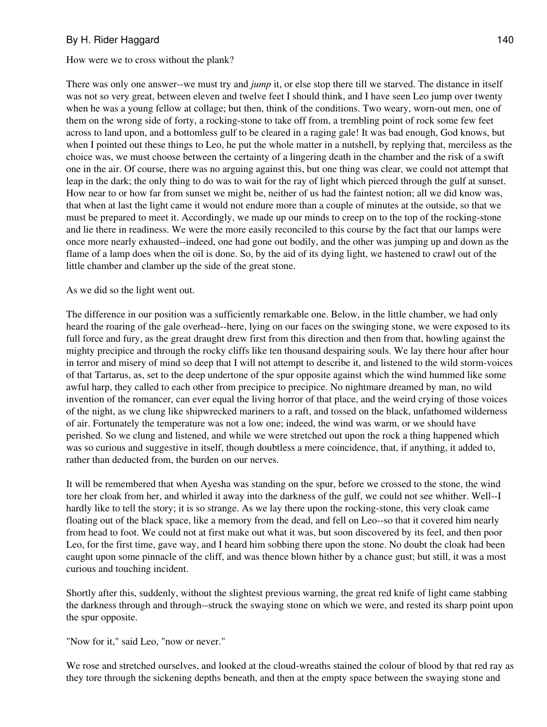How were we to cross without the plank?

There was only one answer--we must try and *jump* it, or else stop there till we starved. The distance in itself was not so very great, between eleven and twelve feet I should think, and I have seen Leo jump over twenty when he was a young fellow at collage; but then, think of the conditions. Two weary, worn-out men, one of them on the wrong side of forty, a rocking-stone to take off from, a trembling point of rock some few feet across to land upon, and a bottomless gulf to be cleared in a raging gale! It was bad enough, God knows, but when I pointed out these things to Leo, he put the whole matter in a nutshell, by replying that, merciless as the choice was, we must choose between the certainty of a lingering death in the chamber and the risk of a swift one in the air. Of course, there was no arguing against this, but one thing was clear, we could not attempt that leap in the dark; the only thing to do was to wait for the ray of light which pierced through the gulf at sunset. How near to or how far from sunset we might be, neither of us had the faintest notion; all we did know was, that when at last the light came it would not endure more than a couple of minutes at the outside, so that we must be prepared to meet it. Accordingly, we made up our minds to creep on to the top of the rocking-stone and lie there in readiness. We were the more easily reconciled to this course by the fact that our lamps were once more nearly exhausted--indeed, one had gone out bodily, and the other was jumping up and down as the flame of a lamp does when the oil is done. So, by the aid of its dying light, we hastened to crawl out of the little chamber and clamber up the side of the great stone.

As we did so the light went out.

The difference in our position was a sufficiently remarkable one. Below, in the little chamber, we had only heard the roaring of the gale overhead--here, lying on our faces on the swinging stone, we were exposed to its full force and fury, as the great draught drew first from this direction and then from that, howling against the mighty precipice and through the rocky cliffs like ten thousand despairing souls. We lay there hour after hour in terror and misery of mind so deep that I will not attempt to describe it, and listened to the wild storm-voices of that Tartarus, as, set to the deep undertone of the spur opposite against which the wind hummed like some awful harp, they called to each other from precipice to precipice. No nightmare dreamed by man, no wild invention of the romancer, can ever equal the living horror of that place, and the weird crying of those voices of the night, as we clung like shipwrecked mariners to a raft, and tossed on the black, unfathomed wilderness of air. Fortunately the temperature was not a low one; indeed, the wind was warm, or we should have perished. So we clung and listened, and while we were stretched out upon the rock a thing happened which was so curious and suggestive in itself, though doubtless a mere coincidence, that, if anything, it added to, rather than deducted from, the burden on our nerves.

It will be remembered that when Ayesha was standing on the spur, before we crossed to the stone, the wind tore her cloak from her, and whirled it away into the darkness of the gulf, we could not see whither. Well--I hardly like to tell the story; it is so strange. As we lay there upon the rocking-stone, this very cloak came floating out of the black space, like a memory from the dead, and fell on Leo--so that it covered him nearly from head to foot. We could not at first make out what it was, but soon discovered by its feel, and then poor Leo, for the first time, gave way, and I heard him sobbing there upon the stone. No doubt the cloak had been caught upon some pinnacle of the cliff, and was thence blown hither by a chance gust; but still, it was a most curious and touching incident.

Shortly after this, suddenly, without the slightest previous warning, the great red knife of light came stabbing the darkness through and through--struck the swaying stone on which we were, and rested its sharp point upon the spur opposite.

"Now for it," said Leo, "now or never."

We rose and stretched ourselves, and looked at the cloud-wreaths stained the colour of blood by that red ray as they tore through the sickening depths beneath, and then at the empty space between the swaying stone and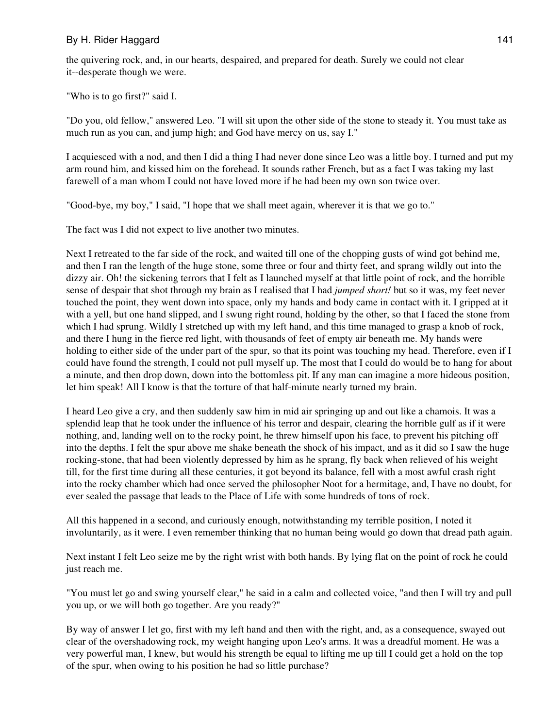the quivering rock, and, in our hearts, despaired, and prepared for death. Surely we could not clear it--desperate though we were.

"Who is to go first?" said I.

"Do you, old fellow," answered Leo. "I will sit upon the other side of the stone to steady it. You must take as much run as you can, and jump high; and God have mercy on us, say I."

I acquiesced with a nod, and then I did a thing I had never done since Leo was a little boy. I turned and put my arm round him, and kissed him on the forehead. It sounds rather French, but as a fact I was taking my last farewell of a man whom I could not have loved more if he had been my own son twice over.

"Good-bye, my boy," I said, "I hope that we shall meet again, wherever it is that we go to."

The fact was I did not expect to live another two minutes.

Next I retreated to the far side of the rock, and waited till one of the chopping gusts of wind got behind me, and then I ran the length of the huge stone, some three or four and thirty feet, and sprang wildly out into the dizzy air. Oh! the sickening terrors that I felt as I launched myself at that little point of rock, and the horrible sense of despair that shot through my brain as I realised that I had *jumped short!* but so it was, my feet never touched the point, they went down into space, only my hands and body came in contact with it. I gripped at it with a yell, but one hand slipped, and I swung right round, holding by the other, so that I faced the stone from which I had sprung. Wildly I stretched up with my left hand, and this time managed to grasp a knob of rock, and there I hung in the fierce red light, with thousands of feet of empty air beneath me. My hands were holding to either side of the under part of the spur, so that its point was touching my head. Therefore, even if I could have found the strength, I could not pull myself up. The most that I could do would be to hang for about a minute, and then drop down, down into the bottomless pit. If any man can imagine a more hideous position, let him speak! All I know is that the torture of that half-minute nearly turned my brain.

I heard Leo give a cry, and then suddenly saw him in mid air springing up and out like a chamois. It was a splendid leap that he took under the influence of his terror and despair, clearing the horrible gulf as if it were nothing, and, landing well on to the rocky point, he threw himself upon his face, to prevent his pitching off into the depths. I felt the spur above me shake beneath the shock of his impact, and as it did so I saw the huge rocking-stone, that had been violently depressed by him as he sprang, fly back when relieved of his weight till, for the first time during all these centuries, it got beyond its balance, fell with a most awful crash right into the rocky chamber which had once served the philosopher Noot for a hermitage, and, I have no doubt, for ever sealed the passage that leads to the Place of Life with some hundreds of tons of rock.

All this happened in a second, and curiously enough, notwithstanding my terrible position, I noted it involuntarily, as it were. I even remember thinking that no human being would go down that dread path again.

Next instant I felt Leo seize me by the right wrist with both hands. By lying flat on the point of rock he could just reach me.

"You must let go and swing yourself clear," he said in a calm and collected voice, "and then I will try and pull you up, or we will both go together. Are you ready?"

By way of answer I let go, first with my left hand and then with the right, and, as a consequence, swayed out clear of the overshadowing rock, my weight hanging upon Leo's arms. It was a dreadful moment. He was a very powerful man, I knew, but would his strength be equal to lifting me up till I could get a hold on the top of the spur, when owing to his position he had so little purchase?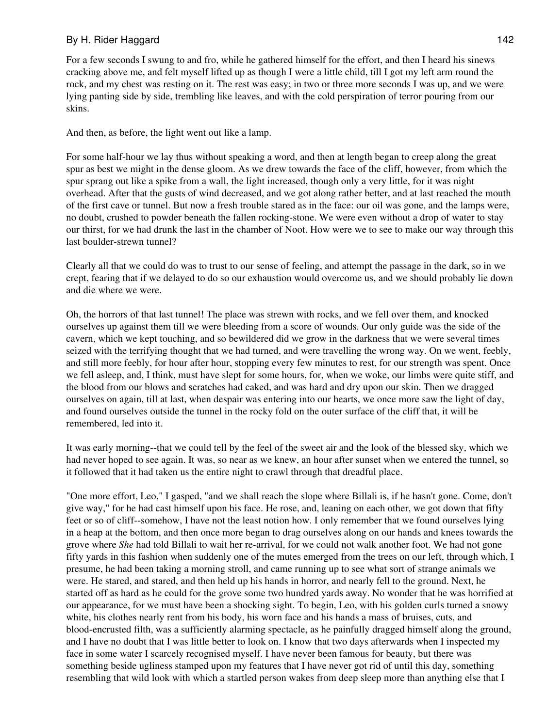For a few seconds I swung to and fro, while he gathered himself for the effort, and then I heard his sinews cracking above me, and felt myself lifted up as though I were a little child, till I got my left arm round the rock, and my chest was resting on it. The rest was easy; in two or three more seconds I was up, and we were lying panting side by side, trembling like leaves, and with the cold perspiration of terror pouring from our skins.

And then, as before, the light went out like a lamp.

For some half-hour we lay thus without speaking a word, and then at length began to creep along the great spur as best we might in the dense gloom. As we drew towards the face of the cliff, however, from which the spur sprang out like a spike from a wall, the light increased, though only a very little, for it was night overhead. After that the gusts of wind decreased, and we got along rather better, and at last reached the mouth of the first cave or tunnel. But now a fresh trouble stared as in the face: our oil was gone, and the lamps were, no doubt, crushed to powder beneath the fallen rocking-stone. We were even without a drop of water to stay our thirst, for we had drunk the last in the chamber of Noot. How were we to see to make our way through this last boulder-strewn tunnel?

Clearly all that we could do was to trust to our sense of feeling, and attempt the passage in the dark, so in we crept, fearing that if we delayed to do so our exhaustion would overcome us, and we should probably lie down and die where we were.

Oh, the horrors of that last tunnel! The place was strewn with rocks, and we fell over them, and knocked ourselves up against them till we were bleeding from a score of wounds. Our only guide was the side of the cavern, which we kept touching, and so bewildered did we grow in the darkness that we were several times seized with the terrifying thought that we had turned, and were travelling the wrong way. On we went, feebly, and still more feebly, for hour after hour, stopping every few minutes to rest, for our strength was spent. Once we fell asleep, and, I think, must have slept for some hours, for, when we woke, our limbs were quite stiff, and the blood from our blows and scratches had caked, and was hard and dry upon our skin. Then we dragged ourselves on again, till at last, when despair was entering into our hearts, we once more saw the light of day, and found ourselves outside the tunnel in the rocky fold on the outer surface of the cliff that, it will be remembered, led into it.

It was early morning--that we could tell by the feel of the sweet air and the look of the blessed sky, which we had never hoped to see again. It was, so near as we knew, an hour after sunset when we entered the tunnel, so it followed that it had taken us the entire night to crawl through that dreadful place.

"One more effort, Leo," I gasped, "and we shall reach the slope where Billali is, if he hasn't gone. Come, don't give way," for he had cast himself upon his face. He rose, and, leaning on each other, we got down that fifty feet or so of cliff--somehow, I have not the least notion how. I only remember that we found ourselves lying in a heap at the bottom, and then once more began to drag ourselves along on our hands and knees towards the grove where *She* had told Billali to wait her re-arrival, for we could not walk another foot. We had not gone fifty yards in this fashion when suddenly one of the mutes emerged from the trees on our left, through which, I presume, he had been taking a morning stroll, and came running up to see what sort of strange animals we were. He stared, and stared, and then held up his hands in horror, and nearly fell to the ground. Next, he started off as hard as he could for the grove some two hundred yards away. No wonder that he was horrified at our appearance, for we must have been a shocking sight. To begin, Leo, with his golden curls turned a snowy white, his clothes nearly rent from his body, his worn face and his hands a mass of bruises, cuts, and blood-encrusted filth, was a sufficiently alarming spectacle, as he painfully dragged himself along the ground, and I have no doubt that I was little better to look on. I know that two days afterwards when I inspected my face in some water I scarcely recognised myself. I have never been famous for beauty, but there was something beside ugliness stamped upon my features that I have never got rid of until this day, something resembling that wild look with which a startled person wakes from deep sleep more than anything else that I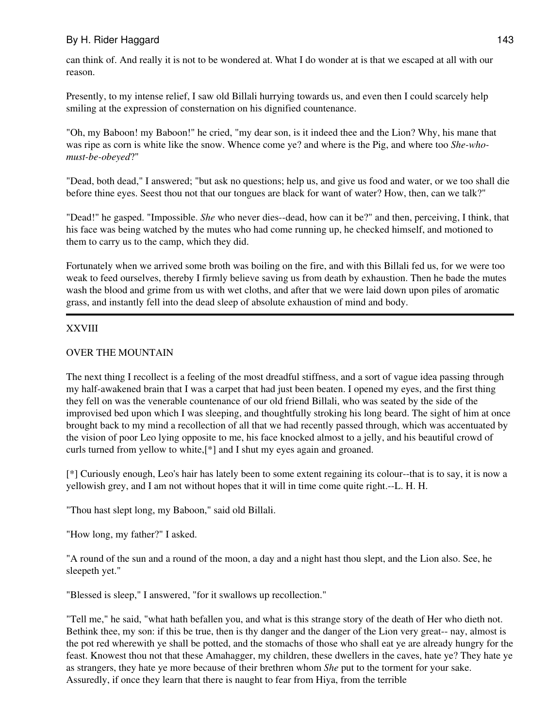can think of. And really it is not to be wondered at. What I do wonder at is that we escaped at all with our reason.

Presently, to my intense relief, I saw old Billali hurrying towards us, and even then I could scarcely help smiling at the expression of consternation on his dignified countenance.

"Oh, my Baboon! my Baboon!" he cried, "my dear son, is it indeed thee and the Lion? Why, his mane that was ripe as corn is white like the snow. Whence come ye? and where is the Pig, and where too *She-whomust-be-obeyed*?"

"Dead, both dead," I answered; "but ask no questions; help us, and give us food and water, or we too shall die before thine eyes. Seest thou not that our tongues are black for want of water? How, then, can we talk?"

"Dead!" he gasped. "Impossible. *She* who never dies--dead, how can it be?" and then, perceiving, I think, that his face was being watched by the mutes who had come running up, he checked himself, and motioned to them to carry us to the camp, which they did.

Fortunately when we arrived some broth was boiling on the fire, and with this Billali fed us, for we were too weak to feed ourselves, thereby I firmly believe saving us from death by exhaustion. Then he bade the mutes wash the blood and grime from us with wet cloths, and after that we were laid down upon piles of aromatic grass, and instantly fell into the dead sleep of absolute exhaustion of mind and body.

## XXVIII

### OVER THE MOUNTAIN

The next thing I recollect is a feeling of the most dreadful stiffness, and a sort of vague idea passing through my half-awakened brain that I was a carpet that had just been beaten. I opened my eyes, and the first thing they fell on was the venerable countenance of our old friend Billali, who was seated by the side of the improvised bed upon which I was sleeping, and thoughtfully stroking his long beard. The sight of him at once brought back to my mind a recollection of all that we had recently passed through, which was accentuated by the vision of poor Leo lying opposite to me, his face knocked almost to a jelly, and his beautiful crowd of curls turned from yellow to white,[\*] and I shut my eyes again and groaned.

[\*] Curiously enough, Leo's hair has lately been to some extent regaining its colour--that is to say, it is now a yellowish grey, and I am not without hopes that it will in time come quite right.--L. H. H.

"Thou hast slept long, my Baboon," said old Billali.

"How long, my father?" I asked.

"A round of the sun and a round of the moon, a day and a night hast thou slept, and the Lion also. See, he sleepeth yet."

"Blessed is sleep," I answered, "for it swallows up recollection."

"Tell me," he said, "what hath befallen you, and what is this strange story of the death of Her who dieth not. Bethink thee, my son: if this be true, then is thy danger and the danger of the Lion very great-- nay, almost is the pot red wherewith ye shall be potted, and the stomachs of those who shall eat ye are already hungry for the feast. Knowest thou not that these Amahagger, my children, these dwellers in the caves, hate ye? They hate ye as strangers, they hate ye more because of their brethren whom *She* put to the torment for your sake. Assuredly, if once they learn that there is naught to fear from Hiya, from the terrible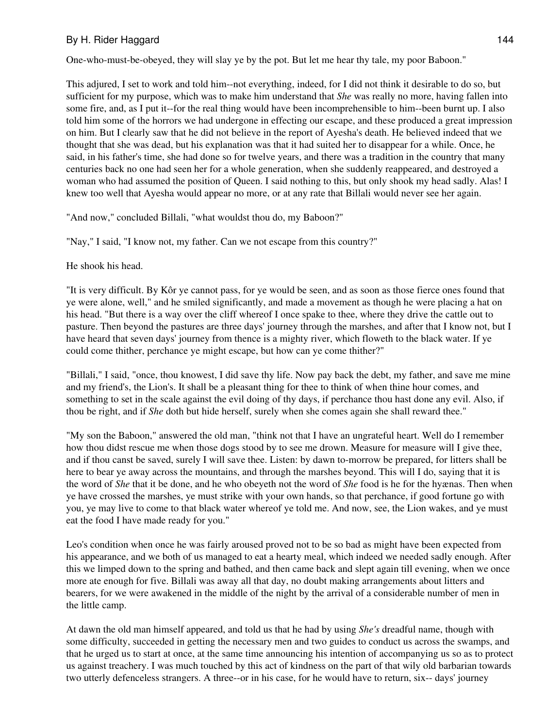One-who-must-be-obeyed, they will slay ye by the pot. But let me hear thy tale, my poor Baboon."

This adjured, I set to work and told him--not everything, indeed, for I did not think it desirable to do so, but sufficient for my purpose, which was to make him understand that *She* was really no more, having fallen into some fire, and, as I put it--for the real thing would have been incomprehensible to him--been burnt up. I also told him some of the horrors we had undergone in effecting our escape, and these produced a great impression on him. But I clearly saw that he did not believe in the report of Ayesha's death. He believed indeed that we thought that she was dead, but his explanation was that it had suited her to disappear for a while. Once, he said, in his father's time, she had done so for twelve years, and there was a tradition in the country that many centuries back no one had seen her for a whole generation, when she suddenly reappeared, and destroyed a woman who had assumed the position of Queen. I said nothing to this, but only shook my head sadly. Alas! I knew too well that Ayesha would appear no more, or at any rate that Billali would never see her again.

"And now," concluded Billali, "what wouldst thou do, my Baboon?"

"Nay," I said, "I know not, my father. Can we not escape from this country?"

He shook his head.

"It is very difficult. By Kôr ye cannot pass, for ye would be seen, and as soon as those fierce ones found that ye were alone, well," and he smiled significantly, and made a movement as though he were placing a hat on his head. "But there is a way over the cliff whereof I once spake to thee, where they drive the cattle out to pasture. Then beyond the pastures are three days' journey through the marshes, and after that I know not, but I have heard that seven days' journey from thence is a mighty river, which floweth to the black water. If ye could come thither, perchance ye might escape, but how can ye come thither?"

"Billali," I said, "once, thou knowest, I did save thy life. Now pay back the debt, my father, and save me mine and my friend's, the Lion's. It shall be a pleasant thing for thee to think of when thine hour comes, and something to set in the scale against the evil doing of thy days, if perchance thou hast done any evil. Also, if thou be right, and if *She* doth but hide herself, surely when she comes again she shall reward thee."

"My son the Baboon," answered the old man, "think not that I have an ungrateful heart. Well do I remember how thou didst rescue me when those dogs stood by to see me drown. Measure for measure will I give thee, and if thou canst be saved, surely I will save thee. Listen: by dawn to-morrow be prepared, for litters shall be here to bear ye away across the mountains, and through the marshes beyond. This will I do, saying that it is the word of *She* that it be done, and he who obeyeth not the word of *She* food is he for the hyænas. Then when ye have crossed the marshes, ye must strike with your own hands, so that perchance, if good fortune go with you, ye may live to come to that black water whereof ye told me. And now, see, the Lion wakes, and ye must eat the food I have made ready for you."

Leo's condition when once he was fairly aroused proved not to be so bad as might have been expected from his appearance, and we both of us managed to eat a hearty meal, which indeed we needed sadly enough. After this we limped down to the spring and bathed, and then came back and slept again till evening, when we once more ate enough for five. Billali was away all that day, no doubt making arrangements about litters and bearers, for we were awakened in the middle of the night by the arrival of a considerable number of men in the little camp.

At dawn the old man himself appeared, and told us that he had by using *She's* dreadful name, though with some difficulty, succeeded in getting the necessary men and two guides to conduct us across the swamps, and that he urged us to start at once, at the same time announcing his intention of accompanying us so as to protect us against treachery. I was much touched by this act of kindness on the part of that wily old barbarian towards two utterly defenceless strangers. A three--or in his case, for he would have to return, six-- days' journey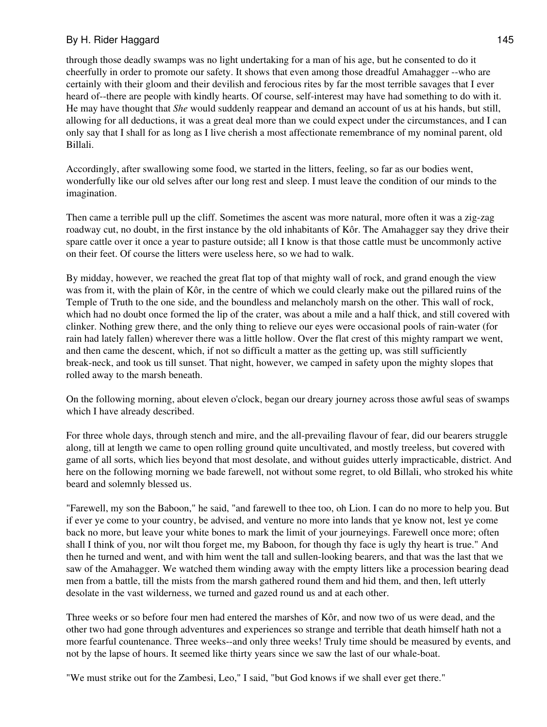## By H. Rider Haggard 145

through those deadly swamps was no light undertaking for a man of his age, but he consented to do it cheerfully in order to promote our safety. It shows that even among those dreadful Amahagger --who are certainly with their gloom and their devilish and ferocious rites by far the most terrible savages that I ever heard of--there are people with kindly hearts. Of course, self-interest may have had something to do with it. He may have thought that *She* would suddenly reappear and demand an account of us at his hands, but still, allowing for all deductions, it was a great deal more than we could expect under the circumstances, and I can only say that I shall for as long as I live cherish a most affectionate remembrance of my nominal parent, old Billali.

Accordingly, after swallowing some food, we started in the litters, feeling, so far as our bodies went, wonderfully like our old selves after our long rest and sleep. I must leave the condition of our minds to the imagination.

Then came a terrible pull up the cliff. Sometimes the ascent was more natural, more often it was a zig-zag roadway cut, no doubt, in the first instance by the old inhabitants of Kôr. The Amahagger say they drive their spare cattle over it once a year to pasture outside; all I know is that those cattle must be uncommonly active on their feet. Of course the litters were useless here, so we had to walk.

By midday, however, we reached the great flat top of that mighty wall of rock, and grand enough the view was from it, with the plain of Kôr, in the centre of which we could clearly make out the pillared ruins of the Temple of Truth to the one side, and the boundless and melancholy marsh on the other. This wall of rock, which had no doubt once formed the lip of the crater, was about a mile and a half thick, and still covered with clinker. Nothing grew there, and the only thing to relieve our eyes were occasional pools of rain-water (for rain had lately fallen) wherever there was a little hollow. Over the flat crest of this mighty rampart we went, and then came the descent, which, if not so difficult a matter as the getting up, was still sufficiently break-neck, and took us till sunset. That night, however, we camped in safety upon the mighty slopes that rolled away to the marsh beneath.

On the following morning, about eleven o'clock, began our dreary journey across those awful seas of swamps which I have already described.

For three whole days, through stench and mire, and the all-prevailing flavour of fear, did our bearers struggle along, till at length we came to open rolling ground quite uncultivated, and mostly treeless, but covered with game of all sorts, which lies beyond that most desolate, and without guides utterly impracticable, district. And here on the following morning we bade farewell, not without some regret, to old Billali, who stroked his white beard and solemnly blessed us.

"Farewell, my son the Baboon," he said, "and farewell to thee too, oh Lion. I can do no more to help you. But if ever ye come to your country, be advised, and venture no more into lands that ye know not, lest ye come back no more, but leave your white bones to mark the limit of your journeyings. Farewell once more; often shall I think of you, nor wilt thou forget me, my Baboon, for though thy face is ugly thy heart is true." And then he turned and went, and with him went the tall and sullen-looking bearers, and that was the last that we saw of the Amahagger. We watched them winding away with the empty litters like a procession bearing dead men from a battle, till the mists from the marsh gathered round them and hid them, and then, left utterly desolate in the vast wilderness, we turned and gazed round us and at each other.

Three weeks or so before four men had entered the marshes of Kôr, and now two of us were dead, and the other two had gone through adventures and experiences so strange and terrible that death himself hath not a more fearful countenance. Three weeks--and only three weeks! Truly time should be measured by events, and not by the lapse of hours. It seemed like thirty years since we saw the last of our whale-boat.

"We must strike out for the Zambesi, Leo," I said, "but God knows if we shall ever get there."